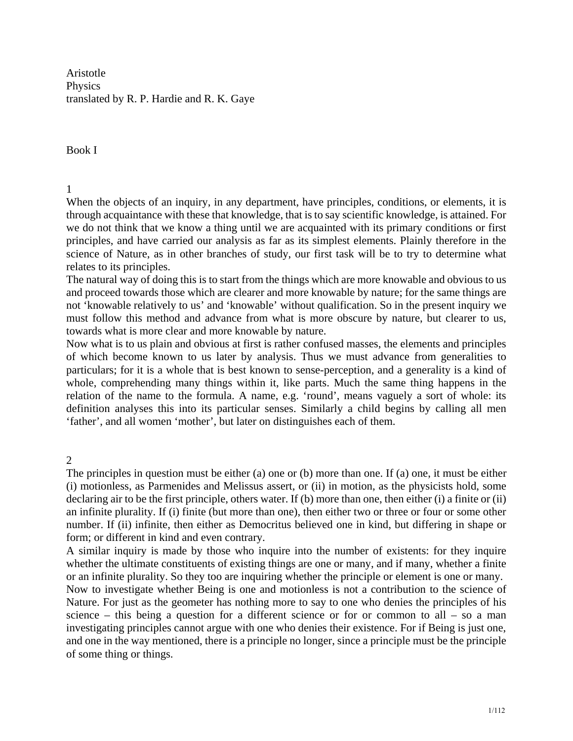Aristotle Physics translated by R. P. Hardie and R. K. Gaye

Book I

1

When the objects of an inquiry, in any department, have principles, conditions, or elements, it is through acquaintance with these that knowledge, that is to say scientific knowledge, is attained. For we do not think that we know a thing until we are acquainted with its primary conditions or first principles, and have carried our analysis as far as its simplest elements. Plainly therefore in the science of Nature, as in other branches of study, our first task will be to try to determine what relates to its principles.

The natural way of doing this is to start from the things which are more knowable and obvious to us and proceed towards those which are clearer and more knowable by nature; for the same things are not 'knowable relatively to us' and 'knowable' without qualification. So in the present inquiry we must follow this method and advance from what is more obscure by nature, but clearer to us, towards what is more clear and more knowable by nature.

Now what is to us plain and obvious at first is rather confused masses, the elements and principles of which become known to us later by analysis. Thus we must advance from generalities to particulars; for it is a whole that is best known to sense-perception, and a generality is a kind of whole, comprehending many things within it, like parts. Much the same thing happens in the relation of the name to the formula. A name, e.g. 'round', means vaguely a sort of whole: its definition analyses this into its particular senses. Similarly a child begins by calling all men 'father', and all women 'mother', but later on distinguishes each of them.

2

The principles in question must be either (a) one or (b) more than one. If (a) one, it must be either (i) motionless, as Parmenides and Melissus assert, or (ii) in motion, as the physicists hold, some declaring air to be the first principle, others water. If (b) more than one, then either (i) a finite or (ii) an infinite plurality. If (i) finite (but more than one), then either two or three or four or some other number. If (ii) infinite, then either as Democritus believed one in kind, but differing in shape or form; or different in kind and even contrary.

A similar inquiry is made by those who inquire into the number of existents: for they inquire whether the ultimate constituents of existing things are one or many, and if many, whether a finite or an infinite plurality. So they too are inquiring whether the principle or element is one or many.

Now to investigate whether Being is one and motionless is not a contribution to the science of Nature. For just as the geometer has nothing more to say to one who denies the principles of his science – this being a question for a different science or for or common to all – so a man investigating principles cannot argue with one who denies their existence. For if Being is just one, and one in the way mentioned, there is a principle no longer, since a principle must be the principle of some thing or things.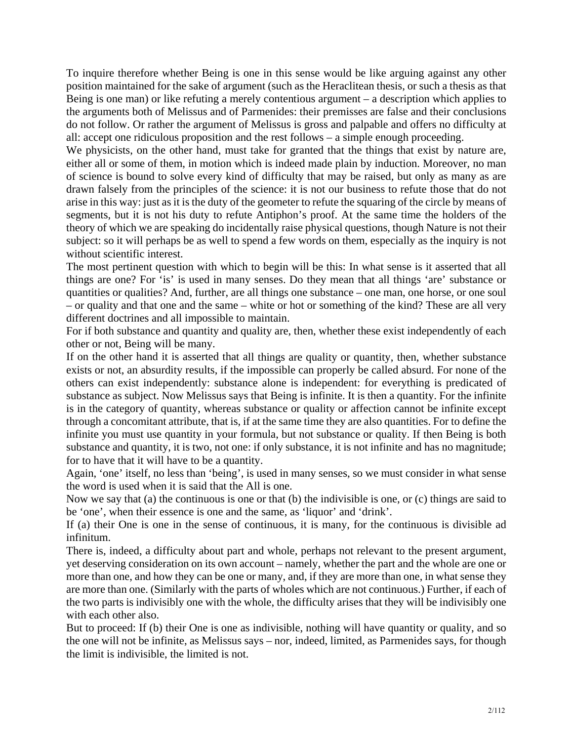To inquire therefore whether Being is one in this sense would be like arguing against any other position maintained for the sake of argument (such as the Heraclitean thesis, or such a thesis as that Being is one man) or like refuting a merely contentious argument – a description which applies to the arguments both of Melissus and of Parmenides: their premisses are false and their conclusions do not follow. Or rather the argument of Melissus is gross and palpable and offers no difficulty at all: accept one ridiculous proposition and the rest follows – a simple enough proceeding.

We physicists, on the other hand, must take for granted that the things that exist by nature are, either all or some of them, in motion which is indeed made plain by induction. Moreover, no man of science is bound to solve every kind of difficulty that may be raised, but only as many as are drawn falsely from the principles of the science: it is not our business to refute those that do not arise in this way: just as it is the duty of the geometer to refute the squaring of the circle by means of segments, but it is not his duty to refute Antiphon's proof. At the same time the holders of the theory of which we are speaking do incidentally raise physical questions, though Nature is not their subject: so it will perhaps be as well to spend a few words on them, especially as the inquiry is not without scientific interest.

The most pertinent question with which to begin will be this: In what sense is it asserted that all things are one? For 'is' is used in many senses. Do they mean that all things 'are' substance or quantities or qualities? And, further, are all things one substance – one man, one horse, or one soul – or quality and that one and the same – white or hot or something of the kind? These are all very different doctrines and all impossible to maintain.

For if both substance and quantity and quality are, then, whether these exist independently of each other or not, Being will be many.

If on the other hand it is asserted that all things are quality or quantity, then, whether substance exists or not, an absurdity results, if the impossible can properly be called absurd. For none of the others can exist independently: substance alone is independent: for everything is predicated of substance as subject. Now Melissus says that Being is infinite. It is then a quantity. For the infinite is in the category of quantity, whereas substance or quality or affection cannot be infinite except through a concomitant attribute, that is, if at the same time they are also quantities. For to define the infinite you must use quantity in your formula, but not substance or quality. If then Being is both substance and quantity, it is two, not one: if only substance, it is not infinite and has no magnitude; for to have that it will have to be a quantity.

Again, 'one' itself, no less than 'being', is used in many senses, so we must consider in what sense the word is used when it is said that the All is one.

Now we say that (a) the continuous is one or that  $(b)$  the indivisible is one, or  $(c)$  things are said to be 'one', when their essence is one and the same, as 'liquor' and 'drink'.

If (a) their One is one in the sense of continuous, it is many, for the continuous is divisible ad infinitum.

There is, indeed, a difficulty about part and whole, perhaps not relevant to the present argument, yet deserving consideration on its own account – namely, whether the part and the whole are one or more than one, and how they can be one or many, and, if they are more than one, in what sense they are more than one. (Similarly with the parts of wholes which are not continuous.) Further, if each of the two parts is indivisibly one with the whole, the difficulty arises that they will be indivisibly one with each other also.

But to proceed: If (b) their One is one as indivisible, nothing will have quantity or quality, and so the one will not be infinite, as Melissus says – nor, indeed, limited, as Parmenides says, for though the limit is indivisible, the limited is not.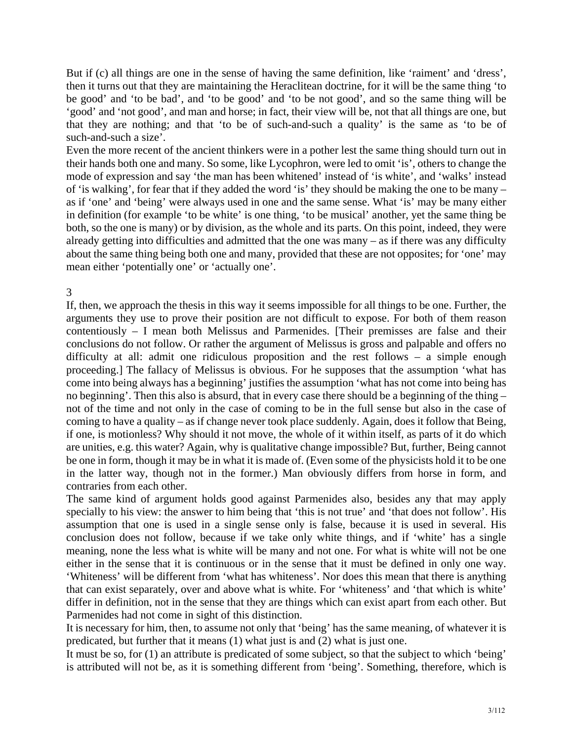But if (c) all things are one in the sense of having the same definition, like 'raiment' and 'dress', then it turns out that they are maintaining the Heraclitean doctrine, for it will be the same thing 'to be good' and 'to be bad', and 'to be good' and 'to be not good', and so the same thing will be 'good' and 'not good', and man and horse; in fact, their view will be, not that all things are one, but that they are nothing; and that 'to be of such-and-such a quality' is the same as 'to be of such-and-such a size'.

Even the more recent of the ancient thinkers were in a pother lest the same thing should turn out in their hands both one and many. So some, like Lycophron, were led to omit 'is', others to change the mode of expression and say 'the man has been whitened' instead of 'is white', and 'walks' instead of 'is walking', for fear that if they added the word 'is' they should be making the one to be many – as if 'one' and 'being' were always used in one and the same sense. What 'is' may be many either in definition (for example 'to be white' is one thing, 'to be musical' another, yet the same thing be both, so the one is many) or by division, as the whole and its parts. On this point, indeed, they were already getting into difficulties and admitted that the one was many – as if there was any difficulty about the same thing being both one and many, provided that these are not opposites; for 'one' may mean either 'potentially one' or 'actually one'.

### 3

If, then, we approach the thesis in this way it seems impossible for all things to be one. Further, the arguments they use to prove their position are not difficult to expose. For both of them reason contentiously – I mean both Melissus and Parmenides. [Their premisses are false and their conclusions do not follow. Or rather the argument of Melissus is gross and palpable and offers no difficulty at all: admit one ridiculous proposition and the rest follows – a simple enough proceeding.] The fallacy of Melissus is obvious. For he supposes that the assumption 'what has come into being always has a beginning' justifies the assumption 'what has not come into being has no beginning'. Then this also is absurd, that in every case there should be a beginning of the thing – not of the time and not only in the case of coming to be in the full sense but also in the case of coming to have a quality – as if change never took place suddenly. Again, does it follow that Being, if one, is motionless? Why should it not move, the whole of it within itself, as parts of it do which are unities, e.g. this water? Again, why is qualitative change impossible? But, further, Being cannot be one in form, though it may be in what it is made of. (Even some of the physicists hold it to be one in the latter way, though not in the former.) Man obviously differs from horse in form, and contraries from each other.

The same kind of argument holds good against Parmenides also, besides any that may apply specially to his view: the answer to him being that 'this is not true' and 'that does not follow'. His assumption that one is used in a single sense only is false, because it is used in several. His conclusion does not follow, because if we take only white things, and if 'white' has a single meaning, none the less what is white will be many and not one. For what is white will not be one either in the sense that it is continuous or in the sense that it must be defined in only one way. 'Whiteness' will be different from 'what has whiteness'. Nor does this mean that there is anything that can exist separately, over and above what is white. For 'whiteness' and 'that which is white' differ in definition, not in the sense that they are things which can exist apart from each other. But Parmenides had not come in sight of this distinction.

It is necessary for him, then, to assume not only that 'being' has the same meaning, of whatever it is predicated, but further that it means (1) what just is and (2) what is just one.

It must be so, for (1) an attribute is predicated of some subject, so that the subject to which 'being' is attributed will not be, as it is something different from 'being'. Something, therefore, which is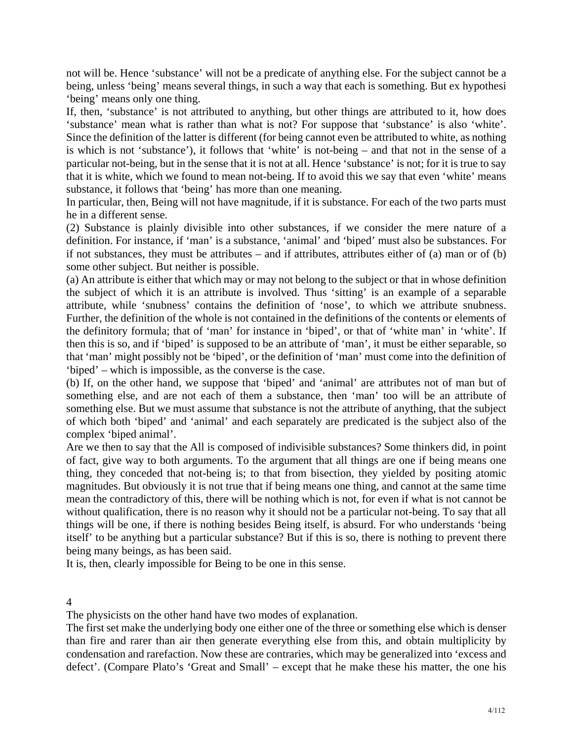not will be. Hence 'substance' will not be a predicate of anything else. For the subject cannot be a being, unless 'being' means several things, in such a way that each is something. But ex hypothesi 'being' means only one thing.

If, then, 'substance' is not attributed to anything, but other things are attributed to it, how does 'substance' mean what is rather than what is not? For suppose that 'substance' is also 'white'. Since the definition of the latter is different (for being cannot even be attributed to white, as nothing is which is not 'substance'), it follows that 'white' is not-being – and that not in the sense of a particular not-being, but in the sense that it is not at all. Hence 'substance' is not; for it is true to say that it is white, which we found to mean not-being. If to avoid this we say that even 'white' means substance, it follows that 'being' has more than one meaning.

In particular, then, Being will not have magnitude, if it is substance. For each of the two parts must he in a different sense.

(2) Substance is plainly divisible into other substances, if we consider the mere nature of a definition. For instance, if 'man' is a substance, 'animal' and 'biped' must also be substances. For if not substances, they must be attributes – and if attributes, attributes either of (a) man or of (b) some other subject. But neither is possible.

(a) An attribute is either that which may or may not belong to the subject or that in whose definition the subject of which it is an attribute is involved. Thus 'sitting' is an example of a separable attribute, while 'snubness' contains the definition of 'nose', to which we attribute snubness. Further, the definition of the whole is not contained in the definitions of the contents or elements of the definitory formula; that of 'man' for instance in 'biped', or that of 'white man' in 'white'. If then this is so, and if 'biped' is supposed to be an attribute of 'man', it must be either separable, so that 'man' might possibly not be 'biped', or the definition of 'man' must come into the definition of 'biped' – which is impossible, as the converse is the case.

(b) If, on the other hand, we suppose that 'biped' and 'animal' are attributes not of man but of something else, and are not each of them a substance, then 'man' too will be an attribute of something else. But we must assume that substance is not the attribute of anything, that the subject of which both 'biped' and 'animal' and each separately are predicated is the subject also of the complex 'biped animal'.

Are we then to say that the All is composed of indivisible substances? Some thinkers did, in point of fact, give way to both arguments. To the argument that all things are one if being means one thing, they conceded that not-being is; to that from bisection, they yielded by positing atomic magnitudes. But obviously it is not true that if being means one thing, and cannot at the same time mean the contradictory of this, there will be nothing which is not, for even if what is not cannot be without qualification, there is no reason why it should not be a particular not-being. To say that all things will be one, if there is nothing besides Being itself, is absurd. For who understands 'being itself' to be anything but a particular substance? But if this is so, there is nothing to prevent there being many beings, as has been said.

It is, then, clearly impossible for Being to be one in this sense.

4

The physicists on the other hand have two modes of explanation.

The first set make the underlying body one either one of the three or something else which is denser than fire and rarer than air then generate everything else from this, and obtain multiplicity by condensation and rarefaction. Now these are contraries, which may be generalized into 'excess and defect'. (Compare Plato's 'Great and Small' – except that he make these his matter, the one his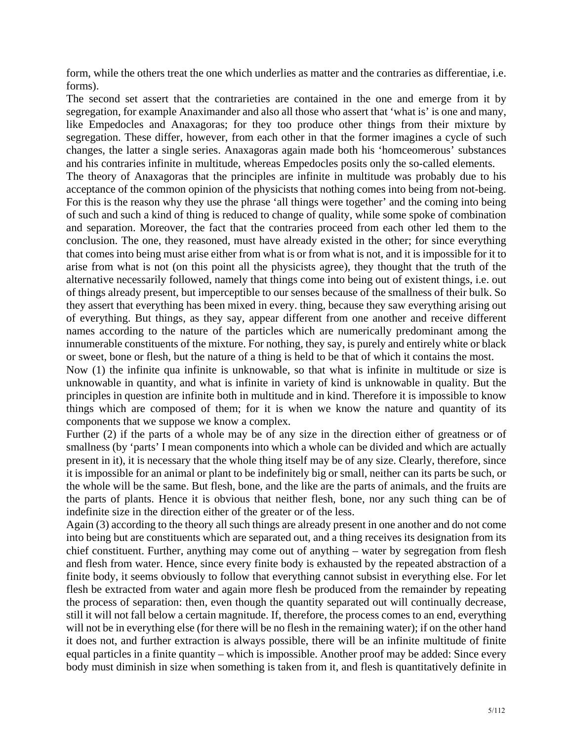form, while the others treat the one which underlies as matter and the contraries as differentiae, i.e. forms).

The second set assert that the contrarieties are contained in the one and emerge from it by segregation, for example Anaximander and also all those who assert that 'what is' is one and many, like Empedocles and Anaxagoras; for they too produce other things from their mixture by segregation. These differ, however, from each other in that the former imagines a cycle of such changes, the latter a single series. Anaxagoras again made both his 'homceomerous' substances and his contraries infinite in multitude, whereas Empedocles posits only the so-called elements.

The theory of Anaxagoras that the principles are infinite in multitude was probably due to his acceptance of the common opinion of the physicists that nothing comes into being from not-being. For this is the reason why they use the phrase 'all things were together' and the coming into being of such and such a kind of thing is reduced to change of quality, while some spoke of combination and separation. Moreover, the fact that the contraries proceed from each other led them to the conclusion. The one, they reasoned, must have already existed in the other; for since everything that comes into being must arise either from what is or from what is not, and it is impossible for it to arise from what is not (on this point all the physicists agree), they thought that the truth of the alternative necessarily followed, namely that things come into being out of existent things, i.e. out of things already present, but imperceptible to our senses because of the smallness of their bulk. So they assert that everything has been mixed in every. thing, because they saw everything arising out of everything. But things, as they say, appear different from one another and receive different names according to the nature of the particles which are numerically predominant among the innumerable constituents of the mixture. For nothing, they say, is purely and entirely white or black or sweet, bone or flesh, but the nature of a thing is held to be that of which it contains the most.

Now (1) the infinite qua infinite is unknowable, so that what is infinite in multitude or size is unknowable in quantity, and what is infinite in variety of kind is unknowable in quality. But the principles in question are infinite both in multitude and in kind. Therefore it is impossible to know things which are composed of them; for it is when we know the nature and quantity of its components that we suppose we know a complex.

Further  $(2)$  if the parts of a whole may be of any size in the direction either of greatness or of smallness (by 'parts' I mean components into which a whole can be divided and which are actually present in it), it is necessary that the whole thing itself may be of any size. Clearly, therefore, since it is impossible for an animal or plant to be indefinitely big or small, neither can its parts be such, or the whole will be the same. But flesh, bone, and the like are the parts of animals, and the fruits are the parts of plants. Hence it is obvious that neither flesh, bone, nor any such thing can be of indefinite size in the direction either of the greater or of the less.

Again (3) according to the theory all such things are already present in one another and do not come into being but are constituents which are separated out, and a thing receives its designation from its chief constituent. Further, anything may come out of anything – water by segregation from flesh and flesh from water. Hence, since every finite body is exhausted by the repeated abstraction of a finite body, it seems obviously to follow that everything cannot subsist in everything else. For let flesh be extracted from water and again more flesh be produced from the remainder by repeating the process of separation: then, even though the quantity separated out will continually decrease, still it will not fall below a certain magnitude. If, therefore, the process comes to an end, everything will not be in everything else (for there will be no flesh in the remaining water); if on the other hand it does not, and further extraction is always possible, there will be an infinite multitude of finite equal particles in a finite quantity – which is impossible. Another proof may be added: Since every body must diminish in size when something is taken from it, and flesh is quantitatively definite in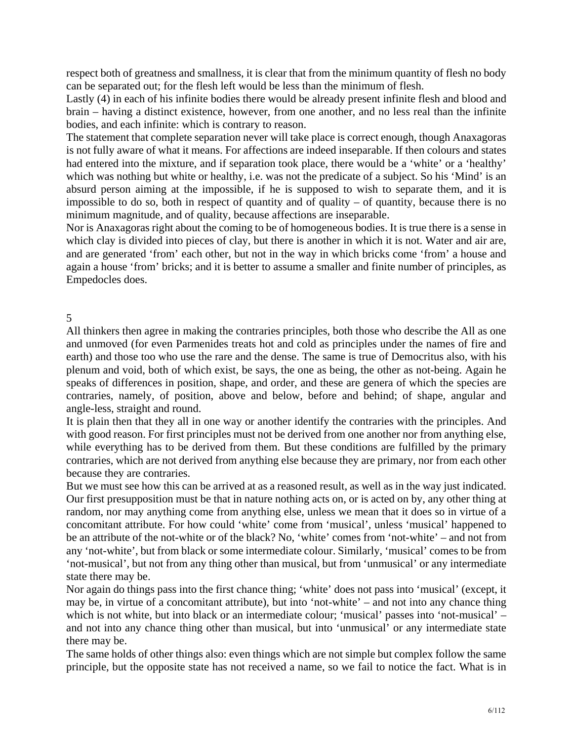respect both of greatness and smallness, it is clear that from the minimum quantity of flesh no body can be separated out; for the flesh left would be less than the minimum of flesh.

Lastly (4) in each of his infinite bodies there would be already present infinite flesh and blood and brain – having a distinct existence, however, from one another, and no less real than the infinite bodies, and each infinite: which is contrary to reason.

is not fully aware of what it means. For affections are indeed inseparable. If then colours and states The statement that complete separation never will take place is correct enough, though Anaxagoras had entered into the mixture, and if separation took place, there would be a 'white' or a 'healthy' which was nothing but white or healthy, i.e. was not the predicate of a subject. So his 'Mind' is an absurd person aiming at the impossible, if he is supposed to wish to separate them, and it is impossible to do so, both in respect of quantity and of quality – of quantity, because there is no minimum magnitude, and of quality, because affections are inseparable.

and are generated 'from' each other, but not in the way in which bricks come 'from' a house and Nor is Anaxagoras right about the coming to be of homogeneous bodies. It is true there is a sense in which clay is divided into pieces of clay, but there is another in which it is not. Water and air are, again a house 'from' bricks; and it is better to assume a smaller and finite number of principles, as Empedocles does.

# 5

All thinkers then agree in making the contraries principles, both those who describe the All as one and unmoved (for even Parmenides treats hot and cold as principles under the names of fire and earth) and those too who use the rare and the dense. The same is true of Democritus also, with his plenum and void, both of which exist, be says, the one as being, the other as not-being. Again he speaks of differences in position, shape, and order, and these are genera of which the species are contraries, namely, of position, above and below, before and behind; of shape, angular and angle-less, straight and round.

while everything has to be derived from them. But these conditions are fulfilled by the primary It is plain then that they all in one way or another identify the contraries with the principles. And with good reason. For first principles must not be derived from one another nor from anything else, contraries, which are not derived from anything else because they are primary, nor from each other because they are contraries.

random, nor may anything come from anything else, unless we mean that it does so in virtue of a be an attribute of the not-white or of the black? No, 'white' comes from 'not-white' – and not from But we must see how this can be arrived at as a reasoned result, as well as in the way just indicated. Our first presupposition must be that in nature nothing acts on, or is acted on by, any other thing at concomitant attribute. For how could 'white' come from 'musical', unless 'musical' happened to any 'not-white', but from black or some intermediate colour. Similarly, 'musical' comes to be from 'not-musical', but not from any thing other than musical, but from 'unmusical' or any intermediate state there may be.

and not into any chance thing other than musical, but into 'unmusical' or any intermediate state Nor again do things pass into the first chance thing; 'white' does not pass into 'musical' (except, it may be, in virtue of a concomitant attribute), but into 'not-white' – and not into any chance thing which is not white, but into black or an intermediate colour; 'musical' passes into 'not-musical' – there may be.

The same holds of other things also: even things which are not simple but complex follow the same principle, but the opposite state has not received a name, so we fail to notice the fact. What is in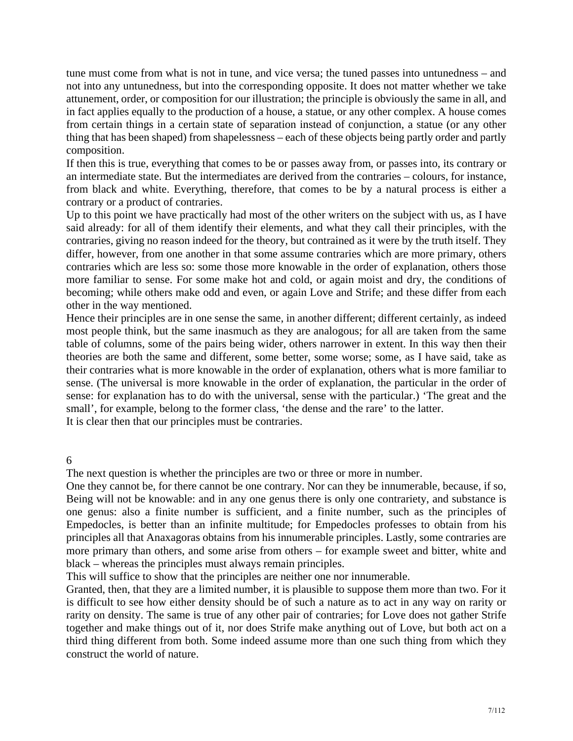tune must come from what is not in tune, and vice versa; the tuned passes into untunedness – and not into any untunedness, but into the corresponding opposite. It does not matter whether we take attunement, order, or composition for our illustration; the principle is obviously the same in all, and in fact applies equally to the production of a house, a statue, or any other complex. A house comes from certain things in a certain state of separation instead of conjunction, a statue (or any other thing that has been shaped) from shapelessness – each of these objects being partly order and partly composition.

contrary or a product of contraries. If then this is true, everything that comes to be or passes away from, or passes into, its contrary or an intermediate state. But the intermediates are derived from the contraries – colours, for instance, from black and white. Everything, therefore, that comes to be by a natural process is either a

differ, however, from one another in that some assume contraries which are more primary, others Up to this point we have practically had most of the other writers on the subject with us, as I have said already: for all of them identify their elements, and what they call their principles, with the contraries, giving no reason indeed for the theory, but contrained as it were by the truth itself. They contraries which are less so: some those more knowable in the order of explanation, others those more familiar to sense. For some make hot and cold, or again moist and dry, the conditions of becoming; while others make odd and even, or again Love and Strife; and these differ from each other in the way mentioned.

theories are both the same and different, some better, some worse; some, as I have said, take as Hence their principles are in one sense the same, in another different; different certainly, as indeed most people think, but the same inasmuch as they are analogous; for all are taken from the same table of columns, some of the pairs being wider, others narrower in extent. In this way then their their contraries what is more knowable in the order of explanation, others what is more familiar to sense. (The universal is more knowable in the order of explanation, the particular in the order of sense: for explanation has to do with the universal, sense with the particular.) 'The great and the small', for example, belong to the former class, 'the dense and the rare' to the latter. It is clear then that our principles must be contraries.

6

The next question is whether the principles are two or three or more in number.

One they cannot be, for there cannot be one contrary. Nor can they be innumerable, because, if so, Being will not be knowable: and in any one genus there is only one contrariety, and substance is one genus: also a finite number is sufficient, and a finite number, such as the principles of Empedocles, is better than an infinite multitude; for Empedocles professes to obtain from his principles all that Anaxagoras obtains from his innumerable principles. Lastly, some contraries are more primary than others, and some arise from others – for example sweet and bitter, white and black – whereas the principles must always remain principles.

This will suffice to show that the principles are neither one nor innumerable.

rarity on density. The same is true of any other pair of contraries; for Love does not gather Strife together and make things out of it, nor does Strife make anything out of Love, but both act on a Granted, then, that they are a limited number, it is plausible to suppose them more than two. For it is difficult to see how either density should be of such a nature as to act in any way on rarity or third thing different from both. Some indeed assume more than one such thing from which they construct the world of nature.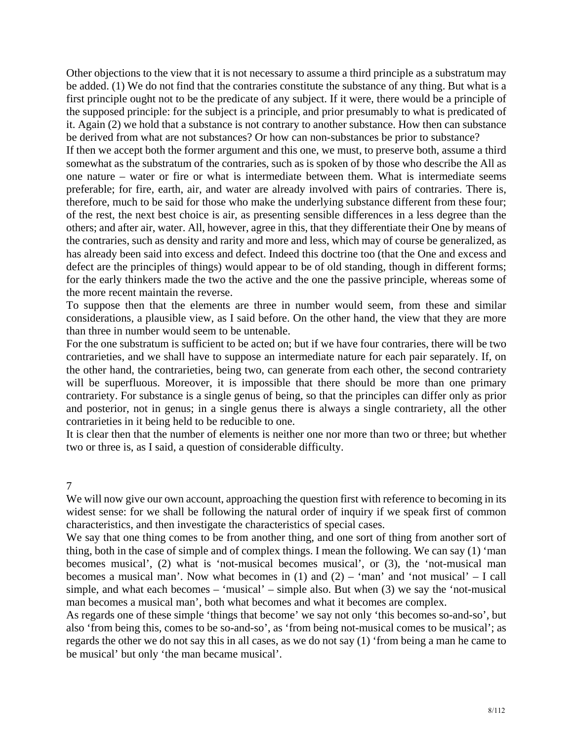Other objections to the view that it is not necessary to assume a third principle as a substratum may be added. (1) We do not find that the contraries constitute the substance of any thing. But what is a first principle ought not to be the predicate of any subject. If it were, there would be a principle of the supposed principle: for the subject is a principle, and prior presumably to what is predicated of it. Again (2) we hold that a substance is not contrary to another substance. How then can substance be derived from what are not substances? Or how can non-substances be prior to substance?

preferable; for fire, earth, air, and water are already involved with pairs of contraries. There is, If then we accept both the former argument and this one, we must, to preserve both, assume a third somewhat as the substratum of the contraries, such as is spoken of by those who describe the All as one nature – water or fire or what is intermediate between them. What is intermediate seems therefore, much to be said for those who make the underlying substance different from these four; of the rest, the next best choice is air, as presenting sensible differences in a less degree than the others; and after air, water. All, however, agree in this, that they differentiate their One by means of the contraries, such as density and rarity and more and less, which may of course be generalized, as has already been said into excess and defect. Indeed this doctrine too (that the One and excess and defect are the principles of things) would appear to be of old standing, though in different forms; for the early thinkers made the two the active and the one the passive principle, whereas some of the more recent maintain the reverse.

To suppose then that the elements are three in number would seem, from these and similar considerations, a plausible view, as I said before. On the other hand, the view that they are more than three in number would seem to be untenable.

For the one substratum is sufficient to be acted on; but if we have four contraries, there will be two will be superfluous. Moreover, it is impossible that there should be more than one primary contrarieties, and we shall have to suppose an intermediate nature for each pair separately. If, on the other hand, the contrarieties, being two, can generate from each other, the second contrariety contrariety. For substance is a single genus of being, so that the principles can differ only as prior and posterior, not in genus; in a single genus there is always a single contrariety, all the other contrarieties in it being held to be reducible to one.

It is clear then that the number of elements is neither one nor more than two or three; but whether two or three is, as I said, a question of considerable difficulty.

7

We will now give our own account, approaching the question first with reference to becoming in its widest sense: for we shall be following the natural order of inquiry if we speak first of common haracteristics, and then investigate the characteristics of special cases. c

We say that one thing comes to be from another thing, and one sort of thing from another sort of becomes a musical man'. Now what becomes in  $(1)$  and  $(2)$  – 'man' and 'not musical' – I call thing, both in the case of simple and of complex things. I mean the following. We can say (1) 'man becomes musical', (2) what is 'not-musical becomes musical', or (3), the 'not-musical man simple, and what each becomes – 'musical' – simple also. But when  $(3)$  we say the 'not-musical' man becomes a musical man', both what becomes and what it becomes are complex.

As regards one of these simple 'things that become' we say not only 'this becomes so-and-so', but also 'from being this, comes to be so-and-so', as 'from being not-musical comes to be musical'; as regards the other we do not say this in all cases, as we do not say (1) 'from being a man he came to be musical' but only 'the man became musical'.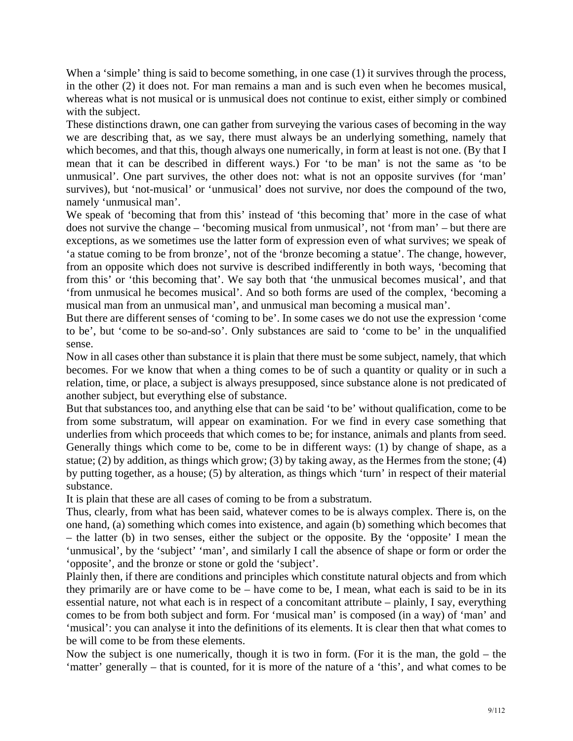When a 'simple' thing is said to become something, in one case (1) it survives through the process, in the other (2) it does not. For man remains a man and is such even when he becomes musical, whereas what is not musical or is unmusical does not continue to exist, either simply or combined with the subject.

These distinctions drawn, one can gather from surveying the various cases of becoming in the way we are describing that, as we say, there must always be an underlying something, namely that which becomes, and that this, though always one numerically, in form at least is not one. (By that I mean that it can be described in different ways.) For 'to be man' is not the same as 'to be unmusical'. One part survives, the other does not: what is not an opposite survives (for 'man' survives), but 'not-musical' or 'unmusical' does not survive, nor does the compound of the two, namely 'unmusical man'.

'a statue coming to be from bronze', not of the 'bronze becoming a statue'. The change, however, We speak of 'becoming that from this' instead of 'this becoming that' more in the case of what does not survive the change – 'becoming musical from unmusical', not 'from man' – but there are exceptions, as we sometimes use the latter form of expression even of what survives; we speak of from an opposite which does not survive is described indifferently in both ways, 'becoming that from this' or 'this becoming that'. We say both that 'the unmusical becomes musical', and that 'from unmusical he becomes musical'. And so both forms are used of the complex, 'becoming a musical man from an unmusical man', and unmusical man becoming a musical man'.

But there are different senses of 'coming to be'. In some cases we do not use the expression 'come to be', but 'come to be so-and-so'. Only substances are said to 'come to be' in the unqualified sense.

becomes. For we know that when a thing comes to be of such a quantity or quality or in such a Now in all cases other than substance it is plain that there must be some subject, namely, that which relation, time, or place, a subject is always presupposed, since substance alone is not predicated of another subject, but everything else of substance.

But that substances too, and anything else that can be said 'to be' without qualification, come to be statue; (2) by addition, as things which grow; (3) by taking away, as the Hermes from the stone; (4) from some substratum, will appear on examination. For we find in every case something that underlies from which proceeds that which comes to be; for instance, animals and plants from seed. Generally things which come to be, come to be in different ways: (1) by change of shape, as a by putting together, as a house; (5) by alteration, as things which 'turn' in respect of their material substance.

It is plain that these are all cases of coming to be from a substratum.

Thus, clearly, from what has been said, whatever comes to be is always complex. There is, on the 'opposite', and the bronze or stone or gold the 'subject'. one hand, (a) something which comes into existence, and again (b) something which becomes that – the latter (b) in two senses, either the subject or the opposite. By the 'opposite' I mean the 'unmusical', by the 'subject' 'man', and similarly I call the absence of shape or form or order the

Plainly then, if there are conditions and principles which constitute natural objects and from which they primarily are or have come to be – have come to be, I mean, what each is said to be in its essential nature, not what each is in respect of a concomitant attribute – plainly, I say, everything comes to be from both subject and form. For 'musical man' is composed (in a way) of 'man' and 'musical': you can analyse it into the definitions of its elements. It is clear then that what comes to be will come to be from these elements.

Now the subject is one numerically, though it is two in form. (For it is the man, the gold – the 'matter' generally – that is counted, for it is more of the nature of a 'this', and what comes to be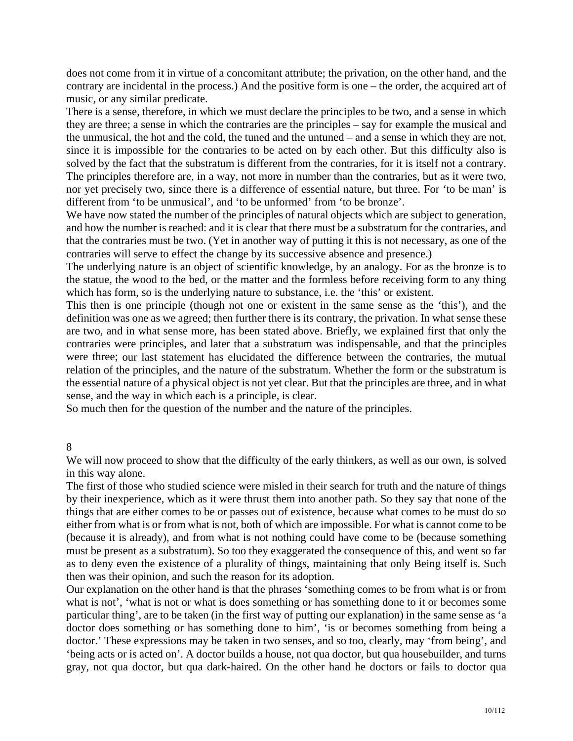does not come from it in virtue of a concomitant attribute; the privation, on the other hand, and the contrary are incidental in the process.) And the positive form is one – the order, the acquired art of music, or any similar predicate.

There is a sense, therefore, in which we must declare the principles to be two, and a sense in which The principles therefore are, in a way, not more in number than the contraries, but as it were two, they are three; a sense in which the contraries are the principles – say for example the musical and the unmusical, the hot and the cold, the tuned and the untuned – and a sense in which they are not, since it is impossible for the contraries to be acted on by each other. But this difficulty also is solved by the fact that the substratum is different from the contraries, for it is itself not a contrary. nor yet precisely two, since there is a difference of essential nature, but three. For 'to be man' is different from 'to be unmusical', and 'to be unformed' from 'to be bronze'.

We have now stated the number of the principles of natural objects which are subject to generation, and how the number is reached: and it is clear that there must be a substratum for the contraries, and that the contraries must be two. (Yet in another way of putting it this is not necessary, as one of the contraries will serve to effect the change by its successive absence and presence.)

which has form, so is the underlying nature to substance, i.e. the 'this' or existent. The underlying nature is an object of scientific knowledge, by an analogy. For as the bronze is to the statue, the wood to the bed, or the matter and the formless before receiving form to any thing

were three; our last statement has elucidated the difference between the contraries, the mutual This then is one principle (though not one or existent in the same sense as the 'this'), and the definition was one as we agreed; then further there is its contrary, the privation. In what sense these are two, and in what sense more, has been stated above. Briefly, we explained first that only the contraries were principles, and later that a substratum was indispensable, and that the principles relation of the principles, and the nature of the substratum. Whether the form or the substratum is the essential nature of a physical object is not yet clear. But that the principles are three, and in what sense, and the way in which each is a principle, is clear.

So much then for the question of the number and the nature of the principles.

8

We will now proceed to show that the difficulty of the early thinkers, as well as our own, is solved in this way alone.

by their inexperience, which as it were thrust them into another path. So they say that none of the things that are either comes to be or passes out of existence, because what comes to be must do so either from what is or from what is not, both of which are impossible. For what is cannot come to be (because it is already), and from what is not nothing could have come to be (because something must be present as a substratum). So too they exaggerated the consequence of this, and went so far then was their opinion, and such the reason for its adoption. The first of those who studied science were misled in their search for truth and the nature of things as to deny even the existence of a plurality of things, maintaining that only Being itself is. Such

gray, not qua doctor, but qua dark-haired. On the other hand he doctors or fails to doctor qua Our explanation on the other hand is that the phrases 'something comes to be from what is or from what is not', 'what is not or what is does something or has something done to it or becomes some particular thing', are to be taken (in the first way of putting our explanation) in the same sense as 'a doctor does something or has something done to him', 'is or becomes something from being a doctor.' These expressions may be taken in two senses, and so too, clearly, may 'from being', and 'being acts or is acted on'. A doctor builds a house, not qua doctor, but qua housebuilder, and turns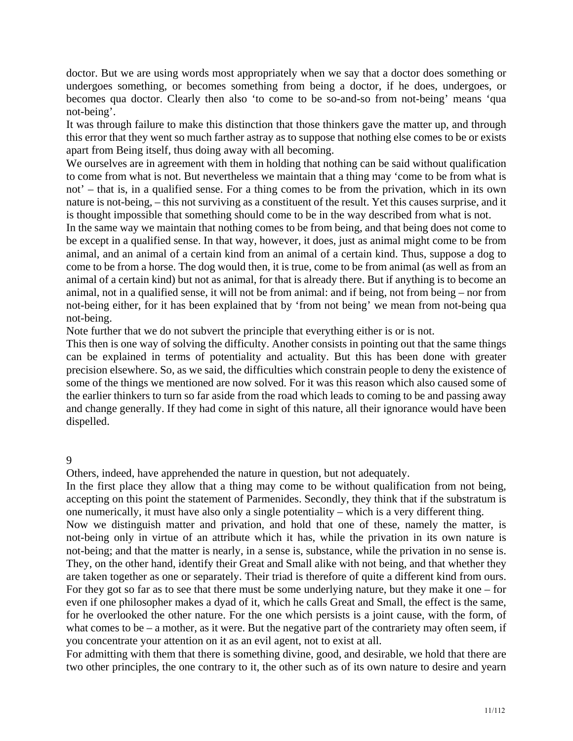doctor. But we are using words most appropriately when we say that a doctor does something or undergoes something, or becomes something from being a doctor, if he does, undergoes, or becomes qua doctor. Clearly then also 'to come to be so-and-so from not-being' means 'qua not-being'.

It was through failure to make this distinction that those thinkers gave the matter up, and through this error that they went so much farther astray as to suppose that nothing else comes to be or exists apart from Being itself, thus doing away with all becoming.

We ourselves are in agreement with them in holding that nothing can be said without qualification to come from what is not. But nevertheless we maintain that a thing may 'come to be from what is not' – that is, in a qualified sense. For a thing comes to be from the privation, which in its own nature is not-being, – this not surviving as a constituent of the result. Yet this causes surprise, and it is thought impossible that something should come to be in the way described from what is not.

In the same way we maintain that nothing comes to be from being, and that being does not come to come to be from a horse. The dog would then, it is true, come to be from animal (as well as from an be except in a qualified sense. In that way, however, it does, just as animal might come to be from animal, and an animal of a certain kind from an animal of a certain kind. Thus, suppose a dog to animal of a certain kind) but not as animal, for that is already there. But if anything is to become an animal, not in a qualified sense, it will not be from animal: and if being, not from being – nor from not-being either, for it has been explained that by 'from not being' we mean from not-being qua not-being.

Note further that we do not subvert the principle that everything either is or is not.

This then is one way of solving the difficulty. Another consists in pointing out that the same things can be explained in terms of potentiality and actuality. But this has been done with greater precision elsewhere. So, as we said, the difficulties which constrain people to deny the existence of some of the things we mentioned are now solved. For it was this reason which also caused some of the earlier thinkers to turn so far aside from the road which leads to coming to be and passing away and change generally. If they had come in sight of this nature, all their ignorance would have been dispelled.

9

Others, indeed, have apprehended the nature in question, but not adequately.

In the first place they allow that a thing may come to be without qualification from not being, accepting on this point the statement of Parmenides. Secondly, they think that if the substratum is one numerically, it must have also only a single potentiality – which is a very different thing.

not-being; and that the matter is nearly, in a sense is, substance, while the privation in no sense is. They, on the other hand, identify their Great and Small alike with not being, and that whether they are taken together as one or separately. Their triad is therefore of quite a different kind from ours. For they got so far as to see that there must be some underlying nature, but they make it one  $-$  for even if one philosopher makes a dyad of it, which he calls Great and Small, the effect is the same, Now we distinguish matter and privation, and hold that one of these, namely the matter, is not-being only in virtue of an attribute which it has, while the privation in its own nature is for he overlooked the other nature. For the one which persists is a joint cause, with the form, of what comes to be  $-$  a mother, as it were. But the negative part of the contrariety may often seem, if you concentrate your attention on it as an evil agent, not to exist at all.

For admitting with them that there is something divine, good, and desirable, we hold that there are two other principles, the one contrary to it, the other such as of its own nature to desire and yearn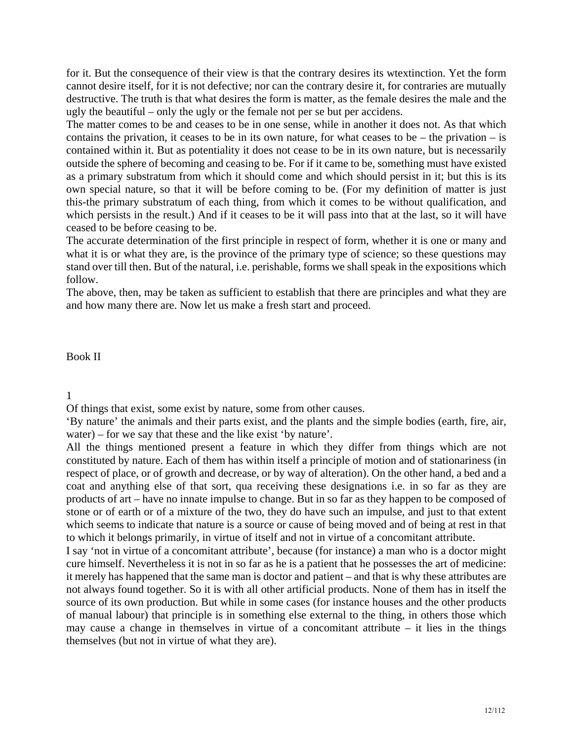for it. But the consequence of their view is that the contrary desires its wtextinction. Yet the form cannot desire itself, for it is not defective; nor can the contrary desire it, for contraries are mutually destructive. The truth is that what desires the form is matter, as the female desires the male and the ugly the beautiful – only the ugly or the female not per se but per accidens.

The matter comes to be and ceases to be in one sense, while in another it does not. As that which contains the privation, it ceases to be in its own nature, for what ceases to be – the privation – is contained within it. But as potentiality it does not cease to be in its own nature, but is necessarily outside the sphere of becoming and ceasing to be. For if it came to be, something must have existed as a primary substratum from which it should come and which should persist in it; but this is its own special nature, so that it will be before coming to be. (For my definition of matter is just this-the primary substratum of each thing, from which it comes to be without qualification, and which persists in the result.) And if it ceases to be it will pass into that at the last, so it will have ceased to be before ceasing to be.

The accurate determination of the first principle in respect of form, whether it is one or many and what it is or what they are, is the province of the primary type of science; so these questions may stand over till then. But of the natural, i.e. perishable, forms we shall speak in the expositions which follow.

The above, then, may be taken as sufficient to establish that there are principles and what they are and how many there are. Now let us make a fresh start and proceed.

## Book II

1

Of things that exist, some exist by nature, some from other causes.

'By nature' the animals and their parts exist, and the plants and the simple bodies (earth, fire, air, water) – for we say that these and the like exist 'by nature'.

All the things mentioned present a feature in which they differ from things which are not constituted by nature. Each of them has within itself a principle of motion and of stationariness (in respect of place, or of growth and decrease, or by way of alteration). On the other hand, a bed and a coat and anything else of that sort, qua receiving these designations i.e. in so far as they are products of art – have no innate impulse to change. But in so far as they happen to be composed of stone or of earth or of a mixture of the two, they do have such an impulse, and just to that extent which seems to indicate that nature is a source or cause of being moved and of being at rest in that to which it belongs primarily, in virtue of itself and not in virtue of a concomitant attribute.

cure himself. Nevertheless it is not in so far as he is a patient that he possesses the art of medicine: I say 'not in virtue of a concomitant attribute', because (for instance) a man who is a doctor might it merely has happened that the same man is doctor and patient – and that is why these attributes are not always found together. So it is with all other artificial products. None of them has in itself the source of its own production. But while in some cases (for instance houses and the other products of manual labour) that principle is in something else external to the thing, in others those which may cause a change in themselves in virtue of a concomitant attribute – it lies in the things themselves (but not in virtue of what they are).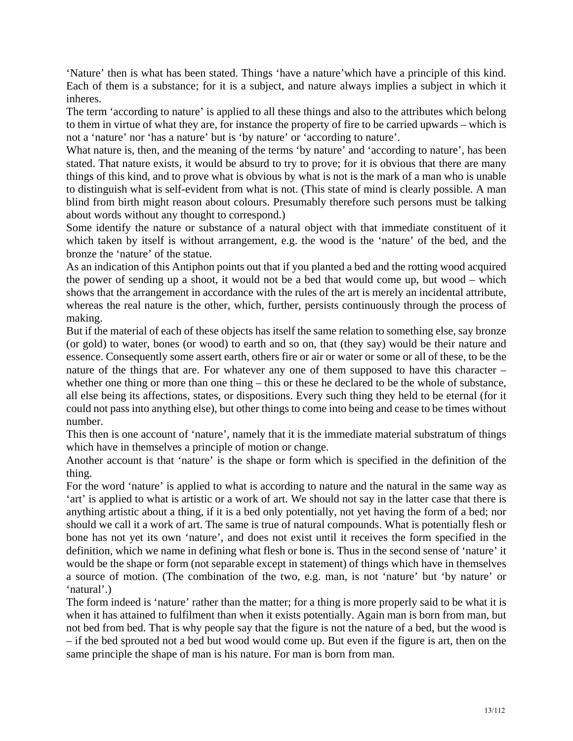'Nature' then is what has been stated. Things 'have a nature'which have a principle of this kind. Each of them is a substance; for it is a subject, and nature always implies a subject in which it inheres.

The term 'according to nature' is applied to all these things and also to the attributes which belong to them in virtue of what they are, for instance the property of fire to be carried upwards – which is not a 'nature' nor 'has a nature' but is 'by nature' or 'according to nature'.

to distinguish what is self-evident from what is not. (This state of mind is clearly possible. A man What nature is, then, and the meaning of the terms 'by nature' and 'according to nature', has been stated. That nature exists, it would be absurd to try to prove; for it is obvious that there are many things of this kind, and to prove what is obvious by what is not is the mark of a man who is unable blind from birth might reason about colours. Presumably therefore such persons must be talking about words without any thought to correspond.)

Some identify the nature or substance of a natural object with that immediate constituent of it which taken by itself is without arrangement, e.g. the wood is the 'nature' of the bed, and the bronze the 'nature' of the statue.

As an indication of this Antiphon points out that if you planted a bed and the rotting wood acquired the power of sending up a shoot, it would not be a bed that would come up, but wood – which shows that the arrangement in accordance with the rules of the art is merely an incidental attribute, whereas the real nature is the other, which, further, persists continuously through the process of making.

(or gold) to water, bones (or wood) to earth and so on, that (they say) would be their nature and whether one thing or more than one thing  $-$  this or these he declared to be the whole of substance, But if the material of each of these objects has itself the same relation to something else, say bronze essence. Consequently some assert earth, others fire or air or water or some or all of these, to be the nature of the things that are. For whatever any one of them supposed to have this character – all else being its affections, states, or dispositions. Every such thing they held to be eternal (for it could not pass into anything else), but other things to come into being and cease to be times without number.

which have in themselves a principle of motion or change. This then is one account of 'nature', namely that it is the immediate material substratum of things

Another account is that 'nature' is the shape or form which is specified in the definition of the thing.

definition, which we name in defining what flesh or bone is. Thus in the second sense of 'nature' it a source of motion. (The combination of the two, e.g. man, is not 'nature' but 'by nature' or For the word 'nature' is applied to what is according to nature and the natural in the same way as 'art' is applied to what is artistic or a work of art. We should not say in the latter case that there is anything artistic about a thing, if it is a bed only potentially, not yet having the form of a bed; nor should we call it a work of art. The same is true of natural compounds. What is potentially flesh or bone has not yet its own 'nature', and does not exist until it receives the form specified in the would be the shape or form (not separable except in statement) of things which have in themselves 'natural'.)

The form indeed is 'nature' rather than the matter; for a thing is more properly said to be what it is when it has attained to fulfilment than when it exists potentially. Again man is born from man, but not bed from bed. That is why people say that the figure is not the nature of a bed, but the wood is – if the bed sprouted not a bed but wood would come up. But even if the figure is art, then on the same principle the shape of man is his nature. For man is born from man.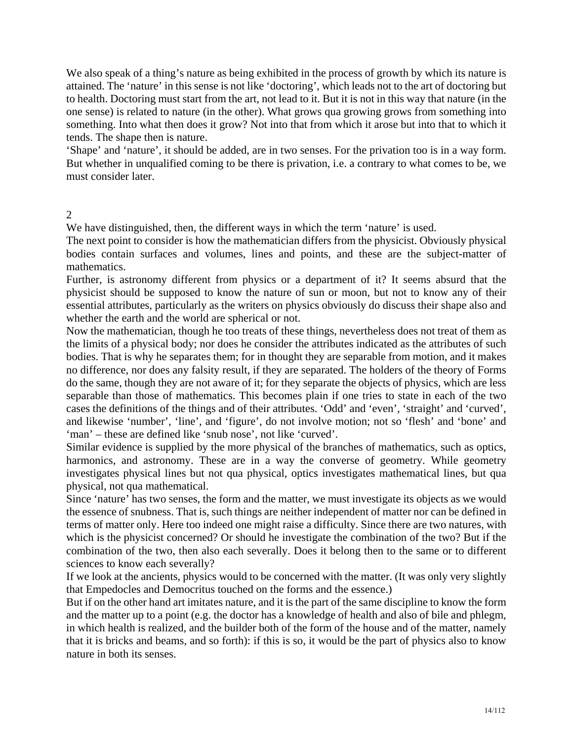We also speak of a thing's nature as being exhibited in the process of growth by which its nature is attained. The 'nature' in this sense is not like 'doctoring', which leads not to the art of doctoring but to health. Doctoring must start from the art, not lead to it. But it is not in this way that nature (in the one sense) is related to nature (in the other). What grows qua growing grows from something into something. Into what then does it grow? Not into that from which it arose but into that to which it tends. The shape then is nature.

'Shape' and 'nature', it should be added, are in two senses. For the privation too is in a way form. But whether in unqualified coming to be there is privation, i.e. a contrary to what comes to be, we must consider later.

# $\mathfrak{D}$

We have distinguished, then, the different ways in which the term 'nature' is used.

bodies contain surfaces and volumes, lines and points, and these are the subject-matter of The next point to consider is how the mathematician differs from the physicist. Obviously physical mathematics.

physicist should be supposed to know the nature of sun or moon, but not to know any of their essential attributes, particularly as the writers on physics obviously do discuss their shape also and whether the earth and the world are spherical or not. Further, is astronomy different from physics or a department of it? It seems absurd that the

Now the mathematician, though he too treats of these things, nevertheless does not treat of them as the limits of a physical body; nor does he consider the attributes indicated as the attributes of such do the same, though they are not aware of it; for they separate the objects of physics, which are less 'man' – these are defined like 'snub nose', not like 'curved'. bodies. That is why he separates them; for in thought they are separable from motion, and it makes no difference, nor does any falsity result, if they are separated. The holders of the theory of Forms separable than those of mathematics. This becomes plain if one tries to state in each of the two cases the definitions of the things and of their attributes. 'Odd' and 'even', 'straight' and 'curved', and likewise 'number', 'line', and 'figure', do not involve motion; not so 'flesh' and 'bone' and

Similar evidence is supplied by the more physical of the branches of mathematics, such as optics, harmonics, and astronomy. These are in a way the converse of geometry. While geometry investigates physical lines but not qua physical, optics investigates mathematical lines, but qua physical, not qua mathematical.

combination of the two, then also each severally. Does it belong then to the same or to different Since 'nature' has two senses, the form and the matter, we must investigate its objects as we would the essence of snubness. That is, such things are neither independent of matter nor can be defined in terms of matter only. Here too indeed one might raise a difficulty. Since there are two natures, with which is the physicist concerned? Or should he investigate the combination of the two? But if the sciences to know each severally?

If we look at the ancients, physics would to be concerned with the matter. (It was only very slightly that Empedocles and Democritus touched on the forms and the essence.)

But if on the other hand art imitates nature, and it is the part of the same discipline to know the form and the matter up to a point (e.g. the doctor has a knowledge of health and also of bile and phlegm, in which health is realized, and the builder both of the form of the house and of the matter, namely that it is bricks and beams, and so forth): if this is so, it would be the part of physics also to know nature in both its senses.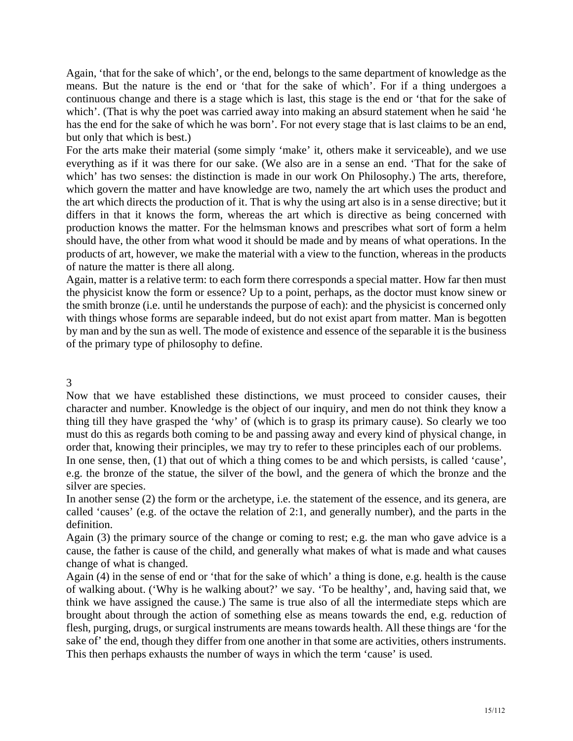Again, 'that for the sake of which', or the end, belongs to the same department of knowledge as the means. But the nature is the end or 'that for the sake of which'. For if a thing undergoes a which'. (That is why the poet was carried away into making an absurd statement when he said 'he continuous change and there is a stage which is last, this stage is the end or 'that for the sake of has the end for the sake of which he was born'. For not every stage that is last claims to be an end, but only that which is best.)

which' has two senses: the distinction is made in our work On Philosophy.) The arts, therefore, products of art, however, we make the material with a view to the function, whereas in the products For the arts make their material (some simply 'make' it, others make it serviceable), and we use everything as if it was there for our sake. (We also are in a sense an end. 'That for the sake of which govern the matter and have knowledge are two, namely the art which uses the product and the art which directs the production of it. That is why the using art also is in a sense directive; but it differs in that it knows the form, whereas the art which is directive as being concerned with production knows the matter. For the helmsman knows and prescribes what sort of form a helm should have, the other from what wood it should be made and by means of what operations. In the of nature the matter is there all along.

Again, matter is a relative term: to each form there corresponds a special matter. How far then must the physicist know the form or essence? Up to a point, perhaps, as the doctor must know sinew or the smith bronze (i.e. until he understands the purpose of each): and the physicist is concerned only with things whose forms are separable indeed, but do not exist apart from matter. Man is begotten by man and by the sun as well. The mode of existence and essence of the separable it is the business of the primary type of philosophy to define.

## 3

In one sense, then, (1) that out of which a thing comes to be and which persists, is called 'cause', Now that we have established these distinctions, we must proceed to consider causes, their character and number. Knowledge is the object of our inquiry, and men do not think they know a thing till they have grasped the 'why' of (which is to grasp its primary cause). So clearly we too must do this as regards both coming to be and passing away and every kind of physical change, in order that, knowing their principles, we may try to refer to these principles each of our problems.

e.g. the bronze of the statue, the silver of the bowl, and the genera of which the bronze and the silver are species.

In another sense (2) the form or the archetype, i.e. the statement of the essence, and its genera, are called 'causes' (e.g. of the octave the relation of 2:1, and generally number), and the parts in the definition.

Again (3) the primary source of the change or coming to rest; e.g. the man who gave advice is a cause, the father is cause of the child, and generally what makes of what is made and what causes change of what is changed.

think we have assigned the cause.) The same is true also of all the intermediate steps which are sake of' the end, though they differ from one another in that some are activities, others instruments. This then perhaps exhausts the number of ways in which the term 'cause' is used. Again (4) in the sense of end or 'that for the sake of which' a thing is done, e.g. health is the cause of walking about. ('Why is he walking about?' we say. 'To be healthy', and, having said that, we brought about through the action of something else as means towards the end, e.g. reduction of flesh, purging, drugs, or surgical instruments are means towards health. All these things are 'for the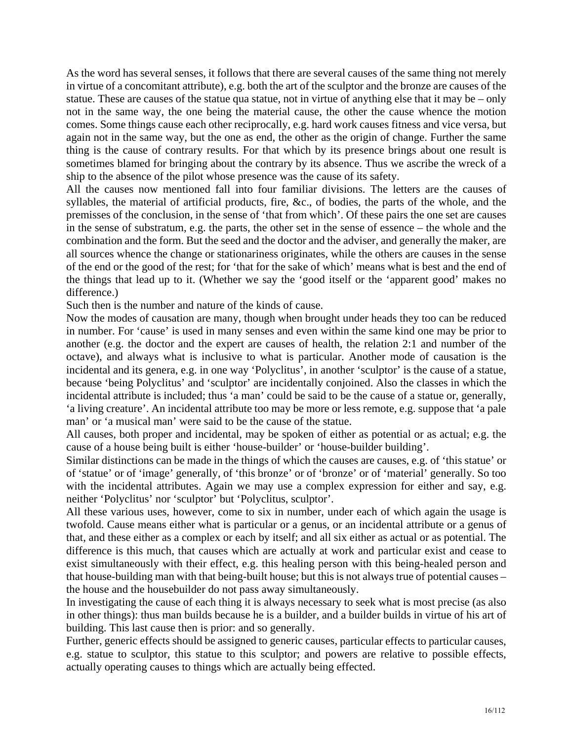As the word has several senses, it follows that there are several causes of the same thing not merely in virtue of a concomitant attribute), e.g. both the art of the sculptor and the bronze are causes of the statue. These are causes of the statue qua statue, not in virtue of anything else that it may be – only not in the same way, the one being the material cause, the other the cause whence the motion comes. Some things cause each other reciprocally, e.g. hard work causes fitness and vice versa, but again not in the same way, but the one as end, the other as the origin of change. Further the same thing is the cause of contrary results. For that which by its presence brings about one result is sometimes blamed for bringing about the contrary by its absence. Thus we ascribe the wreck of a ship to the absence of the pilot whose presence was the cause of its safety.

All the causes now mentioned fall into four familiar divisions. The letters are the causes of syllables, the material of artificial products, fire, &c., of bodies, the parts of the whole, and the premisses of the conclusion, in the sense of 'that from which'. Of these pairs the one set are causes in the sense of substratum, e.g. the parts, the other set in the sense of essence – the whole and the combination and the form. But the seed and the doctor and the adviser, and generally the maker, are all sources whence the change or stationariness originates, while the others are causes in the sense of the end or the good of the rest; for 'that for the sake of which' means what is best and the end of the things that lead up to it. (Whether we say the 'good itself or the 'apparent good' makes no difference.)

Such then is the number and nature of the kinds of cause.

Now the modes of causation are many, though when brought under heads they too can be reduced in number. For 'cause' is used in many senses and even within the same kind one may be prior to another (e.g. the doctor and the expert are causes of health, the relation 2:1 and number of the octave), and always what is inclusive to what is particular. Another mode of causation is the incidental and its genera, e.g. in one way 'Polyclitus', in another 'sculptor' is the cause of a statue, because 'being Polyclitus' and 'sculptor' are incidentally conjoined. Also the classes in which the incidental attribute is included; thus 'a man' could be said to be the cause of a statue or, generally, 'a living creature'. An incidental attribute too may be more or less remote, e.g. suppose that 'a pale man' or 'a musical man' were said to be the cause of the statue.

All causes, both proper and incidental, may be spoken of either as potential or as actual; e.g. the cause of a house being built is either 'house-builder' or 'house-builder building'.

Similar distinctions can be made in the things of which the causes are causes, e.g. of 'this statue' or of 'statue' or of 'image' generally, of 'this bronze' or of 'bronze' or of 'material' generally. So too with the incidental attributes. Again we may use a complex expression for either and say, e.g. neither 'Polyclitus' nor 'sculptor' but 'Polyclitus, sculptor'.

exist simultaneously with their effect, e.g. this healing person with this being-healed person and All these various uses, however, come to six in number, under each of which again the usage is twofold. Cause means either what is particular or a genus, or an incidental attribute or a genus of that, and these either as a complex or each by itself; and all six either as actual or as potential. The difference is this much, that causes which are actually at work and particular exist and cease to that house-building man with that being-built house; but this is not always true of potential causes – the house and the housebuilder do not pass away simultaneously.

In investigating the cause of each thing it is always necessary to seek what is most precise (as also in other things): thus man builds because he is a builder, and a builder builds in virtue of his art of building. This last cause then is prior: and so generally.

Further, generic effects should be assigned to generic causes, particular effects to particular causes, e.g. statue to sculptor, this statue to this sculptor; and powers are relative to possible effects, actually operating causes to things which are actually being effected.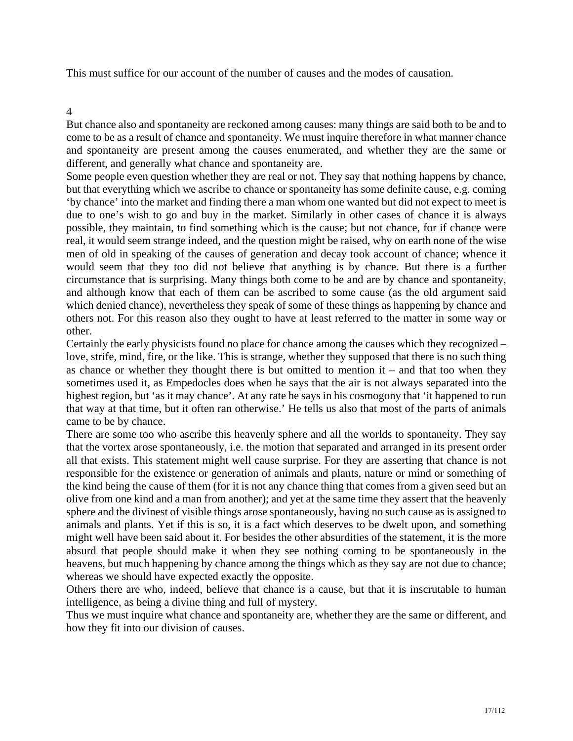This must suffice for our account of the number of causes and the modes of causation.

4

But chance also and spontaneity are reckoned among causes: many things are said both to be and to come to be as a result of chance and spontaneity. We must inquire therefore in what manner chance and spontaneity are present among the causes enumerated, and whether they are the same or different, and generally what chance and spontaneity are.

'by chance' into the market and finding there a man whom one wanted but did not expect to meet is due to one's wish to go and buy in the market. Similarly in other cases of chance it is always possible, they maintain, to find something which is the cause; but not chance, for if chance were real, it would seem strange indeed, and the question might be raised, why on earth none of the wise men of old in speaking of the causes of generation and decay took account of chance; whence it which denied chance), nevertheless they speak of some of these things as happening by chance and Some people even question whether they are real or not. They say that nothing happens by chance, but that everything which we ascribe to chance or spontaneity has some definite cause, e.g. coming would seem that they too did not believe that anything is by chance. But there is a further circumstance that is surprising. Many things both come to be and are by chance and spontaneity, and although know that each of them can be ascribed to some cause (as the old argument said others not. For this reason also they ought to have at least referred to the matter in some way or other.

Certainly the early physicists found no place for chance among the causes which they recognized – love, strife, mind, fire, or the like. This is strange, whether they supposed that there is no such thing as chance or whether they thought there is but omitted to mention it – and that too when they sometimes used it, as Empedocles does when he says that the air is not always separated into the highest region, but 'as it may chance'. At any rate he says in his cosmogony that 'it happened to run that way at that time, but it often ran otherwise.' He tells us also that most of the parts of animals came to be by chance.

responsible for the existence or generation of animals and plants, nature or mind or something of heavens, but much happening by chance among the things which as they say are not due to chance; There are some too who ascribe this heavenly sphere and all the worlds to spontaneity. They say that the vortex arose spontaneously, i.e. the motion that separated and arranged in its present order all that exists. This statement might well cause surprise. For they are asserting that chance is not the kind being the cause of them (for it is not any chance thing that comes from a given seed but an olive from one kind and a man from another); and yet at the same time they assert that the heavenly sphere and the divinest of visible things arose spontaneously, having no such cause as is assigned to animals and plants. Yet if this is so, it is a fact which deserves to be dwelt upon, and something might well have been said about it. For besides the other absurdities of the statement, it is the more absurd that people should make it when they see nothing coming to be spontaneously in the whereas we should have expected exactly the opposite.

Others there are who, indeed, believe that chance is a cause, but that it is inscrutable to human intelligence, as being a divine thing and full of mystery.

Thus we must inquire what chance and spontaneity are, whether they are the same or different, and how they fit into our division of causes.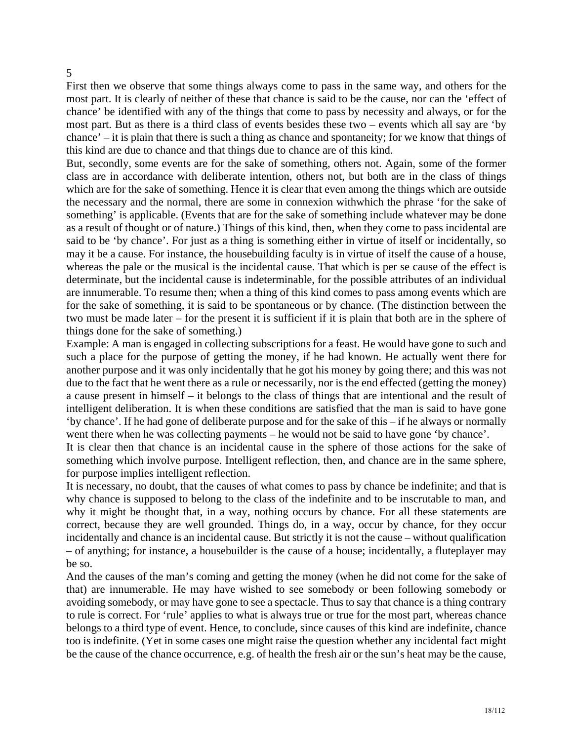First then we observe that some things always come to pass in the same way, and others for the most part. It is clearly of neither of these that chance is said to be the cause, nor can the 'effect of chance' be identified with any of the things that come to pass by necessity and always, or for the chance'  $-$  it is plain that there is such a thing as chance and spontaneity; for we know that things of most part. But as there is a third class of events besides these two – events which all say are 'by this kind are due to chance and that things due to chance are of this kind.

But, secondly, some events are for the sake of something, others not. Again, some of the former class are in accordance with deliberate intention, others not, but both are in the class of things which are for the sake of something. Hence it is clear that even among the things which are outside the necessary and the normal, there are some in connexion withwhich the phrase 'for the sake of determinate, but the incidental cause is indeterminable, for the possible attributes of an individual something' is applicable. (Events that are for the sake of something include whatever may be done as a result of thought or of nature.) Things of this kind, then, when they come to pass incidental are said to be 'by chance'. For just as a thing is something either in virtue of itself or incidentally, so may it be a cause. For instance, the housebuilding faculty is in virtue of itself the cause of a house, whereas the pale or the musical is the incidental cause. That which is per se cause of the effect is are innumerable. To resume then; when a thing of this kind comes to pass among events which are for the sake of something, it is said to be spontaneous or by chance. (The distinction between the two must be made later – for the present it is sufficient if it is plain that both are in the sphere of things done for the sake of something.)

Example: A man is engaged in collecting subscriptions for a feast. He would have gone to such and such a place for the purpose of getting the money, if he had known. He actually went there for another purpose and it was only incidentally that he got his money by going there; and this was not due to the fact that he went there as a rule or necessarily, nor is the end effected (getting the money) a cause present in himself – it belongs to the class of things that are intentional and the result of intelligent deliberation. It is when these conditions are satisfied that the man is said to have gone 'by chance'. If he had gone of deliberate purpose and for the sake of this – if he always or normally went there when he was collecting payments – he would not be said to have gone 'by chance'.

something which involve purpose. Intelligent reflection, then, and chance are in the same sphere, It is clear then that chance is an incidental cause in the sphere of those actions for the sake of for purpose implies intelligent reflection.

It is necessary, no doubt, that the causes of what comes to pass by chance be indefinite; and that is why chance is supposed to belong to the class of the indefinite and to be inscrutable to man, and why it might be thought that, in a way, nothing occurs by chance. For all these statements are correct, because they are well grounded. Things do, in a way, occur by chance, for they occur incidentally and chance is an incidental cause. But strictly it is not the cause – without qualification – of anything; for instance, a housebuilder is the cause of a house; incidentally, a fluteplayer may be so.

And the causes of the man's coming and getting the money (when he did not come for the sake of to rule is correct. For 'rule' applies to what is always true or true for the most part, whereas chance that) are innumerable. He may have wished to see somebody or been following somebody or avoiding somebody, or may have gone to see a spectacle. Thus to say that chance is a thing contrary belongs to a third type of event. Hence, to conclude, since causes of this kind are indefinite, chance too is indefinite. (Yet in some cases one might raise the question whether any incidental fact might be the cause of the chance occurrence, e.g. of health the fresh air or the sun's heat may be the cause,

#### 5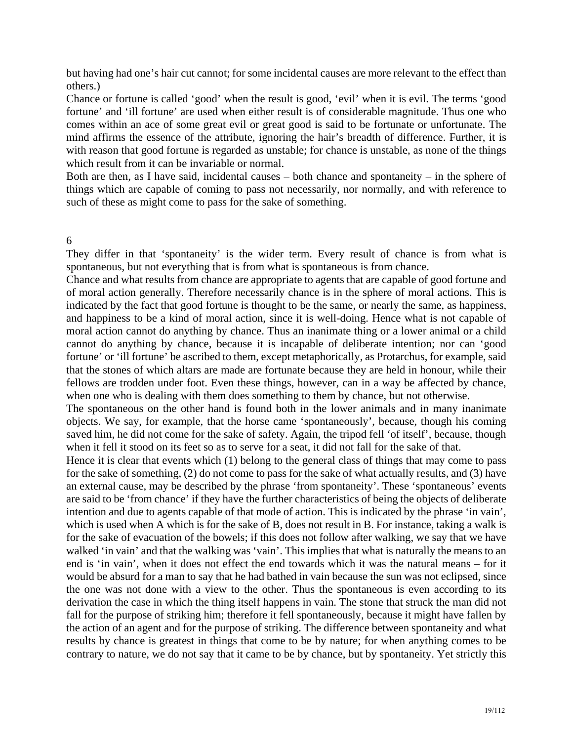but having had one's hair cut cannot; for some incidental causes are more relevant to the effect than others.)

Chance or fortune is called 'good' when the result is good, 'evil' when it is evil. The terms 'good fortune' and 'ill fortune' are used when either result is of considerable magnitude. Thus one who comes within an ace of some great evil or great good is said to be fortunate or unfortunate. The mind affirms the essence of the attribute, ignoring the hair's breadth of difference. Further, it is with reason that good fortune is regarded as unstable; for chance is unstable, as none of the things which result from it can be invariable or normal.

Both are then, as I have said, incidental causes – both chance and spontaneity – in the sphere of things which are capable of coming to pass not necessarily, nor normally, and with reference to such of these as might come to pass for the sake of something.

6

They differ in that 'spontaneity' is the wider term. Every result of chance is from what is spontaneous, but not everything that is from what is spontaneous is from chance.

of moral action generally. Therefore necessarily chance is in the sphere of moral actions. This is moral action cannot do anything by chance. Thus an inanimate thing or a lower animal or a child cannot do anything by chance, because it is incapable of deliberate intention; nor can 'good fortune' or 'ill fortune' be ascribed to them, except metaphorically, as Protarchus, for example, said that the stones of which altars are made are fortunate because they are held in honour, while their when one who is dealing with them does something to them by chance, but not otherwise. Chance and what results from chance are appropriate to agents that are capable of good fortune and indicated by the fact that good fortune is thought to be the same, or nearly the same, as happiness, and happiness to be a kind of moral action, since it is well-doing. Hence what is not capable of fellows are trodden under foot. Even these things, however, can in a way be affected by chance,

The spontaneous on the other hand is found both in the lower animals and in many inanimate objects. We say, for example, that the horse came 'spontaneously', because, though his coming saved him, he did not come for the sake of safety. Again, the tripod fell 'of itself', because, though when it fell it stood on its feet so as to serve for a seat, it did not fall for the sake of that.

for the sake of evacuation of the bowels; if this does not follow after walking, we say that we have the one was not done with a view to the other. Thus the spontaneous is even according to its Hence it is clear that events which (1) belong to the general class of things that may come to pass for the sake of something, (2) do not come to pass for the sake of what actually results, and (3) have an external cause, may be described by the phrase 'from spontaneity'. These 'spontaneous' events are said to be 'from chance' if they have the further characteristics of being the objects of deliberate intention and due to agents capable of that mode of action. This is indicated by the phrase 'in vain', which is used when A which is for the sake of B, does not result in B. For instance, taking a walk is walked 'in vain' and that the walking was 'vain'. This implies that what is naturally the means to an end is 'in vain', when it does not effect the end towards which it was the natural means – for it would be absurd for a man to say that he had bathed in vain because the sun was not eclipsed, since derivation the case in which the thing itself happens in vain. The stone that struck the man did not fall for the purpose of striking him; therefore it fell spontaneously, because it might have fallen by the action of an agent and for the purpose of striking. The difference between spontaneity and what results by chance is greatest in things that come to be by nature; for when anything comes to be contrary to nature, we do not say that it came to be by chance, but by spontaneity. Yet strictly this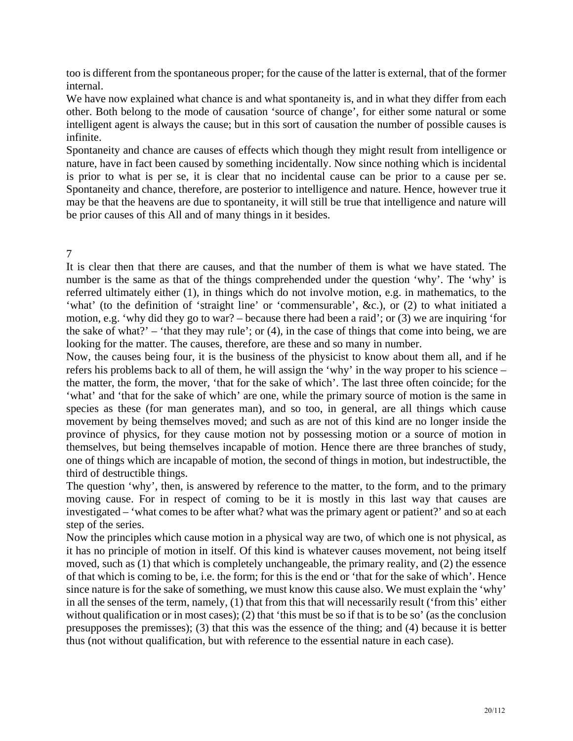too is different from the spontaneous proper; for the cause of the latter is external, that of the former internal.

We have now explained what chance is and what spontaneity is, and in what they differ from each other. Both belong to the mode of causation 'source of change', for either some natural or some intelligent agent is always the cause; but in this sort of causation the number of possible causes is infinite.

Spontaneity and chance are causes of effects which though they might result from intelligence or nature, have in fact been caused by something incidentally. Now since nothing which is incidental is prior to what is per se, it is clear that no incidental cause can be prior to a cause per se. Spontaneity and chance, therefore, are posterior to intelligence and nature. Hence, however true it may be that the heavens are due to spontaneity, it will still be true that intelligence and nature will be prior causes of this All and of many things in it besides.

7

It is clear then that there are causes, and that the number of them is what we have stated. The looking for the matter. The causes, therefore, are these and so many in number. number is the same as that of the things comprehended under the question 'why'. The 'why' is referred ultimately either (1), in things which do not involve motion, e.g. in mathematics, to the 'what' (to the definition of 'straight line' or 'commensurable', &c.), or (2) to what initiated a motion, e.g. 'why did they go to war? – because there had been a raid'; or (3) we are inquiring 'for the sake of what?' – 'that they may rule'; or (4), in the case of things that come into being, we are

Now, the causes being four, it is the business of the physicist to know about them all, and if he refers his problems back to all of them, he will assign the 'why' in the way proper to his science – the matter, the form, the mover, 'that for the sake of which'. The last three often coincide; for the 'what' and 'that for the sake of which' are one, while the primary source of motion is the same in species as these (for man generates man), and so too, in general, are all things which cause movement by being themselves moved; and such as are not of this kind are no longer inside the province of physics, for they cause motion not by possessing motion or a source of motion in themselves, but being themselves incapable of motion. Hence there are three branches of study, one of things which are incapable of motion, the second of things in motion, but indestructible, the third of destructible things.

The question 'why', then, is answered by reference to the matter, to the form, and to the primary moving cause. For in respect of coming to be it is mostly in this last way that causes are investigated – 'what comes to be after what? what was the primary agent or patient?' and so at each step of the series.

in all the senses of the term, namely, (1) that from this that will necessarily result ('from this' either Now the principles which cause motion in a physical way are two, of which one is not physical, as it has no principle of motion in itself. Of this kind is whatever causes movement, not being itself moved, such as (1) that which is completely unchangeable, the primary reality, and (2) the essence of that which is coming to be, i.e. the form; for this is the end or 'that for the sake of which'. Hence since nature is for the sake of something, we must know this cause also. We must explain the 'why' without qualification or in most cases); (2) that 'this must be so if that is to be so' (as the conclusion presupposes the premisses); (3) that this was the essence of the thing; and (4) because it is better thus (not without qualification, but with reference to the essential nature in each case).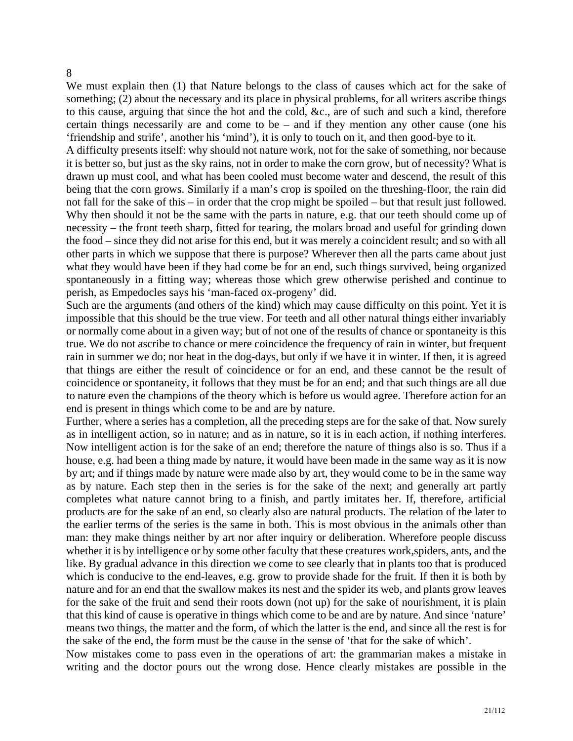#### 8

We must explain then (1) that Nature belongs to the class of causes which act for the sake of something; (2) about the necessary and its place in physical problems, for all writers ascribe things to this cause, arguing that since the hot and the cold, &c., are of such and such a kind, therefore certain things necessarily are and come to be – and if they mention any other cause (one his 'friendship and strife', another his 'mind'), it is only to touch on it, and then good-bye to it.

A difficulty presents itself: why should not nature work, not for the sake of something, nor because it is better so, but just as the sky rains, not in order to make the corn grow, but of necessity? What is drawn up must cool, and what has been cooled must become water and descend, the result of this being that the corn grows. Similarly if a man's crop is spoiled on the threshing-floor, the rain did not fall for the sake of this – in order that the crop might be spoiled – but that result just followed. Why then should it not be the same with the parts in nature, e.g. that our teeth should come up of necessity – the front teeth sharp, fitted for tearing, the molars broad and useful for grinding down the food – since they did not arise for this end, but it was merely a coincident result; and so with all other parts in which we suppose that there is purpose? Wherever then all the parts came about just what they would have been if they had come be for an end, such things survived, being organized spontaneously in a fitting way; whereas those which grew otherwise perished and continue to perish, as Empedocles says his 'man-faced ox-progeny' did.

Such are the arguments (and others of the kind) which may cause difficulty on this point. Yet it is impossible that this should be the true view. For teeth and all other natural things either invariably or normally come about in a given way; but of not one of the results of chance or spontaneity is this true. We do not ascribe to chance or mere coincidence the frequency of rain in winter, but frequent rain in summer we do; nor heat in the dog-days, but only if we have it in winter. If then, it is agreed that things are either the result of coincidence or for an end, and these cannot be the result of coincidence or spontaneity, it follows that they must be for an end; and that such things are all due to nature even the champions of the theory which is before us would agree. Therefore action for an end is present in things which come to be and are by nature.

like. By gradual advance in this direction we come to see clearly that in plants too that is produced Further, where a series has a completion, all the preceding steps are for the sake of that. Now surely as in intelligent action, so in nature; and as in nature, so it is in each action, if nothing interferes. Now intelligent action is for the sake of an end; therefore the nature of things also is so. Thus if a house, e.g. had been a thing made by nature, it would have been made in the same way as it is now by art; and if things made by nature were made also by art, they would come to be in the same way as by nature. Each step then in the series is for the sake of the next; and generally art partly completes what nature cannot bring to a finish, and partly imitates her. If, therefore, artificial products are for the sake of an end, so clearly also are natural products. The relation of the later to the earlier terms of the series is the same in both. This is most obvious in the animals other than man: they make things neither by art nor after inquiry or deliberation. Wherefore people discuss whether it is by intelligence or by some other faculty that these creatures work,spiders, ants, and the which is conducive to the end-leaves, e.g. grow to provide shade for the fruit. If then it is both by nature and for an end that the swallow makes its nest and the spider its web, and plants grow leaves for the sake of the fruit and send their roots down (not up) for the sake of nourishment, it is plain that this kind of cause is operative in things which come to be and are by nature. And since 'nature' means two things, the matter and the form, of which the latter is the end, and since all the rest is for the sake of the end, the form must be the cause in the sense of 'that for the sake of which'.

Now mistakes come to pass even in the operations of art: the grammarian makes a mistake in writing and the doctor pours out the wrong dose. Hence clearly mistakes are possible in the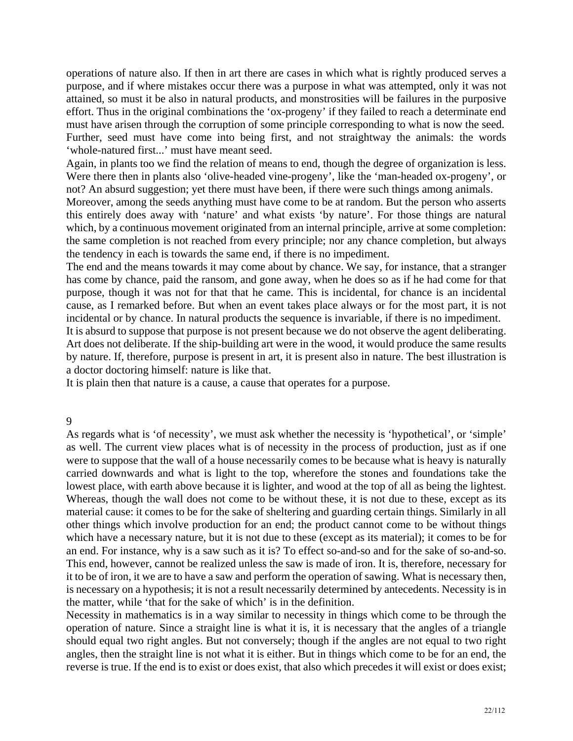operations of nature also. If then in art there are cases in which what is rightly produced serves a purpose, and if where mistakes occur there was a purpose in what was attempted, only it was not attained, so must it be also in natural products, and monstrosities will be failures in the purposive effort. Thus in the original combinations the 'ox-progeny' if they failed to reach a determinate end must have arisen through the corruption of some principle corresponding to what is now the seed. Further, seed must have come into being first, and not straightway the animals: the words 'whole-natured first...' must have meant seed.

Again, in plants too we find the relation of means to end, though the degree of organization is less. Were there then in plants also 'olive-headed vine-progeny', like the 'man-headed ox-progeny', or not? An absurd suggestion; yet there must have been, if there were such things among animals.

Moreover, among the seeds anything must have come to be at random. But the person who asserts this entirely does away with 'nature' and what exists 'by nature'. For those things are natural which, by a continuous movement originated from an internal principle, arrive at some completion: the same completion is not reached from every principle; nor any chance completion, but always the tendency in each is towards the same end, if there is no impediment.

cause, as I remarked before. But when an event takes place always or for the most part, it is not The end and the means towards it may come about by chance. We say, for instance, that a stranger has come by chance, paid the ransom, and gone away, when he does so as if he had come for that purpose, though it was not for that that he came. This is incidental, for chance is an incidental incidental or by chance. In natural products the sequence is invariable, if there is no impediment.

It is absurd to suppose that purpose is not present because we do not observe the agent deliberating. Art does not deliberate. If the ship-building art were in the wood, it would produce the same results by nature. If, therefore, purpose is present in art, it is present also in nature. The best illustration is a doctor doctoring himself: nature is like that.

It is plain then that nature is a cause, a cause that operates for a purpose.

9

as well. The current view places what is of necessity in the process of production, just as if one other things which involve production for an end; the product cannot come to be without things it to be of iron, it we are to have a saw and perform the operation of sawing. What is necessary then, is necessary on a hypothesis; it is not a result necessarily determined by antecedents. Necessity is in the matter, while 'that for the sake of which' is in the definition. As regards what is 'of necessity', we must ask whether the necessity is 'hypothetical', or 'simple' were to suppose that the wall of a house necessarily comes to be because what is heavy is naturally carried downwards and what is light to the top, wherefore the stones and foundations take the lowest place, with earth above because it is lighter, and wood at the top of all as being the lightest. Whereas, though the wall does not come to be without these, it is not due to these, except as its material cause: it comes to be for the sake of sheltering and guarding certain things. Similarly in all which have a necessary nature, but it is not due to these (except as its material); it comes to be for an end. For instance, why is a saw such as it is? To effect so-and-so and for the sake of so-and-so. This end, however, cannot be realized unless the saw is made of iron. It is, therefore, necessary for

Necessity in mathematics is in a way similar to necessity in things which come to be through the operation of nature. Since a straight line is what it is, it is necessary that the angles of a triangle should equal two right angles. But not conversely; though if the angles are not equal to two right angles, then the straight line is not what it is either. But in things which come to be for an end, the reverse is true. If the end is to exist or does exist, that also which precedes it will exist or does exist;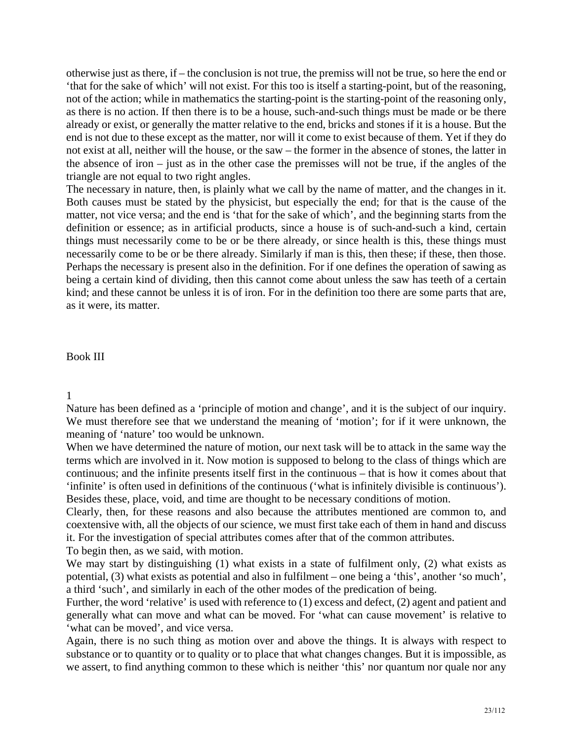otherwise just as there, if – the conclusion is not true, the premiss will not be true, so here the end or 'that for the sake of which' will not exist. For this too is itself a starting-point, but of the reasoning, not of the action; while in mathematics the starting-point is the starting-point of the reasoning only, as there is no action. If then there is to be a house, such-and-such things must be made or be there already or exist, or generally the matter relative to the end, bricks and stones if it is a house. But the end is not due to these except as the matter, nor will it come to exist because of them. Yet if they do not exist at all, neither will the house, or the saw – the former in the absence of stones, the latter in the absence of iron – just as in the other case the premisses will not be true, if the angles of the triangle are not equal to two right angles.

The necessary in nature, then, is plainly what we call by the name of matter, and the changes in it. Both causes must be stated by the physicist, but especially the end; for that is the cause of the matter, not vice versa; and the end is 'that for the sake of which', and the beginning starts from the definition or essence; as in artificial products, since a house is of such-and-such a kind, certain things must necessarily come to be or be there already, or since health is this, these things must necessarily come to be or be there already. Similarly if man is this, then these; if these, then those. Perhaps the necessary is present also in the definition. For if one defines the operation of sawing as being a certain kind of dividing, then this cannot come about unless the saw has teeth of a certain kind; and these cannot be unless it is of iron. For in the definition too there are some parts that are, as it were, its matter.

## Book III

1

Nature has been defined as a 'principle of motion and change', and it is the subject of our inquiry. We must therefore see that we understand the meaning of 'motion'; for if it were unknown, the meaning of 'nature' too would be unknown.

When we have determined the nature of motion, our next task will be to attack in the same way the terms which are involved in it. Now motion is supposed to belong to the class of things which are continuous; and the infinite presents itself first in the continuous – that is how it comes about that 'infinite' is often used in definitions of the continuous ('what is infinitely divisible is continuous'). Besides these, place, void, and time are thought to be necessary conditions of motion.

coextensive with, all the objects of our science, we must first take each of them in hand and discuss it. For the investigation of special attributes comes after that of the common attributes. To begin then, as we said, with motion. Clearly, then, for these reasons and also because the attributes mentioned are common to, and

We may start by distinguishing  $(1)$  what exists in a state of fulfilment only,  $(2)$  what exists as potential, (3) what exists as potential and also in fulfilment – one being a 'this', another 'so much', a third 'such', and similarly in each of the other modes of the predication of being.

Further, the word 'relative' is used with reference to  $(1)$  excess and defect,  $(2)$  agent and patient and generally what can move and what can be moved. For 'what can cause movement' is relative to 'what can be moved', and vice versa.

substance or to quantity or to quality or to place that what changes changes. But it is impossible, as we assert, to find anything common to these which is neither 'this' nor quantum nor quale nor any Again, there is no such thing as motion over and above the things. It is always with respect to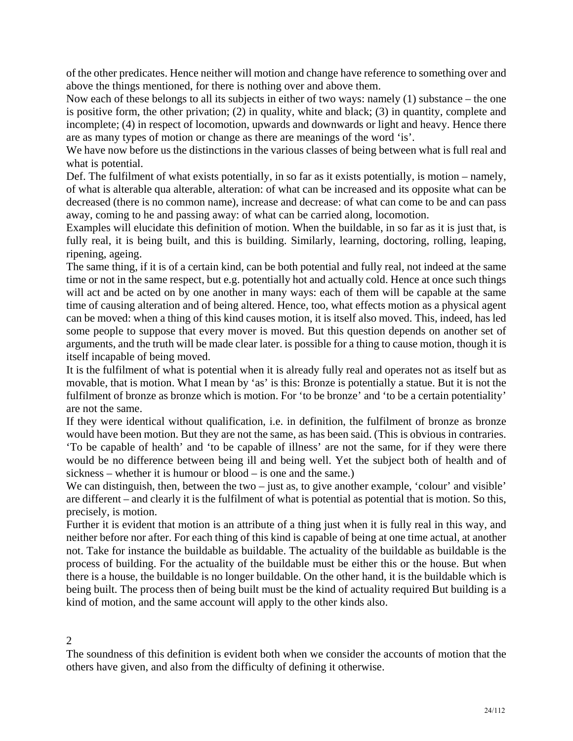of the other predicates. Hence neither will motion and change have reference to something over and above the things mentioned, for there is nothing over and above them.

Now each of these belongs to all its subjects in either of two ways: namely (1) substance – the one is positive form, the other privation; (2) in quality, white and black; (3) in quantity, complete and incomplete; (4) in respect of locomotion, upwards and downwards or light and heavy. Hence there are as many types of motion or change as there are meanings of the word 'is'.

We have now before us the distinctions in the various classes of being between what is full real and what is potential.

Def. The fulfilment of what exists potentially, in so far as it exists potentially, is motion – namely, of what is alterable qua alterable, alteration: of what can be increased and its opposite what can be decreased (there is no common name), increase and decrease: of what can come to be and can pass away, coming to he and passing away: of what can be carried along, locomotion.

Examples will elucidate this definition of motion. When the buildable, in so far as it is just that, is fully real, it is being built, and this is building. Similarly, learning, doctoring, rolling, leaping, ripening, ageing.

The same thing, if it is of a certain kind, can be both potential and fully real, not indeed at the same some people to suppose that every mover is moved. But this question depends on another set of time or not in the same respect, but e.g. potentially hot and actually cold. Hence at once such things will act and be acted on by one another in many ways: each of them will be capable at the same time of causing alteration and of being altered. Hence, too, what effects motion as a physical agent can be moved: when a thing of this kind causes motion, it is itself also moved. This, indeed, has led arguments, and the truth will be made clear later. is possible for a thing to cause motion, though it is itself incapable of being moved.

movable, that is motion. What I mean by 'as' is this: Bronze is potentially a statue. But it is not the It is the fulfilment of what is potential when it is already fully real and operates not as itself but as fulfilment of bronze as bronze which is motion. For 'to be bronze' and 'to be a certain potentiality' are not the same.

If they were identical without qualification, i.e. in definition, the fulfilment of bronze as bronze would have been motion. But they are not the same, as has been said. (This is obvious in contraries. 'To be capable of health' and 'to be capable of illness' are not the same, for if they were there would be no difference between being ill and being well. Yet the subject both of health and of sickness – whether it is humour or blood – is one and the same.)

are different – and clearly it is the fulfilment of what is potential as potential that is motion. So this, We can distinguish, then, between the two – just as, to give another example, 'colour' and visible' precisely, is motion.

kind of motion, and the same account will apply to the other kinds also. Further it is evident that motion is an attribute of a thing just when it is fully real in this way, and neither before nor after. For each thing of this kind is capable of being at one time actual, at another not. Take for instance the buildable as buildable. The actuality of the buildable as buildable is the process of building. For the actuality of the buildable must be either this or the house. But when there is a house, the buildable is no longer buildable. On the other hand, it is the buildable which is being built. The process then of being built must be the kind of actuality required But building is a

# $\mathfrak{D}$

The soundness of this definition is evident both when we consider the accounts of motion that the others have given, and also from the difficulty of defining it otherwise.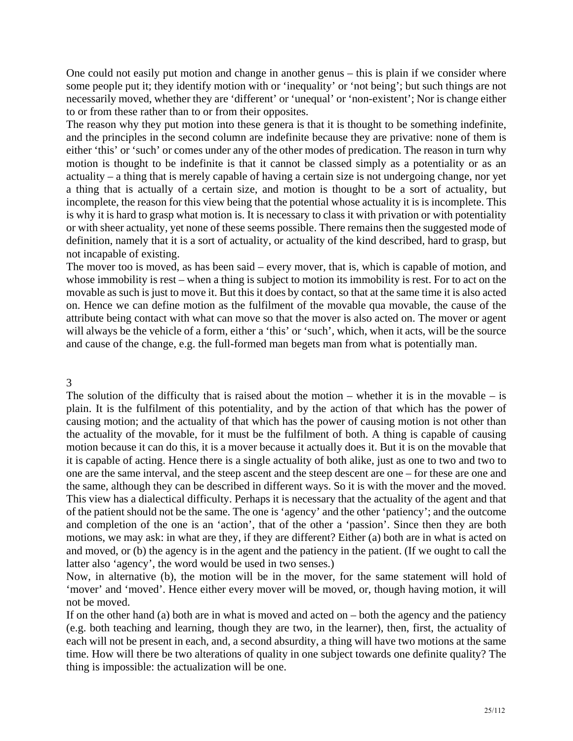One could not easily put motion and change in another genus – this is plain if we consider where some people put it; they identify motion with or 'inequality' or 'not being'; but such things are not necessarily moved, whether they are 'different' or 'unequal' or 'non-existent'; Nor is change either to or from these rather than to or from their opposites.

The reason why they put motion into these genera is that it is thought to be something indefinite, motion is thought to be indefinite is that it cannot be classed simply as a potentiality or as an and the principles in the second column are indefinite because they are privative: none of them is either 'this' or 'such' or comes under any of the other modes of predication. The reason in turn why actuality – a thing that is merely capable of having a certain size is not undergoing change, nor yet a thing that is actually of a certain size, and motion is thought to be a sort of actuality, but incomplete, the reason for this view being that the potential whose actuality it is is incomplete. This is why it is hard to grasp what motion is. It is necessary to class it with privation or with potentiality or with sheer actuality, yet none of these seems possible. There remains then the suggested mode of definition, namely that it is a sort of actuality, or actuality of the kind described, hard to grasp, but not incapable of existing.

The mover too is moved, as has been said – every mover, that is, which is capable of motion, and whose immobility is rest – when a thing is subject to motion its immobility is rest. For to act on the movable as such is just to move it. But this it does by contact, so that at the same time it is also acted attribute being contact with what can move so that the mover is also acted on. The mover or agent on. Hence we can define motion as the fulfilment of the movable qua movable, the cause of the will always be the vehicle of a form, either a 'this' or 'such', which, when it acts, will be the source and cause of the change, e.g. the full-formed man begets man from what is potentially man.

## 3

of the patient should not be the same. The one is 'agency' and the other 'patiency'; and the outcome The solution of the difficulty that is raised about the motion – whether it is in the movable – is plain. It is the fulfilment of this potentiality, and by the action of that which has the power of causing motion; and the actuality of that which has the power of causing motion is not other than the actuality of the movable, for it must be the fulfilment of both. A thing is capable of causing motion because it can do this, it is a mover because it actually does it. But it is on the movable that it is capable of acting. Hence there is a single actuality of both alike, just as one to two and two to one are the same interval, and the steep ascent and the steep descent are one – for these are one and the same, although they can be described in different ways. So it is with the mover and the moved. This view has a dialectical difficulty. Perhaps it is necessary that the actuality of the agent and that and completion of the one is an 'action', that of the other a 'passion'. Since then they are both motions, we may ask: in what are they, if they are different? Either (a) both are in what is acted on and moved, or (b) the agency is in the agent and the patiency in the patient. (If we ought to call the latter also 'agency', the word would be used in two senses.)

Now, in alternative (b), the motion will be in the mover, for the same statement will hold of 'mover' and 'moved'. Hence either every mover will be moved, or, though having motion, it will not be moved.

If on the other hand (a) both are in what is moved and acted on  $-$  both the agency and the patiency .g. both teaching and learning, though they are two, in the learner), then, first, the actuality of (e each will not be present in each, and, a second absurdity, a thing will have two motions at the same time. How will there be two alterations of quality in one subject towards one definite quality? The thing is impossible: the actualization will be one.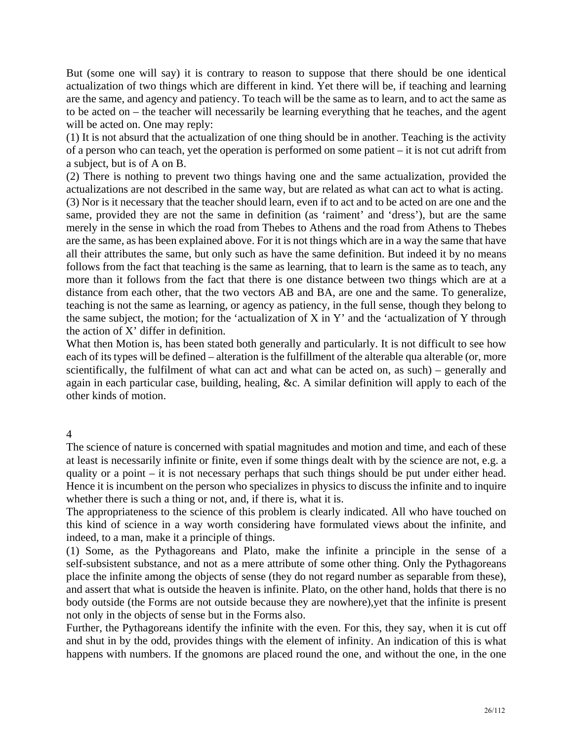But (some one will say) it is contrary to reason to suppose that there should be one identical actualization of two things which are different in kind. Yet there will be, if teaching and learning are the same, and agency and patiency. To teach will be the same as to learn, and to act the same as to be acted on – the teacher will necessarily be learning everything that he teaches, and the agent will be acted on. One may reply:

(1) It is not absurd that the actualization of one thing should be in another. Teaching is the activity of a person who can teach, yet the operation is performed on some patient – it is not cut adrift from a subject, but is of A on B.

actualizations are not described in the same way, but are related as what can act to what is acting. (2) There is nothing to prevent two things having one and the same actualization, provided the

follows from the fact that teaching is the same as learning, that to learn is the same as to teach, any teaching is not the same as learning, or agency as patiency, in the full sense, though they belong to (3) Nor is it necessary that the teacher should learn, even if to act and to be acted on are one and the same, provided they are not the same in definition (as 'raiment' and 'dress'), but are the same merely in the sense in which the road from Thebes to Athens and the road from Athens to Thebes are the same, as has been explained above. For it is not things which are in a way the same that have all their attributes the same, but only such as have the same definition. But indeed it by no means more than it follows from the fact that there is one distance between two things which are at a distance from each other, that the two vectors AB and BA, are one and the same. To generalize, the same subject, the motion; for the 'actualization of X in Y' and the 'actualization of Y through the action of X' differ in definition.

scientifically, the fulfilment of what can act and what can be acted on, as such) – generally and What then Motion is, has been stated both generally and particularly. It is not difficult to see how each of its types will be defined – alteration is the fulfillment of the alterable qua alterable (or, more again in each particular case, building, healing, &c. A similar definition will apply to each of the other kinds of motion.

### 4

quality or a point – it is not necessary perhaps that such things should be put under either head. The science of nature is concerned with spatial magnitudes and motion and time, and each of these at least is necessarily infinite or finite, even if some things dealt with by the science are not, e.g. a Hence it is incumbent on the person who specializes in physics to discuss the infinite and to inquire whether there is such a thing or not, and, if there is, what it is.

The appropriateness to the science of this problem is clearly indicated. All who have touched on this kind of science in a way worth considering have formulated views about the infinite, and indeed, to a man, make it a principle of things.

(1) Some, as the Pythagoreans and Plato, make the infinite a principle in the sense of a self-subsistent substance, and not as a mere attribute of some other thing. Only the Pythagoreans place the infinite among the objects of sense (they do not regard number as separable from these), and assert that what is outside the heaven is infinite. Plato, on the other hand, holds that there is no body outside (the Forms are not outside because they are nowhere),yet that the infinite is present not only in the objects of sense but in the Forms also.

and shut in by the odd, provides things with the element of infinity. An indication of this is what Further, the Pythagoreans identify the infinite with the even. For this, they say, when it is cut off happens with numbers. If the gnomons are placed round the one, and without the one, in the one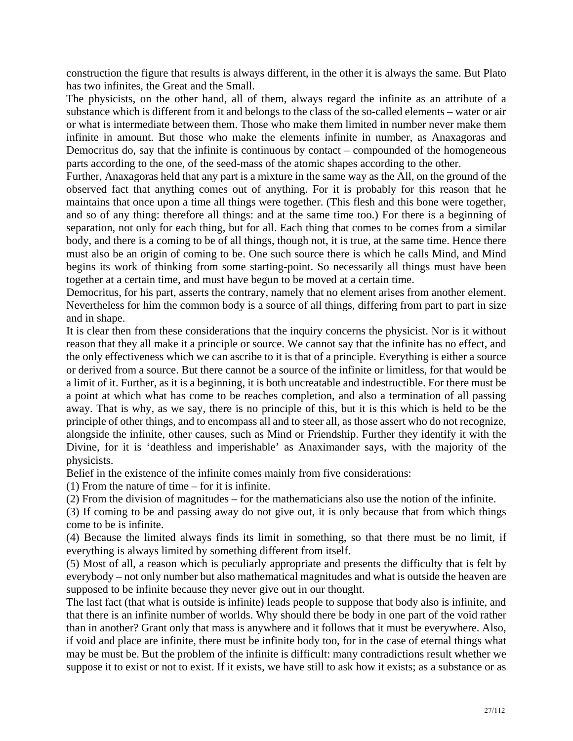construction the figure that results is always different, in the other it is always the same. But Plato has two infinites, the Great and the Small.

The physicists, on the other hand, all of them, always regard the infinite as an attribute of a substance which is different from it and belongs to the class of the so-called elements - water or air or what is intermediate between them. Those who make them limited in number never make them infinite in amount. But those who make the elements infinite in number, as Anaxagoras and Democritus do, say that the infinite is continuous by contact – compounded of the homogeneous parts according to the one, of the seed-mass of the atomic shapes according to the other.

maintains that once upon a time all things were together. (This flesh and this bone were together, body, and there is a coming to be of all things, though not, it is true, at the same time. Hence there Further, Anaxagoras held that any part is a mixture in the same way as the All, on the ground of the observed fact that anything comes out of anything. For it is probably for this reason that he and so of any thing: therefore all things: and at the same time too.) For there is a beginning of separation, not only for each thing, but for all. Each thing that comes to be comes from a similar must also be an origin of coming to be. One such source there is which he calls Mind, and Mind begins its work of thinking from some starting-point. So necessarily all things must have been together at a certain time, and must have begun to be moved at a certain time.

Democritus, for his part, asserts the contrary, namely that no element arises from another element. Nevertheless for him the common body is a source of all things, differing from part to part in size and in shape.

a limit of it. Further, as it is a beginning, it is both uncreatable and indestructible. For there must be It is clear then from these considerations that the inquiry concerns the physicist. Nor is it without reason that they all make it a principle or source. We cannot say that the infinite has no effect, and the only effectiveness which we can ascribe to it is that of a principle. Everything is either a source or derived from a source. But there cannot be a source of the infinite or limitless, for that would be a point at which what has come to be reaches completion, and also a termination of all passing away. That is why, as we say, there is no principle of this, but it is this which is held to be the principle of other things, and to encompass all and to steer all, as those assert who do not recognize, alongside the infinite, other causes, such as Mind or Friendship. Further they identify it with the Divine, for it is 'deathless and imperishable' as Anaximander says, with the majority of the physicists.

Belief in the existence of the infinite comes mainly from five considerations:

(1) From the nature of time – for it is infinite.

(2) From the division of magnitudes – for the mathematicians also use the notion of the infinite.

(3) If coming to be and passing away do not give out, it is only because that from which things come to be is infinite.

(4) Because the limited always finds its limit in something, so that there must be no limit, if everything is always limited by something different from itself.

everybody – not only number but also mathematical magnitudes and what is outside the heaven are (5) Most of all, a reason which is peculiarly appropriate and presents the difficulty that is felt by supposed to be infinite because they never give out in our thought.

that there is an infinite number of worlds. Why should there be body in one part of the void rather The last fact (that what is outside is infinite) leads people to suppose that body also is infinite, and than in another? Grant only that mass is anywhere and it follows that it must be everywhere. Also, if void and place are infinite, there must be infinite body too, for in the case of eternal things what may be must be. But the problem of the infinite is difficult: many contradictions result whether we suppose it to exist or not to exist. If it exists, we have still to ask how it exists; as a substance or as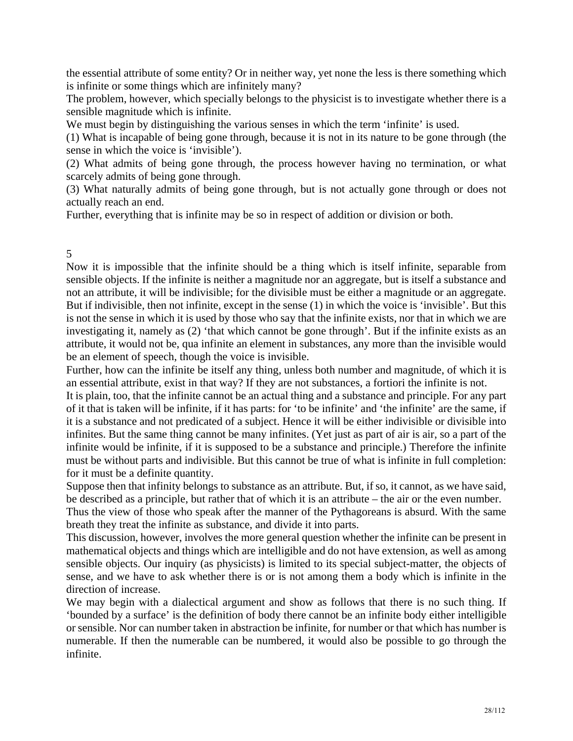the essential attribute of some entity? Or in neither way, yet none the less is there something which is infinite or some things which are infinitely many?

The problem, however, which specially belongs to the physicist is to investigate whether there is a sensible magnitude which is infinite.

We must begin by distinguishing the various senses in which the term 'infinite' is used.

(1) What is incapable of being gone through, because it is not in its nature to be gone through (the sense in which the voice is 'invisible').

(2) What admits of being gone through, the process however having no termination, or what scarcely admits of being gone through.

(3) What naturally admits of being gone through, but is not actually gone through or does not actually reach an end.

Further, everything that is infinite may be so in respect of addition or division or both.

# 5

sensible objects. If the infinite is neither a magnitude nor an aggregate, but is itself a substance and Now it is impossible that the infinite should be a thing which is itself infinite, separable from not an attribute, it will be indivisible; for the divisible must be either a magnitude or an aggregate. But if indivisible, then not infinite, except in the sense (1) in which the voice is 'invisible'. But this is not the sense in which it is used by those who say that the infinite exists, nor that in which we are investigating it, namely as (2) 'that which cannot be gone through'. But if the infinite exists as an attribute, it would not be, qua infinite an element in substances, any more than the invisible would be an element of speech, though the voice is invisible.

Further, how can the infinite be itself any thing, unless both number and magnitude, of which it is an essential attribute, exist in that way? If they are not substances, a fortiori the infinite is not.

of it that is taken will be infinite, if it has parts: for 'to be infinite' and 'the infinite' are the same, if it is a substance and not predicated of a subject. Hence it will be either indivisible or divisible into infinite would be infinite, if it is supposed to be a substance and principle.) Therefore the infinite It is plain, too, that the infinite cannot be an actual thing and a substance and principle. For any part infinites. But the same thing cannot be many infinites. (Yet just as part of air is air, so a part of the must be without parts and indivisible. But this cannot be true of what is infinite in full completion: for it must be a definite quantity.

be described as a principle, but rather that of which it is an attribute  $-$  the air or the even number. Suppose then that infinity belongs to substance as an attribute. But, if so, it cannot, as we have said,

Thus the view of those who speak after the manner of the Pythagoreans is absurd. With the same breath they treat the infinite as substance, and divide it into parts.

This discussion, however, involves the more general question whether the infinite can be present in mathematical objects and things which are intelligible and do not have extension, as well as among sensible objects. Our inquiry (as physicists) is limited to its special subject-matter, the objects of sense, and we have to ask whether there is or is not among them a body which is infinite in the direction of increase.

We may begin with a dialectical argument and show as follows that there is no such thing. If 'bounded by a surface' is the definition of body there cannot be an infinite body either intelligible or sensible. Nor can number taken in abstraction be infinite, for number or that which has number is numerable. If then the numerable can be numbered, it would also be possible to go through the infinite.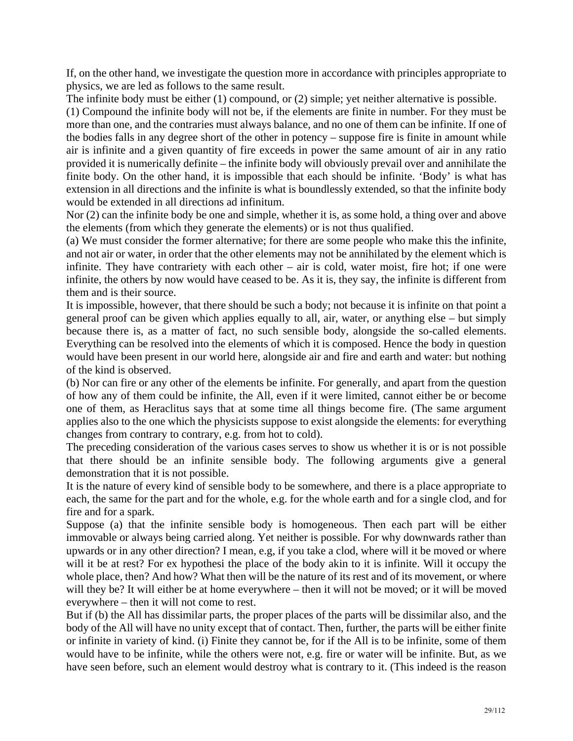If, on the other hand, we investigate the question more in accordance with principles appropriate to physics, we are led as follows to the same result.

The infinite body must be either (1) compound, or (2) simple; yet neither alternative is possible.

(1) Compound the infinite body will not be, if the elements are finite in number. For they must be more than one, and the contraries must always balance, and no one of them can be infinite. If one of the bodies falls in any degree short of the other in potency – suppose fire is finite in amount while air is infinite and a given quantity of fire exceeds in power the same amount of air in any ratio provided it is numerically definite – the infinite body will obviously prevail over and annihilate the finite body. On the other hand, it is impossible that each should be infinite. 'Body' is what has extension in all directions and the infinite is what is boundlessly extended, so that the infinite body would be extended in all directions ad infinitum.

Nor (2) can the infinite body be one and simple, whether it is, as some hold, a thing over and above the elements (from which they generate the elements) or is not thus qualified.

(a) We must consider the former alternative; for there are some people who make this the infinite, and not air or water, in order that the other elements may not be annihilated by the element which is infinite. They have contrariety with each other – air is cold, water moist, fire hot; if one were infinite, the others by now would have ceased to be. As it is, they say, the infinite is different from them and is their source.

It is impossible, however, that there should be such a body; not because it is infinite on that point a of the kind is observed. general proof can be given which applies equally to all, air, water, or anything else – but simply because there is, as a matter of fact, no such sensible body, alongside the so-called elements. Everything can be resolved into the elements of which it is composed. Hence the body in question would have been present in our world here, alongside air and fire and earth and water: but nothing

of how any of them could be infinite, the All, even if it were limited, cannot either be or become one of them, as Heraclitus says that at some time all things become fire. (The same argument (b) Nor can fire or any other of the elements be infinite. For generally, and apart from the question applies also to the one which the physicists suppose to exist alongside the elements: for everything changes from contrary to contrary, e.g. from hot to cold).

The preceding consideration of the various cases serves to show us whether it is or is not possible that there should be an infinite sensible body. The following arguments give a general demonstration that it is not possible.

It is the nature of every kind of sensible body to be somewhere, and there is a place appropriate to each, the same for the part and for the whole, e.g. for the whole earth and for a single clod, and for fire and for a spark.

immovable or always being carried along. Yet neither is possible. For why downwards rather than everywhere – then it will not come to rest. Suppose (a) that the infinite sensible body is homogeneous. Then each part will be either upwards or in any other direction? I mean, e.g, if you take a clod, where will it be moved or where will it be at rest? For ex hypothesi the place of the body akin to it is infinite. Will it occupy the whole place, then? And how? What then will be the nature of its rest and of its movement, or where will they be? It will either be at home everywhere – then it will not be moved; or it will be moved

have seen before, such an element would destroy what is contrary to it. (This indeed is the reason But if (b) the All has dissimilar parts, the proper places of the parts will be dissimilar also, and the body of the All will have no unity except that of contact. Then, further, the parts will be either finite or infinite in variety of kind. (i) Finite they cannot be, for if the All is to be infinite, some of them would have to be infinite, while the others were not, e.g. fire or water will be infinite. But, as we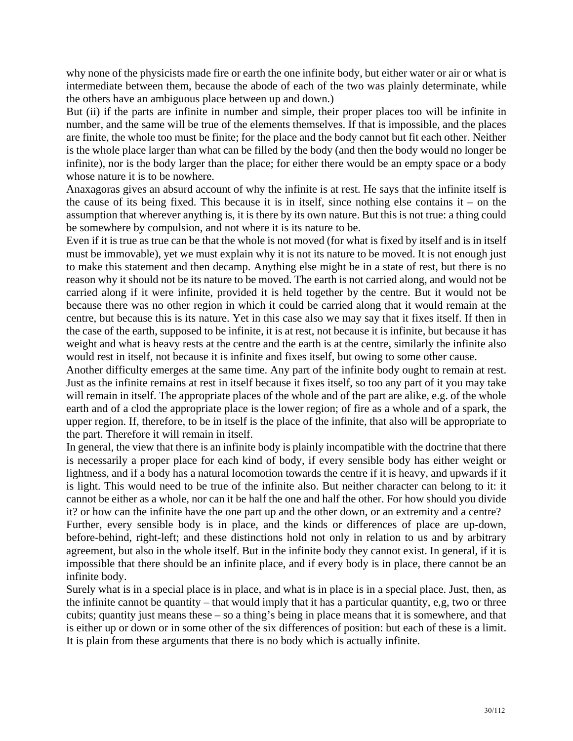why none of the physicists made fire or earth the one infinite body, but either water or air or what is intermediate between them, because the abode of each of the two was plainly determinate, while the others have an ambiguous place between up and down.)

is the whole place larger than what can be filled by the body (and then the body would no longer be But (ii) if the parts are infinite in number and simple, their proper places too will be infinite in number, and the same will be true of the elements themselves. If that is impossible, and the places are finite, the whole too must be finite; for the place and the body cannot but fit each other. Neither infinite), nor is the body larger than the place; for either there would be an empty space or a body whose nature it is to be nowhere.

Anaxagoras gives an absurd account of why the infinite is at rest. He says that the infinite itself is the cause of its being fixed. This because it is in itself, since nothing else contains it – on the assumption that wherever anything is, it is there by its own nature. But this is not true: a thing could be somewhere by compulsion, and not where it is its nature to be.

centre, but because this is its nature. Yet in this case also we may say that it fixes itself. If then in Even if it is true as true can be that the whole is not moved (for what is fixed by itself and is in itself must be immovable), yet we must explain why it is not its nature to be moved. It is not enough just to make this statement and then decamp. Anything else might be in a state of rest, but there is no reason why it should not be its nature to be moved. The earth is not carried along, and would not be carried along if it were infinite, provided it is held together by the centre. But it would not be because there was no other region in which it could be carried along that it would remain at the the case of the earth, supposed to be infinite, it is at rest, not because it is infinite, but because it has weight and what is heavy rests at the centre and the earth is at the centre, similarly the infinite also would rest in itself, not because it is infinite and fixes itself, but owing to some other cause.

upper region. If, therefore, to be in itself is the place of the infinite, that also will be appropriate to Another difficulty emerges at the same time. Any part of the infinite body ought to remain at rest. Just as the infinite remains at rest in itself because it fixes itself, so too any part of it you may take will remain in itself. The appropriate places of the whole and of the part are alike, e.g. of the whole earth and of a clod the appropriate place is the lower region; of fire as a whole and of a spark, the the part. Therefore it will remain in itself.

cannot be either as a whole, nor can it be half the one and half the other. For how should you divide agreement, but also in the whole itself. But in the infinite body they cannot exist. In general, if it is In general, the view that there is an infinite body is plainly incompatible with the doctrine that there is necessarily a proper place for each kind of body, if every sensible body has either weight or lightness, and if a body has a natural locomotion towards the centre if it is heavy, and upwards if it is light. This would need to be true of the infinite also. But neither character can belong to it: it it? or how can the infinite have the one part up and the other down, or an extremity and a centre? Further, every sensible body is in place, and the kinds or differences of place are up-down, before-behind, right-left; and these distinctions hold not only in relation to us and by arbitrary impossible that there should be an infinite place, and if every body is in place, there cannot be an infinite body.

Surely what is in a special place is in place, and what is in place is in a special place. Just, then, as the infinite cannot be quantity – that would imply that it has a particular quantity, e,g, two or three cubits; quantity just means these – so a thing's being in place means that it is somewhere, and that is either up or down or in some other of the six differences of position: but each of these is a limit. It is plain from these arguments that there is no body which is actually infinite.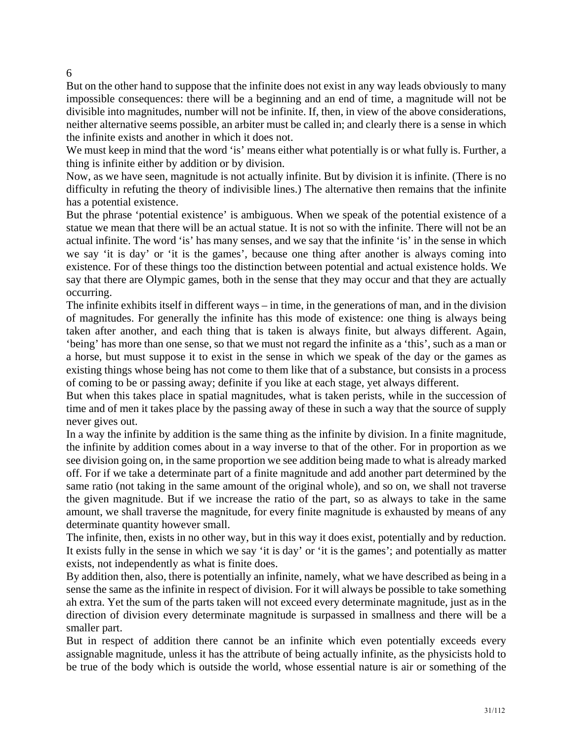6

But on the other hand to suppose that the infinite does not exist in any way leads obviously to many impossible consequences: there will be a beginning and an end of time, a magnitude will not be divisible into magnitudes, number will not be infinite. If, then, in view of the above considerations, neither alternative seems possible, an arbiter must be called in; and clearly there is a sense in which the infinite exists and another in which it does not.

We must keep in mind that the word 'is' means either what potentially is or what fully is. Further, a thing is infinite either by addition or by division.

Now, as we have seen, magnitude is not actually infinite. But by division it is infinite. (There is no difficulty in refuting the theory of indivisible lines.) The alternative then remains that the infinite has a potential existence.

we say 'it is day' or 'it is the games', because one thing after another is always coming into But the phrase 'potential existence' is ambiguous. When we speak of the potential existence of a statue we mean that there will be an actual statue. It is not so with the infinite. There will not be an actual infinite. The word 'is' has many senses, and we say that the infinite 'is' in the sense in which existence. For of these things too the distinction between potential and actual existence holds. We say that there are Olympic games, both in the sense that they may occur and that they are actually occurring.

of magnitudes. For generally the infinite has this mode of existence: one thing is always being of coming to be or passing away; definite if you like at each stage, yet always different. The infinite exhibits itself in different ways – in time, in the generations of man, and in the division taken after another, and each thing that is taken is always finite, but always different. Again, 'being' has more than one sense, so that we must not regard the infinite as a 'this', such as a man or a horse, but must suppose it to exist in the sense in which we speak of the day or the games as existing things whose being has not come to them like that of a substance, but consists in a process

But when this takes place in spatial magnitudes, what is taken perists, while in the succession of time and of men it takes place by the passing away of these in such a way that the source of supply never gives out.

In a way the infinite by addition is the same thing as the infinite by division. In a finite magnitude, the given magnitude. But if we increase the ratio of the part, so as always to take in the same the infinite by addition comes about in a way inverse to that of the other. For in proportion as we see division going on, in the same proportion we see addition being made to what is already marked off. For if we take a determinate part of a finite magnitude and add another part determined by the same ratio (not taking in the same amount of the original whole), and so on, we shall not traverse amount, we shall traverse the magnitude, for every finite magnitude is exhausted by means of any determinate quantity however small.

exists, not independently as what is finite does. The infinite, then, exists in no other way, but in this way it does exist, potentially and by reduction. It exists fully in the sense in which we say 'it is day' or 'it is the games'; and potentially as matter

By addition then, also, there is potentially an infinite, namely, what we have described as being in a sense the same as the infinite in respect of division. For it will always be possible to take something ah extra. Yet the sum of the parts taken will not exceed every determinate magnitude, just as in the direction of division every determinate magnitude is surpassed in smallness and there will be a smaller part.

assignable magnitude, unless it has the attribute of being actually infinite, as the physicists hold to be true of the body which is outside the world, whose essential nature is air or something of the But in respect of addition there cannot be an infinite which even potentially exceeds every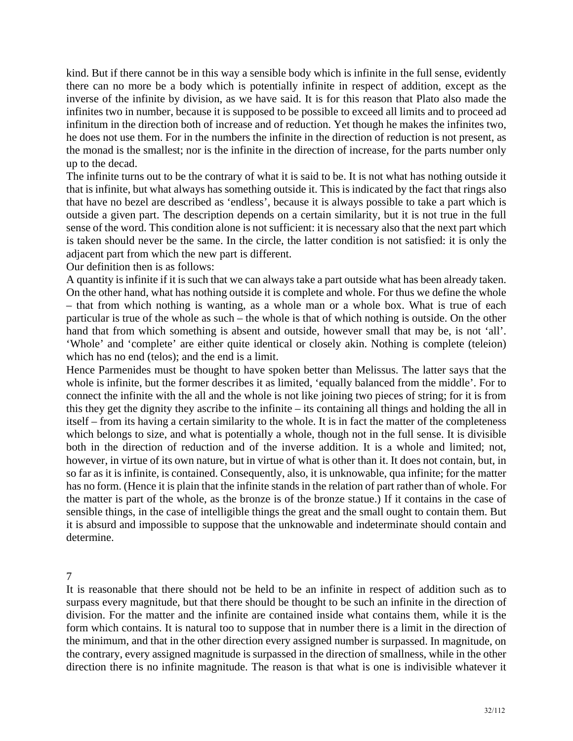kind. But if there cannot be in this way a sensible body which is infinite in the full sense, evidently there can no more be a body which is potentially infinite in respect of addition, except as the inverse of the infinite by division, as we have said. It is for this reason that Plato also made the infinites two in number, because it is supposed to be possible to exceed all limits and to proceed ad infinitum in the direction both of increase and of reduction. Yet though he makes the infinites two, he does not use them. For in the numbers the infinite in the direction of reduction is not present, as the monad is the smallest; nor is the infinite in the direction of increase, for the parts number only up to the decad.

that have no bezel are described as 'endless', because it is always possible to take a part which is The infinite turns out to be the contrary of what it is said to be. It is not what has nothing outside it that is infinite, but what always has something outside it. This is indicated by the fact that rings also outside a given part. The description depends on a certain similarity, but it is not true in the full sense of the word. This condition alone is not sufficient: it is necessary also that the next part which is taken should never be the same. In the circle, the latter condition is not satisfied: it is only the adjacent part from which the new part is different.

Our definition then is as follows:

– that from which nothing is wanting, as a whole man or a whole box. What is true of each 'Whole' and 'complete' are either quite identical or closely akin. Nothing is complete (teleion) A quantity is infinite if it is such that we can always take a part outside what has been already taken. On the other hand, what has nothing outside it is complete and whole. For thus we define the whole particular is true of the whole as such – the whole is that of which nothing is outside. On the other hand that from which something is absent and outside, however small that may be, is not 'all'. which has no end (telos); and the end is a limit.

this they get the dignity they ascribe to the infinite  $-$  its containing all things and holding the all in Hence Parmenides must be thought to have spoken better than Melissus. The latter says that the whole is infinite, but the former describes it as limited, 'equally balanced from the middle'. For to connect the infinite with the all and the whole is not like joining two pieces of string; for it is from itself – from its having a certain similarity to the whole. It is in fact the matter of the completeness which belongs to size, and what is potentially a whole, though not in the full sense. It is divisible both in the direction of reduction and of the inverse addition. It is a whole and limited; not, however, in virtue of its own nature, but in virtue of what is other than it. It does not contain, but, in so far as it is infinite, is contained. Consequently, also, it is unknowable, qua infinite; for the matter has no form. (Hence it is plain that the infinite stands in the relation of part rather than of whole. For the matter is part of the whole, as the bronze is of the bronze statue.) If it contains in the case of sensible things, in the case of intelligible things the great and the small ought to contain them. But it is absurd and impossible to suppose that the unknowable and indeterminate should contain and determine.

## 7

the minimum, and that in the other direction every assigned number is surpassed. In magnitude, on the contrary, every assigned magnitude is surpassed in the direction of smallness, while in the other direction there is no infinite magnitude. The reason is that what is one is indivisible whatever it It is reasonable that there should not be held to be an infinite in respect of addition such as to surpass every magnitude, but that there should be thought to be such an infinite in the direction of division. For the matter and the infinite are contained inside what contains them, while it is the form which contains. It is natural too to suppose that in number there is a limit in the direction of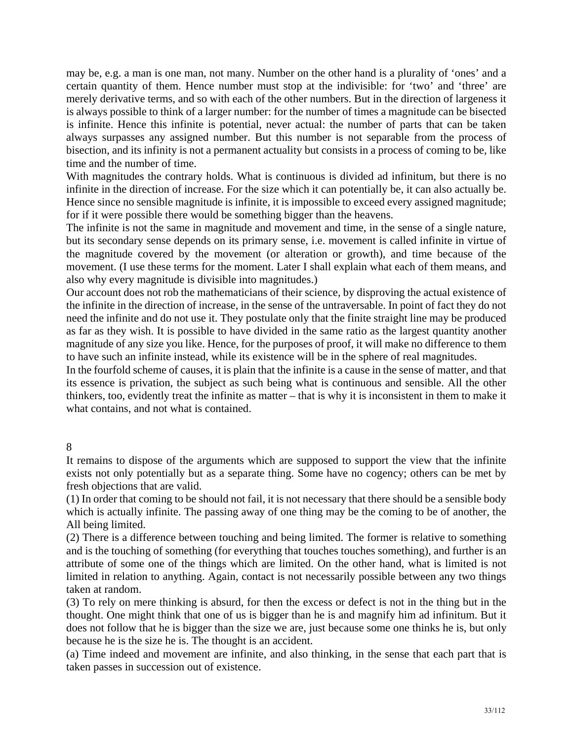may be, e.g. a man is one man, not many. Number on the other hand is a plurality of 'ones' and a certain quantity of them. Hence number must stop at the indivisible: for 'two' and 'three' are merely derivative terms, and so with each of the other numbers. But in the direction of largeness it is always possible to think of a larger number: for the number of times a magnitude can be bisected is infinite. Hence this infinite is potential, never actual: the number of parts that can be taken always surpasses any assigned number. But this number is not separable from the process of bisection, and its infinity is not a permanent actuality but consists in a process of coming to be, like time and the number of time.

With magnitudes the contrary holds. What is continuous is divided ad infinitum, but there is no infinite in the direction of increase. For the size which it can potentially be, it can also actually be. Hence since no sensible magnitude is infinite, it is impossible to exceed every assigned magnitude; for if it were possible there would be something bigger than the heavens.

The infinite is not the same in magnitude and movement and time, in the sense of a single nature, but its secondary sense depends on its primary sense, i.e. movement is called infinite in virtue of the magnitude covered by the movement (or alteration or growth), and time because of the movement. (I use these terms for the moment. Later I shall explain what each of them means, and also why every magnitude is divisible into magnitudes.)

as far as they wish. It is possible to have divided in the same ratio as the largest quantity another magnitude of any size you like. Hence, for the purposes of proof, it will make no difference to them to have such an infinite instead, while its existence will be in the sphere of real magnitudes. Our account does not rob the mathematicians of their science, by disproving the actual existence of the infinite in the direction of increase, in the sense of the untraversable. In point of fact they do not need the infinite and do not use it. They postulate only that the finite straight line may be produced

In the fourfold scheme of causes, it is plain that the infinite is a cause in the sense of matter, and that its essence is privation, the subject as such being what is continuous and sensible. All the other thinkers, too, evidently treat the infinite as matter – that is why it is inconsistent in them to make it what contains, and not what is contained.

8

It remains to dispose of the arguments which are supposed to support the view that the infinite exists not only potentially but as a separate thing. Some have no cogency; others can be met by fresh objections that are valid.

(1) In order that coming to be should not fail, it is not necessary that there should be a sensible body which is actually infinite. The passing away of one thing may be the coming to be of another, the All being limited.

attribute of some one of the things which are limited. On the other hand, what is limited is not (2) There is a difference between touching and being limited. The former is relative to something and is the touching of something (for everything that touches touches something), and further is an limited in relation to anything. Again, contact is not necessarily possible between any two things taken at random.

thought. One might think that one of us is bigger than he is and magnify him ad infinitum. But it (3) To rely on mere thinking is absurd, for then the excess or defect is not in the thing but in the does not follow that he is bigger than the size we are, just because some one thinks he is, but only because he is the size he is. The thought is an accident.

taken passes in succession out of existence. (a) Time indeed and movement are infinite, and also thinking, in the sense that each part that is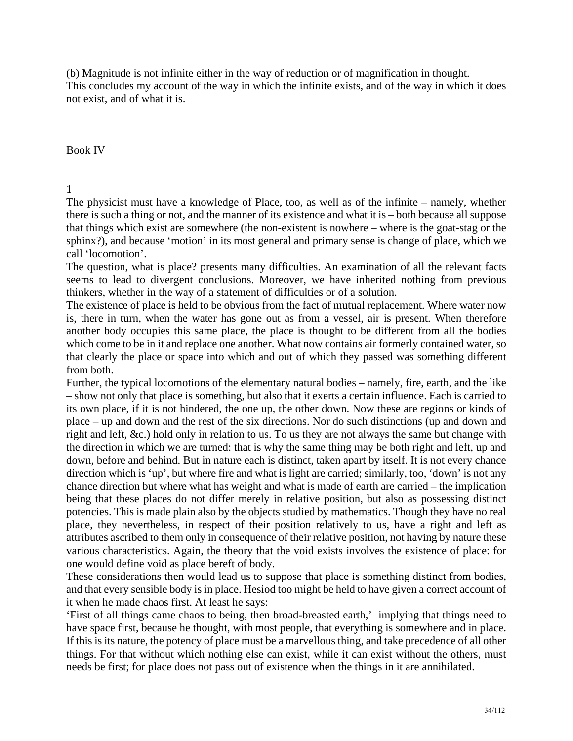(b) Magnitude is not infinite either in the way of reduction or of magnification in thought. This concludes my account of the way in which the infinite exists, and of the way in which it does not exist, and of what it is.

## Book IV

## 1

that things which exist are somewhere (the non-existent is nowhere – where is the goat-stag or the sphinx?), and because 'motion' in its most general and primary sense is change of place, which we call 'locomotion'. The physicist must have a knowledge of Place, too, as well as of the infinite – namely, whether there is such a thing or not, and the manner of its existence and what it is – both because all suppose

The question, what is place? presents many difficulties. An examination of all the relevant facts seems to lead to divergent conclusions. Moreover, we have inherited nothing from previous thinkers, whether in the way of a statement of difficulties or of a solution.

The existence of place is held to be obvious from the fact of mutual replacement. Where water now which come to be in it and replace one another. What now contains air formerly contained water, so is, there in turn, when the water has gone out as from a vessel, air is present. When therefore another body occupies this same place, the place is thought to be different from all the bodies that clearly the place or space into which and out of which they passed was something different from both.

its own place, if it is not hindered, the one up, the other down. Now these are regions or kinds of down, before and behind. But in nature each is distinct, taken apart by itself. It is not every chance chance direction but where what has weight and what is made of earth are carried – the implication being that these places do not differ merely in relative position, but also as possessing distinct place, they nevertheless, in respect of their position relatively to us, have a right and left as attributes ascribed to them only in consequence of their relative position, not having by nature these various characteristics. Again, the theory that the void exists involves the existence of place: for one would define void as place bereft of body. Further, the typical locomotions of the elementary natural bodies – namely, fire, earth, and the like – show not only that place is something, but also that it exerts a certain influence. Each is carried to place – up and down and the rest of the six directions. Nor do such distinctions (up and down and right and left, &c.) hold only in relation to us. To us they are not always the same but change with the direction in which we are turned: that is why the same thing may be both right and left, up and direction which is 'up', but where fire and what is light are carried; similarly, too, 'down' is not any potencies. This is made plain also by the objects studied by mathematics. Though they have no real

These considerations then would lead us to suppose that place is something distinct from bodies, and that every sensible body is in place. Hesiod too might be held to have given a correct account of it when he made chaos first. At least he says:

'First of all things came chaos to being, then broad-breasted earth,' implying that things need to needs be first; for place does not pass out of existence when the things in it are annihilated. have space first, because he thought, with most people, that everything is somewhere and in place. If this is its nature, the potency of place must be a marvellous thing, and take precedence of all other things. For that without which nothing else can exist, while it can exist without the others, must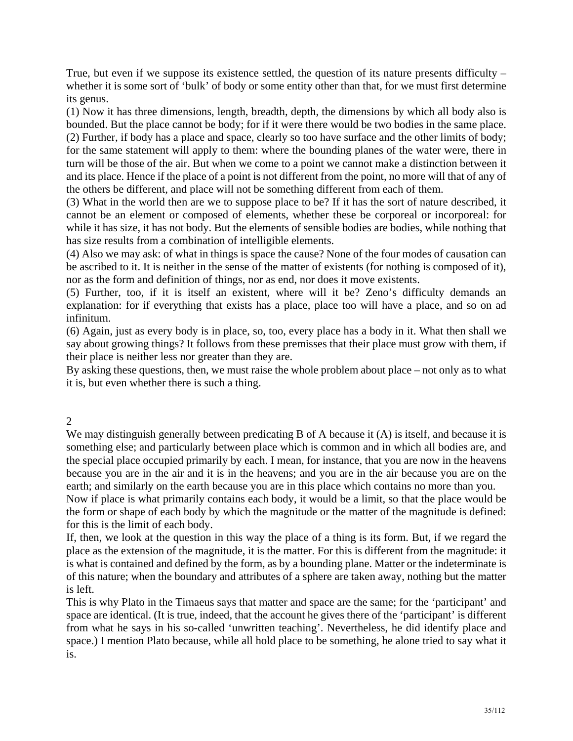True, but even if we suppose its existence settled, the question of its nature presents difficulty – whether it is some sort of 'bulk' of body or some entity other than that, for we must first determine its genus.

bounded. But the place cannot be body; for if it were there would be two bodies in the same place. (1) Now it has three dimensions, length, breadth, depth, the dimensions by which all body also is (2) Further, if body has a place and space, clearly so too have surface and the other limits of body; for the same statement will apply to them: where the bounding planes of the water were, there in turn will be those of the air. But when we come to a point we cannot make a distinction between it and its place. Hence if the place of a point is not different from the point, no more will that of any of

the others be different, and place will not be something different from each of them.

 $(3)$  What in the world then are we to suppose place to be? If it has the sort of nature described, it cannot be an element or composed of elements, whether these be corporeal or incorporeal: for while it has size, it has not body. But the elements of sensible bodies are bodies, while nothing that has size results from a combination of intelligible elements.

(4) Also we may ask: of what in things is space the cause? None of the four modes of causation can be ascribed to it. It is neither in the sense of the matter of existents (for nothing is composed of it), nor as the form and definition of things, nor as end, nor does it move existents.

(5) Further, too, if it is itself an existent, where will it be? Zeno's difficulty demands an explanation: for if everything that exists has a place, place too will have a place, and so on ad infinitum.

(6) Again, just as every body is in place, so, too, every place has a body in it. What then shall we say about growing things? It follows from these premisses that their place must grow with them, if their place is neither less nor greater than they are.

By asking these questions, then, we must raise the whole problem about place – not only as to what it is, but even whether there is such a thing.

# 2

We may distinguish generally between predicating  $B$  of  $A$  because it  $(A)$  is itself, and because it is something else; and particularly between place which is common and in which all bodies are, and the special place occupied primarily by each. I mean, for instance, that you are now in the heavens because you are in the air and it is in the heavens; and you are in the air because you are on the earth; and similarly on the earth because you are in this place which contains no more than you.

the form or shape of each body by which the magnitude or the matter of the magnitude is defined: Now if place is what primarily contains each body, it would be a limit, so that the place would be for this is the limit of each body.

place as the extension of the magnitude, it is the matter. For this is different from the magnitude: it If, then, we look at the question in this way the place of a thing is its form. But, if we regard the is what is contained and defined by the form, as by a bounding plane. Matter or the indeterminate is of this nature; when the boundary and attributes of a sphere are taken away, nothing but the matter is left.

This is why Plato in the Timaeus says that matter and space are the same; for the 'participant' and space are identical. (It is true, indeed, that the account he gives there of the 'participant' is different from what he says in his so-called 'unwritten teaching'. Nevertheless, he did identify place and space.) I mention Plato because, while all hold place to be something, he alone tried to say what it is.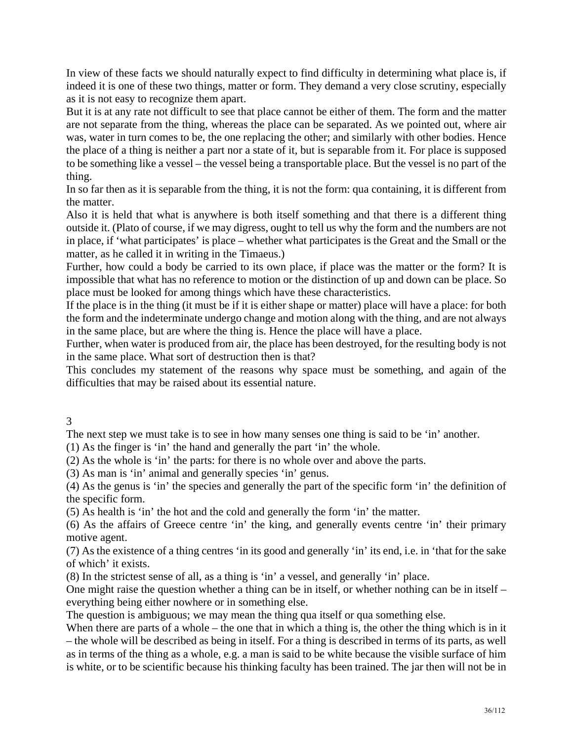In view of these facts we should naturally expect to find difficulty in determining what place is, if indeed it is one of these two things, matter or form. They demand a very close scrutiny, especially as it is not easy to recognize them apart.

But it is at any rate not difficult to see that place cannot be either of them. The form and the matter the place of a thing is neither a part nor a state of it, but is separable from it. For place is supposed are not separate from the thing, whereas the place can be separated. As we pointed out, where air was, water in turn comes to be, the one replacing the other; and similarly with other bodies. Hence to be something like a vessel – the vessel being a transportable place. But the vessel is no part of the thing.

In so far then as it is separable from the thing, it is not the form: qua containing, it is different from the matter.

outside it. (Plato of course, if we may digress, ought to tell us why the form and the numbers are not Also it is held that what is anywhere is both itself something and that there is a different thing in place, if 'what participates' is place – whether what participates is the Great and the Small or the matter, as he called it in writing in the Timaeus.)

Further, how could a body be carried to its own place, if place was the matter or the form? It is impossible that what has no reference to motion or the distinction of up and down can be place. So place must be looked for among things which have these characteristics.

If the place is in the thing (it must be if it is either shape or matter) place will have a place: for both the form and the indeterminate undergo change and motion along with the thing, and are not always in the same place, but are where the thing is. Hence the place will have a place.

Further, when water is produced from air, the place has been destroyed, for the resulting body is not in the same place. What sort of destruction then is that?

This concludes my statement of the reasons why space must be something, and again of the difficulties that may be raised about its essential nature.

3

The next step we must take is to see in how many senses one thing is said to be 'in' another.

(1) As the finger is 'in' the hand and generally the part 'in' the whole.

(2) As the whole is 'in' the parts: for there is no whole over and above the parts.

 $(3)$  As man is 'in' animal and generally species 'in' genus.

(4) As the genus is 'in' the species and generally the part of the specific form 'in' the definition of the specific form.

(5) As health is 'in' the hot and the cold and generally the form 'in' the matter.

(6) As the affairs of Greece centre 'in' the king, and generally events centre 'in' their primary motive agent.

(7) As the existence of a thing centres 'in its good and generally 'in' its end, i.e. in 'that for the sake of which' it exists.

 $(8)$  In the strictest sense of all, as a thing is 'in' a vessel, and generally 'in' place.

One might raise the question whether a thing can be in itself, or whether nothing can be in itself – everything being either nowhere or in something else.

The question is ambiguous; we may mean the thing qua itself or qua something else.

as in terms of the thing as a whole, e.g. a man is said to be white because the visible surface of him is white, or to be scientific because his thinking faculty has been trained. The jar then will not be in When there are parts of a whole – the one that in which a thing is, the other the thing which is in it – the whole will be described as being in itself. For a thing is described in terms of its parts, as well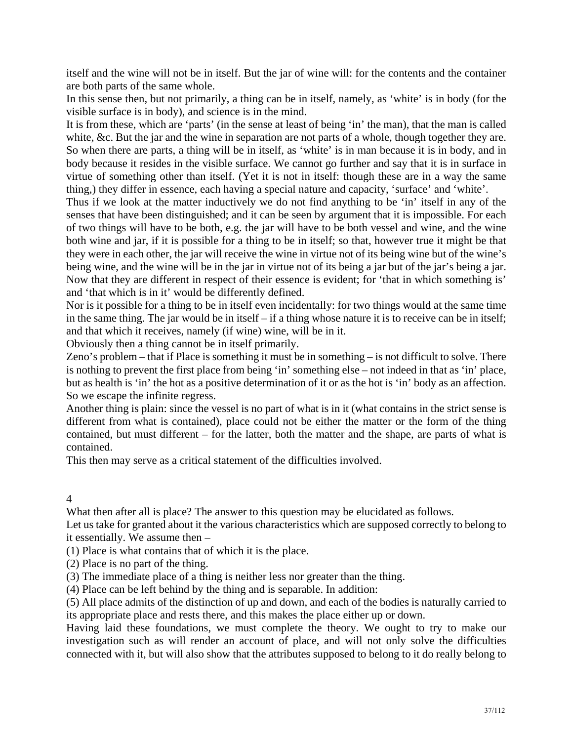itself and the wine will not be in itself. But the jar of wine will: for the contents and the container are both parts of the same whole.

In this sense then, but not primarily, a thing can be in itself, namely, as 'white' is in body (for the visible surface is in body), and science is in the mind.

white, &c. But the jar and the wine in separation are not parts of a whole, though together they are. virtue of something other than itself. (Yet it is not in itself: though these are in a way the same It is from these, which are 'parts' (in the sense at least of being 'in' the man), that the man is called So when there are parts, a thing will be in itself, as 'white' is in man because it is in body, and in body because it resides in the visible surface. We cannot go further and say that it is in surface in thing,) they differ in essence, each having a special nature and capacity, 'surface' and 'white'.

senses that have been distinguished; and it can be seen by argument that it is impossible. For each both wine and jar, if it is possible for a thing to be in itself; so that, however true it might be that being wine, and the wine will be in the jar in virtue not of its being a jar but of the jar's being a jar. Now that they are different in respect of their essence is evident; for 'that in which something is' and 'that which is in it' would be differently defined. Thus if we look at the matter inductively we do not find anything to be 'in' itself in any of the of two things will have to be both, e.g. the jar will have to be both vessel and wine, and the wine they were in each other, the jar will receive the wine in virtue not of its being wine but of the wine's

Nor is it possible for a thing to be in itself even incidentally: for two things would at the same time in the same thing. The jar would be in itself – if a thing whose nature it is to receive can be in itself; and that which it receives, namely (if wine) wine, will be in it.

Obviously then a thing cannot be in itself primarily.

Zeno's problem – that if Place is something it must be in something  $-$  is not difficult to solve. There but as health is 'in' the hot as a positive determination of it or as the hot is 'in' body as an affection. is nothing to prevent the first place from being 'in' something else – not indeed in that as 'in' place, So we escape the infinite regress.

different from what is contained), place could not be either the matter or the form of the thing Another thing is plain: since the vessel is no part of what is in it (what contains in the strict sense is contained, but must different – for the latter, both the matter and the shape, are parts of what is contained.

This then may serve as a critical statement of the difficulties involved.

4

What then after all is place? The answer to this question may be elucidated as follows.

Let us take for granted about it the various characteristics which are supposed correctly to belong to it essentially. We assume then –

(1) Place is what contains that of which it is the place.

(2) Place is no part of the thing.

 $(3)$  The immediate place of a thing is neither less nor greater than the thing.

(4) Place can be left behind by the thing and is separable. In addition:

 $(5)$  All place admits of the distinction of up and down, and each of the bodies is naturally carried to its appropriate place and rests there, and this makes the place either up or down.

Having laid these foundations, we must complete the theory. We ought to try to make our investigation such as will render an account of place, and will not only solve the difficulties connected with it, but will also show that the attributes supposed to belong to it do really belong to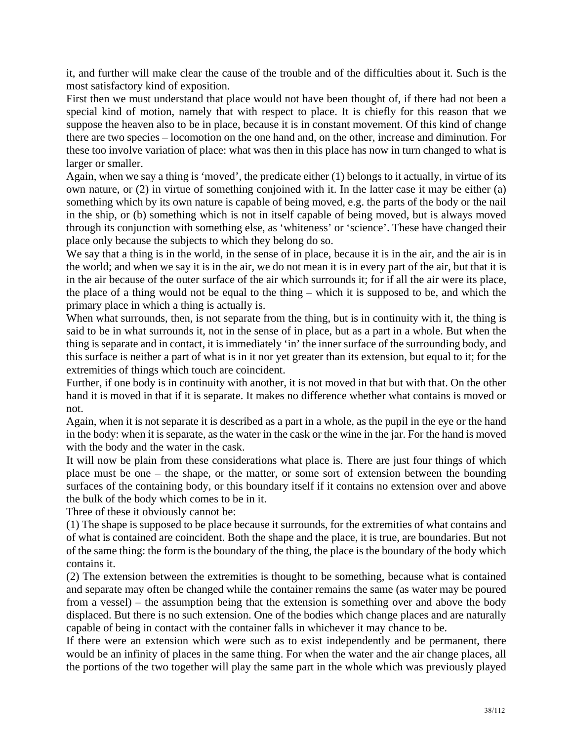it, and further will make clear the cause of the trouble and of the difficulties about it. Such is the most satisfactory kind of exposition.

First then we must understand that place would not have been thought of, if there had not been a special kind of motion, namely that with respect to place. It is chiefly for this reason that we suppose the heaven also to be in place, because it is in constant movement. Of this kind of change there are two species – locomotion on the one hand and, on the other, increase and diminution. For these too involve variation of place: what was then in this place has now in turn changed to what is larger or smaller.

own nature, or (2) in virtue of something conjoined with it. In the latter case it may be either (a) through its conjunction with something else, as 'whiteness' or 'science'. These have changed their place only because the subjects to which they belong do so. Again, when we say a thing is 'moved', the predicate either (1) belongs to it actually, in virtue of its something which by its own nature is capable of being moved, e.g. the parts of the body or the nail in the ship, or (b) something which is not in itself capable of being moved, but is always moved

the place of a thing would not be equal to the thing  $-$  which it is supposed to be, and which the We say that a thing is in the world, in the sense of in place, because it is in the air, and the air is in the world; and when we say it is in the air, we do not mean it is in every part of the air, but that it is in the air because of the outer surface of the air which surrounds it; for if all the air were its place, primary place in which a thing is actually is.

thing is separate and in contact, it is immediately 'in' the inner surface of the surrounding body, and this surface is neither a part of what is in it nor yet greater than its extension, but equal to it; for the extremities of things which touch are coincident. When what surrounds, then, is not separate from the thing, but is in continuity with it, the thing is said to be in what surrounds it, not in the sense of in place, but as a part in a whole. But when the

Further, if one body is in continuity with another, it is not moved in that but with that. On the other hand it is moved in that if it is separate. It makes no difference whether what contains is moved or not.

in the body: when it is separate, as the water in the cask or the wine in the jar. For the hand is moved Again, when it is not separate it is described as a part in a whole, as the pupil in the eye or the hand with the body and the water in the cask.

It will now be plain from these considerations what place is. There are just four things of which place must be one – the shape, or the matter, or some sort of extension between the bounding surfaces of the containing body, or this boundary itself if it contains no extension over and above the bulk of the body which comes to be in it.

Three of these it obviously cannot be:

(1) The shape is supposed to be place because it surrounds, for the extremities of what contains and of what is contained are coincident. Both the shape and the place, it is true, are boundaries. But not of the same thing: the form is the boundary of the thing, the place is the boundary of the body which contains it.

(2) The extension between the extremities is thought to be something, because what is contained and separate may often be changed while the container remains the same (as water may be poured from a vessel) – the assumption being that the extension is something over and above the body displaced. But there is no such extension. One of the bodies which change places and are naturally capable of being in contact with the container falls in whichever it may chance to be.

would be an infinity of places in the same thing. For when the water and the air change places, all the portions of the two together will play the same part in the whole which was previously played If there were an extension which were such as to exist independently and be permanent, there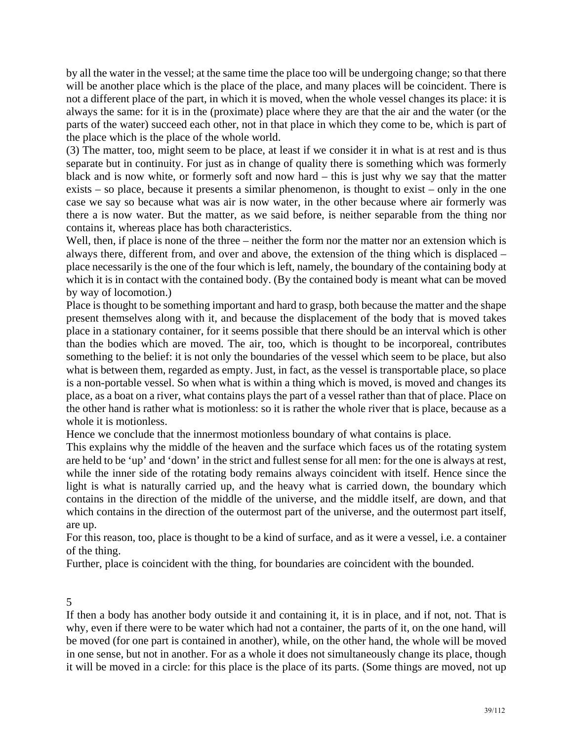by all the water in the vessel; at the same time the place too will be undergoing change; so that there will be another place which is the place of the place, and many places will be coincident. There is not a different place of the part, in which it is moved, when the whole vessel changes its place: it is always the same: for it is in the (proximate) place where they are that the air and the water (or the parts of the water) succeed each other, not in that place in which they come to be, which is part of the place which is the place of the whole world.

(3) The matter, too, might seem to be place, at least if we consider it in what is at rest and is thus separate but in continuity. For just as in change of quality there is something which was formerly black and is now white, or formerly soft and now hard – this is just why we say that the matter exists – so place, because it presents a similar phenomenon, is thought to exist – only in the one case we say so because what was air is now water, in the other because where air formerly was there a is now water. But the matter, as we said before, is neither separable from the thing nor contains it, whereas place has both characteristics.

Well, then, if place is none of the three – neither the form nor the matter nor an extension which is always there, different from, and over and above, the extension of the thing which is displaced – place necessarily is the one of the four which is left, namely, the boundary of the containing body at which it is in contact with the contained body. (By the contained body is meant what can be moved by way of locomotion.)

Place is thought to be something important and hard to grasp, both because the matter and the shape than the bodies which are moved. The air, too, which is thought to be incorporeal, contributes place, as a boat on a river, what contains plays the part of a vessel rather than that of place. Place on the other hand is rather what is motionless: so it is rather the whole river that is place, because as a present themselves along with it, and because the displacement of the body that is moved takes place in a stationary container, for it seems possible that there should be an interval which is other something to the belief: it is not only the boundaries of the vessel which seem to be place, but also what is between them, regarded as empty. Just, in fact, as the vessel is transportable place, so place is a non-portable vessel. So when what is within a thing which is moved, is moved and changes its whole it is motionless.

Hence we conclude that the innermost motionless boundary of what contains is place.

are held to be 'up' and 'down' in the strict and fullest sense for all men: for the one is always at rest, This explains why the middle of the heaven and the surface which faces us of the rotating system while the inner side of the rotating body remains always coincident with itself. Hence since the light is what is naturally carried up, and the heavy what is carried down, the boundary which contains in the direction of the middle of the universe, and the middle itself, are down, and that which contains in the direction of the outermost part of the universe, and the outermost part itself, are up.

For this reason, too, place is thought to be a kind of surface, and as it were a vessel, i.e. a container of the thing.

Further, place is coincident with the thing, for boundaries are coincident with the bounded.

# 5

be moved (for one part is contained in another), while, on the other hand, the whole will be moved If then a body has another body outside it and containing it, it is in place, and if not, not. That is why, even if there were to be water which had not a container, the parts of it, on the one hand, will in one sense, but not in another. For as a whole it does not simultaneously change its place, though it will be moved in a circle: for this place is the place of its parts. (Some things are moved, not up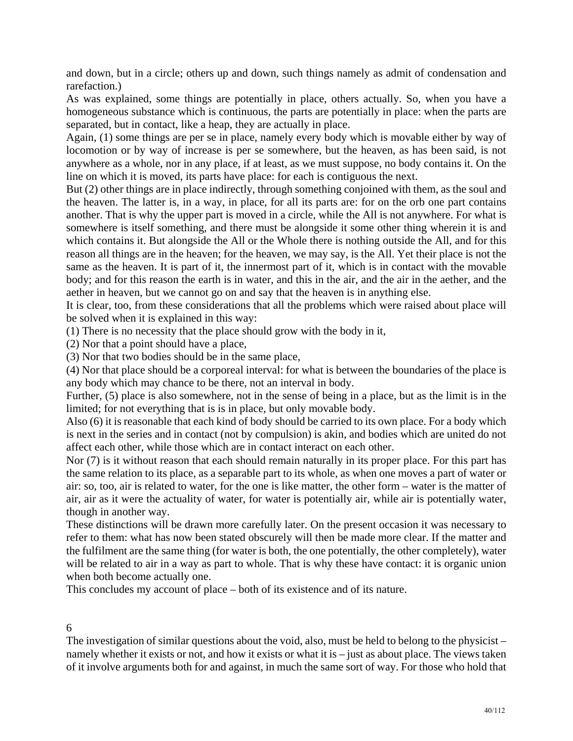and down, but in a circle; others up and down, such things namely as admit of condensation and rarefaction.)

As was explained, some things are potentially in place, others actually. So, when you have a homogeneous substance which is continuous, the parts are potentially in place: when the parts are separated, but in contact, like a heap, they are actually in place.

Again, (1) some things are per se in place, namely every body which is movable either by way of locomotion or by way of increase is per se somewhere, but the heaven, as has been said, is not anywhere as a whole, nor in any place, if at least, as we must suppose, no body contains it. On the line on which it is moved, its parts have place: for each is contiguous the next.

But (2) other things are in place indirectly, through something conjoined with them, as the soul and the heaven. The latter is, in a way, in place, for all its parts are: for on the orb one part contains another. That is why the upper part is moved in a circle, while the All is not anywhere. For what is somewhere is itself something, and there must be alongside it some other thing wherein it is and which contains it. But alongside the All or the Whole there is nothing outside the All, and for this reason all things are in the heaven; for the heaven, we may say, is the All. Yet their place is not the same as the heaven. It is part of it, the innermost part of it, which is in contact with the movable body; and for this reason the earth is in water, and this in the air, and the air in the aether, and the aether in heaven, but we cannot go on and say that the heaven is in anything else.

It is clear, too, from these considerations that all the problems which were raised about place will be solved when it is explained in this way:

(1) There is no necessity that the place should grow with the body in it,

(2) Nor that a point should have a place,

(3) Nor that two bodies should be in the same place,

(4) Nor that place should be a corporeal interval: for what is between the boundaries of the place is any body which may chance to be there, not an interval in body.

Further, (5) place is also somewhere, not in the sense of being in a place, but as the limit is in the limited; for not everything that is is in place, but only movable body.

Also (6) it is reasonable that each kind of body should be carried to its own place. For a body which affect each other, while those which are in contact interact on each other. is next in the series and in contact (not by compulsion) is akin, and bodies which are united do not

Nor (7) is it without reason that each should remain naturally in its proper place. For this part has the same relation to its place, as a separable part to its whole, as when one moves a part of water or air: so, too, air is related to water, for the one is like matter, the other form – water is the matter of , air as it were the actuality of water, for water is potentially air, while air is potentially water, air though in another way.

These distinctions will be drawn more carefully later. On the present occasion it was necessary to refer to them: what has now been stated obscurely will then be made more clear. If the matter and the fulfilment are the same thing (for water is both, the one potentially, the other completely), water will be related to air in a way as part to whole. That is why these have contact: it is organic union when both become actually one.

This concludes my account of place – both of its existence and of its nature.

# 6

of it involve arguments both for and against, in much the same sort of way. For those who hold that The investigation of similar questions about the void, also, must be held to belong to the physicist – namely whether it exists or not, and how it exists or what it is – just as about place. The views taken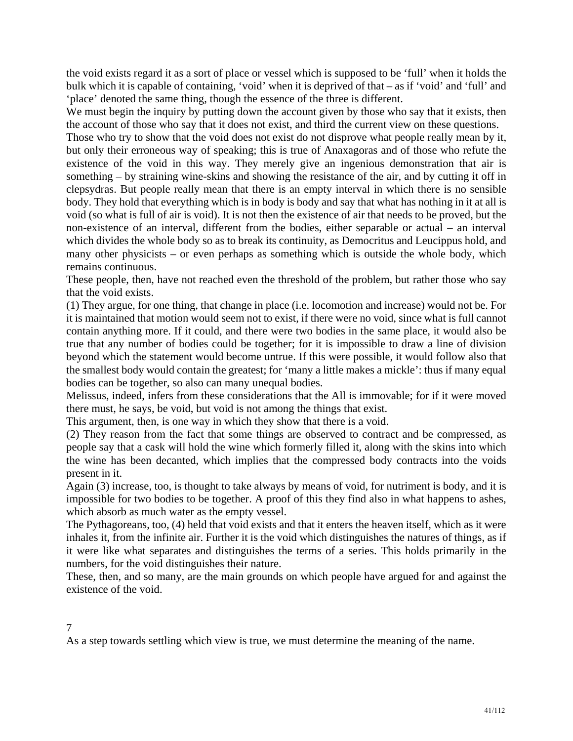the void exists regard it as a sort of place or vessel which is supposed to be 'full' when it holds the bulk which it is capable of containing, 'void' when it is deprived of that – as if 'void' and 'full' and 'place' denoted the same thing, though the essence of the three is different.

We must begin the inquiry by putting down the account given by those who say that it exists, then the account of those who say that it does not exist, and third the current view on these questions.

void (so what is full of air is void). It is not then the existence of air that needs to be proved, but the which divides the whole body so as to break its continuity, as Democritus and Leucippus hold, and many other physicists – or even perhaps as something which is outside the whole body, which Those who try to show that the void does not exist do not disprove what people really mean by it, but only their erroneous way of speaking; this is true of Anaxagoras and of those who refute the existence of the void in this way. They merely give an ingenious demonstration that air is something – by straining wine-skins and showing the resistance of the air, and by cutting it off in clepsydras. But people really mean that there is an empty interval in which there is no sensible body. They hold that everything which is in body is body and say that what has nothing in it at all is non-existence of an interval, different from the bodies, either separable or actual – an interval remains continuous.

These people, then, have not reached even the threshold of the problem, but rather those who say that the void exists.

(1) They argue, for one thing, that change in place (i.e. locomotion and increase) would not be. For contain anything more. If it could, and there were two bodies in the same place, it would also be the smallest body would contain the greatest; for 'many a little makes a mickle': thus if many equal it is maintained that motion would seem not to exist, if there were no void, since what is full cannot true that any number of bodies could be together; for it is impossible to draw a line of division beyond which the statement would become untrue. If this were possible, it would follow also that bodies can be together, so also can many unequal bodies.

Melissus, indeed, infers from these considerations that the All is immovable; for if it were moved there must, he says, be void, but void is not among the things that exist.

This argument, then, is one way in which they show that there is a void.

 $(2)$  They reason from the fact that some things are observed to contract and be compressed, as people say that a cask will hold the wine which formerly filled it, along with the skins into which the wine has been decanted, which implies that the compressed body contracts into the voids present in it.

impossible for two bodies to be together. A proof of this they find also in what happens to ashes, Again (3) increase, too, is thought to take always by means of void, for nutriment is body, and it is which absorb as much water as the empty vessel.

The Pythagoreans, too, (4) held that void exists and that it enters the heaven itself, which as it were inhales it, from the infinite air. Further it is the void which distinguishes the natures of things, as if it were like what separates and distinguishes the terms of a series. This holds primarily in the numbers, for the void distinguishes their nature.

These, then, and so many, are the main grounds on which people have argued for and against the existence of the void.

# 7

As a step towards settling which view is true, we must determine the meaning of the name.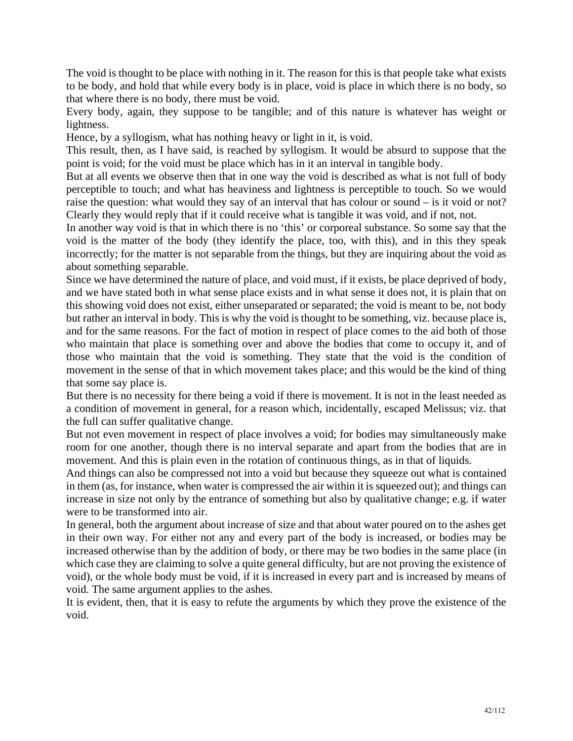The void is thought to be place with nothing in it. The reason for this is that people take what exists to be body, and hold that while every body is in place, void is place in which there is no body, so that where there is no body, there must be void.

Every body, again, they suppose to be tangible; and of this nature is whatever has weight or lightness.

Hence, by a syllogism, what has nothing heavy or light in it, is void.

This result, then, as I have said, is reached by syllogism. It would be absurd to suppose that the point is void; for the void must be place which has in it an interval in tangible body.

But at all events we observe then that in one way the void is described as what is not full of body perceptible to touch; and what has heaviness and lightness is perceptible to touch. So we would raise the question: what would they say of an interval that has colour or sound – is it void or not? Clearly they would reply that if it could receive what is tangible it was void, and if not, not.

In another way void is that in which there is no 'this' or corporeal substance. So some say that the void is the matter of the body (they identify the place, too, with this), and in this they speak incorrectly; for the matter is not separable from the things, but they are inquiring about the void as about something separable.

but rather an interval in body. This is why the void is thought to be something, viz. because place is, who maintain that place is something over and above the bodies that come to occupy it, and of those who maintain that the void is something. They state that the void is the condition of Since we have determined the nature of place, and void must, if it exists, be place deprived of body, and we have stated both in what sense place exists and in what sense it does not, it is plain that on this showing void does not exist, either unseparated or separated; the void is meant to be, not body and for the same reasons. For the fact of motion in respect of place comes to the aid both of those movement in the sense of that in which movement takes place; and this would be the kind of thing that some say place is.

a condition of movement in general, for a reason which, incidentally, escaped Melissus; viz. that But there is no necessity for there being a void if there is movement. It is not in the least needed as the full can suffer qualitative change.

room for one another, though there is no interval separate and apart from the bodies that are in But not even movement in respect of place involves a void; for bodies may simultaneously make movement. And this is plain even in the rotation of continuous things, as in that of liquids.

increase in size not only by the entrance of something but also by qualitative change; e.g. if water And things can also be compressed not into a void but because they squeeze out what is contained in them (as, for instance, when water is compressed the air within it is squeezed out); and things can were to be transformed into air.

In general, both the argument about increase of size and that about water poured on to the ashes get in their own way. For either not any and every part of the body is increased, or bodies may be increased otherwise than by the addition of body, or there may be two bodies in the same place (in which case they are claiming to solve a quite general difficulty, but are not proving the existence of void), or the whole body must be void, if it is increased in every part and is increased by means of void. The same argument applies to the ashes.

It is evident, then, that it is easy to refute the arguments by which they prove the existence of the void.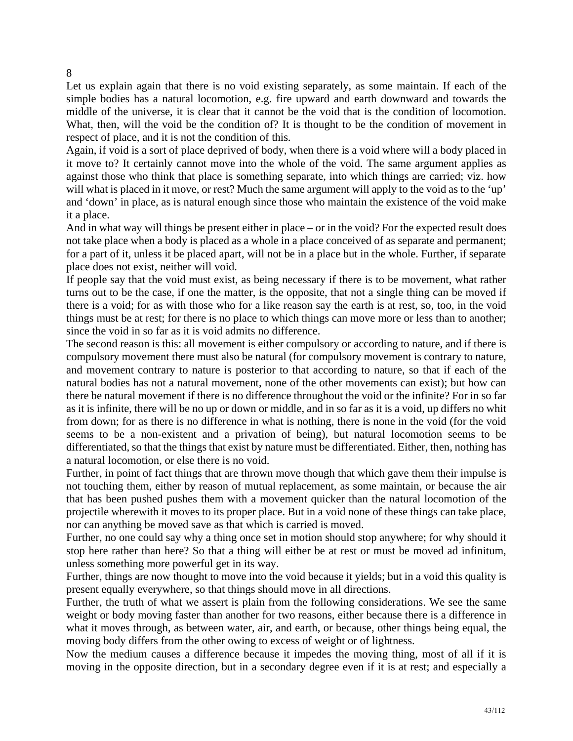# Let us explain again that there is no void existing separately, as some maintain. If each of the simple bodies has a natural locomotion, e.g. fire upward and earth downward and towards the middle of the universe, it is clear that it cannot be the void that is the condition of locomotion. What, then, will the void be the condition of? It is thought to be the condition of movement in respect of place, and it is not the condition of this.

will what is placed in it move, or rest? Much the same argument will apply to the void as to the 'up' Again, if void is a sort of place deprived of body, when there is a void where will a body placed in it move to? It certainly cannot move into the whole of the void. The same argument applies as against those who think that place is something separate, into which things are carried; viz. how and 'down' in place, as is natural enough since those who maintain the existence of the void make it a place.

And in what way will things be present either in place – or in the void? For the expected result does not take place when a body is placed as a whole in a place conceived of as separate and permanent; for a part of it, unless it be placed apart, will not be in a place but in the whole. Further, if separate place does not exist, neither will void.

there is a void; for as with those who for a like reason say the earth is at rest, so, too, in the void If people say that the void must exist, as being necessary if there is to be movement, what rather turns out to be the case, if one the matter, is the opposite, that not a single thing can be moved if things must be at rest; for there is no place to which things can move more or less than to another; since the void in so far as it is void admits no difference.

The second reason is this: all movement is either compulsory or according to nature, and if there is natural bodies has not a natural movement, none of the other movements can exist); but how can seems to be a non-existent and a privation of being), but natural locomotion seems to be compulsory movement there must also be natural (for compulsory movement is contrary to nature, and movement contrary to nature is posterior to that according to nature, so that if each of the there be natural movement if there is no difference throughout the void or the infinite? For in so far as it is infinite, there will be no up or down or middle, and in so far as it is a void, up differs no whit from down; for as there is no difference in what is nothing, there is none in the void (for the void differentiated, so that the things that exist by nature must be differentiated. Either, then, nothing has a natural locomotion, or else there is no void.

projectile wherewith it moves to its proper place. But in a void none of these things can take place, Further, in point of fact things that are thrown move though that which gave them their impulse is not touching them, either by reason of mutual replacement, as some maintain, or because the air that has been pushed pushes them with a movement quicker than the natural locomotion of the nor can anything be moved save as that which is carried is moved.

Further, no one could say why a thing once set in motion should stop anywhere; for why should it stop here rather than here? So that a thing will either be at rest or must be moved ad infinitum, unless something more powerful get in its way.

Further, things are now thought to move into the void because it yields; but in a void this quality is present equally everywhere, so that things should move in all directions.

moving body differs from the other owing to excess of weight or of lightness. Further, the truth of what we assert is plain from the following considerations. We see the same weight or body moving faster than another for two reasons, either because there is a difference in what it moves through, as between water, air, and earth, or because, other things being equal, the

Now the medium causes a difference because it impedes the moving thing, most of all if it is moving in the opposite direction, but in a secondary degree even if it is at rest; and especially a

# 8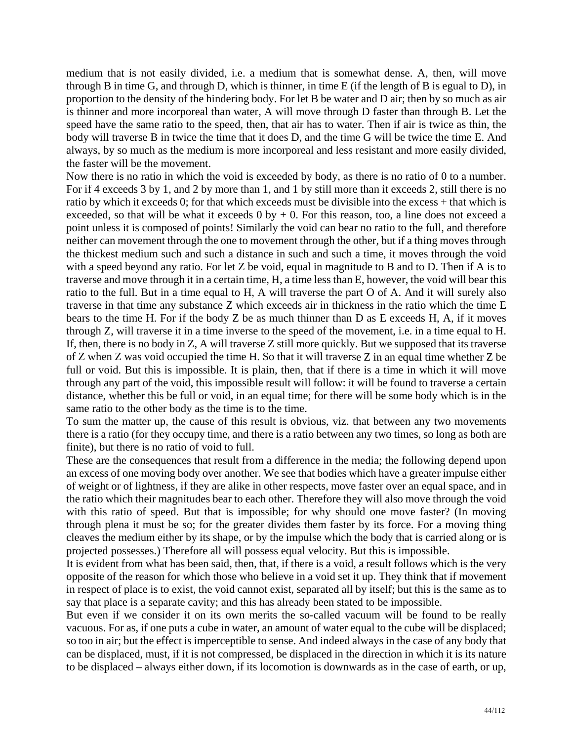medium that is not easily divided, i.e. a medium that is somewhat dense. A, then, will move through B in time G, and through D, which is thinner, in time E (if the length of B is egual to D), in proportion to the density of the hindering body. For let B be water and D air; then by so much as air is thinner and more incorporeal than water, A will move through D faster than through B. Let the speed have the same ratio to the speed, then, that air has to water. Then if air is twice as thin, the body will traverse B in twice the time that it does D, and the time G will be twice the time E. And always, by so much as the medium is more incorporeal and less resistant and more easily divided, the faster will be the movement.

point unless it is composed of points! Similarly the void can bear no ratio to the full, and therefore of Z when Z was void occupied the time H. So that it will traverse Z in an equal time whether Z be Now there is no ratio in which the void is exceeded by body, as there is no ratio of 0 to a number. For if 4 exceeds 3 by 1, and 2 by more than 1, and 1 by still more than it exceeds 2, still there is no ratio by which it exceeds 0; for that which exceeds must be divisible into the excess + that which is exceeded, so that will be what it exceeds  $0$  by  $+0$ . For this reason, too, a line does not exceed a neither can movement through the one to movement through the other, but if a thing moves through the thickest medium such and such a distance in such and such a time, it moves through the void with a speed beyond any ratio. For let Z be void, equal in magnitude to B and to D. Then if A is to traverse and move through it in a certain time, H, a time less than E, however, the void will bear this ratio to the full. But in a time equal to H, A will traverse the part O of A. And it will surely also traverse in that time any substance Z which exceeds air in thickness in the ratio which the time E bears to the time H. For if the body Z be as much thinner than D as E exceeds H, A, if it moves through Z, will traverse it in a time inverse to the speed of the movement, i.e. in a time equal to H. If, then, there is no body in Z, A will traverse Z still more quickly. But we supposed that its traverse full or void. But this is impossible. It is plain, then, that if there is a time in which it will move through any part of the void, this impossible result will follow: it will be found to traverse a certain distance, whether this be full or void, in an equal time; for there will be some body which is in the same ratio to the other body as the time is to the time.

To sum the matter up, the cause of this result is obvious, viz. that between any two movements there is a ratio (for they occupy time, and there is a ratio between any two times, so long as both are finite), but there is no ratio of void to full.

These are the consequences that result from a difference in the media; the following depend upon of weight or of lightness, if they are alike in other respects, move faster over an equal space, and in cleaves the medium either by its shape, or by the impulse which the body that is carried along or is an excess of one moving body over another. We see that bodies which have a greater impulse either the ratio which their magnitudes bear to each other. Therefore they will also move through the void with this ratio of speed. But that is impossible; for why should one move faster? (In moving through plena it must be so; for the greater divides them faster by its force. For a moving thing projected possesses.) Therefore all will possess equal velocity. But this is impossible.

It is evident from what has been said, then, that, if there is a void, a result follows which is the very opposite of the reason for which those who believe in a void set it up. They think that if movement in respect of place is to exist, the void cannot exist, separated all by itself; but this is the same as to say that place is a separate cavity; and this has already been stated to be impossible.

to be displaced – always either down, if its locomotion is downwards as in the case of earth, or up, But even if we consider it on its own merits the so-called vacuum will be found to be really vacuous. For as, if one puts a cube in water, an amount of water equal to the cube will be displaced; so too in air; but the effect is imperceptible to sense. And indeed always in the case of any body that can be displaced, must, if it is not compressed, be displaced in the direction in which it is its nature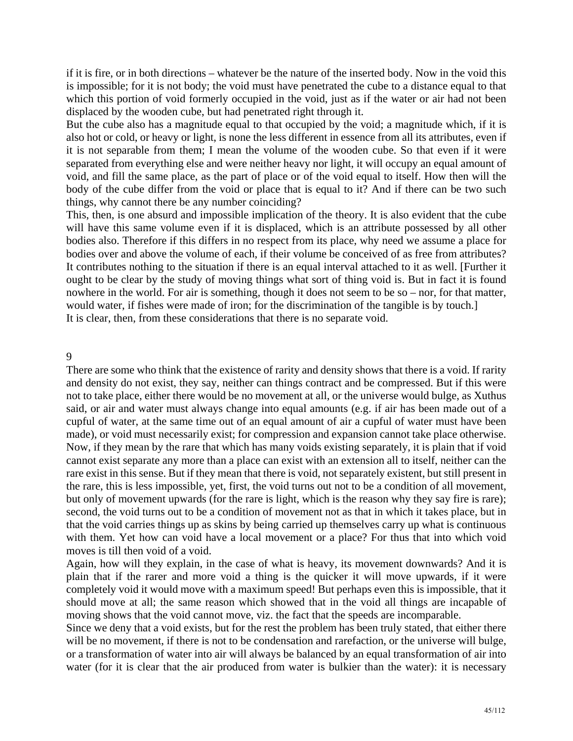if it is fire, or in both directions – whatever be the nature of the inserted body. Now in the void this is impossible; for it is not body; the void must have penetrated the cube to a distance equal to that which this portion of void formerly occupied in the void, just as if the water or air had not been displaced by the wooden cube, but had penetrated right through it.

But the cube also has a magnitude equal to that occupied by the void; a magnitude which, if it is also hot or cold, or heavy or light, is none the less different in essence from all its attributes, even if it is not separable from them; I mean the volume of the wooden cube. So that even if it were separated from everything else and were neither heavy nor light, it will occupy an equal amount of void, and fill the same place, as the part of place or of the void equal to itself. How then will the body of the cube differ from the void or place that is equal to it? And if there can be two such things, why cannot there be any number coinciding?

This, then, is one absurd and impossible implication of the theory. It is also evident that the cube will have this same volume even if it is displaced, which is an attribute possessed by all other bodies also. Therefore if this differs in no respect from its place, why need we assume a place for bodies over and above the volume of each, if their volume be conceived of as free from attributes? It contributes nothing to the situation if there is an equal interval attached to it as well. [Further it ought to be clear by the study of moving things what sort of thing void is. But in fact it is found nowhere in the world. For air is something, though it does not seem to be so – nor, for that matter, would water, if fishes were made of iron; for the discrimination of the tangible is by touch.] It is clear, then, from these considerations that there is no separate void.

9

rare exist in this sense. But if they mean that there is void, not separately existent, but still present in with them. Yet how can void have a local movement or a place? For thus that into which void There are some who think that the existence of rarity and density shows that there is a void. If rarity and density do not exist, they say, neither can things contract and be compressed. But if this were not to take place, either there would be no movement at all, or the universe would bulge, as Xuthus said, or air and water must always change into equal amounts (e.g. if air has been made out of a cupful of water, at the same time out of an equal amount of air a cupful of water must have been made), or void must necessarily exist; for compression and expansion cannot take place otherwise. Now, if they mean by the rare that which has many voids existing separately, it is plain that if void cannot exist separate any more than a place can exist with an extension all to itself, neither can the the rare, this is less impossible, yet, first, the void turns out not to be a condition of all movement, but only of movement upwards (for the rare is light, which is the reason why they say fire is rare); second, the void turns out to be a condition of movement not as that in which it takes place, but in that the void carries things up as skins by being carried up themselves carry up what is continuous moves is till then void of a void.

Again, how will they explain, in the case of what is heavy, its movement downwards? And it is plain that if the rarer and more void a thing is the quicker it will move upwards, if it were completely void it would move with a maximum speed! But perhaps even this is impossible, that it should move at all; the same reason which showed that in the void all things are incapable of moving shows that the void cannot move, viz. the fact that the speeds are incomparable.

or a transformation of water into air will always be balanced by an equal transformation of air into water (for it is clear that the air produced from water is bulkier than the water): it is necessary Since we deny that a void exists, but for the rest the problem has been truly stated, that either there will be no movement, if there is not to be condensation and rarefaction, or the universe will bulge,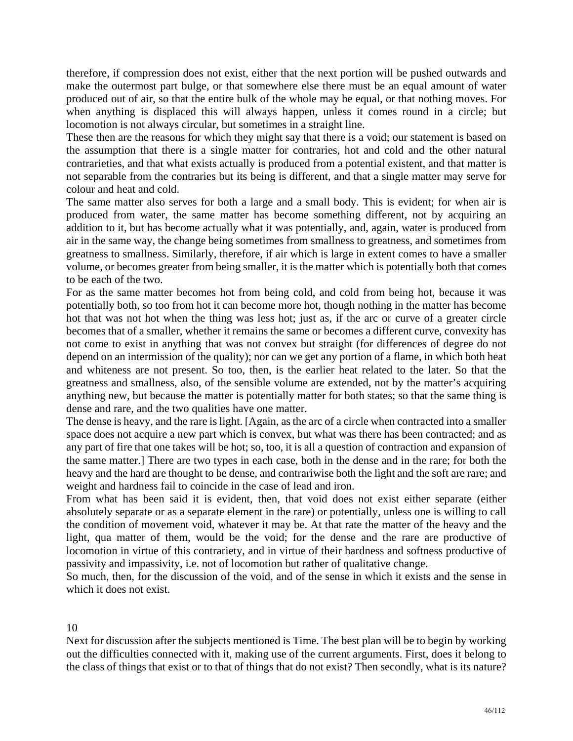therefore, if compression does not exist, either that the next portion will be pushed outwards and make the outermost part bulge, or that somewhere else there must be an equal amount of water produced out of air, so that the entire bulk of the whole may be equal, or that nothing moves. For when anything is displaced this will always happen, unless it comes round in a circle; but locomotion is not always circular, but sometimes in a straight line.

These then are the reasons for which they might say that there is a void; our statement is based on the assumption that there is a single matter for contraries, hot and cold and the other natural contrarieties, and that what exists actually is produced from a potential existent, and that matter is not separable from the contraries but its being is different, and that a single matter may serve for colour and heat and cold.

volume, or becomes greater from being smaller, it is the matter which is potentially both that comes The same matter also serves for both a large and a small body. This is evident; for when air is produced from water, the same matter has become something different, not by acquiring an addition to it, but has become actually what it was potentially, and, again, water is produced from air in the same way, the change being sometimes from smallness to greatness, and sometimes from greatness to smallness. Similarly, therefore, if air which is large in extent comes to have a smaller to be each of the two.

For as the same matter becomes hot from being cold, and cold from being hot, because it was potentially both, so too from hot it can become more hot, though nothing in the matter has become hot that was not hot when the thing was less hot; just as, if the arc or curve of a greater circle dense and rare, and the two qualities have one matter. becomes that of a smaller, whether it remains the same or becomes a different curve, convexity has not come to exist in anything that was not convex but straight (for differences of degree do not depend on an intermission of the quality); nor can we get any portion of a flame, in which both heat and whiteness are not present. So too, then, is the earlier heat related to the later. So that the greatness and smallness, also, of the sensible volume are extended, not by the matter's acquiring anything new, but because the matter is potentially matter for both states; so that the same thing is

The dense is heavy, and the rare is light. [Again, as the arc of a circle when contracted into a smaller space does not acquire a new part which is convex, but what was there has been contracted; and as any part of fire that one takes will be hot; so, too, it is all a question of contraction and expansion of the same matter.] There are two types in each case, both in the dense and in the rare; for both the heavy and the hard are thought to be dense, and contrariwise both the light and the soft are rare; and weight and hardness fail to coincide in the case of lead and iron.

the condition of movement void, whatever it may be. At that rate the matter of the heavy and the From what has been said it is evident, then, that void does not exist either separate (either absolutely separate or as a separate element in the rare) or potentially, unless one is willing to call light, qua matter of them, would be the void; for the dense and the rare are productive of locomotion in virtue of this contrariety, and in virtue of their hardness and softness productive of passivity and impassivity, i.e. not of locomotion but rather of qualitative change.

So much, then, for the discussion of the void, and of the sense in which it exists and the sense in which it does not exist.

10

Next for discussion after the subjects mentioned is Time. The best plan will be to begin by working out the difficulties connected with it, making use of the current arguments. First, does it belong to the class of things that exist or to that of things that do not exist? Then secondly, what is its nature?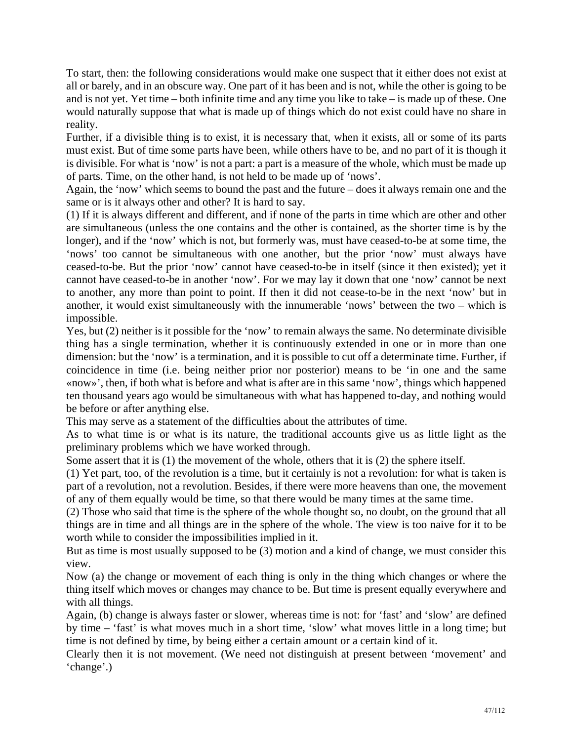To start, then: the following considerations would make one suspect that it either does not exist at all or barely, and in an obscure way. One part of it has been and is not, while the other is going to be and is not yet. Yet time – both infinite time and any time you like to take – is made up of these. One would naturally suppose that what is made up of things which do not exist could have no share in reality.

is divisible. For what is 'now' is not a part: a part is a measure of the whole, which must be made up Further, if a divisible thing is to exist, it is necessary that, when it exists, all or some of its parts must exist. But of time some parts have been, while others have to be, and no part of it is though it of parts. Time, on the other hand, is not held to be made up of 'nows'.

Again, the 'now' which seems to bound the past and the future – does it always remain one and the same or is it always other and other? It is hard to say.

'nows' too cannot be simultaneous with one another, but the prior 'now' must always have (1) If it is always different and different, and if none of the parts in time which are other and other are simultaneous (unless the one contains and the other is contained, as the shorter time is by the longer), and if the 'now' which is not, but formerly was, must have ceased-to-be at some time, the ceased-to-be. But the prior 'now' cannot have ceased-to-be in itself (since it then existed); yet it cannot have ceased-to-be in another 'now'. For we may lay it down that one 'now' cannot be next to another, any more than point to point. If then it did not cease-to-be in the next 'now' but in another, it would exist simultaneously with the innumerable 'nows' between the two – which is impossible.

«now»', then, if both what is before and what is after are in this same 'now', things which happened Yes, but (2) neither is it possible for the 'now' to remain always the same. No determinate divisible thing has a single termination, whether it is continuously extended in one or in more than one dimension: but the 'now' is a termination, and it is possible to cut off a determinate time. Further, if coincidence in time (i.e. being neither prior nor posterior) means to be 'in one and the same ten thousand years ago would be simultaneous with what has happened to-day, and nothing would be before or after anything else.

This may serve as a statement of the difficulties about the attributes of time.

As to what time is or what is its nature, the traditional accounts give us as little light as the preliminary problems which we have worked through.

Some assert that it is (1) the movement of the whole, others that it is (2) the sphere itself.

 $(1)$  Yet part, too, of the revolution is a time, but it certainly is not a revolution: for what is taken is part of a revolution, not a revolution. Besides, if there were more heavens than one, the movement of any of them equally would be time, so that there would be many times at the same time.

(2) Those who said that time is the sphere of the whole thought so, no doubt, on the ground that all things are in time and all things are in the sphere of the whole. The view is too naive for it to be worth while to consider the impossibilities implied in it.

But as time is most usually supposed to be (3) motion and a kind of change, we must consider this view.

Now (a) the change or movement of each thing is only in the thing which changes or where the thing itself which moves or changes may chance to be. But time is present equally everywhere and with all things.

Again, (b) change is always faster or slower, whereas time is not: for 'fast' and 'slow' are defined by time – 'fast' is what moves much in a short time, 'slow' what moves little in a long time; but time is not defined by time, by being either a certain amount or a certain kind of it.

Clearly then it is not movement. (We need not distinguish at present between 'movement' and 'change'.)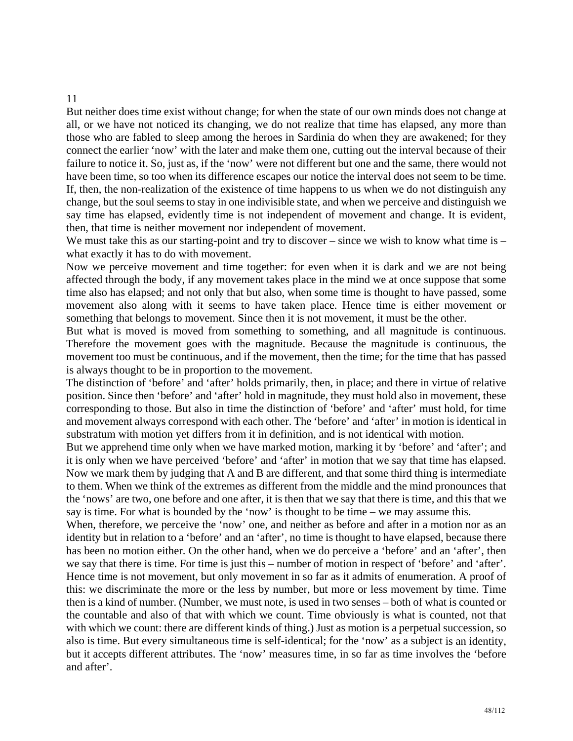### 11

But neither does time exist without change; for when the state of our own minds does not change at failure to notice it. So, just as, if the 'now' were not different but one and the same, there would not If, then, the non-realization of the existence of time happens to us when we do not distinguish any all, or we have not noticed its changing, we do not realize that time has elapsed, any more than those who are fabled to sleep among the heroes in Sardinia do when they are awakened; for they connect the earlier 'now' with the later and make them one, cutting out the interval because of their have been time, so too when its difference escapes our notice the interval does not seem to be time. change, but the soul seems to stay in one indivisible state, and when we perceive and distinguish we say time has elapsed, evidently time is not independent of movement and change. It is evident, then, that time is neither movement nor independent of movement.

We must take this as our starting-point and try to discover – since we wish to know what time is – what exactly it has to do with movement.

movement also along with it seems to have taken place. Hence time is either movement or Now we perceive movement and time together: for even when it is dark and we are not being affected through the body, if any movement takes place in the mind we at once suppose that some time also has elapsed; and not only that but also, when some time is thought to have passed, some something that belongs to movement. Since then it is not movement, it must be the other.

But what is moved is moved from something to something, and all magnitude is continuous. Therefore the movement goes with the magnitude. Because the magnitude is continuous, the movement too must be continuous, and if the movement, then the time; for the time that has passed is always thought to be in proportion to the movement.

position. Since then 'before' and 'after' hold in magnitude, they must hold also in movement, these corresponding to those. But also in time the distinction of 'before' and 'after' must hold, for time substratum with motion yet differs from it in definition, and is not identical with motion. The distinction of 'before' and 'after' holds primarily, then, in place; and there in virtue of relative and movement always correspond with each other. The 'before' and 'after' in motion is identical in

But we apprehend time only when we have marked motion, marking it by 'before' and 'after'; and the 'nows' are two, one before and one after, it is then that we say that there is time, and this that we it is only when we have perceived 'before' and 'after' in motion that we say that time has elapsed. Now we mark them by judging that A and B are different, and that some third thing is intermediate to them. When we think of the extremes as different from the middle and the mind pronounces that say is time. For what is bounded by the 'now' is thought to be time – we may assume this.

identity but in relation to a 'before' and an 'after', no time is thought to have elapsed, because there we say that there is time. For time is just this – number of motion in respect of 'before' and 'after'. then is a kind of number. (Number, we must note, is used in two senses – both of what is counted or also is time. But every simultaneous time is self-identical; for the 'now' as a subject is an identity, When, therefore, we perceive the 'now' one, and neither as before and after in a motion nor as an has been no motion either. On the other hand, when we do perceive a 'before' and an 'after', then Hence time is not movement, but only movement in so far as it admits of enumeration. A proof of this: we discriminate the more or the less by number, but more or less movement by time. Time the countable and also of that with which we count. Time obviously is what is counted, not that with which we count: there are different kinds of thing.) Just as motion is a perpetual succession, so but it accepts different attributes. The 'now' measures time, in so far as time involves the 'before and after'.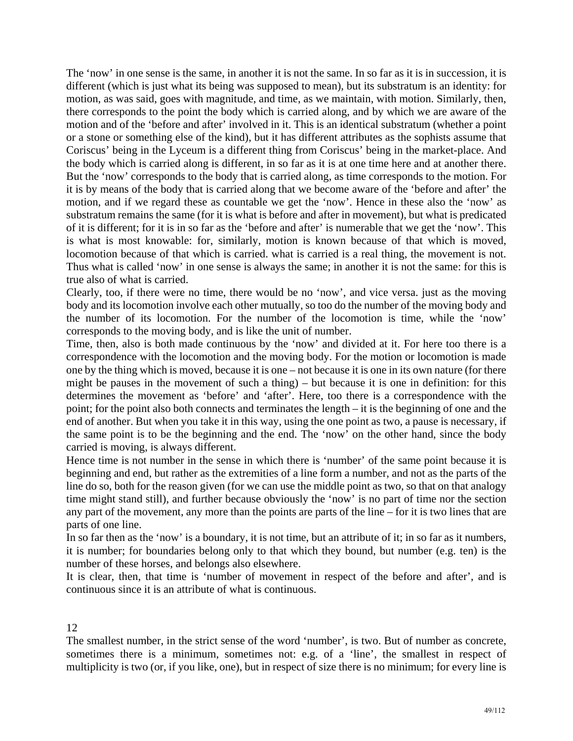The 'now' in one sense is the same, in another it is not the same. In so far as it is in succession, it is different (which is just what its being was supposed to mean), but its substratum is an identity: for motion, as was said, goes with magnitude, and time, as we maintain, with motion. Similarly, then, of it is different; for it is in so far as the 'before and after' is numerable that we get the 'now'. This locomotion because of that which is carried. what is carried is a real thing, the movement is not. there corresponds to the point the body which is carried along, and by which we are aware of the motion and of the 'before and after' involved in it. This is an identical substratum (whether a point or a stone or something else of the kind), but it has different attributes as the sophists assume that Coriscus' being in the Lyceum is a different thing from Coriscus' being in the market-place. And the body which is carried along is different, in so far as it is at one time here and at another there. But the 'now' corresponds to the body that is carried along, as time corresponds to the motion. For it is by means of the body that is carried along that we become aware of the 'before and after' the motion, and if we regard these as countable we get the 'now'. Hence in these also the 'now' as substratum remains the same (for it is what is before and after in movement), but what is predicated is what is most knowable: for, similarly, motion is known because of that which is moved, Thus what is called 'now' in one sense is always the same; in another it is not the same: for this is true also of what is carried.

the number of its locomotion. For the number of the locomotion is time, while the 'now' Clearly, too, if there were no time, there would be no 'now', and vice versa. just as the moving body and its locomotion involve each other mutually, so too do the number of the moving body and corresponds to the moving body, and is like the unit of number.

one by the thing which is moved, because it is one – not because it is one in its own nature (for there carried is moving, is always different. Time, then, also is both made continuous by the 'now' and divided at it. For here too there is a correspondence with the locomotion and the moving body. For the motion or locomotion is made might be pauses in the movement of such a thing) – but because it is one in definition: for this determines the movement as 'before' and 'after'. Here, too there is a correspondence with the point; for the point also both connects and terminates the length – it is the beginning of one and the end of another. But when you take it in this way, using the one point as two, a pause is necessary, if the same point is to be the beginning and the end. The 'now' on the other hand, since the body

Hence time is not number in the sense in which there is 'number' of the same point because it is beginning and end, but rather as the extremities of a line form a number, and not as the parts of the line do so, both for the reason given (for we can use the middle point as two, so that on that analogy time might stand still), and further because obviously the 'now' is no part of time nor the section any part of the movement, any more than the points are parts of the line – for it is two lines that are parts of one line.

In so far then as the 'now' is a boundary, it is not time, but an attribute of it; in so far as it numbers, it is number; for boundaries belong only to that which they bound, but number (e.g. ten) is the number of these horses, and belongs also elsewhere.

It is clear, then, that time is 'number of movement in respect of the before and after', and is continuous since it is an attribute of what is continuous.

12

The smallest number, in the strict sense of the word 'number', is two. But of number as concrete, sometimes there is a minimum, sometimes not: e.g. of a 'line', the smallest in respect of multiplicity is two (or, if you like, one), but in respect of size there is no minimum; for every line is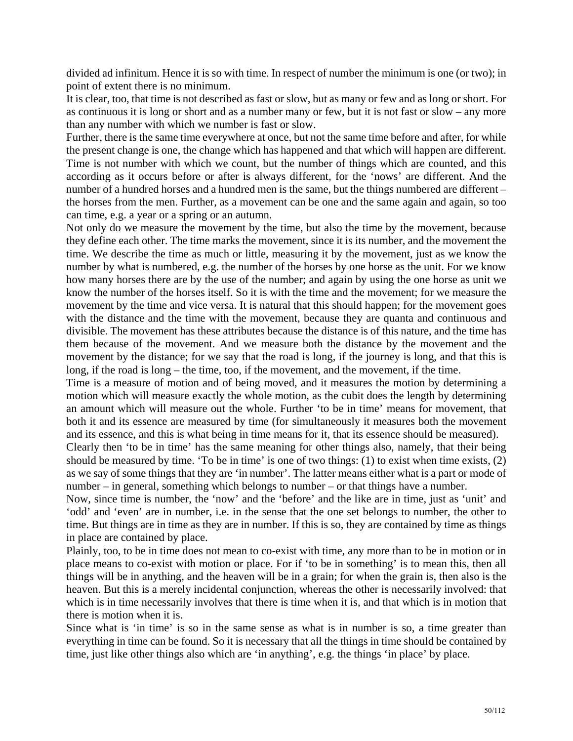divided ad infinitum. Hence it is so with time. In respect of number the minimum is one (or two); in point of extent there is no minimum.

It is clear, too, that time is not described as fast or slow, but as many or few and as long or short. For as continuous it is long or short and as a number many or few, but it is not fast or slow – any more than any number with which we number is fast or slow.

Further, there is the same time everywhere at once, but not the same time before and after, for while the present change is one, the change which has happened and that which will happen are different. Time is not number with which we count, but the number of things which are counted, and this according as it occurs before or after is always different, for the 'nows' are different. And the number of a hundred horses and a hundred men is the same, but the things numbered are different – the horses from the men. Further, as a movement can be one and the same again and again, so too can time, e.g. a year or a spring or an autumn.

with the distance and the time with the movement, because they are quanta and continuous and long, if the road is long  $-$  the time, too, if the movement, and the movement, if the time. Not only do we measure the movement by the time, but also the time by the movement, because they define each other. The time marks the movement, since it is its number, and the movement the time. We describe the time as much or little, measuring it by the movement, just as we know the number by what is numbered, e.g. the number of the horses by one horse as the unit. For we know how many horses there are by the use of the number; and again by using the one horse as unit we know the number of the horses itself. So it is with the time and the movement; for we measure the movement by the time and vice versa. It is natural that this should happen; for the movement goes divisible. The movement has these attributes because the distance is of this nature, and the time has them because of the movement. And we measure both the distance by the movement and the movement by the distance; for we say that the road is long, if the journey is long, and that this is

Time is a measure of motion and of being moved, and it measures the motion by determining a motion which will measure exactly the whole motion, as the cubit does the length by determining an amount which will measure out the whole. Further 'to be in time' means for movement, that both it and its essence are measured by time (for simultaneously it measures both the movement and its essence, and this is what being in time means for it, that its essence should be measured).

number – in general, something which belongs to number – or that things have a number. Clearly then 'to be in time' has the same meaning for other things also, namely, that their being should be measured by time. 'To be in time' is one of two things: (1) to exist when time exists, (2) as we say of some things that they are 'in number'. The latter means either what is a part or mode of

Now, since time is number, the 'now' and the 'before' and the like are in time, just as 'unit' and 'odd' and 'even' are in number, i.e. in the sense that the one set belongs to number, the other to time. But things are in time as they are in number. If this is so, they are contained by time as things in place are contained by place.

place means to co-exist with motion or place. For if 'to be in something' is to mean this, then all which is in time necessarily involves that there is time when it is, and that which is in motion that Plainly, too, to be in time does not mean to co-exist with time, any more than to be in motion or in things will be in anything, and the heaven will be in a grain; for when the grain is, then also is the heaven. But this is a merely incidental conjunction, whereas the other is necessarily involved: that there is motion when it is.

Since what is 'in time' is so in the same sense as what is in number is so, a time greater than everything in time can be found. So it is necessary that all the things in time should be contained by time, just like other things also which are 'in anything', e.g. the things 'in place' by place.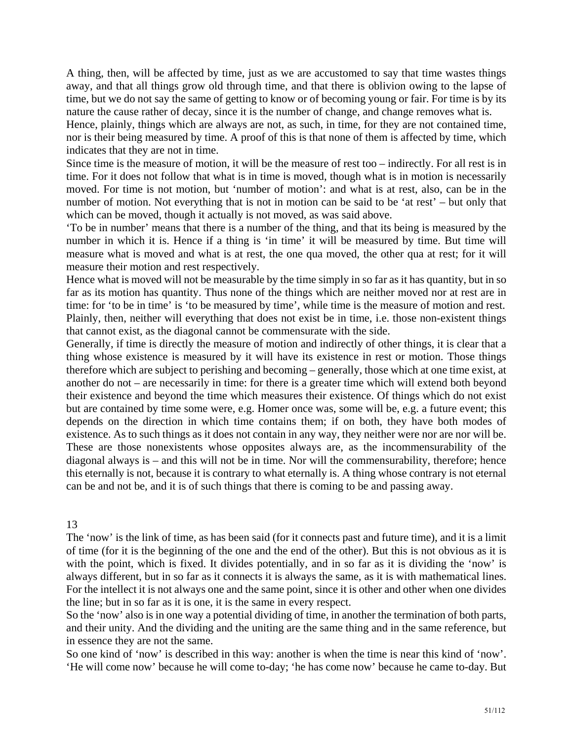A thing, then, will be affected by time, just as we are accustomed to say that time wastes things away, and that all things grow old through time, and that there is oblivion owing to the lapse of time, but we do not say the same of getting to know or of becoming young or fair. For time is by its nature the cause rather of decay, since it is the number of change, and change removes what is.

nor is their being measured by time. A proof of this is that none of them is affected by time, which Hence, plainly, things which are always are not, as such, in time, for they are not contained time, indicates that they are not in time.

time. For it does not follow that what is in time is moved, though what is in motion is necessarily Since time is the measure of motion, it will be the measure of rest too – indirectly. For all rest is in moved. For time is not motion, but 'number of motion': and what is at rest, also, can be in the number of motion. Not everything that is not in motion can be said to be 'at rest' – but only that which can be moved, though it actually is not moved, as was said above.

'To be in number' means that there is a number of the thing, and that its being is measured by the number in which it is. Hence if a thing is 'in time' it will be measured by time. But time will measure what is moved and what is at rest, the one qua moved, the other qua at rest; for it will measure their motion and rest respectively.

Hence what is moved will not be measurable by the time simply in so far as it has quantity, but in so far as its motion has quantity. Thus none of the things which are neither moved nor at rest are in time: for 'to be in time' is 'to be measured by time', while time is the measure of motion and rest. Plainly, then, neither will everything that does not exist be in time, i.e. those non-existent things that cannot exist, as the diagonal cannot be commensurate with the side.

existence. As to such things as it does not contain in any way, they neither were nor are nor will be. Generally, if time is directly the measure of motion and indirectly of other things, it is clear that a thing whose existence is measured by it will have its existence in rest or motion. Those things therefore which are subject to perishing and becoming – generally, those which at one time exist, at another do not – are necessarily in time: for there is a greater time which will extend both beyond their existence and beyond the time which measures their existence. Of things which do not exist but are contained by time some were, e.g. Homer once was, some will be, e.g. a future event; this depends on the direction in which time contains them; if on both, they have both modes of These are those nonexistents whose opposites always are, as the incommensurability of the diagonal always is – and this will not be in time. Nor will the commensurability, therefore; hence this eternally is not, because it is contrary to what eternally is. A thing whose contrary is not eternal can be and not be, and it is of such things that there is coming to be and passing away.

13

with the point, which is fixed. It divides potentially, and in so far as it is dividing the 'now' is The 'now' is the link of time, as has been said (for it connects past and future time), and it is a limit of time (for it is the beginning of the one and the end of the other). But this is not obvious as it is always different, but in so far as it connects it is always the same, as it is with mathematical lines. For the intellect it is not always one and the same point, since it is other and other when one divides the line; but in so far as it is one, it is the same in every respect.

So the 'now' also is in one way a potential dividing of time, in another the termination of both parts, and their unity. And the dividing and the uniting are the same thing and in the same reference, but in essence they are not the same.

So one kind of 'now' is described in this way: another is when the time is near this kind of 'now'. 'He will come now' because he will come to-day; 'he has come now' because he came to-day. But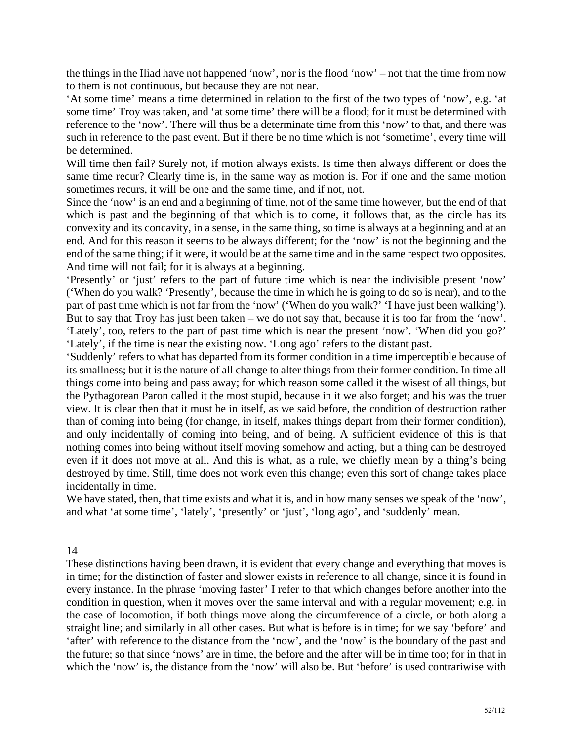the things in the Iliad have not happened 'now', nor is the flood 'now' – not that the time from now to them is not continuous, but because they are not near.

'At some time' means a time determined in relation to the first of the two types of 'now', e.g. 'at some time' Troy was taken, and 'at some time' there will be a flood; for it must be determined with reference to the 'now'. There will thus be a determinate time from this 'now' to that, and there was such in reference to the past event. But if there be no time which is not 'sometime', every time will be determined.

Will time then fail? Surely not, if motion always exists. Is time then always different or does the same time recur? Clearly time is, in the same way as motion is. For if one and the same motion sometimes recurs, it will be one and the same time, and if not, not.

which is past and the beginning of that which is to come, it follows that, as the circle has its Since the 'now' is an end and a beginning of time, not of the same time however, but the end of that convexity and its concavity, in a sense, in the same thing, so time is always at a beginning and at an end. And for this reason it seems to be always different; for the 'now' is not the beginning and the end of the same thing; if it were, it would be at the same time and in the same respect two opposites. And time will not fail; for it is always at a beginning.

'Presently' or 'just' refers to the part of future time which is near the indivisible present 'now' 'Lately', too, refers to the part of past time which is near the present 'now'. 'When did you go?' ('When do you walk? 'Presently', because the time in which he is going to do so is near), and to the part of past time which is not far from the 'now' ('When do you walk?' 'I have just been walking'). But to say that Troy has just been taken – we do not say that, because it is too far from the 'now'. 'Lately', if the time is near the existing now. 'Long ago' refers to the distant past.

things come into being and pass away; for which reason some called it the wisest of all things, but view. It is clear then that it must be in itself, as we said before, the condition of destruction rather 'Suddenly' refers to what has departed from its former condition in a time imperceptible because of its smallness; but it is the nature of all change to alter things from their former condition. In time all the Pythagorean Paron called it the most stupid, because in it we also forget; and his was the truer than of coming into being (for change, in itself, makes things depart from their former condition), and only incidentally of coming into being, and of being. A sufficient evidence of this is that nothing comes into being without itself moving somehow and acting, but a thing can be destroyed even if it does not move at all. And this is what, as a rule, we chiefly mean by a thing's being destroyed by time. Still, time does not work even this change; even this sort of change takes place incidentally in time.

We have stated, then, that time exists and what it is, and in how many senses we speak of the 'now', and what 'at some time', 'lately', 'presently' or 'just', 'long ago', and 'suddenly' mean.

14

in time; for the distinction of faster and slower exists in reference to all change, since it is found in every instance. In the phrase 'moving faster' I refer to that which changes before another into the condition in question, when it moves over the same interval and with a regular movement; e.g. in which the 'now' is, the distance from the 'now' will also be. But 'before' is used contrariwise with These distinctions having been drawn, it is evident that every change and everything that moves is the case of locomotion, if both things move along the circumference of a circle, or both along a straight line; and similarly in all other cases. But what is before is in time; for we say 'before' and 'after' with reference to the distance from the 'now', and the 'now' is the boundary of the past and the future; so that since 'nows' are in time, the before and the after will be in time too; for in that in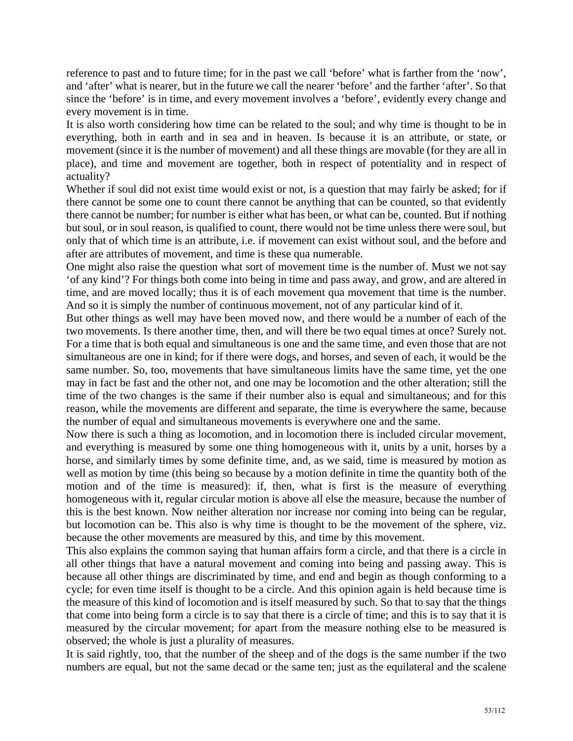reference to past and to future time; for in the past we call 'before' what is farther from the 'now', and 'after' what is nearer, but in the future we call the nearer 'before' and the farther 'after'. So that since the 'before' is in time, and every movement involves a 'before', evidently every change and every movement is in time.

It is also worth considering how time can be related to the soul; and why time is thought to be in everything, both in earth and in sea and in heaven. Is because it is an attribute, or state, or movement (since it is the number of movement) and all these things are movable (for they are all in place), and time and movement are together, both in respect of potentiality and in respect of actuality?

only that of which time is an attribute, i.e. if movement can exist without soul, and the before and Whether if soul did not exist time would exist or not, is a question that may fairly be asked; for if there cannot be some one to count there cannot be anything that can be counted, so that evidently there cannot be number; for number is either what has been, or what can be, counted. But if nothing but soul, or in soul reason, is qualified to count, there would not be time unless there were soul, but after are attributes of movement, and time is these qua numerable.

'of any kind'? For things both come into being in time and pass away, and grow, and are altered in One might also raise the question what sort of movement time is the number of. Must we not say time, and are moved locally; thus it is of each movement qua movement that time is the number. And so it is simply the number of continuous movement, not of any particular kind of it.

simultaneous are one in kind; for if there were dogs, and horses, and seven of each, it would be the But other things as well may have been moved now, and there would be a number of each of the two movements. Is there another time, then, and will there be two equal times at once? Surely not. For a time that is both equal and simultaneous is one and the same time, and even those that are not same number. So, too, movements that have simultaneous limits have the same time, yet the one may in fact be fast and the other not, and one may be locomotion and the other alteration; still the time of the two changes is the same if their number also is equal and simultaneous; and for this reason, while the movements are different and separate, the time is everywhere the same, because the number of equal and simultaneous movements is everywhere one and the same.

Now there is such a thing as locomotion, and in locomotion there is included circular movement, and everything is measured by some one thing homogeneous with it, units by a unit, horses by a horse, and similarly times by some definite time, and, as we said, time is measured by motion as well as motion by time (this being so because by a motion definite in time the quantity both of the motion and of the time is measured): if, then, what is first is the measure of everything homogeneous with it, regular circular motion is above all else the measure, because the number of this is the best known. Now neither alteration nor increase nor coming into being can be regular, but locomotion can be. This also is why time is thought to be the movement of the sphere, viz. because the other movements are measured by this, and time by this movement.

because all other things are discriminated by time, and end and begin as though conforming to a the measure of this kind of locomotion and is itself measured by such. So that to say that the things that come into being form a circle is to say that there is a circle of time; and this is to say that it is measured by the circular movement; for apart from the measure nothing else to be measured is observed; the whole is just a plurality of measures. This also explains the common saying that human affairs form a circle, and that there is a circle in all other things that have a natural movement and coming into being and passing away. This is cycle; for even time itself is thought to be a circle. And this opinion again is held because time is

It is said rightly, too, that the number of the sheep and of the dogs is the same number if the two numbers are equal, but not the same decad or the same ten; just as the equilateral and the scalene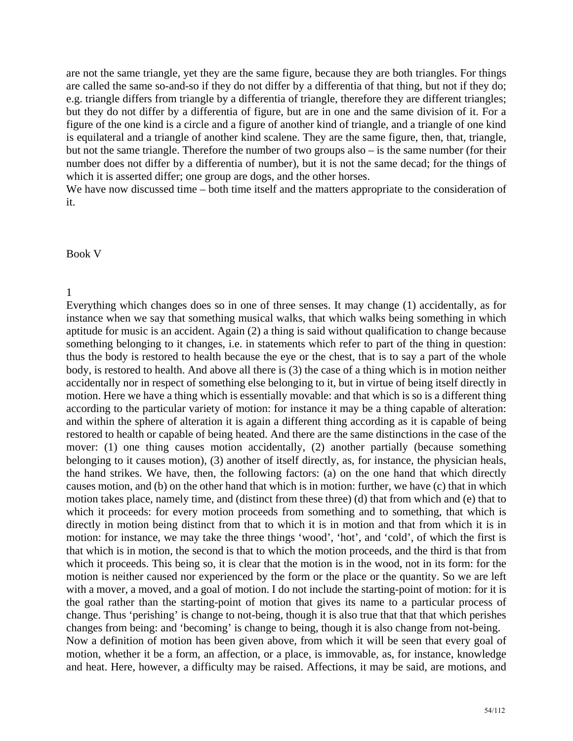are not the same triangle, yet they are the same figure, because they are both triangles. For things are called the same so-and-so if they do not differ by a differentia of that thing, but not if they do; e.g. triangle differs from triangle by a differentia of triangle, therefore they are different triangles; but they do not differ by a differentia of figure, but are in one and the same division of it. For a figure of the one kind is a circle and a figure of another kind of triangle, and a triangle of one kind is equilateral and a triangle of another kind scalene. They are the same figure, then, that, triangle, but not the same triangle. Therefore the number of two groups also – is the same number (for their number does not differ by a differentia of number), but it is not the same decad; for the things of which it is asserted differ; one group are dogs, and the other horses.

We have now discussed time – both time itself and the matters appropriate to the consideration of it.

## Book V

## 1

Everything which changes does so in one of three senses. It may change (1) accidentally, as for instance when we say that something musical walks, that which walks being something in which aptitude for music is an accident. Again (2) a thing is said without qualification to change because something belonging to it changes, i.e. in statements which refer to part of the thing in question: directly in motion being distinct from that to which it is in motion and that from which it is in Now a definition of motion has been given above, from which it will be seen that every goal of thus the body is restored to health because the eye or the chest, that is to say a part of the whole body, is restored to health. And above all there is (3) the case of a thing which is in motion neither accidentally nor in respect of something else belonging to it, but in virtue of being itself directly in motion. Here we have a thing which is essentially movable: and that which is so is a different thing according to the particular variety of motion: for instance it may be a thing capable of alteration: and within the sphere of alteration it is again a different thing according as it is capable of being restored to health or capable of being heated. And there are the same distinctions in the case of the mover: (1) one thing causes motion accidentally, (2) another partially (because something belonging to it causes motion), (3) another of itself directly, as, for instance, the physician heals, the hand strikes. We have, then, the following factors: (a) on the one hand that which directly causes motion, and (b) on the other hand that which is in motion: further, we have (c) that in which motion takes place, namely time, and (distinct from these three) (d) that from which and (e) that to which it proceeds: for every motion proceeds from something and to something, that which is motion: for instance, we may take the three things 'wood', 'hot', and 'cold', of which the first is that which is in motion, the second is that to which the motion proceeds, and the third is that from which it proceeds. This being so, it is clear that the motion is in the wood, not in its form: for the motion is neither caused nor experienced by the form or the place or the quantity. So we are left with a mover, a moved, and a goal of motion. I do not include the starting-point of motion: for it is the goal rather than the starting-point of motion that gives its name to a particular process of change. Thus 'perishing' is change to not-being, though it is also true that that that which perishes changes from being: and 'becoming' is change to being, though it is also change from not-being. motion, whether it be a form, an affection, or a place, is immovable, as, for instance, knowledge and heat. Here, however, a difficulty may be raised. Affections, it may be said, are motions, and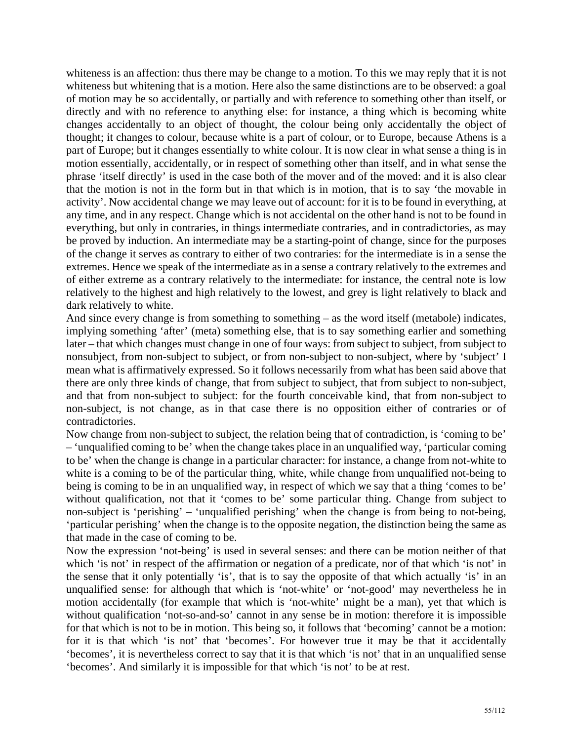whiteness is an affection: thus there may be change to a motion. To this we may reply that it is not whiteness but whitening that is a motion. Here also the same distinctions are to be observed: a goal of motion may be so accidentally, or partially and with reference to something other than itself, or directly and with no reference to anything else: for instance, a thing which is becoming white changes accidentally to an object of thought, the colour being only accidentally the object of thought; it changes to colour, because white is a part of colour, or to Europe, because Athens is a of either extreme as a contrary relatively to the intermediate: for instance, the central note is low dark relatively to white. part of Europe; but it changes essentially to white colour. It is now clear in what sense a thing is in motion essentially, accidentally, or in respect of something other than itself, and in what sense the phrase 'itself directly' is used in the case both of the mover and of the moved: and it is also clear that the motion is not in the form but in that which is in motion, that is to say 'the movable in activity'. Now accidental change we may leave out of account: for it is to be found in everything, at any time, and in any respect. Change which is not accidental on the other hand is not to be found in everything, but only in contraries, in things intermediate contraries, and in contradictories, as may be proved by induction. An intermediate may be a starting-point of change, since for the purposes of the change it serves as contrary to either of two contraries: for the intermediate is in a sense the extremes. Hence we speak of the intermediate as in a sense a contrary relatively to the extremes and relatively to the highest and high relatively to the lowest, and grey is light relatively to black and

And since every change is from something to something – as the word itself (metabole) indicates, implying something 'after' (meta) something else, that is to say something earlier and something later – that which changes must change in one of four ways: from subject to subject, from subject to nonsubject, from non-subject to subject, or from non-subject to non-subject, where by 'subject' I mean what is affirmatively expressed. So it follows necessarily from what has been said above that there are only three kinds of change, that from subject to subject, that from subject to non-subject, and that from non-subject to subject: for the fourth conceivable kind, that from non-subject to non-subject, is not change, as in that case there is no opposition either of contraries or of contradictories.

Now change from non-subject to subject, the relation being that of contradiction, is 'coming to be' – 'unqualified coming to be' when the change takes place in an unqualified way, 'particular coming to be' when the change is change in a particular character: for instance, a change from not-white to white is a coming to be of the particular thing, white, while change from unqualified not-being to being is coming to be in an unqualified way, in respect of which we say that a thing 'comes to be' without qualification, not that it 'comes to be' some particular thing. Change from subject to non-subject is 'perishing' – 'unqualified perishing' when the change is from being to not-being, 'particular perishing' when the change is to the opposite negation, the distinction being the same as that made in the case of coming to be.

Now the expression 'not-being' is used in several senses: and there can be motion neither of that which 'is not' in respect of the affirmation or negation of a predicate, nor of that which 'is not' in the sense that it only potentially 'is', that is to say the opposite of that which actually 'is' in an unqualified sense: for although that which is 'not-white' or 'not-good' may nevertheless he in motion accidentally (for example that which is 'not-white' might be a man), yet that which is without qualification 'not-so-and-so' cannot in any sense be in motion: therefore it is impossible for that which is not to be in motion. This being so, it follows that 'becoming' cannot be a motion: for it is that which 'is not' that 'becomes'. For however true it may be that it accidentally 'becomes', it is nevertheless correct to say that it is that which 'is not' that in an unqualified sense 'becomes'. And similarly it is impossible for that which 'is not' to be at rest.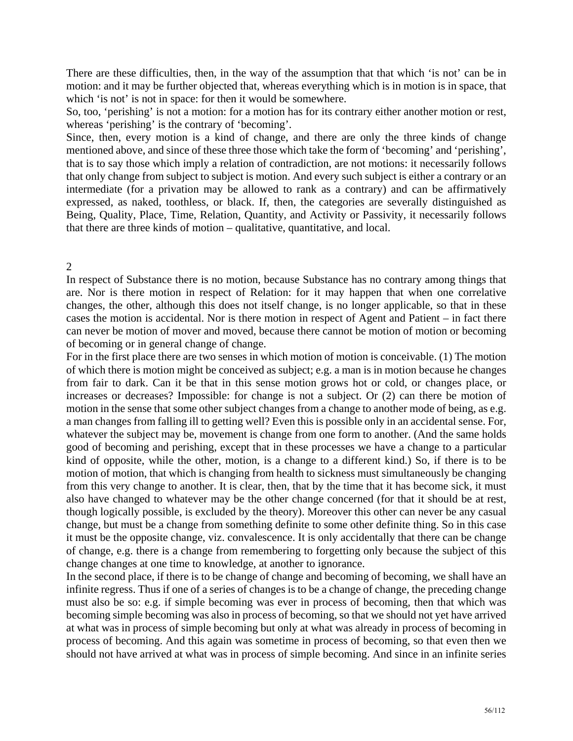There are these difficulties, then, in the way of the assumption that that which 'is not' can be in motion: and it may be further objected that, whereas everything which is in motion is in space, that which 'is not' is not in space: for then it would be somewhere.

So, too, 'perishing' is not a motion: for a motion has for its contrary either another motion or rest, whereas 'perishing' is the contrary of 'becoming'.

Since, then, every motion is a kind of change, and there are only the three kinds of change mentioned above, and since of these three those which take the form of 'becoming' and 'perishing', that is to say those which imply a relation of contradiction, are not motions: it necessarily follows that only change from subject to subject is motion. And every such subject is either a contrary or an intermediate (for a privation may be allowed to rank as a contrary) and can be affirmatively expressed, as naked, toothless, or black. If, then, the categories are severally distinguished as Being, Quality, Place, Time, Relation, Quantity, and Activity or Passivity, it necessarily follows that there are three kinds of motion – qualitative, quantitative, and local.

## 2

In respect of Substance there is no motion, because Substance has no contrary among things that are. Nor is there motion in respect of Relation: for it may happen that when one correlative changes, the other, although this does not itself change, is no longer applicable, so that in these cases the motion is accidental. Nor is there motion in respect of Agent and Patient – in fact there can never be motion of mover and moved, because there cannot be motion of motion or becoming of becoming or in general change of change.

a man changes from falling ill to getting well? Even this is possible only in an accidental sense. For, it must be the opposite change, viz. convalescence. It is only accidentally that there can be change For in the first place there are two senses in which motion of motion is conceivable. (1) The motion of which there is motion might be conceived as subject; e.g. a man is in motion because he changes from fair to dark. Can it be that in this sense motion grows hot or cold, or changes place, or increases or decreases? Impossible: for change is not a subject. Or (2) can there be motion of motion in the sense that some other subject changes from a change to another mode of being, as e.g. whatever the subject may be, movement is change from one form to another. (And the same holds good of becoming and perishing, except that in these processes we have a change to a particular kind of opposite, while the other, motion, is a change to a different kind.) So, if there is to be motion of motion, that which is changing from health to sickness must simultaneously be changing from this very change to another. It is clear, then, that by the time that it has become sick, it must also have changed to whatever may be the other change concerned (for that it should be at rest, though logically possible, is excluded by the theory). Moreover this other can never be any casual change, but must be a change from something definite to some other definite thing. So in this case of change, e.g. there is a change from remembering to forgetting only because the subject of this change changes at one time to knowledge, at another to ignorance.

should not have arrived at what was in process of simple becoming. And since in an infinite series In the second place, if there is to be change of change and becoming of becoming, we shall have an infinite regress. Thus if one of a series of changes is to be a change of change, the preceding change must also be so: e.g. if simple becoming was ever in process of becoming, then that which was becoming simple becoming was also in process of becoming, so that we should not yet have arrived at what was in process of simple becoming but only at what was already in process of becoming in process of becoming. And this again was sometime in process of becoming, so that even then we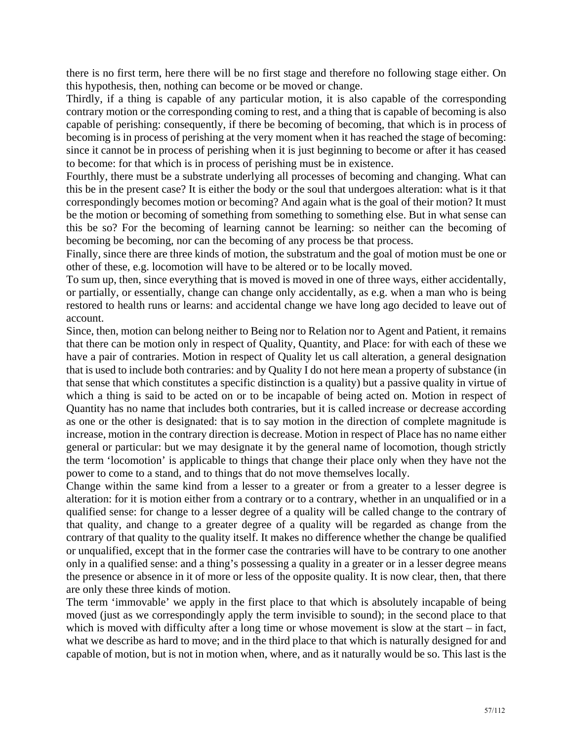there is no first term, here there will be no first stage and therefore no following stage either. On this hypothesis, then, nothing can become or be moved or change.

Thirdly, if a thing is capable of any particular motion, it is also capable of the corresponding contrary motion or the corresponding coming to rest, and a thing that is capable of becoming is also capable of perishing: consequently, if there be becoming of becoming, that which is in process of becoming is in process of perishing at the very moment when it has reached the stage of becoming: since it cannot be in process of perishing when it is just beginning to become or after it has ceased to become: for that which is in process of perishing must be in existence.

Fourthly, there must be a substrate underlying all processes of becoming and changing. What can this be in the present case? It is either the body or the soul that undergoes alteration: what is it that this be so? For the becoming of learning cannot be learning: so neither can the becoming of correspondingly becomes motion or becoming? And again what is the goal of their motion? It must be the motion or becoming of something from something to something else. But in what sense can becoming be becoming, nor can the becoming of any process be that process.

Finally, since there are three kinds of motion, the substratum and the goal of motion must be one or other of these, e.g. locomotion will have to be altered or to be locally moved.

To sum up, then, since everything that is moved is moved in one of three ways, either accidentally, or partially, or essentially, change can change only accidentally, as e.g. when a man who is being restored to health runs or learns: and accidental change we have long ago decided to leave out of account.

have a pair of contraries. Motion in respect of Quality let us call alteration, a general designation that is used to include both contraries: and by Quality I do not here mean a property of substance (in that sense that which constitutes a specific distinction is a quality) but a passive quality in virtue of which a thing is said to be acted on or to be incapable of being acted on. Motion in respect of power to come to a stand, and to things that do not move themselves locally. Since, then, motion can belong neither to Being nor to Relation nor to Agent and Patient, it remains that there can be motion only in respect of Quality, Quantity, and Place: for with each of these we Quantity has no name that includes both contraries, but it is called increase or decrease according as one or the other is designated: that is to say motion in the direction of complete magnitude is increase, motion in the contrary direction is decrease. Motion in respect of Place has no name either general or particular: but we may designate it by the general name of locomotion, though strictly the term 'locomotion' is applicable to things that change their place only when they have not the

Change within the same kind from a lesser to a greater or from a greater to a lesser degree is alteration: for it is motion either from a contrary or to a contrary, whether in an unqualified or in a qualified sense: for change to a lesser degree of a quality will be called change to the contrary of that quality, and change to a greater degree of a quality will be regarded as change from the contrary of that quality to the quality itself. It makes no difference whether the change be qualified or unqualified, except that in the former case the contraries will have to be contrary to one another only in a qualified sense: and a thing's possessing a quality in a greater or in a lesser degree means the presence or absence in it of more or less of the opposite quality. It is now clear, then, that there are only these three kinds of motion.

The term 'immovable' we apply in the first place to that which is absolutely incapable of being moved (just as we correspondingly apply the term invisible to sound); in the second place to that which is moved with difficulty after a long time or whose movement is slow at the start – in fact, what we describe as hard to move; and in the third place to that which is naturally designed for and capable of motion, but is not in motion when, where, and as it naturally would be so. This last is the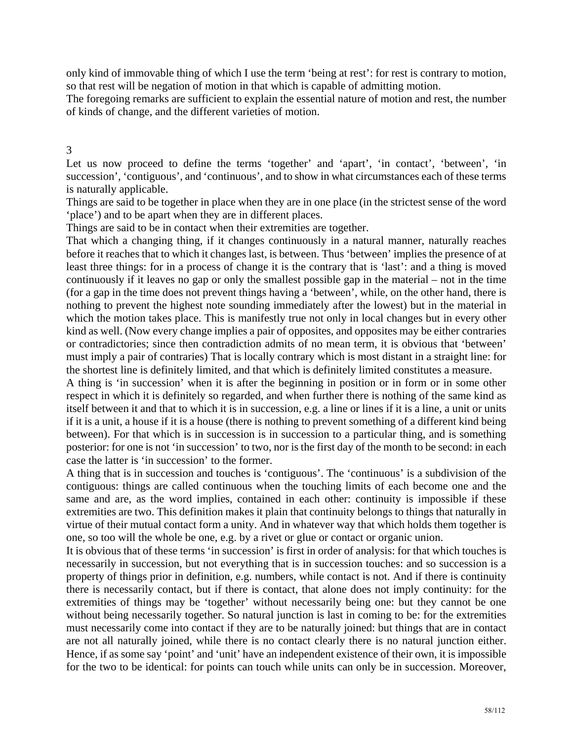only kind of immovable thing of which I use the term 'being at rest': for rest is contrary to motion, so that rest will be negation of motion in that which is capable of admitting motion.

The foregoing remarks are sufficient to explain the essential nature of motion and rest, the number of kinds of change, and the different varieties of motion.

3

Let us now proceed to define the terms 'together' and 'apart', 'in contact', 'between', 'in succession', 'contiguous', and 'continuous', and to show in what circumstances each of these terms is naturally applicable.

Things are said to be together in place when they are in one place (in the strictest sense of the word 'place') and to be apart when they are in different places.

Things are said to be in contact when their extremities are together.

(for a gap in the time does not prevent things having a 'between', while, on the other hand, there is the shortest line is definitely limited, and that which is definitely limited constitutes a measure. That which a changing thing, if it changes continuously in a natural manner, naturally reaches before it reaches that to which it changes last, is between. Thus 'between' implies the presence of at least three things: for in a process of change it is the contrary that is 'last': and a thing is moved continuously if it leaves no gap or only the smallest possible gap in the material – not in the time nothing to prevent the highest note sounding immediately after the lowest) but in the material in which the motion takes place. This is manifestly true not only in local changes but in every other kind as well. (Now every change implies a pair of opposites, and opposites may be either contraries or contradictories; since then contradiction admits of no mean term, it is obvious that 'between' must imply a pair of contraries) That is locally contrary which is most distant in a straight line: for

respect in which it is definitely so regarded, and when further there is nothing of the same kind as posterior: for one is not 'in succession' to two, nor is the first day of the month to be second: in each A thing is 'in succession' when it is after the beginning in position or in form or in some other itself between it and that to which it is in succession, e.g. a line or lines if it is a line, a unit or units if it is a unit, a house if it is a house (there is nothing to prevent something of a different kind being between). For that which is in succession is in succession to a particular thing, and is something case the latter is 'in succession' to the former.

A thing that is in succession and touches is 'contiguous'. The 'continuous' is a subdivision of the contiguous: things are called continuous when the touching limits of each become one and the same and are, as the word implies, contained in each other: continuity is impossible if these extremities are two. This definition makes it plain that continuity belongs to things that naturally in virtue of their mutual contact form a unity. And in whatever way that which holds them together is one, so too will the whole be one, e.g. by a rivet or glue or contact or organic union.

without being necessarily together. So natural junction is last in coming to be: for the extremities It is obvious that of these terms 'in succession' is first in order of analysis: for that which touches is necessarily in succession, but not everything that is in succession touches: and so succession is a property of things prior in definition, e.g. numbers, while contact is not. And if there is continuity there is necessarily contact, but if there is contact, that alone does not imply continuity: for the extremities of things may be 'together' without necessarily being one: but they cannot be one must necessarily come into contact if they are to be naturally joined: but things that are in contact are not all naturally joined, while there is no contact clearly there is no natural junction either. Hence, if as some say 'point' and 'unit' have an independent existence of their own, it is impossible for the two to be identical: for points can touch while units can only be in succession. Moreover,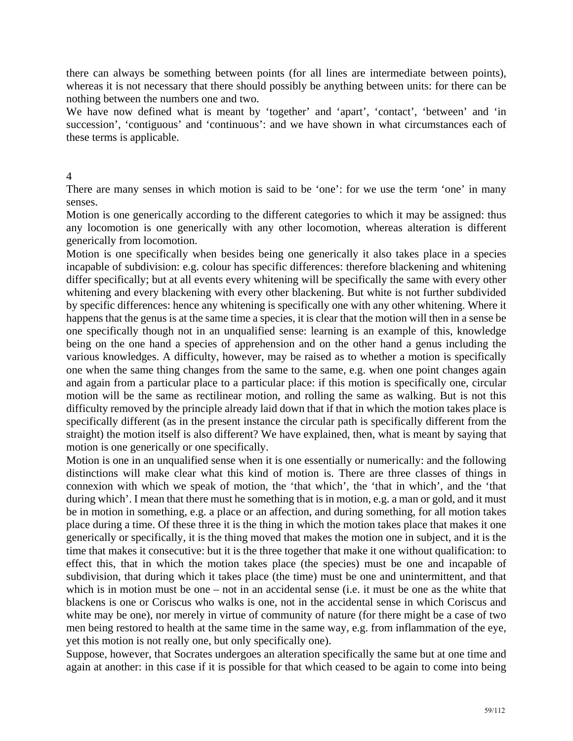there can always be something between points (for all lines are intermediate between points), whereas it is not necessary that there should possibly be anything between units: for there can be nothing between the numbers one and two.

We have now defined what is meant by 'together' and 'apart', 'contact', 'between' and 'in succession', 'contiguous' and 'continuous': and we have shown in what circumstances each of these terms is applicable.

## 4

There are many senses in which motion is said to be 'one': for we use the term 'one' in many senses.

Motion is one generically according to the different categories to which it may be assigned: thus any locomotion is one generically with any other locomotion, whereas alteration is different generically from locomotion.

Motion is one specifically when besides being one generically it also takes place in a species incapable of subdivision: e.g. colour has specific differences: therefore blackening and whitening differ specifically; but at all events every whitening will be specifically the same with every other happens that the genus is at the same time a species, it is clear that the motion will then in a sense be being on the one hand a species of apprehension and on the other hand a genus including the various knowledges. A difficulty, however, may be raised as to whether a motion is specifically whitening and every blackening with every other blackening. But white is not further subdivided by specific differences: hence any whitening is specifically one with any other whitening. Where it one specifically though not in an unqualified sense: learning is an example of this, knowledge one when the same thing changes from the same to the same, e.g. when one point changes again and again from a particular place to a particular place: if this motion is specifically one, circular motion will be the same as rectilinear motion, and rolling the same as walking. But is not this difficulty removed by the principle already laid down that if that in which the motion takes place is specifically different (as in the present instance the circular path is specifically different from the straight) the motion itself is also different? We have explained, then, what is meant by saying that motion is one generically or one specifically.

be in motion in something, e.g. a place or an affection, and during something, for all motion takes blackens is one or Coriscus who walks is one, not in the accidental sense in which Coriscus and Motion is one in an unqualified sense when it is one essentially or numerically: and the following distinctions will make clear what this kind of motion is. There are three classes of things in connexion with which we speak of motion, the 'that which', the 'that in which', and the 'that during which'. I mean that there must he something that is in motion, e.g. a man or gold, and it must place during a time. Of these three it is the thing in which the motion takes place that makes it one generically or specifically, it is the thing moved that makes the motion one in subject, and it is the time that makes it consecutive: but it is the three together that make it one without qualification: to effect this, that in which the motion takes place (the species) must be one and incapable of subdivision, that during which it takes place (the time) must be one and unintermittent, and that which is in motion must be one – not in an accidental sense (i.e. it must be one as the white that white may be one), nor merely in virtue of community of nature (for there might be a case of two men being restored to health at the same time in the same way, e.g. from inflammation of the eye, yet this motion is not really one, but only specifically one).

again at another: in this case if it is possible for that which ceased to be again to come into being Suppose, however, that Socrates undergoes an alteration specifically the same but at one time and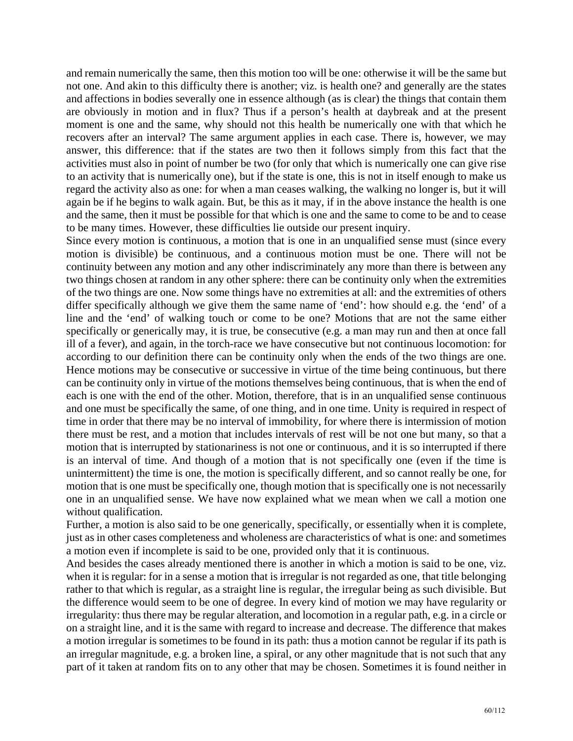and remain numerically the same, then this motion too will be one: otherwise it will be the same but not one. And akin to this difficulty there is another; viz. is health one? and generally are the states and affections in bodies severally one in essence although (as is clear) the things that contain them are obviously in motion and in flux? Thus if a person's health at daybreak and at the present moment is one and the same, why should not this health be numerically one with that which he recovers after an interval? The same argument applies in each case. There is, however, we may answer, this difference: that if the states are two then it follows simply from this fact that the activities must also in point of number be two (for only that which is numerically one can give rise to an activity that is numerically one), but if the state is one, this is not in itself enough to make us regard the activity also as one: for when a man ceases walking, the walking no longer is, but it will again be if he begins to walk again. But, be this as it may, if in the above instance the health is one and the same, then it must be possible for that which is one and the same to come to be and to cease to be many times. However, these difficulties lie outside our present inquiry.

motion is divisible) be continuous, and a continuous motion must be one. There will not be of the two things are one. Now some things have no extremities at all: and the extremities of others differ specifically although we give them the same name of 'end': how should e.g. the 'end' of a line and the 'end' of walking touch or come to be one? Motions that are not the same either specifically or generically may, it is true, be consecutive (e.g. a man may run and then at once fall according to our definition there can be continuity only when the ends of the two things are one. each is one with the end of the other. Motion, therefore, that is in an unqualified sense continuous Since every motion is continuous, a motion that is one in an unqualified sense must (since every continuity between any motion and any other indiscriminately any more than there is between any two things chosen at random in any other sphere: there can be continuity only when the extremities ill of a fever), and again, in the torch-race we have consecutive but not continuous locomotion: for Hence motions may be consecutive or successive in virtue of the time being continuous, but there can be continuity only in virtue of the motions themselves being continuous, that is when the end of and one must be specifically the same, of one thing, and in one time. Unity is required in respect of time in order that there may be no interval of immobility, for where there is intermission of motion there must be rest, and a motion that includes intervals of rest will be not one but many, so that a motion that is interrupted by stationariness is not one or continuous, and it is so interrupted if there is an interval of time. And though of a motion that is not specifically one (even if the time is unintermittent) the time is one, the motion is specifically different, and so cannot really be one, for motion that is one must be specifically one, though motion that is specifically one is not necessarily one in an unqualified sense. We have now explained what we mean when we call a motion one without qualification.

Further, a motion is also said to be one generically, specifically, or essentially when it is complete, just as in other cases completeness and wholeness are characteristics of what is one: and sometimes a motion even if incomplete is said to be one, provided only that it is continuous.

the difference would seem to be one of degree. In every kind of motion we may have regularity or And besides the cases already mentioned there is another in which a motion is said to be one, viz. when it is regular: for in a sense a motion that is irregular is not regarded as one, that title belonging rather to that which is regular, as a straight line is regular, the irregular being as such divisible. But irregularity: thus there may be regular alteration, and locomotion in a regular path, e.g. in a circle or on a straight line, and it is the same with regard to increase and decrease. The difference that makes a motion irregular is sometimes to be found in its path: thus a motion cannot be regular if its path is an irregular magnitude, e.g. a broken line, a spiral, or any other magnitude that is not such that any part of it taken at random fits on to any other that may be chosen. Sometimes it is found neither in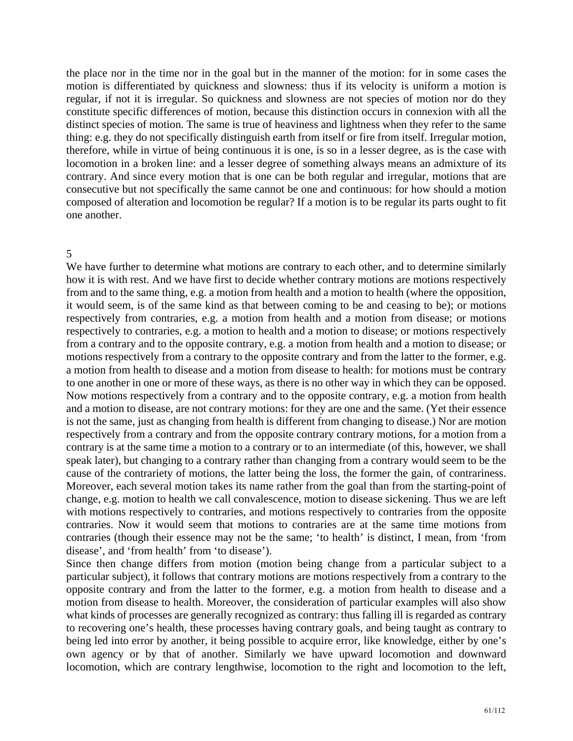the place nor in the time nor in the goal but in the manner of the motion: for in some cases the motion is differentiated by quickness and slowness: thus if its velocity is uniform a motion is regular, if not it is irregular. So quickness and slowness are not species of motion nor do they constitute specific differences of motion, because this distinction occurs in connexion with all the distinct species of motion. The same is true of heaviness and lightness when they refer to the same thing: e.g. they do not specifically distinguish earth from itself or fire from itself. Irregular motion, therefore, while in virtue of being continuous it is one, is so in a lesser degree, as is the case with locomotion in a broken line: and a lesser degree of something always means an admixture of its contrary. And since every motion that is one can be both regular and irregular, motions that are consecutive but not specifically the same cannot be one and continuous: for how should a motion composed of alteration and locomotion be regular? If a motion is to be regular its parts ought to fit one another.

### 5

Now motions respectively from a contrary and to the opposite contrary, e.g. a motion from health We have further to determine what motions are contrary to each other, and to determine similarly how it is with rest. And we have first to decide whether contrary motions are motions respectively from and to the same thing, e.g. a motion from health and a motion to health (where the opposition, it would seem, is of the same kind as that between coming to be and ceasing to be); or motions respectively from contraries, e.g. a motion from health and a motion from disease; or motions respectively to contraries, e.g. a motion to health and a motion to disease; or motions respectively from a contrary and to the opposite contrary, e.g. a motion from health and a motion to disease; or motions respectively from a contrary to the opposite contrary and from the latter to the former, e.g. a motion from health to disease and a motion from disease to health: for motions must be contrary to one another in one or more of these ways, as there is no other way in which they can be opposed. and a motion to disease, are not contrary motions: for they are one and the same. (Yet their essence is not the same, just as changing from health is different from changing to disease.) Nor are motion respectively from a contrary and from the opposite contrary contrary motions, for a motion from a contrary is at the same time a motion to a contrary or to an intermediate (of this, however, we shall speak later), but changing to a contrary rather than changing from a contrary would seem to be the cause of the contrariety of motions, the latter being the loss, the former the gain, of contrariness. Moreover, each several motion takes its name rather from the goal than from the starting-point of change, e.g. motion to health we call convalescence, motion to disease sickening. Thus we are left with motions respectively to contraries, and motions respectively to contraries from the opposite contraries. Now it would seem that motions to contraries are at the same time motions from contraries (though their essence may not be the same; 'to health' is distinct, I mean, from 'from disease', and 'from health' from 'to disease').

locomotion, which are contrary lengthwise, locomotion to the right and locomotion to the left, Since then change differs from motion (motion being change from a particular subject to a particular subject), it follows that contrary motions are motions respectively from a contrary to the opposite contrary and from the latter to the former, e.g. a motion from health to disease and a motion from disease to health. Moreover, the consideration of particular examples will also show what kinds of processes are generally recognized as contrary: thus falling ill is regarded as contrary to recovering one's health, these processes having contrary goals, and being taught as contrary to being led into error by another, it being possible to acquire error, like knowledge, either by one's own agency or by that of another. Similarly we have upward locomotion and downward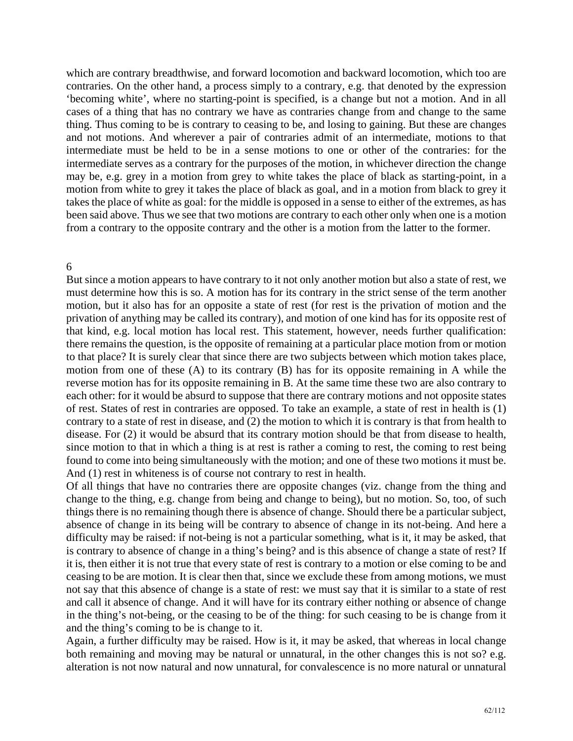which are contrary breadthwise, and forward locomotion and backward locomotion, which too are contraries. On the other hand, a process simply to a contrary, e.g. that denoted by the expression 'becoming white', where no starting-point is specified, is a change but not a motion. And in all cases of a thing that has no contrary we have as contraries change from and change to the same thing. Thus coming to be is contrary to ceasing to be, and losing to gaining. But these are changes and not motions. And wherever a pair of contraries admit of an intermediate, motions to that intermediate must be held to be in a sense motions to one or other of the contraries: for the intermediate serves as a contrary for the purposes of the motion, in whichever direction the change may be, e.g. grey in a motion from grey to white takes the place of black as starting-point, in a motion from white to grey it takes the place of black as goal, and in a motion from black to grey it takes the place of white as goal: for the middle is opposed in a sense to either of the extremes, as has been said above. Thus we see that two motions are contrary to each other only when one is a motion from a contrary to the opposite contrary and the other is a motion from the latter to the former.

### 6

of rest. States of rest in contraries are opposed. To take an example, a state of rest in health is (1) contrary to a state of rest in disease, and (2) the motion to which it is contrary is that from health to disease. For (2) it would be absurd that its contrary motion should be that from disease to health, But since a motion appears to have contrary to it not only another motion but also a state of rest, we must determine how this is so. A motion has for its contrary in the strict sense of the term another motion, but it also has for an opposite a state of rest (for rest is the privation of motion and the privation of anything may be called its contrary), and motion of one kind has for its opposite rest of that kind, e.g. local motion has local rest. This statement, however, needs further qualification: there remains the question, is the opposite of remaining at a particular place motion from or motion to that place? It is surely clear that since there are two subjects between which motion takes place, motion from one of these (A) to its contrary (B) has for its opposite remaining in A while the reverse motion has for its opposite remaining in B. At the same time these two are also contrary to each other: for it would be absurd to suppose that there are contrary motions and not opposite states since motion to that in which a thing is at rest is rather a coming to rest, the coming to rest being found to come into being simultaneously with the motion; and one of these two motions it must be. And (1) rest in whiteness is of course not contrary to rest in health.

ceasing to be are motion. It is clear then that, since we exclude these from among motions, we must Of all things that have no contraries there are opposite changes (viz. change from the thing and change to the thing, e.g. change from being and change to being), but no motion. So, too, of such things there is no remaining though there is absence of change. Should there be a particular subject, absence of change in its being will be contrary to absence of change in its not-being. And here a difficulty may be raised: if not-being is not a particular something, what is it, it may be asked, that is contrary to absence of change in a thing's being? and is this absence of change a state of rest? If it is, then either it is not true that every state of rest is contrary to a motion or else coming to be and not say that this absence of change is a state of rest: we must say that it is similar to a state of rest and call it absence of change. And it will have for its contrary either nothing or absence of change in the thing's not-being, or the ceasing to be of the thing: for such ceasing to be is change from it and the thing's coming to be is change to it.

Again, a further difficulty may be raised. How is it, it may be asked, that whereas in local change both remaining and moving may be natural or unnatural, in the other changes this is not so? e.g. alteration is not now natural and now unnatural, for convalescence is no more natural or unnatural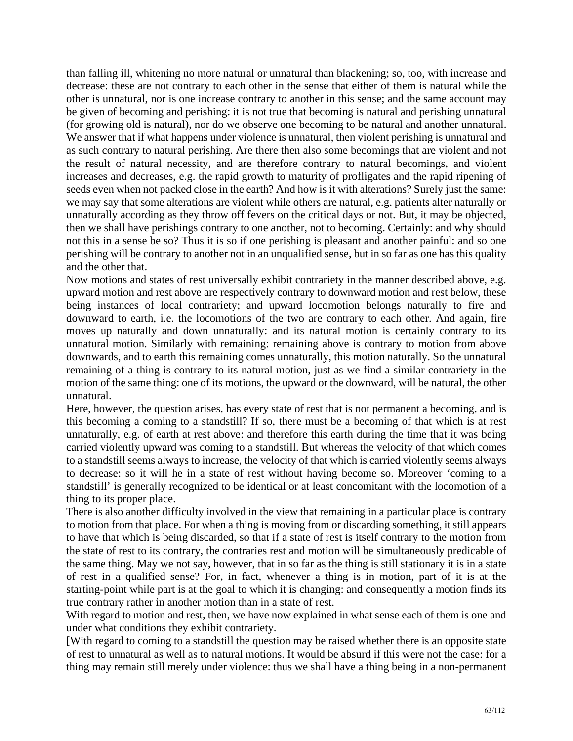than falling ill, whitening no more natural or unnatural than blackening; so, too, with increase and decrease: these are not contrary to each other in the sense that either of them is natural while the other is unnatural, nor is one increase contrary to another in this sense; and the same account may be given of becoming and perishing: it is not true that becoming is natural and perishing unnatural (for growing old is natural), nor do we observe one becoming to be natural and another unnatural. We answer that if what happens under violence is unnatural, then violent perishing is unnatural and as such contrary to natural perishing. Are there then also some becomings that are violent and not the result of natural necessity, and are therefore contrary to natural becomings, and violent increases and decreases, e.g. the rapid growth to maturity of profligates and the rapid ripening of seeds even when not packed close in the earth? And how is it with alterations? Surely just the same: we may say that some alterations are violent while others are natural, e.g. patients alter naturally or unnaturally according as they throw off fevers on the critical days or not. But, it may be objected, then we shall have perishings contrary to one another, not to becoming. Certainly: and why should not this in a sense be so? Thus it is so if one perishing is pleasant and another painful: and so one perishing will be contrary to another not in an unqualified sense, but in so far as one has this quality and the other that.

Now motions and states of rest universally exhibit contrariety in the manner described above, e.g. upward motion and rest above are respectively contrary to downward motion and rest below, these being instances of local contrariety; and upward locomotion belongs naturally to fire and downward to earth, i.e. the locomotions of the two are contrary to each other. And again, fire moves up naturally and down unnaturally: and its natural motion is certainly contrary to its unnatural motion. Similarly with remaining: remaining above is contrary to motion from above downwards, and to earth this remaining comes unnaturally, this motion naturally. So the unnatural remaining of a thing is contrary to its natural motion, just as we find a similar contrariety in the motion of the same thing: one of its motions, the upward or the downward, will be natural, the other unnatural.

unnaturally, e.g. of earth at rest above: and therefore this earth during the time that it was being arried violently upward was coming to a standstill. But whereas the velocity of that which comes c to a standstill seems always to increase, the velocity of that which is carried violently seems always to decrease: so it will he in a state of rest without having become so. Moreover 'coming to a Here, however, the question arises, has every state of rest that is not permanent a becoming, and is this becoming a coming to a standstill? If so, there must be a becoming of that which is at rest standstill' is generally recognized to be identical or at least concomitant with the locomotion of a thing to its proper place.

There is also another difficulty involved in the view that remaining in a particular place is contrary to motion from that place. For when a thing is moving from or discarding something, it still appears to have that which is being discarded, so that if a state of rest is itself contrary to the motion from the state of rest to its contrary, the contraries rest and motion will be simultaneously predicable of the same thing. May we not say, however, that in so far as the thing is still stationary it is in a state of rest in a qualified sense? For, in fact, whenever a thing is in motion, part of it is at the starting-point while part is at the goal to which it is changing: and consequently a motion finds its true contrary rather in another motion than in a state of rest.

With regard to motion and rest, then, we have now explained in what sense each of them is one and under what conditions they exhibit contrariety.

[With regard to coming to a standstill the question may be raised whether there is an opposite state of rest to unnatural as well as to natural motions. It would be absurd if this were not the case: for a thing may remain still merely under violence: thus we shall have a thing being in a non-permanent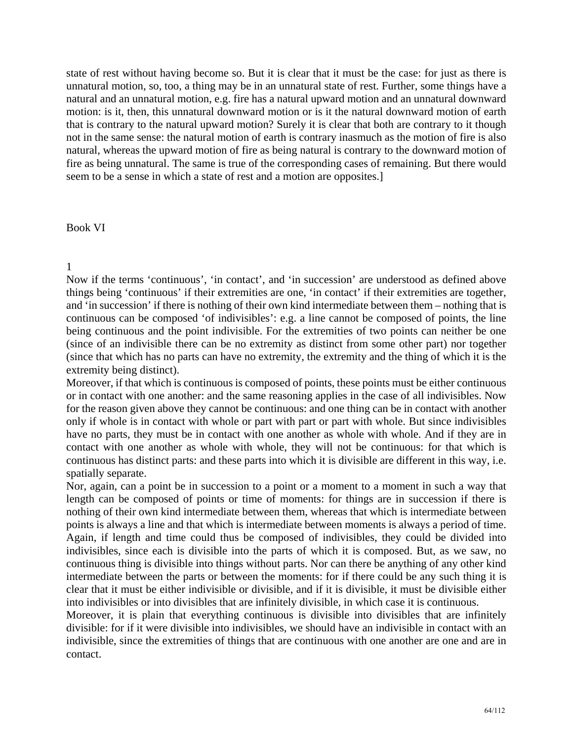state of rest without having become so. But it is clear that it must be the case: for just as there is unnatural motion, so, too, a thing may be in an unnatural state of rest. Further, some things have a natural and an unnatural motion, e.g. fire has a natural upward motion and an unnatural downward motion: is it, then, this unnatural downward motion or is it the natural downward motion of earth that is contrary to the natural upward motion? Surely it is clear that both are contrary to it though not in the same sense: the natural motion of earth is contrary inasmuch as the motion of fire is also natural, whereas the upward motion of fire as being natural is contrary to the downward motion of fire as being unnatural. The same is true of the corresponding cases of remaining. But there would seem to be a sense in which a state of rest and a motion are opposites.]

### Book VI

1

Now if the terms 'continuous', 'in contact', and 'in succession' are understood as defined above things being 'continuous' if their extremities are one, 'in contact' if their extremities are together, and 'in succession' if there is nothing of their own kind intermediate between them – nothing that is continuous can be composed 'of indivisibles': e.g. a line cannot be composed of points, the line being continuous and the point indivisible. For the extremities of two points can neither be one (since of an indivisible there can be no extremity as distinct from some other part) nor together (since that which has no parts can have no extremity, the extremity and the thing of which it is the extremity being distinct).

Moreover, if that which is continuous is composed of points, these points must be either continuous or in contact with one another: and the same reasoning applies in the case of all indivisibles. Now for the reason given above they cannot be continuous: and one thing can be in contact with another only if whole is in contact with whole or part with part or part with whole. But since indivisibles have no parts, they must be in contact with one another as whole with whole. And if they are in contact with one another as whole with whole, they will not be continuous: for that which is continuous has distinct parts: and these parts into which it is divisible are different in this way, i.e. spatially separate.

Nor, again, can a point be in succession to a point or a moment to a moment in such a way that length can be composed of points or time of moments: for things are in succession if there is nothing of their own kind intermediate between them, whereas that which is intermediate between points is always a line and that which is intermediate between moments is always a period of time. Again, if length and time could thus be composed of indivisibles, they could be divided into indivisibles, since each is divisible into the parts of which it is composed. But, as we saw, no continuous thing is divisible into things without parts. Nor can there be anything of any other kind intermediate between the parts or between the moments: for if there could be any such thing it is clear that it must be either indivisible or divisible, and if it is divisible, it must be divisible either into indivisibles or into divisibles that are infinitely divisible, in which case it is continuous.

Moreover, it is plain that everything continuous is divisible into divisibles that are infinitely divisible: for if it were divisible into indivisibles, we should have an indivisible in contact with an indivisible, since the extremities of things that are continuous with one another are one and are in contact.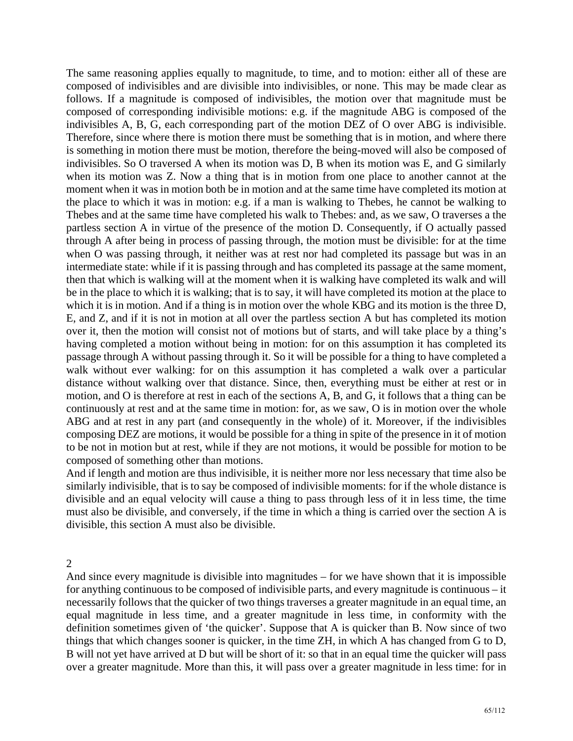The same reasoning applies equally to magnitude, to time, and to motion: either all of these are composed of indivisibles and are divisible into indivisibles, or none. This may be made clear as follows. If a magnitude is composed of indivisibles, the motion over that magnitude must be composed of corresponding indivisible motions: e.g. if the magnitude ABG is composed of the Thebes and at the same time have completed his walk to Thebes: and, as we saw, O traverses a the through A after being in process of passing through, the motion must be divisible: for at the time continuously at rest and at the same time in motion: for, as we saw, O is in motion over the whole ABG and at rest in any part (and consequently in the whole) of it. Moreover, if the indivisibles omposing DEZ are motions, it would be possible for a thing in spite of the presence in it of motion c to be not in motion but at rest, while if they are not motions, it would be possible for motion to be composed of something other than motions. indivisibles A, B, G, each corresponding part of the motion DEZ of O over ABG is indivisible. Therefore, since where there is motion there must be something that is in motion, and where there is something in motion there must be motion, therefore the being-moved will also be composed of indivisibles. So O traversed A when its motion was D, B when its motion was E, and G similarly when its motion was Z. Now a thing that is in motion from one place to another cannot at the moment when it was in motion both be in motion and at the same time have completed its motion at the place to which it was in motion: e.g. if a man is walking to Thebes, he cannot be walking to partless section A in virtue of the presence of the motion D. Consequently, if O actually passed when O was passing through, it neither was at rest nor had completed its passage but was in an intermediate state: while if it is passing through and has completed its passage at the same moment, then that which is walking will at the moment when it is walking have completed its walk and will be in the place to which it is walking; that is to say, it will have completed its motion at the place to which it is in motion. And if a thing is in motion over the whole KBG and its motion is the three D, E, and Z, and if it is not in motion at all over the partless section A but has completed its motion over it, then the motion will consist not of motions but of starts, and will take place by a thing's having completed a motion without being in motion: for on this assumption it has completed its passage through A without passing through it. So it will be possible for a thing to have completed a walk without ever walking: for on this assumption it has completed a walk over a particular distance without walking over that distance. Since, then, everything must be either at rest or in motion, and O is therefore at rest in each of the sections A, B, and G, it follows that a thing can be

And if length and motion are thus indivisible, it is neither more nor less necessary that time also be similarly indivisible, that is to say be composed of indivisible moments: for if the whole distance is divisible and an equal velocity will cause a thing to pass through less of it in less time, the time must also be divisible, and conversely, if the time in which a thing is carried over the section A is divisible, this section A must also be divisible.

 $\overline{2}$ 

necessarily follows that the quicker of two things traverses a greater magnitude in an equal time, an And since every magnitude is divisible into magnitudes – for we have shown that it is impossible for anything continuous to be composed of indivisible parts, and every magnitude is continuous – it equal magnitude in less time, and a greater magnitude in less time, in conformity with the definition sometimes given of 'the quicker'. Suppose that A is quicker than B. Now since of two things that which changes sooner is quicker, in the time ZH, in which A has changed from G to D, B will not yet have arrived at D but will be short of it: so that in an equal time the quicker will pass over a greater magnitude. More than this, it will pass over a greater magnitude in less time: for in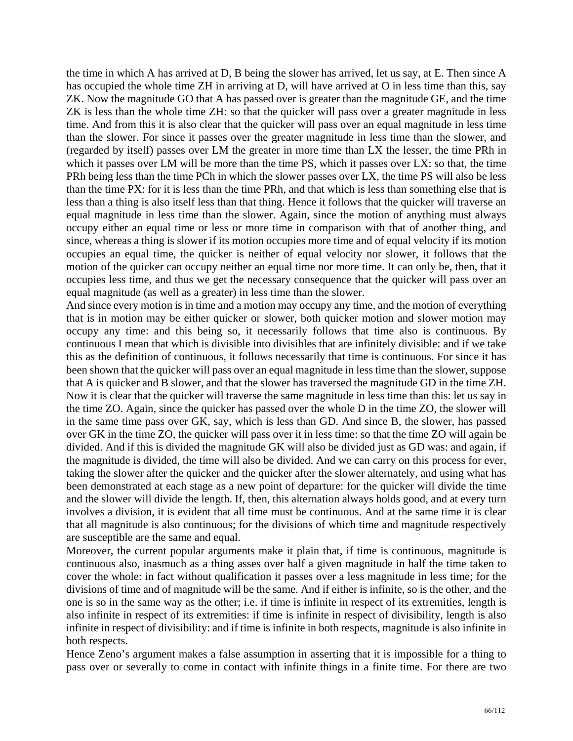the time in which A has arrived at D, B being the slower has arrived, let us say, at E. Then since A has occupied the whole time ZH in arriving at D, will have arrived at O in less time than this, say ZK. Now the magnitude GO that A has passed over is greater than the magnitude GE, and the time which it passes over LM will be more than the time  $PS$ , which it passes over LX: so that, the time occupies an equal time, the quicker is neither of equal velocity nor slower, it follows that the ZK is less than the whole time ZH: so that the quicker will pass over a greater magnitude in less time. And from this it is also clear that the quicker will pass over an equal magnitude in less time than the slower. For since it passes over the greater magnitude in less time than the slower, and (regarded by itself) passes over LM the greater in more time than LX the lesser, the time PRh in PRh being less than the time PCh in which the slower passes over LX, the time PS will also be less than the time PX: for it is less than the time PRh, and that which is less than something else that is less than a thing is also itself less than that thing. Hence it follows that the quicker will traverse an equal magnitude in less time than the slower. Again, since the motion of anything must always occupy either an equal time or less or more time in comparison with that of another thing, and since, whereas a thing is slower if its motion occupies more time and of equal velocity if its motion motion of the quicker can occupy neither an equal time nor more time. It can only be, then, that it occupies less time, and thus we get the necessary consequence that the quicker will pass over an equal magnitude (as well as a greater) in less time than the slower.

And since every motion is in time and a motion may occupy any time, and the motion of everything that is in motion may be either quicker or slower, both quicker motion and slower motion may occupy any time: and this being so, it necessarily follows that time also is continuous. By continuous I mean that which is divisible into divisibles that are infinitely divisible: and if we take this as the definition of continuous, it follows necessarily that time is continuous. For since it has been shown that the quicker will pass over an equal magnitude in less time than the slower, suppose that A is quicker and B slower, and that the slower has traversed the magnitude GD in the time ZH. Now it is clear that the quicker will traverse the same magnitude in less time than this: let us say in the time ZO. Again, since the quicker has passed over the whole D in the time ZO, the slower will in the same time pass over GK, say, which is less than GD. And since B, the slower, has passed over GK in the time ZO, the quicker will pass over it in less time: so that the time ZO will again be divided. And if this is divided the magnitude GK will also be divided just as GD was: and again, if the magnitude is divided, the time will also be divided. And we can carry on this process for ever, taking the slower after the quicker and the quicker after the slower alternately, and using what has been demonstrated at each stage as a new point of departure: for the quicker will divide the time and the slower will divide the length. If, then, this alternation always holds good, and at every turn involves a division, it is evident that all time must be continuous. And at the same time it is clear that all magnitude is also continuous; for the divisions of which time and magnitude respectively are susceptible are the same and equal.

Moreover, the current popular arguments make it plain that, if time is continuous, magnitude is continuous also, inasmuch as a thing asses over half a given magnitude in half the time taken to cover the whole: in fact without qualification it passes over a less magnitude in less time; for the divisions of time and of magnitude will be the same. And if either is infinite, so is the other, and the one is so in the same way as the other; i.e. if time is infinite in respect of its extremities, length is also infinite in respect of its extremities: if time is infinite in respect of divisibility, length is also infinite in respect of divisibility: and if time is infinite in both respects, magnitude is also infinite in both respects.

Hence Zeno's argument makes a false assumption in asserting that it is impossible for a thing to pass over or severally to come in contact with infinite things in a finite time. For there are two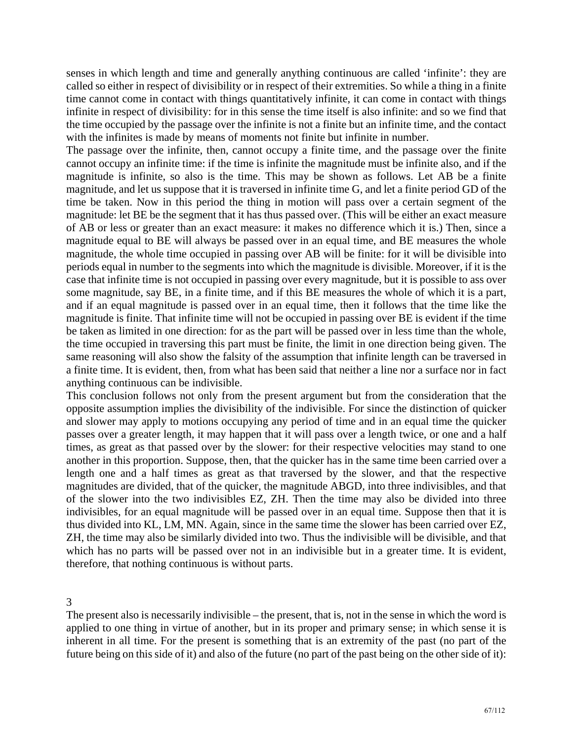senses in which length and time and generally anything continuous are called 'infinite': they are called so either in respect of divisibility or in respect of their extremities. So while a thing in a finite time cannot come in contact with things quantitatively infinite, it can come in contact with things infinite in respect of divisibility: for in this sense the time itself is also infinite: and so we find that the time occupied by the passage over the infinite is not a finite but an infinite time, and the contact with the infinites is made by means of moments not finite but infinite in number.

magnitude is infinite, so also is the time. This may be shown as follows. Let AB be a finite magnitude, and let us suppose that it is traversed in infinite time G, and let a finite period GD of the time be taken. Now in this period the thing in motion will pass over a certain segment of the magnitude: let BE be the segment that it has thus passed over. (This will be either an exact measure The passage over the infinite, then, cannot occupy a finite time, and the passage over the finite cannot occupy an infinite time: if the time is infinite the magnitude must be infinite also, and if the of AB or less or greater than an exact measure: it makes no difference which it is.) Then, since a magnitude equal to BE will always be passed over in an equal time, and BE measures the whole magnitude, the whole time occupied in passing over AB will be finite: for it will be divisible into periods equal in number to the segments into which the magnitude is divisible. Moreover, if it is the case that infinite time is not occupied in passing over every magnitude, but it is possible to ass over some magnitude, say BE, in a finite time, and if this BE measures the whole of which it is a part, and if an equal magnitude is passed over in an equal time, then it follows that the time like the magnitude is finite. That infinite time will not be occupied in passing over BE is evident if the time be taken as limited in one direction: for as the part will be passed over in less time than the whole, the time occupied in traversing this part must be finite, the limit in one direction being given. The same reasoning will also show the falsity of the assumption that infinite length can be traversed in a finite time. It is evident, then, from what has been said that neither a line nor a surface nor in fact anything continuous can be indivisible.

therefore, that nothing continuous is without parts. This conclusion follows not only from the present argument but from the consideration that the opposite assumption implies the divisibility of the indivisible. For since the distinction of quicker and slower may apply to motions occupying any period of time and in an equal time the quicker passes over a greater length, it may happen that it will pass over a length twice, or one and a half times, as great as that passed over by the slower: for their respective velocities may stand to one another in this proportion. Suppose, then, that the quicker has in the same time been carried over a length one and a half times as great as that traversed by the slower, and that the respective magnitudes are divided, that of the quicker, the magnitude ABGD, into three indivisibles, and that of the slower into the two indivisibles EZ, ZH. Then the time may also be divided into three indivisibles, for an equal magnitude will be passed over in an equal time. Suppose then that it is thus divided into KL, LM, MN. Again, since in the same time the slower has been carried over EZ, ZH, the time may also be similarly divided into two. Thus the indivisible will be divisible, and that which has no parts will be passed over not in an indivisible but in a greater time. It is evident,

3

The present also is necessarily indivisible – the present, that is, not in the sense in which the word is applied to one thing in virtue of another, but in its proper and primary sense; in which sense it is inherent in all time. For the present is something that is an extremity of the past (no part of the future being on this side of it) and also of the future (no part of the past being on the other side of it):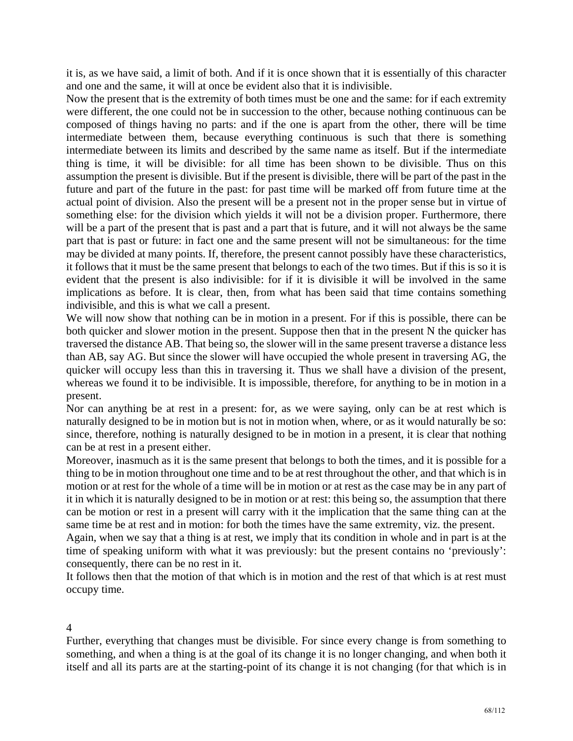it is, as we have said, a limit of both. And if it is once shown that it is essentially of this character and one and the same, it will at once be evident also that it is indivisible.

Now the present that is the extremity of both times must be one and the same: for if each extremity were different, the one could not be in succession to the other, because nothing continuous can be composed of things having no parts: and if the one is apart from the other, there will be time intermediate between them, because everything continuous is such that there is something intermediate between its limits and described by the same name as itself. But if the intermediate thing is time, it will be divisible: for all time has been shown to be divisible. Thus on this assumption the present is divisible. But if the present is divisible, there will be part of the past in the future and part of the future in the past: for past time will be marked off from future time at the actual point of division. Also the present will be a present not in the proper sense but in virtue of something else: for the division which yields it will not be a division proper. Furthermore, there will be a part of the present that is past and a part that is future, and it will not always be the same part that is past or future: in fact one and the same present will not be simultaneous: for the time may be divided at many points. If, therefore, the present cannot possibly have these characteristics, it follows that it must be the same present that belongs to each of the two times. But if this is so it is evident that the present is also indivisible: for if it is divisible it will be involved in the same implications as before. It is clear, then, from what has been said that time contains something indivisible, and this is what we call a present.

We will now show that nothing can be in motion in a present. For if this is possible, there can be both quicker and slower motion in the present. Suppose then that in the present N the quicker has traversed the distance AB. That being so, the slower will in the same present traverse a distance less than AB, say AG. But since the slower will have occupied the whole present in traversing AG, the quicker will occupy less than this in traversing it. Thus we shall have a division of the present, whereas we found it to be indivisible. It is impossible, therefore, for anything to be in motion in a present.

naturally designed to be in motion but is not in motion when, where, or as it would naturally be so: Nor can anything be at rest in a present: for, as we were saying, only can be at rest which is since, therefore, nothing is naturally designed to be in motion in a present, it is clear that nothing can be at rest in a present either.

Moreover, inasmuch as it is the same present that belongs to both the times, and it is possible for a thing to be in motion throughout one time and to be at rest throughout the other, and that which is in motion or at rest for the whole of a time will be in motion or at rest as the case may be in any part of it in which it is naturally designed to be in motion or at rest: this being so, the assumption that there can be motion or rest in a present will carry with it the implication that the same thing can at the same time be at rest and in motion: for both the times have the same extremity, viz. the present.

Again, when we say that a thing is at rest, we imply that its condition in whole and in part is at the time of speaking uniform with what it was previously: but the present contains no 'previously': consequently, there can be no rest in it.

It follows then that the motion of that which is in motion and the rest of that which is at rest must occupy time.

4

itself and all its parts are at the starting-point of its change it is not changing (for that which is in Further, everything that changes must be divisible. For since every change is from something to something, and when a thing is at the goal of its change it is no longer changing, and when both it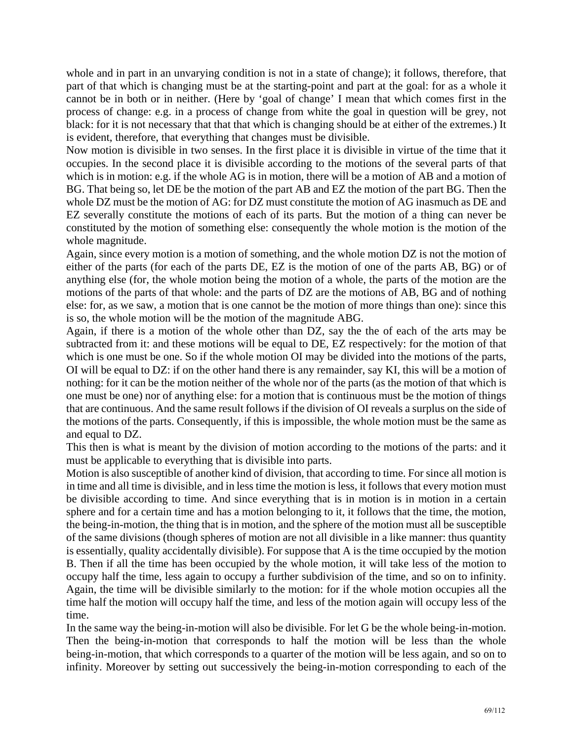whole and in part in an unvarying condition is not in a state of change); it follows, therefore, that part of that which is changing must be at the starting-point and part at the goal: for as a whole it cannot be in both or in neither. (Here by 'goal of change' I mean that which comes first in the process of change: e.g. in a process of change from white the goal in question will be grey, not black: for it is not necessary that that that which is changing should be at either of the extremes.) It is evident, therefore, that everything that changes must be divisible.

Now motion is divisible in two senses. In the first place it is divisible in virtue of the time that it occupies. In the second place it is divisible according to the motions of the several parts of that which is in motion: e.g. if the whole AG is in motion, there will be a motion of AB and a motion of BG. That being so, let DE be the motion of the part AB and EZ the motion of the part BG. Then the whole DZ must be the motion of AG: for DZ must constitute the motion of AG inasmuch as DE and EZ severally constitute the motions of each of its parts. But the motion of a thing can never be constituted by the motion of something else: consequently the whole motion is the motion of the whole magnitude.

Again, since every motion is a motion of something, and the whole motion DZ is not the motion of either of the parts (for each of the parts DE, EZ is the motion of one of the parts AB, BG) or of anything else (for, the whole motion being the motion of a whole, the parts of the motion are the motions of the parts of that whole: and the parts of DZ are the motions of AB, BG and of nothing else: for, as we saw, a motion that is one cannot be the motion of more things than one): since this is so, the whole motion will be the motion of the magnitude ABG.

which is one must be one. So if the whole motion OI may be divided into the motions of the parts, Again, if there is a motion of the whole other than DZ, say the the of each of the arts may be subtracted from it: and these motions will be equal to DE, EZ respectively: for the motion of that OI will be equal to DZ: if on the other hand there is any remainder, say KI, this will be a motion of nothing: for it can be the motion neither of the whole nor of the parts (as the motion of that which is one must be one) nor of anything else: for a motion that is continuous must be the motion of things that are continuous. And the same result follows if the division of OI reveals a surplus on the side of the motions of the parts. Consequently, if this is impossible, the whole motion must be the same as and equal to DZ.

This then is what is meant by the division of motion according to the motions of the parts: and it must be applicable to everything that is divisible into parts.

occupy half the time, less again to occupy a further subdivision of the time, and so on to infinity. Motion is also susceptible of another kind of division, that according to time. For since all motion is in time and all time is divisible, and in less time the motion is less, it follows that every motion must be divisible according to time. And since everything that is in motion is in motion in a certain sphere and for a certain time and has a motion belonging to it, it follows that the time, the motion, the being-in-motion, the thing that is in motion, and the sphere of the motion must all be susceptible of the same divisions (though spheres of motion are not all divisible in a like manner: thus quantity is essentially, quality accidentally divisible). For suppose that A is the time occupied by the motion B. Then if all the time has been occupied by the whole motion, it will take less of the motion to Again, the time will be divisible similarly to the motion: for if the whole motion occupies all the time half the motion will occupy half the time, and less of the motion again will occupy less of the time.

infinity. Moreover by setting out successively the being-in-motion corresponding to each of the In the same way the being-in-motion will also be divisible. For let G be the whole being-in-motion. Then the being-in-motion that corresponds to half the motion will be less than the whole being-in-motion, that which corresponds to a quarter of the motion will be less again, and so on to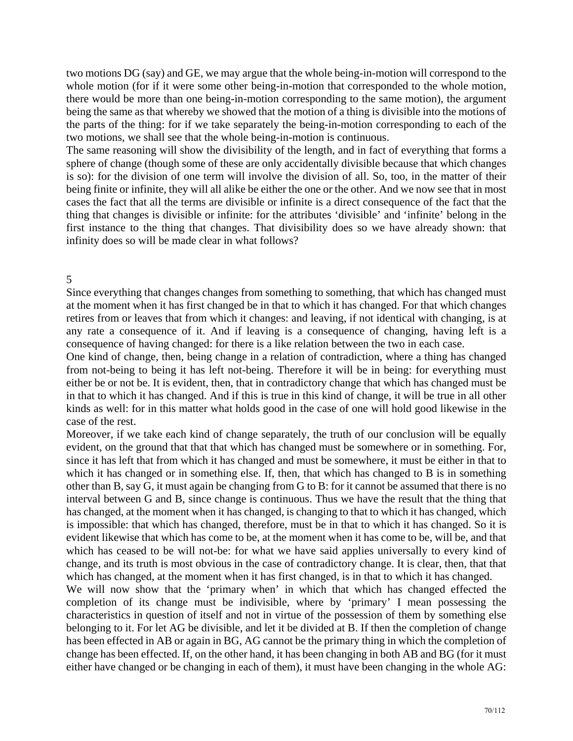two motions DG (say) and GE, we may argue that the whole being-in-motion will correspond to the whole motion (for if it were some other being-in-motion that corresponded to the whole motion, there would be more than one being-in-motion corresponding to the same motion), the argument being the same as that whereby we showed that the motion of a thing is divisible into the motions of the parts of the thing: for if we take separately the being-in-motion corresponding to each of the two motions, we shall see that the whole being-in-motion is continuous.

cases the fact that all the terms are divisible or infinite is a direct consequence of the fact that the The same reasoning will show the divisibility of the length, and in fact of everything that forms a sphere of change (though some of these are only accidentally divisible because that which changes is so): for the division of one term will involve the division of all. So, too, in the matter of their being finite or infinite, they will all alike be either the one or the other. And we now see that in most thing that changes is divisible or infinite: for the attributes 'divisible' and 'infinite' belong in the first instance to the thing that changes. That divisibility does so we have already shown: that infinity does so will be made clear in what follows?

5

Since everything that changes changes from something to something, that which has changed must at the moment when it has first changed be in that to which it has changed. For that which changes retires from or leaves that from which it changes: and leaving, if not identical with changing, is at any rate a consequence of it. And if leaving is a consequence of changing, having left is a consequence of having changed: for there is a like relation between the two in each case.

One kind of change, then, being change in a relation of contradiction, where a thing has changed from not-being to being it has left not-being. Therefore it will be in being: for everything must either be or not be. It is evident, then, that in contradictory change that which has changed must be in that to which it has changed. And if this is true in this kind of change, it will be true in all other kinds as well: for in this matter what holds good in the case of one will hold good likewise in the case of the rest.

is impossible: that which has changed, therefore, must be in that to which it has changed. So it is Moreover, if we take each kind of change separately, the truth of our conclusion will be equally evident, on the ground that that that which has changed must be somewhere or in something. For, since it has left that from which it has changed and must be somewhere, it must be either in that to which it has changed or in something else. If, then, that which has changed to B is in something other than B, say G, it must again be changing from G to B: for it cannot be assumed that there is no interval between G and B, since change is continuous. Thus we have the result that the thing that has changed, at the moment when it has changed, is changing to that to which it has changed, which evident likewise that which has come to be, at the moment when it has come to be, will be, and that which has ceased to be will not-be: for what we have said applies universally to every kind of change, and its truth is most obvious in the case of contradictory change. It is clear, then, that that which has changed, at the moment when it has first changed, is in that to which it has changed.

completion of its change must be indivisible, where by 'primary' I mean possessing the We will now show that the 'primary when' in which that which has changed effected the characteristics in question of itself and not in virtue of the possession of them by something else belonging to it. For let AG be divisible, and let it be divided at B. If then the completion of change has been effected in AB or again in BG, AG cannot be the primary thing in which the completion of change has been effected. If, on the other hand, it has been changing in both AB and BG (for it must either have changed or be changing in each of them), it must have been changing in the whole AG: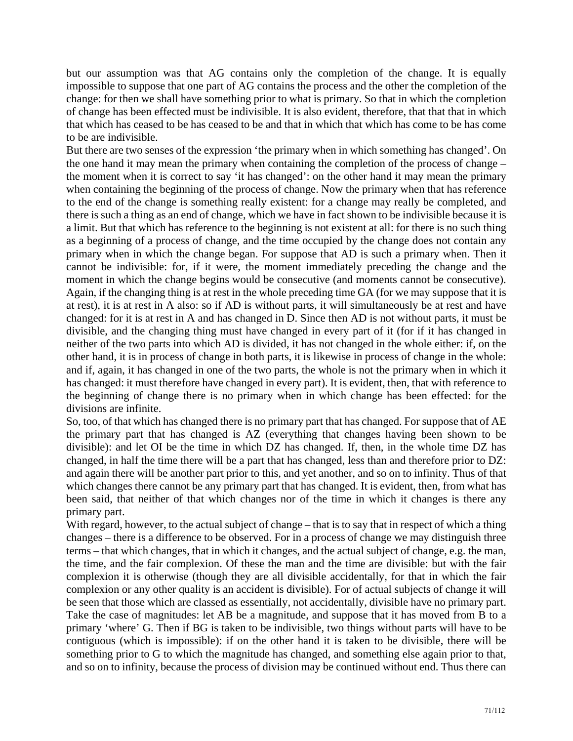but our assumption was that AG contains only the completion of the change. It is equally impossible to suppose that one part of AG contains the process and the other the completion of the change: for then we shall have something prior to what is primary. So that in which the completion of change has been effected must be indivisible. It is also evident, therefore, that that that in which that which has ceased to be has ceased to be and that in which that which has come to be has come to be are indivisible.

Again, if the changing thing is at rest in the whole preceding time GA (for we may suppose that it is But there are two senses of the expression 'the primary when in which something has changed'. On the one hand it may mean the primary when containing the completion of the process of change – the moment when it is correct to say 'it has changed': on the other hand it may mean the primary when containing the beginning of the process of change. Now the primary when that has reference to the end of the change is something really existent: for a change may really be completed, and there is such a thing as an end of change, which we have in fact shown to be indivisible because it is a limit. But that which has reference to the beginning is not existent at all: for there is no such thing as a beginning of a process of change, and the time occupied by the change does not contain any primary when in which the change began. For suppose that AD is such a primary when. Then it cannot be indivisible: for, if it were, the moment immediately preceding the change and the moment in which the change begins would be consecutive (and moments cannot be consecutive). at rest), it is at rest in A also: so if AD is without parts, it will simultaneously be at rest and have changed: for it is at rest in A and has changed in D. Since then AD is not without parts, it must be divisible, and the changing thing must have changed in every part of it (for if it has changed in neither of the two parts into which AD is divided, it has not changed in the whole either: if, on the other hand, it is in process of change in both parts, it is likewise in process of change in the whole: and if, again, it has changed in one of the two parts, the whole is not the primary when in which it has changed: it must therefore have changed in every part). It is evident, then, that with reference to the beginning of change there is no primary when in which change has been effected: for the divisions are infinite.

So, too, of that which has changed there is no primary part that has changed. For suppose that of AE the primary part that has changed is AZ (everything that changes having been shown to be divisible): and let OI be the time in which DZ has changed. If, then, in the whole time DZ has changed, in half the time there will be a part that has changed, less than and therefore prior to DZ: and again there will be another part prior to this, and yet another, and so on to infinity. Thus of that which changes there cannot be any primary part that has changed. It is evident, then, from what has been said, that neither of that which changes nor of the time in which it changes is there any primary part.

With regard, however, to the actual subject of change – that is to say that in respect of which a thing changes – there is a difference to be observed. For in a process of change we may distinguish three terms – that which changes, that in which it changes, and the actual subject of change, e.g. the man, the time, and the fair complexion. Of these the man and the time are divisible: but with the fair complexion it is otherwise (though they are all divisible accidentally, for that in which the fair complexion or any other quality is an accident is divisible). For of actual subjects of change it will be seen that those which are classed as essentially, not accidentally, divisible have no primary part. Take the case of magnitudes: let AB be a magnitude, and suppose that it has moved from B to a primary 'where' G. Then if BG is taken to be indivisible, two things without parts will have to be contiguous (which is impossible): if on the other hand it is taken to be divisible, there will be something prior to G to which the magnitude has changed, and something else again prior to that, and so on to infinity, because the process of division may be continued without end. Thus there can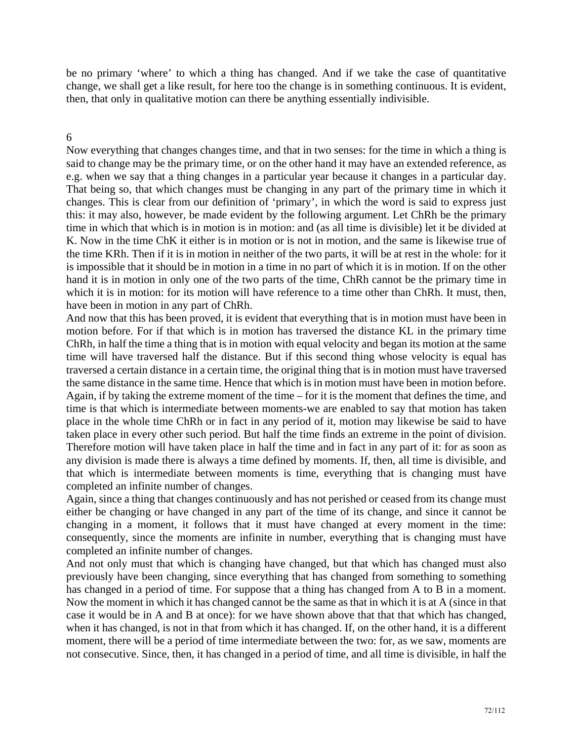be no primary 'where' to which a thing has changed. And if we take the case of quantitative change, we shall get a like result, for here too the change is in something continuous. It is evident, then, that only in qualitative motion can there be anything essentially indivisible.

# 6

is impossible that it should be in motion in a time in no part of which it is in motion. If on the other Now everything that changes changes time, and that in two senses: for the time in which a thing is said to change may be the primary time, or on the other hand it may have an extended reference, as e.g. when we say that a thing changes in a particular year because it changes in a particular day. That being so, that which changes must be changing in any part of the primary time in which it changes. This is clear from our definition of 'primary', in which the word is said to express just this: it may also, however, be made evident by the following argument. Let ChRh be the primary time in which that which is in motion is in motion: and (as all time is divisible) let it be divided at K. Now in the time ChK it either is in motion or is not in motion, and the same is likewise true of the time KRh. Then if it is in motion in neither of the two parts, it will be at rest in the whole: for it hand it is in motion in only one of the two parts of the time, ChRh cannot be the primary time in which it is in motion: for its motion will have reference to a time other than ChRh. It must, then, have been in motion in any part of ChRh.

taken place in every other such period. But half the time finds an extreme in the point of division. And now that this has been proved, it is evident that everything that is in motion must have been in motion before. For if that which is in motion has traversed the distance KL in the primary time ChRh, in half the time a thing that is in motion with equal velocity and began its motion at the same time will have traversed half the distance. But if this second thing whose velocity is equal has traversed a certain distance in a certain time, the original thing that is in motion must have traversed the same distance in the same time. Hence that which is in motion must have been in motion before. Again, if by taking the extreme moment of the time – for it is the moment that defines the time, and time is that which is intermediate between moments-we are enabled to say that motion has taken place in the whole time ChRh or in fact in any period of it, motion may likewise be said to have Therefore motion will have taken place in half the time and in fact in any part of it: for as soon as any division is made there is always a time defined by moments. If, then, all time is divisible, and that which is intermediate between moments is time, everything that is changing must have completed an infinite number of changes.

Again, since a thing that changes continuously and has not perished or ceased from its change must either be changing or have changed in any part of the time of its change, and since it cannot be changing in a moment, it follows that it must have changed at every moment in the time: consequently, since the moments are infinite in number, everything that is changing must have completed an infinite number of changes.

And not only must that which is changing have changed, but that which has changed must also previously have been changing, since everything that has changed from something to something has changed in a period of time. For suppose that a thing has changed from A to B in a moment. Now the moment in which it has changed cannot be the same as that in which it is at A (since in that case it would be in A and B at once): for we have shown above that that that which has changed, when it has changed, is not in that from which it has changed. If, on the other hand, it is a different moment, there will be a period of time intermediate between the two: for, as we saw, moments are not consecutive. Since, then, it has changed in a period of time, and all time is divisible, in half the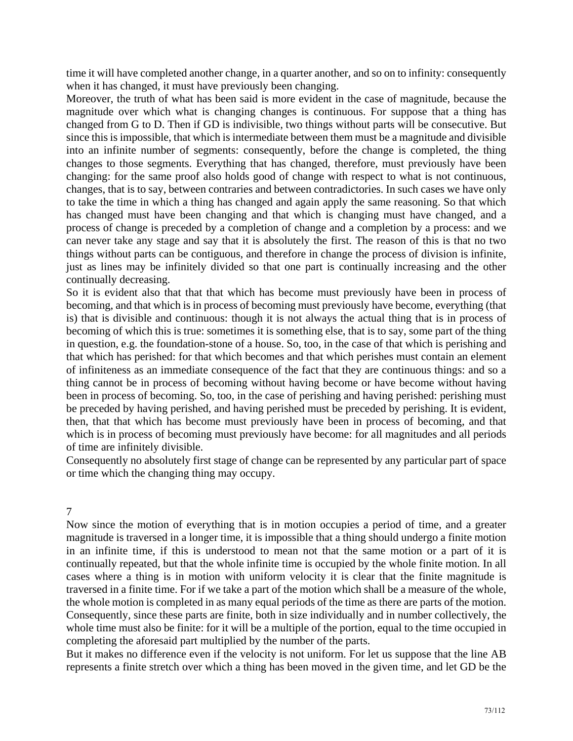time it will have completed another change, in a quarter another, and so on to infinity: consequently when it has changed, it must have previously been changing.

Moreover, the truth of what has been said is more evident in the case of magnitude, because the to take the time in which a thing has changed and again apply the same reasoning. So that which magnitude over which what is changing changes is continuous. For suppose that a thing has changed from G to D. Then if GD is indivisible, two things without parts will be consecutive. But since this is impossible, that which is intermediate between them must be a magnitude and divisible into an infinite number of segments: consequently, before the change is completed, the thing changes to those segments. Everything that has changed, therefore, must previously have been changing: for the same proof also holds good of change with respect to what is not continuous, changes, that is to say, between contraries and between contradictories. In such cases we have only has changed must have been changing and that which is changing must have changed, and a process of change is preceded by a completion of change and a completion by a process: and we can never take any stage and say that it is absolutely the first. The reason of this is that no two things without parts can be contiguous, and therefore in change the process of division is infinite, just as lines may be infinitely divided so that one part is continually increasing and the other continually decreasing.

be preceded by having perished, and having perished must be preceded by perishing. It is evident, then, that that which has become must previously have been in process of becoming, and that which is in process of becoming must previously have become: for all magnitudes and all periods of time are infinitely divisible. So it is evident also that that that which has become must previously have been in process of becoming, and that which is in process of becoming must previously have become, everything (that is) that is divisible and continuous: though it is not always the actual thing that is in process of becoming of which this is true: sometimes it is something else, that is to say, some part of the thing in question, e.g. the foundation-stone of a house. So, too, in the case of that which is perishing and that which has perished: for that which becomes and that which perishes must contain an element of infiniteness as an immediate consequence of the fact that they are continuous things: and so a thing cannot be in process of becoming without having become or have become without having been in process of becoming. So, too, in the case of perishing and having perished: perishing must

Consequently no absolutely first stage of change can be represented by any particular part of space or time which the changing thing may occupy.

7

Consequently, since these parts are finite, both in size individually and in number collectively, the Now since the motion of everything that is in motion occupies a period of time, and a greater magnitude is traversed in a longer time, it is impossible that a thing should undergo a finite motion in an infinite time, if this is understood to mean not that the same motion or a part of it is continually repeated, but that the whole infinite time is occupied by the whole finite motion. In all cases where a thing is in motion with uniform velocity it is clear that the finite magnitude is traversed in a finite time. For if we take a part of the motion which shall be a measure of the whole, the whole motion is completed in as many equal periods of the time as there are parts of the motion. whole time must also be finite: for it will be a multiple of the portion, equal to the time occupied in completing the aforesaid part multiplied by the number of the parts.

But it makes no difference even if the velocity is not uniform. For let us suppose that the line AB represents a finite stretch over which a thing has been moved in the given time, and let GD be the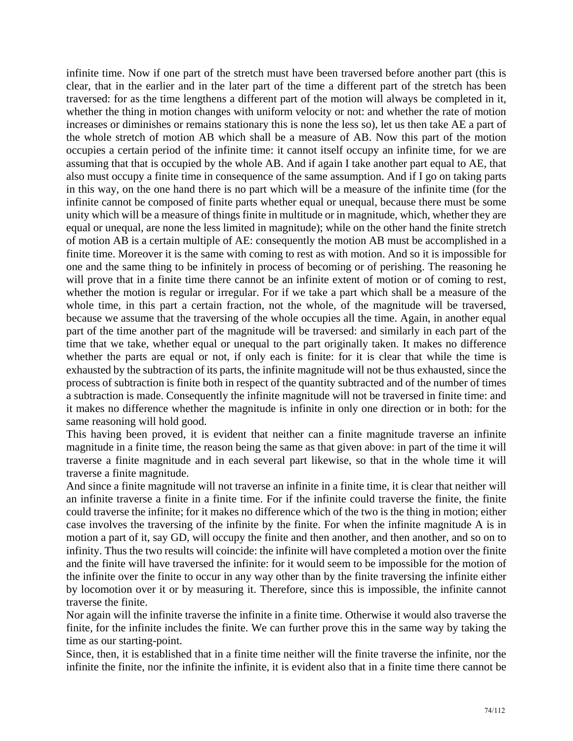infinite time. Now if one part of the stretch must have been traversed before another part (this is clear, that in the earlier and in the later part of the time a different part of the stretch has been traversed: for as the time lengthens a different part of the motion will always be completed in it, infinite cannot be composed of finite parts whether equal or unequal, because there must be some one and the same thing to be infinitely in process of becoming or of perishing. The reasoning he a subtraction is made. Consequently the infinite magnitude will not be traversed in finite time: and whether the thing in motion changes with uniform velocity or not: and whether the rate of motion increases or diminishes or remains stationary this is none the less so), let us then take AE a part of the whole stretch of motion AB which shall be a measure of AB. Now this part of the motion occupies a certain period of the infinite time: it cannot itself occupy an infinite time, for we are assuming that that is occupied by the whole AB. And if again I take another part equal to AE, that also must occupy a finite time in consequence of the same assumption. And if I go on taking parts in this way, on the one hand there is no part which will be a measure of the infinite time (for the unity which will be a measure of things finite in multitude or in magnitude, which, whether they are equal or unequal, are none the less limited in magnitude); while on the other hand the finite stretch of motion AB is a certain multiple of AE: consequently the motion AB must be accomplished in a finite time. Moreover it is the same with coming to rest as with motion. And so it is impossible for will prove that in a finite time there cannot be an infinite extent of motion or of coming to rest, whether the motion is regular or irregular. For if we take a part which shall be a measure of the whole time, in this part a certain fraction, not the whole, of the magnitude will be traversed, because we assume that the traversing of the whole occupies all the time. Again, in another equal part of the time another part of the magnitude will be traversed: and similarly in each part of the time that we take, whether equal or unequal to the part originally taken. It makes no difference whether the parts are equal or not, if only each is finite: for it is clear that while the time is exhausted by the subtraction of its parts, the infinite magnitude will not be thus exhausted, since the process of subtraction is finite both in respect of the quantity subtracted and of the number of times it makes no difference whether the magnitude is infinite in only one direction or in both: for the same reasoning will hold good.

This having been proved, it is evident that neither can a finite magnitude traverse an infinite magnitude in a finite time, the reason being the same as that given above: in part of the time it will traverse a finite magnitude and in each several part likewise, so that in the whole time it will traverse a finite magnitude.

by locomotion over it or by measuring it. Therefore, since this is impossible, the infinite cannot And since a finite magnitude will not traverse an infinite in a finite time, it is clear that neither will an infinite traverse a finite in a finite time. For if the infinite could traverse the finite, the finite could traverse the infinite; for it makes no difference which of the two is the thing in motion; either case involves the traversing of the infinite by the finite. For when the infinite magnitude A is in motion a part of it, say GD, will occupy the finite and then another, and then another, and so on to infinity. Thus the two results will coincide: the infinite will have completed a motion over the finite and the finite will have traversed the infinite: for it would seem to be impossible for the motion of the infinite over the finite to occur in any way other than by the finite traversing the infinite either traverse the finite.

Nor again will the infinite traverse the infinite in a finite time. Otherwise it would also traverse the finite, for the infinite includes the finite. We can further prove this in the same way by taking the time as our starting-point.

Since, then, it is established that in a finite time neither will the finite traverse the infinite, nor the infinite the finite, nor the infinite the infinite, it is evident also that in a finite time there cannot be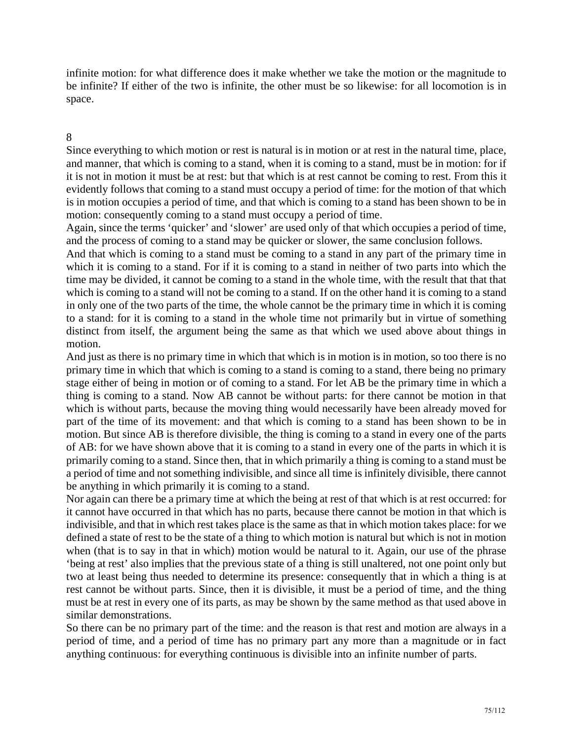infinite motion: for what difference does it make whether we take the motion or the magnitude to be infinite? If either of the two is infinite, the other must be so likewise: for all locomotion is in space.

# 8

Since everything to which motion or rest is natural is in motion or at rest in the natural time, place, it is not in motion it must be at rest: but that which is at rest cannot be coming to rest. From this it evidently follows that coming to a stand must occupy a period of time: for the motion of that which is in motion occupies a period of time, and that which is coming to a stand has been shown to be in motion: consequently coming to a stand must occupy a period of time. and manner, that which is coming to a stand, when it is coming to a stand, must be in motion: for if

Again, since the terms 'quicker' and 'slower' are used only of that which occupies a period of time, and the process of coming to a stand may be quicker or slower, the same conclusion follows.

And that which is coming to a stand must be coming to a stand in any part of the primary time in which it is coming to a stand. For if it is coming to a stand in neither of two parts into which the time may be divided, it cannot be coming to a stand in the whole time, with the result that that that which is coming to a stand will not be coming to a stand. If on the other hand it is coming to a stand in only one of the two parts of the time, the whole cannot be the primary time in which it is coming to a stand: for it is coming to a stand in the whole time not primarily but in virtue of something distinct from itself, the argument being the same as that which we used above about things in motion.

And just as there is no primary time in which that which is in motion is in motion, so too there is no primary time in which that which is coming to a stand is coming to a stand, there being no primary stage either of being in motion or of coming to a stand. For let AB be the primary time in which a thing is coming to a stand. Now AB cannot be without parts: for there cannot be motion in that which is without parts, because the moving thing would necessarily have been already moved for part of the time of its movement: and that which is coming to a stand has been shown to be in motion. But since AB is therefore divisible, the thing is coming to a stand in every one of the parts of AB: for we have shown above that it is coming to a stand in every one of the parts in which it is primarily coming to a stand. Since then, that in which primarily a thing is coming to a stand must be a period of time and not something indivisible, and since all time is infinitely divisible, there cannot be anything in which primarily it is coming to a stand.

Nor again can there be a primary time at which the being at rest of that which is at rest occurred: for it cannot have occurred in that which has no parts, because there cannot be motion in that which is indivisible, and that in which rest takes place is the same as that in which motion takes place: for we defined a state of rest to be the state of a thing to which motion is natural but which is not in motion when (that is to say in that in which) motion would be natural to it. Again, our use of the phrase 'being at rest' also implies that the previous state of a thing is still unaltered, not one point only but two at least being thus needed to determine its presence: consequently that in which a thing is at rest cannot be without parts. Since, then it is divisible, it must be a period of time, and the thing must be at rest in every one of its parts, as may be shown by the same method as that used above in similar demonstrations.

So there can be no primary part of the time: and the reason is that rest and motion are always in a period of time, and a period of time has no primary part any more than a magnitude or in fact anything continuous: for everything continuous is divisible into an infinite number of parts.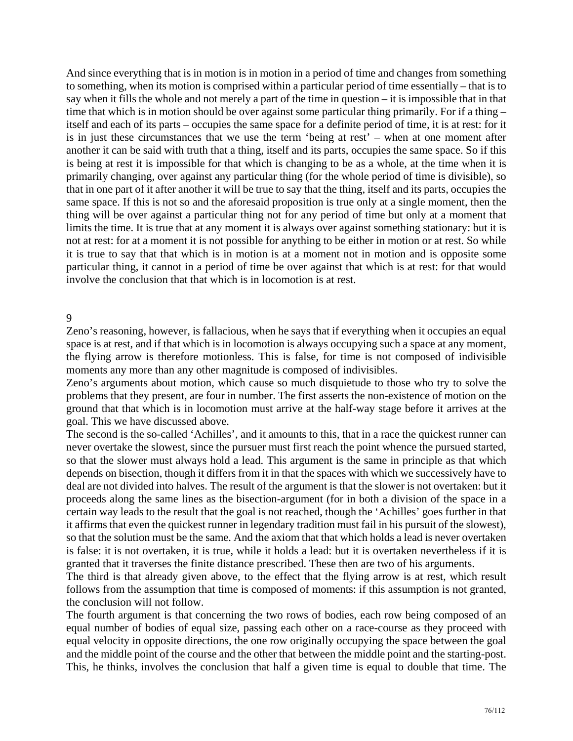And since everything that is in motion is in motion in a period of time and changes from something to something, when its motion is comprised within a particular period of time essentially – that is to say when it fills the whole and not merely a part of the time in question – it is impossible that in that time that which is in motion should be over against some particular thing primarily. For if a thing – itself and each of its parts – occupies the same space for a definite period of time, it is at rest: for it primarily changing, over against any particular thing (for the whole period of time is divisible), so is in just these circumstances that we use the term 'being at rest' – when at one moment after another it can be said with truth that a thing, itself and its parts, occupies the same space. So if this is being at rest it is impossible for that which is changing to be as a whole, at the time when it is that in one part of it after another it will be true to say that the thing, itself and its parts, occupies the same space. If this is not so and the aforesaid proposition is true only at a single moment, then the thing will be over against a particular thing not for any period of time but only at a moment that limits the time. It is true that at any moment it is always over against something stationary: but it is not at rest: for at a moment it is not possible for anything to be either in motion or at rest. So while it is true to say that that which is in motion is at a moment not in motion and is opposite some particular thing, it cannot in a period of time be over against that which is at rest: for that would involve the conclusion that that which is in locomotion is at rest.

9

space is at rest, and if that which is in locomotion is always occupying such a space at any moment, Zeno's reasoning, however, is fallacious, when he says that if everything when it occupies an equal the flying arrow is therefore motionless. This is false, for time is not composed of indivisible moments any more than any other magnitude is composed of indivisibles.

ground that that which is in locomotion must arrive at the half-way stage before it arrives at the goal. This we have discussed above. Zeno's arguments about motion, which cause so much disquietude to those who try to solve the problems that they present, are four in number. The first asserts the non-existence of motion on the

The second is the so-called 'Achilles', and it amounts to this, that in a race the quickest runner can never overtake the slowest, since the pursuer must first reach the point whence the pursued started, it affirms that even the quickest runner in legendary tradition must fail in his pursuit of the slowest), granted that it traverses the finite distance prescribed. These then are two of his arguments. so that the slower must always hold a lead. This argument is the same in principle as that which depends on bisection, though it differs from it in that the spaces with which we successively have to deal are not divided into halves. The result of the argument is that the slower is not overtaken: but it proceeds along the same lines as the bisection-argument (for in both a division of the space in a certain way leads to the result that the goal is not reached, though the 'Achilles' goes further in that so that the solution must be the same. And the axiom that that which holds a lead is never overtaken is false: it is not overtaken, it is true, while it holds a lead: but it is overtaken nevertheless if it is

The third is that already given above, to the effect that the flying arrow is at rest, which result follows from the assumption that time is composed of moments: if this assumption is not granted, the conclusion will not follow.

This, he thinks, involves the conclusion that half a given time is equal to double that time. The The fourth argument is that concerning the two rows of bodies, each row being composed of an equal number of bodies of equal size, passing each other on a race-course as they proceed with equal velocity in opposite directions, the one row originally occupying the space between the goal and the middle point of the course and the other that between the middle point and the starting-post.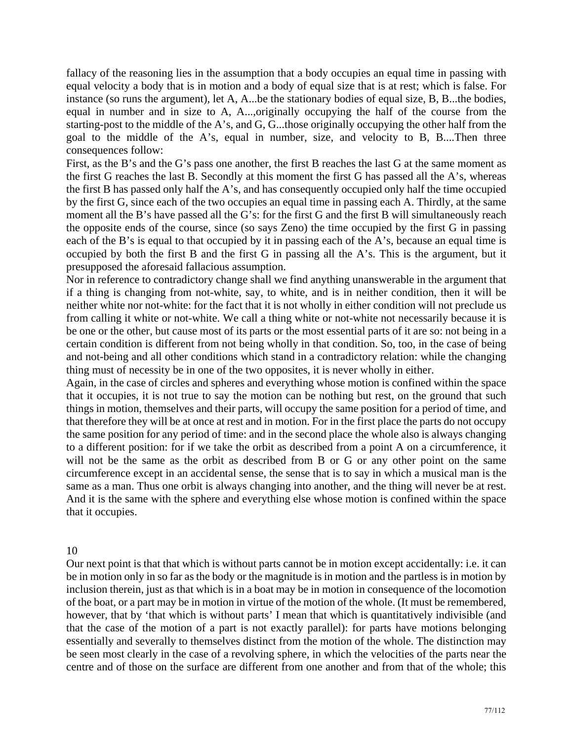fallacy of the reasoning lies in the assumption that a body occupies an equal time in passing with equal velocity a body that is in motion and a body of equal size that is at rest; which is false. For instance (so runs the argument), let A, A...be the stationary bodies of equal size, B, B...the bodies, equal in number and in size to A, A...,originally occupying the half of the course from the starting-post to the middle of the A's, and G, G...those originally occupying the other half from the goal to the middle of the A's, equal in number, size, and velocity to B, B....Then three consequences follow:

First, as the B's and the G's pass one another, the first B reaches the last G at the same moment as the first G reaches the last B. Secondly at this moment the first G has passed all the A's, whereas the first B has passed only half the A's, and has consequently occupied only half the time occupied by the first G, since each of the two occupies an equal time in passing each A. Thirdly, at the same moment all the B's have passed all the G's: for the first G and the first B will simultaneously reach the opposite ends of the course, since (so says Zeno) the time occupied by the first G in passing each of the B's is equal to that occupied by it in passing each of the A's, because an equal time is occupied by both the first B and the first G in passing all the A's. This is the argument, but it presupposed the aforesaid fallacious assumption.

be one or the other, but cause most of its parts or the most essential parts of it are so: not being in a Nor in reference to contradictory change shall we find anything unanswerable in the argument that if a thing is changing from not-white, say, to white, and is in neither condition, then it will be neither white nor not-white: for the fact that it is not wholly in either condition will not preclude us from calling it white or not-white. We call a thing white or not-white not necessarily because it is certain condition is different from not being wholly in that condition. So, too, in the case of being and not-being and all other conditions which stand in a contradictory relation: while the changing thing must of necessity be in one of the two opposites, it is never wholly in either.

Again, in the case of circles and spheres and everything whose motion is confined within the space that it occupies, it is not true to say the motion can be nothing but rest, on the ground that such things in motion, themselves and their parts, will occupy the same position for a period of time, and that therefore they will be at once at rest and in motion. For in the first place the parts do not occupy the same position for any period of time: and in the second place the whole also is always changing to a different position: for if we take the orbit as described from a point A on a circumference, it will not be the same as the orbit as described from B or G or any other point on the same circumference except in an accidental sense, the sense that is to say in which a musical man is the same as a man. Thus one orbit is always changing into another, and the thing will never be at rest. And it is the same with the sphere and everything else whose motion is confined within the space that it occupies.

# 10

of the boat, or a part may be in motion in virtue of the motion of the whole. (It must be remembered, however, that by 'that which is without parts' I mean that which is quantitatively indivisible (and that the case of the motion of a part is not exactly parallel): for parts have motions belonging essentially and severally to themselves distinct from the motion of the whole. The distinction may Our next point is that that which is without parts cannot be in motion except accidentally: i.e. it can be in motion only in so far as the body or the magnitude is in motion and the partless is in motion by inclusion therein, just as that which is in a boat may be in motion in consequence of the locomotion be seen most clearly in the case of a revolving sphere, in which the velocities of the parts near the centre and of those on the surface are different from one another and from that of the whole; this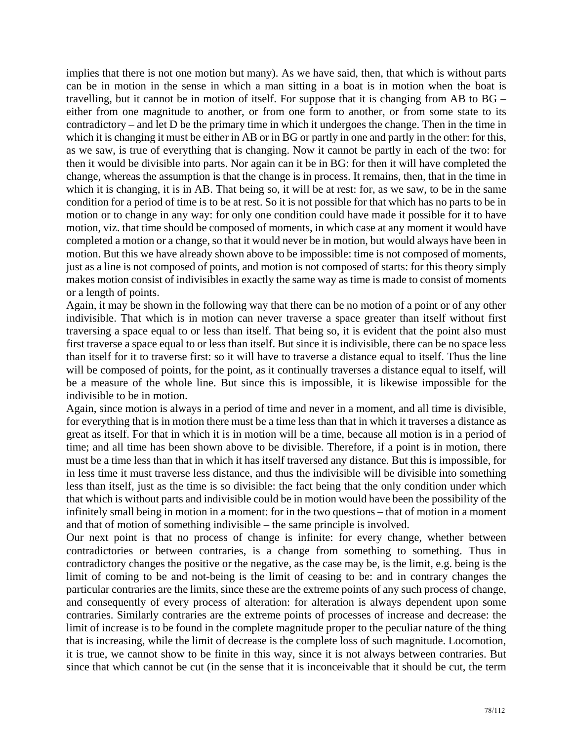implies that there is not one motion but many). As we have said, then, that which is without parts can be in motion in the sense in which a man sitting in a boat is in motion when the boat is which it is changing it must be either in AB or in BG or partly in one and partly in the other: for this, travelling, but it cannot be in motion of itself. For suppose that it is changing from AB to BG – either from one magnitude to another, or from one form to another, or from some state to its contradictory – and let D be the primary time in which it undergoes the change. Then in the time in as we saw, is true of everything that is changing. Now it cannot be partly in each of the two: for then it would be divisible into parts. Nor again can it be in BG: for then it will have completed the change, whereas the assumption is that the change is in process. It remains, then, that in the time in which it is changing, it is in AB. That being so, it will be at rest: for, as we saw, to be in the same condition for a period of time is to be at rest. So it is not possible for that which has no parts to be in motion or to change in any way: for only one condition could have made it possible for it to have motion, viz. that time should be composed of moments, in which case at any moment it would have completed a motion or a change, so that it would never be in motion, but would always have been in motion. But this we have already shown above to be impossible: time is not composed of moments, just as a line is not composed of points, and motion is not composed of starts: for this theory simply makes motion consist of indivisibles in exactly the same way as time is made to consist of moments or a length of points.

traversing a space equal to or less than itself. That being so, it is evident that the point also must Again, it may be shown in the following way that there can be no motion of a point or of any other indivisible. That which is in motion can never traverse a space greater than itself without first first traverse a space equal to or less than itself. But since it is indivisible, there can be no space less than itself for it to traverse first: so it will have to traverse a distance equal to itself. Thus the line will be composed of points, for the point, as it continually traverses a distance equal to itself, will be a measure of the whole line. But since this is impossible, it is likewise impossible for the indivisible to be in motion.

less than itself, just as the time is so divisible: the fact being that the only condition under which Again, since motion is always in a period of time and never in a moment, and all time is divisible, for everything that is in motion there must be a time less than that in which it traverses a distance as great as itself. For that in which it is in motion will be a time, because all motion is in a period of time; and all time has been shown above to be divisible. Therefore, if a point is in motion, there must be a time less than that in which it has itself traversed any distance. But this is impossible, for in less time it must traverse less distance, and thus the indivisible will be divisible into something that which is without parts and indivisible could be in motion would have been the possibility of the infinitely small being in motion in a moment: for in the two questions – that of motion in a moment and that of motion of something indivisible – the same principle is involved.

and consequently of every process of alteration: for alteration is always dependent upon some Our next point is that no process of change is infinite: for every change, whether between contradictories or between contraries, is a change from something to something. Thus in contradictory changes the positive or the negative, as the case may be, is the limit, e.g. being is the limit of coming to be and not-being is the limit of ceasing to be: and in contrary changes the particular contraries are the limits, since these are the extreme points of any such process of change, contraries. Similarly contraries are the extreme points of processes of increase and decrease: the limit of increase is to be found in the complete magnitude proper to the peculiar nature of the thing that is increasing, while the limit of decrease is the complete loss of such magnitude. Locomotion, it is true, we cannot show to be finite in this way, since it is not always between contraries. But since that which cannot be cut (in the sense that it is inconceivable that it should be cut, the term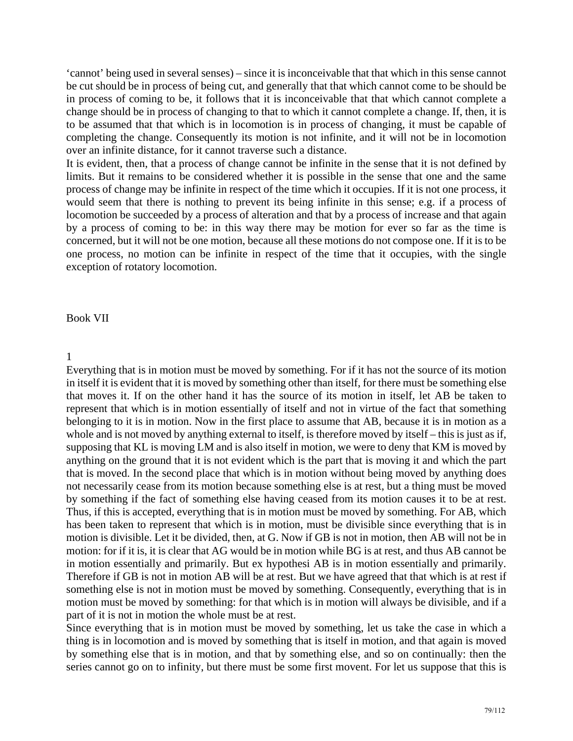'cannot' being used in several senses) – since it is inconceivable that that which in this sense cannot be cut should be in process of being cut, and generally that that which cannot come to be should be in process of coming to be, it follows that it is inconceivable that that which cannot complete a change should be in process of changing to that to which it cannot complete a change. If, then, it is to be assumed that that which is in locomotion is in process of changing, it must be capable of completing the change. Consequently its motion is not infinite, and it will not be in locomotion over an infinite distance, for it cannot traverse such a distance.

It is evident, then, that a process of change cannot be infinite in the sense that it is not defined by limits. But it remains to be considered whether it is possible in the sense that one and the same process of change may be infinite in respect of the time which it occupies. If it is not one process, it would seem that there is nothing to prevent its being infinite in this sense; e.g. if a process of locomotion be succeeded by a process of alteration and that by a process of increase and that again by a process of coming to be: in this way there may be motion for ever so far as the time is concerned, but it will not be one motion, because all these motions do not compose one. If it is to be one process, no motion can be infinite in respect of the time that it occupies, with the single xception of rotatory locomotion. e

Book VII

#### 1

Everything that is in motion must be moved by something. For if it has not the source of its motion in itself it is evident that it is moved by something other than itself, for there must be something else that moves it. If on the other hand it has the source of its motion in itself, let AB be taken to represent that which is in motion essentially of itself and not in virtue of the fact that something belonging to it is in motion. Now in the first place to assume that AB, because it is in motion as a whole and is not moved by anything external to itself, is therefore moved by itself – this is just as if, supposing that KL is moving LM and is also itself in motion, we were to deny that KM is moved by anything on the ground that it is not evident which is the part that is moving it and which the part that is moved. In the second place that which is in motion without being moved by anything does not necessarily cease from its motion because something else is at rest, but a thing must be moved by something if the fact of something else having ceased from its motion causes it to be at rest. Thus, if this is accepted, everything that is in motion must be moved by something. For AB, which has been taken to represent that which is in motion, must be divisible since everything that is in motion is divisible. Let it be divided, then, at G. Now if GB is not in motion, then AB will not be in motion: for if it is, it is clear that AG would be in motion while BG is at rest, and thus AB cannot be in motion essentially and primarily. But ex hypothesi AB is in motion essentially and primarily. Therefore if GB is not in motion AB will be at rest. But we have agreed that that which is at rest if something else is not in motion must be moved by something. Consequently, everything that is in motion must be moved by something: for that which is in motion will always be divisible, and if a part of it is not in motion the whole must be at rest.

Since everything that is in motion must be moved by something, let us take the case in which a thing is in locomotion and is moved by something that is itself in motion, and that again is moved by something else that is in motion, and that by something else, and so on continually: then the series cannot go on to infinity, but there must be some first movent. For let us suppose that this is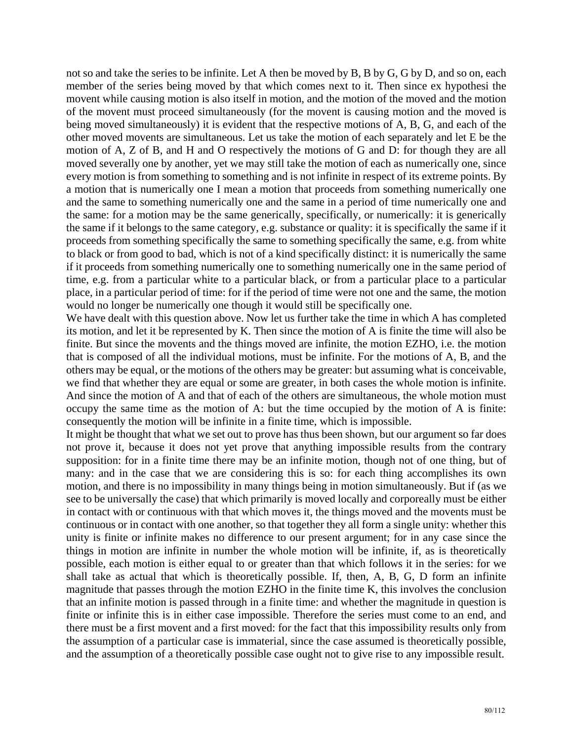not so and take the series to be infinite. Let A then be moved by B, B by G, G by D, and so on, each member of the series being moved by that which comes next to it. Then since ex hypothesi the movent while causing motion is also itself in motion, and the motion of the moved and the motion of the movent must proceed simultaneously (for the movent is causing motion and the moved is being moved simultaneously) it is evident that the respective motions of A, B, G, and each of the if it proceeds from something numerically one to something numerically one in the same period of other moved movents are simultaneous. Let us take the motion of each separately and let E be the motion of A, Z of B, and H and O respectively the motions of G and D: for though they are all moved severally one by another, yet we may still take the motion of each as numerically one, since every motion is from something to something and is not infinite in respect of its extreme points. By a motion that is numerically one I mean a motion that proceeds from something numerically one and the same to something numerically one and the same in a period of time numerically one and the same: for a motion may be the same generically, specifically, or numerically: it is generically the same if it belongs to the same category, e.g. substance or quality: it is specifically the same if it proceeds from something specifically the same to something specifically the same, e.g. from white to black or from good to bad, which is not of a kind specifically distinct: it is numerically the same time, e.g. from a particular white to a particular black, or from a particular place to a particular place, in a particular period of time: for if the period of time were not one and the same, the motion would no longer be numerically one though it would still be specifically one.

We have dealt with this question above. Now let us further take the time in which A has completed its motion, and let it be represented by K. Then since the motion of A is finite the time will also be finite. But since the movents and the things moved are infinite, the motion EZHO, i.e. the motion that is composed of all the individual motions, must be infinite. For the motions of A, B, and the others may be equal, or the motions of the others may be greater: but assuming what is conceivable, we find that whether they are equal or some are greater, in both cases the whole motion is infinite. And since the motion of A and that of each of the others are simultaneous, the whole motion must occupy the same time as the motion of A: but the time occupied by the motion of A is finite: consequently the motion will be infinite in a finite time, which is impossible.

see to be universally the case) that which primarily is moved locally and corporeally must be either finite or infinite this is in either case impossible. Therefore the series must come to an end, and there must be a first movent and a first moved: for the fact that this impossibility results only from the assumption of a particular case is immaterial, since the case assumed is theoretically possible, and the assumption of a theoretically possible case ought not to give rise to any impossible result. It might be thought that what we set out to prove has thus been shown, but our argument so far does not prove it, because it does not yet prove that anything impossible results from the contrary supposition: for in a finite time there may be an infinite motion, though not of one thing, but of many: and in the case that we are considering this is so: for each thing accomplishes its own motion, and there is no impossibility in many things being in motion simultaneously. But if (as we in contact with or continuous with that which moves it, the things moved and the movents must be continuous or in contact with one another, so that together they all form a single unity: whether this unity is finite or infinite makes no difference to our present argument; for in any case since the things in motion are infinite in number the whole motion will be infinite, if, as is theoretically possible, each motion is either equal to or greater than that which follows it in the series: for we shall take as actual that which is theoretically possible. If, then, A, B, G, D form an infinite magnitude that passes through the motion EZHO in the finite time K, this involves the conclusion that an infinite motion is passed through in a finite time: and whether the magnitude in question is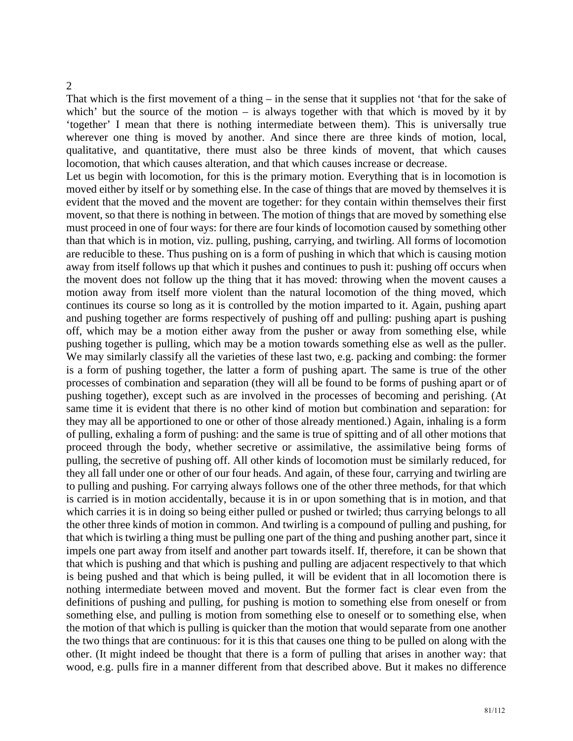#### 2

That which is the first movement of a thing  $-$  in the sense that it supplies not 'that for the sake of which' but the source of the motion  $-$  is always together with that which is moved by it by 'together' I mean that there is nothing intermediate between them). This is universally true wherever one thing is moved by another. And since there are three kinds of motion, local, qualitative, and quantitative, there must also be three kinds of movent, that which causes locomotion, that which causes alteration, and that which causes increase or decrease.

processes of combination and separation (they will all be found to be forms of pushing apart or of Let us begin with locomotion, for this is the primary motion. Everything that is in locomotion is moved either by itself or by something else. In the case of things that are moved by themselves it is evident that the moved and the movent are together: for they contain within themselves their first movent, so that there is nothing in between. The motion of things that are moved by something else must proceed in one of four ways: for there are four kinds of locomotion caused by something other than that which is in motion, viz. pulling, pushing, carrying, and twirling. All forms of locomotion are reducible to these. Thus pushing on is a form of pushing in which that which is causing motion away from itself follows up that which it pushes and continues to push it: pushing off occurs when the movent does not follow up the thing that it has moved: throwing when the movent causes a motion away from itself more violent than the natural locomotion of the thing moved, which continues its course so long as it is controlled by the motion imparted to it. Again, pushing apart and pushing together are forms respectively of pushing off and pulling: pushing apart is pushing off, which may be a motion either away from the pusher or away from something else, while pushing together is pulling, which may be a motion towards something else as well as the puller. We may similarly classify all the varieties of these last two, e.g. packing and combing: the former is a form of pushing together, the latter a form of pushing apart. The same is true of the other pushing together), except such as are involved in the processes of becoming and perishing. (At same time it is evident that there is no other kind of motion but combination and separation: for they may all be apportioned to one or other of those already mentioned.) Again, inhaling is a form of pulling, exhaling a form of pushing: and the same is true of spitting and of all other motions that proceed through the body, whether secretive or assimilative, the assimilative being forms of pulling, the secretive of pushing off. All other kinds of locomotion must be similarly reduced, for they all fall under one or other of our four heads. And again, of these four, carrying and twirling are to pulling and pushing. For carrying always follows one of the other three methods, for that which is carried is in motion accidentally, because it is in or upon something that is in motion, and that which carries it is in doing so being either pulled or pushed or twirled; thus carrying belongs to all the other three kinds of motion in common. And twirling is a compound of pulling and pushing, for that which is twirling a thing must be pulling one part of the thing and pushing another part, since it impels one part away from itself and another part towards itself. If, therefore, it can be shown that that which is pushing and that which is pushing and pulling are adjacent respectively to that which is being pushed and that which is being pulled, it will be evident that in all locomotion there is nothing intermediate between moved and movent. But the former fact is clear even from the definitions of pushing and pulling, for pushing is motion to something else from oneself or from something else, and pulling is motion from something else to oneself or to something else, when the motion of that which is pulling is quicker than the motion that would separate from one another the two things that are continuous: for it is this that causes one thing to be pulled on along with the other. (It might indeed be thought that there is a form of pulling that arises in another way: that wood, e.g. pulls fire in a manner different from that described above. But it makes no difference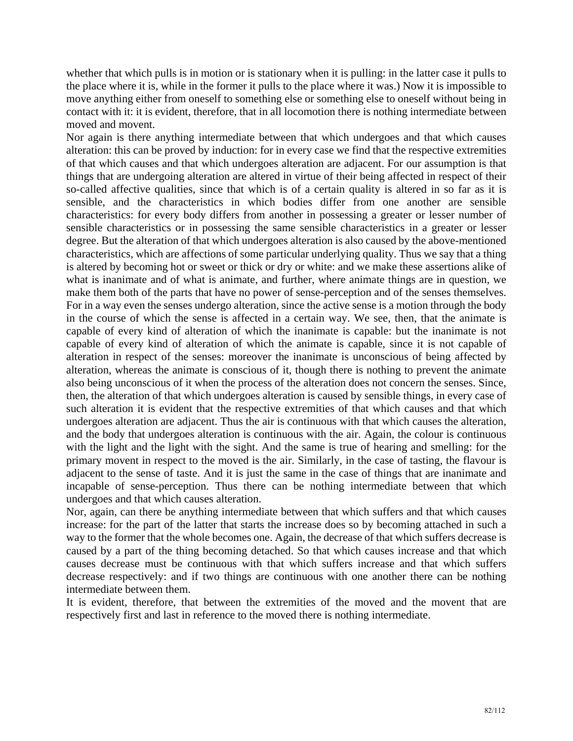whether that which pulls is in motion or is stationary when it is pulling: in the latter case it pulls to the place where it is, while in the former it pulls to the place where it was.) Now it is impossible to move anything either from oneself to something else or something else to oneself without being in contact with it: it is evident, therefore, that in all locomotion there is nothing intermediate between moved and movent.

characteristics: for every body differs from another in possessing a greater or lesser number of primary movent in respect to the moved is the air. Similarly, in the case of tasting, the flavour is adjacent to the sense of taste. And it is just the same in the case of things that are inanimate and incapable of sense-perception. Thus there can be nothing intermediate between that which undergoes and that which causes alteration. Nor again is there anything intermediate between that which undergoes and that which causes alteration: this can be proved by induction: for in every case we find that the respective extremities of that which causes and that which undergoes alteration are adjacent. For our assumption is that things that are undergoing alteration are altered in virtue of their being affected in respect of their so-called affective qualities, since that which is of a certain quality is altered in so far as it is sensible, and the characteristics in which bodies differ from one another are sensible sensible characteristics or in possessing the same sensible characteristics in a greater or lesser degree. But the alteration of that which undergoes alteration is also caused by the above-mentioned characteristics, which are affections of some particular underlying quality. Thus we say that a thing is altered by becoming hot or sweet or thick or dry or white: and we make these assertions alike of what is inanimate and of what is animate, and further, where animate things are in question, we make them both of the parts that have no power of sense-perception and of the senses themselves. For in a way even the senses undergo alteration, since the active sense is a motion through the body in the course of which the sense is affected in a certain way. We see, then, that the animate is capable of every kind of alteration of which the inanimate is capable: but the inanimate is not capable of every kind of alteration of which the animate is capable, since it is not capable of alteration in respect of the senses: moreover the inanimate is unconscious of being affected by alteration, whereas the animate is conscious of it, though there is nothing to prevent the animate also being unconscious of it when the process of the alteration does not concern the senses. Since, then, the alteration of that which undergoes alteration is caused by sensible things, in every case of such alteration it is evident that the respective extremities of that which causes and that which undergoes alteration are adjacent. Thus the air is continuous with that which causes the alteration, and the body that undergoes alteration is continuous with the air. Again, the colour is continuous with the light and the light with the sight. And the same is true of hearing and smelling: for the

decrease respectively: and if two things are continuous with one another there can be nothing Nor, again, can there be anything intermediate between that which suffers and that which causes increase: for the part of the latter that starts the increase does so by becoming attached in such a way to the former that the whole becomes one. Again, the decrease of that which suffers decrease is caused by a part of the thing becoming detached. So that which causes increase and that which causes decrease must be continuous with that which suffers increase and that which suffers intermediate between them.

It is evident, therefore, that between the extremities of the moved and the movent that are respectively first and last in reference to the moved there is nothing intermediate.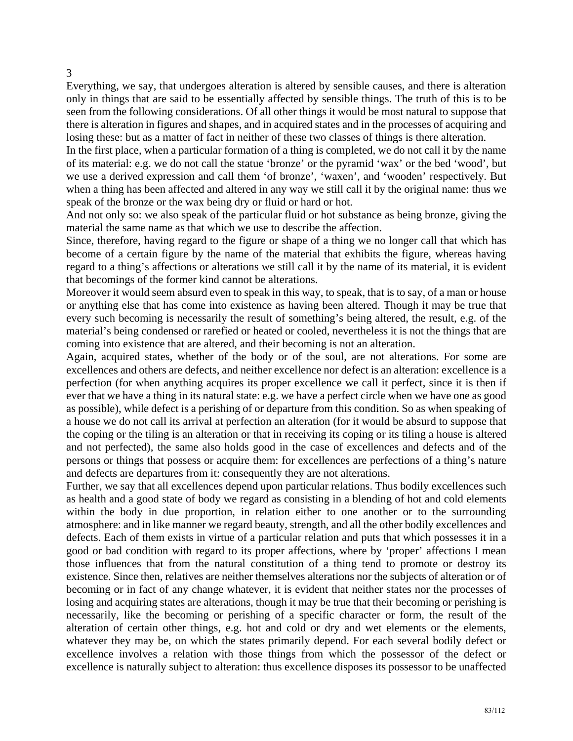Everything, we say, that undergoes alteration is altered by sensible causes, and there is alteration only in things that are said to be essentially affected by sensible things. The truth of this is to be seen from the following considerations. Of all other things it would be most natural to suppose that there is alteration in figures and shapes, and in acquired states and in the processes of acquiring and losing these: but as a matter of fact in neither of these two classes of things is there alteration.

In the first place, when a particular formation of a thing is completed, we do not call it by the name of its material: e.g. we do not call the statue 'bronze' or the pyramid 'wax' or the bed 'wood', but we use a derived expression and call them 'of bronze', 'waxen', and 'wooden' respectively. But when a thing has been affected and altered in any way we still call it by the original name: thus we speak of the bronze or the wax being dry or fluid or hard or hot.

And not only so: we also speak of the particular fluid or hot substance as being bronze, giving the material the same name as that which we use to describe the affection.

Since, therefore, having regard to the figure or shape of a thing we no longer call that which has become of a certain figure by the name of the material that exhibits the figure, whereas having regard to a thing's affections or alterations we still call it by the name of its material, it is evident that becomings of the former kind cannot be alterations.

Moreover it would seem absurd even to speak in this way, to speak, that is to say, of a man or house or anything else that has come into existence as having been altered. Though it may be true that every such becoming is necessarily the result of something's being altered, the result, e.g. of the material's being condensed or rarefied or heated or cooled, nevertheless it is not the things that are coming into existence that are altered, and their becoming is not an alteration.

Again, acquired states, whether of the body or of the soul, are not alterations. For some are excellences and others are defects, and neither excellence nor defect is an alteration: excellence is a perfection (for when anything acquires its proper excellence we call it perfect, since it is then if ever that we have a thing in its natural state: e.g. we have a perfect circle when we have one as good as possible), while defect is a perishing of or departure from this condition. So as when speaking of a house we do not call its arrival at perfection an alteration (for it would be absurd to suppose that the coping or the tiling is an alteration or that in receiving its coping or its tiling a house is altered and not perfected), the same also holds good in the case of excellences and defects and of the persons or things that possess or acquire them: for excellences are perfections of a thing's nature and defects are departures from it: consequently they are not alterations.

Further, we say that all excellences depend upon particular relations. Thus bodily excellences such as health and a good state of body we regard as consisting in a blending of hot and cold elements within the body in due proportion, in relation either to one another or to the surrounding atmosphere: and in like manner we regard beauty, strength, and all the other bodily excellences and defects. Each of them exists in virtue of a particular relation and puts that which possesses it in a good or bad condition with regard to its proper affections, where by 'proper' affections I mean those influences that from the natural constitution of a thing tend to promote or destroy its existence. Since then, relatives are neither themselves alterations nor the subjects of alteration or of becoming or in fact of any change whatever, it is evident that neither states nor the processes of losing and acquiring states are alterations, though it may be true that their becoming or perishing is necessarily, like the becoming or perishing of a specific character or form, the result of the alteration of certain other things, e.g. hot and cold or dry and wet elements or the elements, whatever they may be, on which the states primarily depend. For each several bodily defect or excellence involves a relation with those things from which the possessor of the defect or excellence is naturally subject to alteration: thus excellence disposes its possessor to be unaffected

### 3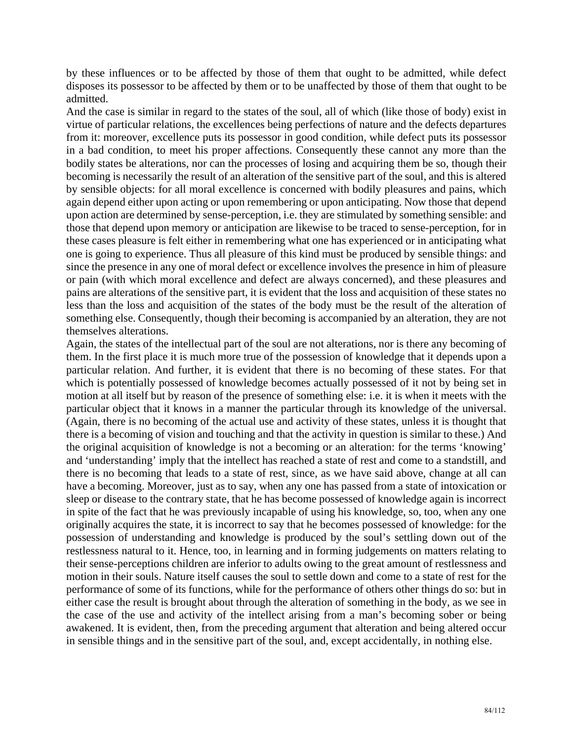by these influences or to be affected by those of them that ought to be admitted, while defect disposes its possessor to be affected by them or to be unaffected by those of them that ought to be admitted.

And the case is similar in regard to the states of the soul, all of which (like those of body) exist in virtue of particular relations, the excellences being perfections of nature and the defects departures from it: moreover, excellence puts its possessor in good condition, while defect puts its possessor in a bad condition, to meet his proper affections. Consequently these cannot any more than the bodily states be alterations, nor can the processes of losing and acquiring them be so, though their becoming is necessarily the result of an alteration of the sensitive part of the soul, and this is altered by sensible objects: for all moral excellence is concerned with bodily pleasures and pains, which again depend either upon acting or upon remembering or upon anticipating. Now those that depend upon action are determined by sense-perception, i.e. they are stimulated by something sensible: and those that depend upon memory or anticipation are likewise to be traced to sense-perception, for in these cases pleasure is felt either in remembering what one has experienced or in anticipating what one is going to experience. Thus all pleasure of this kind must be produced by sensible things: and since the presence in any one of moral defect or excellence involves the presence in him of pleasure or pain (with which moral excellence and defect are always concerned), and these pleasures and pains are alterations of the sensitive part, it is evident that the loss and acquisition of these states no less than the loss and acquisition of the states of the body must be the result of the alteration of something else. Consequently, though their becoming is accompanied by an alteration, they are not themselves alterations.

particular object that it knows in a manner the particular through its knowledge of the universal. there is a becoming of vision and touching and that the activity in question is similar to these.) And the original acquisition of knowledge is not a becoming or an alteration: for the terms 'knowing' and 'understanding' imply that the intellect has reached a state of rest and come to a standstill, and there is no becoming that leads to a state of rest, since, as we have said above, change at all can restlessness natural to it. Hence, too, in learning and in forming judgements on matters relating to the case of the use and activity of the intellect arising from a man's becoming sober or being in sensible things and in the sensitive part of the soul, and, except accidentally, in nothing else. Again, the states of the intellectual part of the soul are not alterations, nor is there any becoming of them. In the first place it is much more true of the possession of knowledge that it depends upon a particular relation. And further, it is evident that there is no becoming of these states. For that which is potentially possessed of knowledge becomes actually possessed of it not by being set in motion at all itself but by reason of the presence of something else: i.e. it is when it meets with the (Again, there is no becoming of the actual use and activity of these states, unless it is thought that have a becoming. Moreover, just as to say, when any one has passed from a state of intoxication or sleep or disease to the contrary state, that he has become possessed of knowledge again is incorrect in spite of the fact that he was previously incapable of using his knowledge, so, too, when any one originally acquires the state, it is incorrect to say that he becomes possessed of knowledge: for the possession of understanding and knowledge is produced by the soul's settling down out of the their sense-perceptions children are inferior to adults owing to the great amount of restlessness and motion in their souls. Nature itself causes the soul to settle down and come to a state of rest for the performance of some of its functions, while for the performance of others other things do so: but in either case the result is brought about through the alteration of something in the body, as we see in awakened. It is evident, then, from the preceding argument that alteration and being altered occur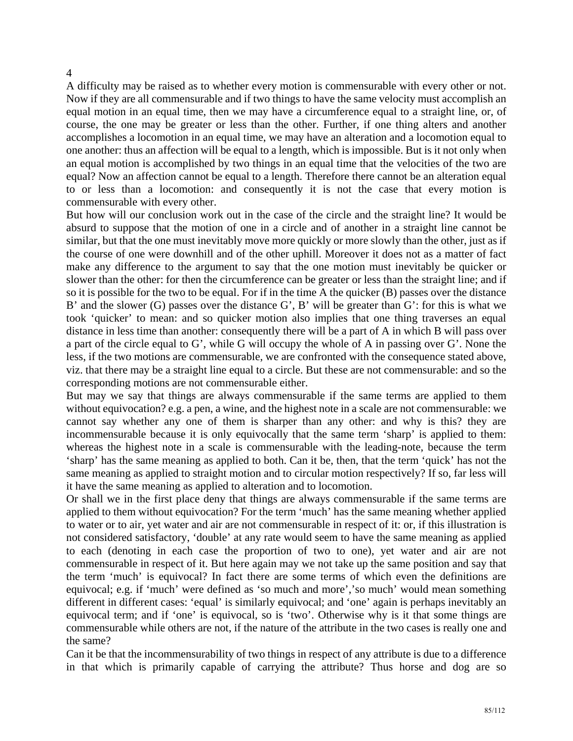#### 4

A difficulty may be raised as to whether every motion is commensurable with every other or not. one another: thus an affection will be equal to a length, which is impossible. But is it not only when Now if they are all commensurable and if two things to have the same velocity must accomplish an equal motion in an equal time, then we may have a circumference equal to a straight line, or, of course, the one may be greater or less than the other. Further, if one thing alters and another accomplishes a locomotion in an equal time, we may have an alteration and a locomotion equal to an equal motion is accomplished by two things in an equal time that the velocities of the two are equal? Now an affection cannot be equal to a length. Therefore there cannot be an alteration equal to or less than a locomotion: and consequently it is not the case that every motion is commensurable with every other.

slower than the other: for then the circumference can be greater or less than the straight line; and if But how will our conclusion work out in the case of the circle and the straight line? It would be absurd to suppose that the motion of one in a circle and of another in a straight line cannot be similar, but that the one must inevitably move more quickly or more slowly than the other, just as if the course of one were downhill and of the other uphill. Moreover it does not as a matter of fact make any difference to the argument to say that the one motion must inevitably be quicker or so it is possible for the two to be equal. For if in the time A the quicker (B) passes over the distance B' and the slower (G) passes over the distance G', B' will be greater than G': for this is what we took 'quicker' to mean: and so quicker motion also implies that one thing traverses an equal distance in less time than another: consequently there will be a part of A in which B will pass over a part of the circle equal to G', while G will occupy the whole of A in passing over G'. None the less, if the two motions are commensurable, we are confronted with the consequence stated above, viz. that there may be a straight line equal to a circle. But these are not commensurable: and so the corresponding motions are not commensurable either.

But may we say that things are always commensurable if the same terms are applied to them without equivocation? e.g. a pen, a wine, and the highest note in a scale are not commensurable: we cannot say whether any one of them is sharper than any other: and why is this? they are incommensurable because it is only equivocally that the same term 'sharp' is applied to them: whereas the highest note in a scale is commensurable with the leading-note, because the term 'sharp' has the same meaning as applied to both. Can it be, then, that the term 'quick' has not the same meaning as applied to straight motion and to circular motion respectively? If so, far less will it have the same meaning as applied to alteration and to locomotion.

applied to them without equivocation? For the term 'much' has the same meaning whether applied Or shall we in the first place deny that things are always commensurable if the same terms are to water or to air, yet water and air are not commensurable in respect of it: or, if this illustration is not considered satisfactory, 'double' at any rate would seem to have the same meaning as applied to each (denoting in each case the proportion of two to one), yet water and air are not commensurable in respect of it. But here again may we not take up the same position and say that the term 'much' is equivocal? In fact there are some terms of which even the definitions are equivocal; e.g. if 'much' were defined as 'so much and more','so much' would mean something different in different cases: 'equal' is similarly equivocal; and 'one' again is perhaps inevitably an equivocal term; and if 'one' is equivocal, so is 'two'. Otherwise why is it that some things are commensurable while others are not, if the nature of the attribute in the two cases is really one and the same?

Can it be that the incommensurability of two things in respect of any attribute is due to a difference in that which is primarily capable of carrying the attribute? Thus horse and dog are so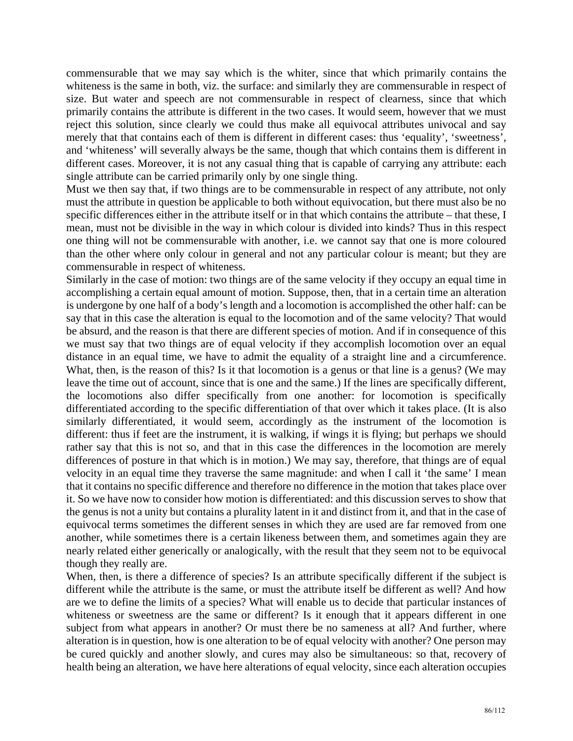commensurable that we may say which is the whiter, since that which primarily contains the whiteness is the same in both, viz. the surface: and similarly they are commensurable in respect of size. But water and speech are not commensurable in respect of clearness, since that which primarily contains the attribute is different in the two cases. It would seem, however that we must reject this solution, since clearly we could thus make all equivocal attributes univocal and say merely that that contains each of them is different in different cases: thus 'equality', 'sweetness', and 'whiteness' will severally always be the same, though that which contains them is different in different cases. Moreover, it is not any casual thing that is capable of carrying any attribute: each single attribute can be carried primarily only by one single thing.

Must we then say that, if two things are to be commensurable in respect of any attribute, not only must the attribute in question be applicable to both without equivocation, but there must also be no specific differences either in the attribute itself or in that which contains the attribute – that these, I mean, must not be divisible in the way in which colour is divided into kinds? Thus in this respect one thing will not be commensurable with another, i.e. we cannot say that one is more coloured than the other where only colour in general and not any particular colour is meant; but they are commensurable in respect of whiteness.

differences of posture in that which is in motion.) We may say, therefore, that things are of equal velocity in an equal time they traverse the same magnitude: and when I call it 'the same' I mean that it contains no specific difference and therefore no difference in the motion that takes place over it. So we have now to consider how motion is differentiated: and this discussion serves to show that Similarly in the case of motion: two things are of the same velocity if they occupy an equal time in accomplishing a certain equal amount of motion. Suppose, then, that in a certain time an alteration is undergone by one half of a body's length and a locomotion is accomplished the other half: can be say that in this case the alteration is equal to the locomotion and of the same velocity? That would be absurd, and the reason is that there are different species of motion. And if in consequence of this we must say that two things are of equal velocity if they accomplish locomotion over an equal distance in an equal time, we have to admit the equality of a straight line and a circumference. What, then, is the reason of this? Is it that locomotion is a genus or that line is a genus? (We may leave the time out of account, since that is one and the same.) If the lines are specifically different, the locomotions also differ specifically from one another: for locomotion is specifically differentiated according to the specific differentiation of that over which it takes place. (It is also similarly differentiated, it would seem, accordingly as the instrument of the locomotion is different: thus if feet are the instrument, it is walking, if wings it is flying; but perhaps we should rather say that this is not so, and that in this case the differences in the locomotion are merely the genus is not a unity but contains a plurality latent in it and distinct from it, and that in the case of equivocal terms sometimes the different senses in which they are used are far removed from one another, while sometimes there is a certain likeness between them, and sometimes again they are nearly related either generically or analogically, with the result that they seem not to be equivocal though they really are.

subject from what appears in another? Or must there be no sameness at all? And further, where When, then, is there a difference of species? Is an attribute specifically different if the subject is different while the attribute is the same, or must the attribute itself be different as well? And how are we to define the limits of a species? What will enable us to decide that particular instances of whiteness or sweetness are the same or different? Is it enough that it appears different in one alteration is in question, how is one alteration to be of equal velocity with another? One person may be cured quickly and another slowly, and cures may also be simultaneous: so that, recovery of health being an alteration, we have here alterations of equal velocity, since each alteration occupies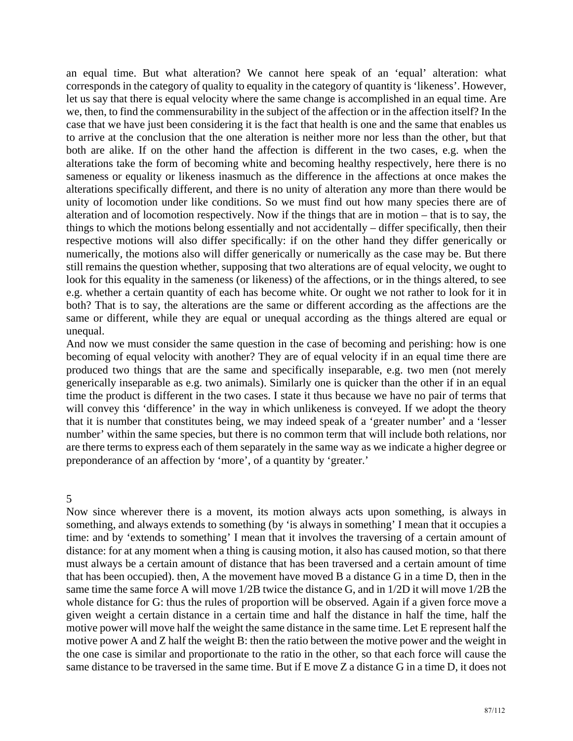an equal time. But what alteration? We cannot here speak of an 'equal' alteration: what corresponds in the category of quality to equality in the category of quantity is 'likeness'. However, let us say that there is equal velocity where the same change is accomplished in an equal time. Are we, then, to find the commensurability in the subject of the affection or in the affection itself? In the case that we have just been considering it is the fact that health is one and the same that enables us to arrive at the conclusion that the one alteration is neither more nor less than the other, but that both are alike. If on the other hand the affection is different in the two cases, e.g. when the alterations take the form of becoming white and becoming healthy respectively, here there is no sameness or equality or likeness inasmuch as the difference in the affections at once makes the alterations specifically different, and there is no unity of alteration any more than there would be unity of locomotion under like conditions. So we must find out how many species there are of both? That is to say, the alterations are the same or different according as the affections are the alteration and of locomotion respectively. Now if the things that are in motion – that is to say, the things to which the motions belong essentially and not accidentally – differ specifically, then their respective motions will also differ specifically: if on the other hand they differ generically or numerically, the motions also will differ generically or numerically as the case may be. But there still remains the question whether, supposing that two alterations are of equal velocity, we ought to look for this equality in the sameness (or likeness) of the affections, or in the things altered, to see e.g. whether a certain quantity of each has become white. Or ought we not rather to look for it in same or different, while they are equal or unequal according as the things altered are equal or unequal.

preponderance of an affection by 'more', of a quantity by 'greater.' And now we must consider the same question in the case of becoming and perishing: how is one becoming of equal velocity with another? They are of equal velocity if in an equal time there are produced two things that are the same and specifically inseparable, e.g. two men (not merely generically inseparable as e.g. two animals). Similarly one is quicker than the other if in an equal time the product is different in the two cases. I state it thus because we have no pair of terms that will convey this 'difference' in the way in which unlikeness is conveyed. If we adopt the theory that it is number that constitutes being, we may indeed speak of a 'greater number' and a 'lesser number' within the same species, but there is no common term that will include both relations, nor are there terms to express each of them separately in the same way as we indicate a higher degree or

### 5

whole distance for G: thus the rules of proportion will be observed. Again if a given force move a Now since wherever there is a movent, its motion always acts upon something, is always in something, and always extends to something (by 'is always in something' I mean that it occupies a time: and by 'extends to something' I mean that it involves the traversing of a certain amount of distance: for at any moment when a thing is causing motion, it also has caused motion, so that there must always be a certain amount of distance that has been traversed and a certain amount of time that has been occupied). then, A the movement have moved B a distance G in a time D, then in the same time the same force A will move 1/2B twice the distance G, and in 1/2D it will move 1/2B the given weight a certain distance in a certain time and half the distance in half the time, half the motive power will move half the weight the same distance in the same time. Let E represent half the motive power A and Z half the weight B: then the ratio between the motive power and the weight in the one case is similar and proportionate to the ratio in the other, so that each force will cause the same distance to be traversed in the same time. But if E move Z a distance G in a time D, it does not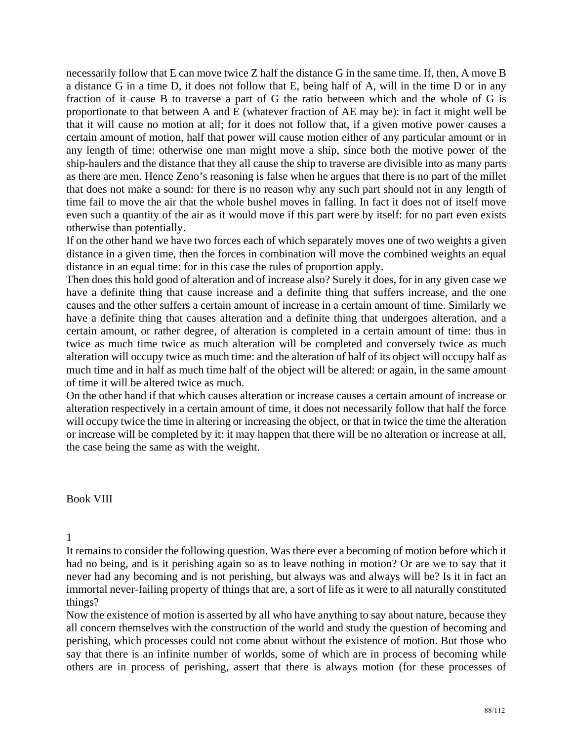necessarily follow that E can move twice Z half the distance G in the same time. If, then, A move B a distance G in a time D, it does not follow that E, being half of A, will in the time D or in any fraction of it cause B to traverse a part of G the ratio between which and the whole of G is proportionate to that between A and E (whatever fraction of AE may be): in fact it might well be that it will cause no motion at all; for it does not follow that, if a given motive power causes a certain amount of motion, half that power will cause motion either of any particular amount or in any length of time: otherwise one man might move a ship, since both the motive power of the ship-haulers and the distance that they all cause the ship to traverse are divisible into as many parts as there are men. Hence Zeno's reasoning is false when he argues that there is no part of the millet that does not make a sound: for there is no reason why any such part should not in any length of time fail to move the air that the whole bushel moves in falling. In fact it does not of itself move even such a quantity of the air as it would move if this part were by itself: for no part even exists otherwise than potentially.

If on the other hand we have two forces each of which separately moves one of two weights a given distance in a given time, then the forces in combination will move the combined weights an equal distance in an equal time: for in this case the rules of proportion apply.

Then does this hold good of alteration and of increase also? Surely it does, for in any given case we have a definite thing that cause increase and a definite thing that suffers increase, and the one causes and the other suffers a certain amount of increase in a certain amount of time. Similarly we have a definite thing that causes alteration and a definite thing that undergoes alteration, and a certain amount, or rather degree, of alteration is completed in a certain amount of time: thus in twice as much time twice as much alteration will be completed and conversely twice as much alteration will occupy twice as much time: and the alteration of half of its object will occupy half as much time and in half as much time half of the object will be altered: or again, in the same amount of time it will be altered twice as much.

On the other hand if that which causes alteration or increase causes a certain amount of increase or alteration respectively in a certain amount of time, it does not necessarily follow that half the force will occupy twice the time in altering or increasing the object, or that in twice the time the alteration or increase will be completed by it: it may happen that there will be no alteration or increase at all, the case being the same as with the weight.

Book VIII

1

It remains to consider the following question. Was there ever a becoming of motion before which it had no being, and is it perishing again so as to leave nothing in motion? Or are we to say that it never had any becoming and is not perishing, but always was and always will be? Is it in fact an immortal never-failing property of things that are, a sort of life as it were to all naturally constituted things?

Now the existence of motion is asserted by all who have anything to say about nature, because they all concern themselves with the construction of the world and study the question of becoming and perishing, which processes could not come about without the existence of motion. But those who say that there is an infinite number of worlds, some of which are in process of becoming while others are in process of perishing, assert that there is always motion (for these processes of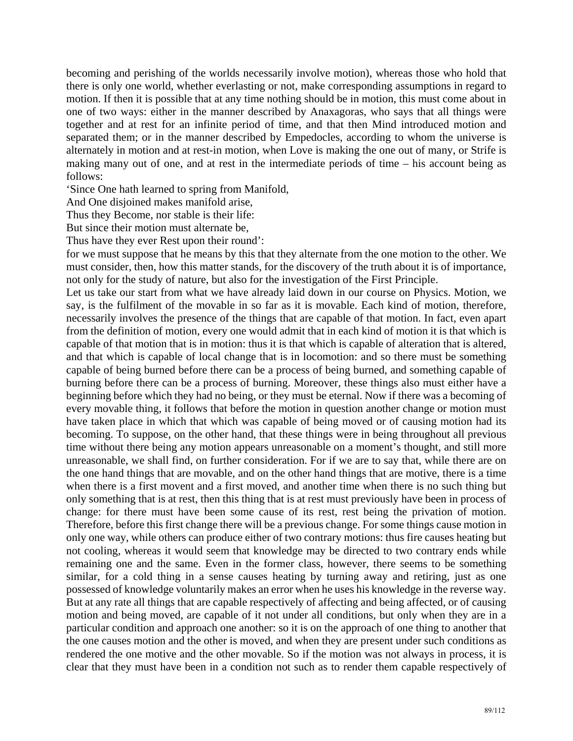becoming and perishing of the worlds necessarily involve motion), whereas those who hold that there is only one world, whether everlasting or not, make corresponding assumptions in regard to motion. If then it is possible that at any time nothing should be in motion, this must come about in one of two ways: either in the manner described by Anaxagoras, who says that all things were together and at rest for an infinite period of time, and that then Mind introduced motion and separated them; or in the manner described by Empedocles, according to whom the universe is alternately in motion and at rest-in motion, when Love is making the one out of many, or Strife is making many out of one, and at rest in the intermediate periods of time – his account being as follows:

'Since One hath learned to spring from Manifold,

And One disjoined makes manifold arise,

Thus they Become, nor stable is their life:

But since their motion must alternate be,

Thus have they ever Rest upon their round':

not only for the study of nature, but also for the investigation of the First Principle. for we must suppose that he means by this that they alternate from the one motion to the other. We must consider, then, how this matter stands, for the discovery of the truth about it is of importance,

Let us take our start from what we have already laid down in our course on Physics. Motion, we say, is the fulfilment of the movable in so far as it is movable. Each kind of motion, therefore, necessarily involves the presence of the things that are capable of that motion. In fact, even apart rendered the one motive and the other movable. So if the motion was not always in process, it is clear that they must have been in a condition not such as to render them capable respectively of from the definition of motion, every one would admit that in each kind of motion it is that which is capable of that motion that is in motion: thus it is that which is capable of alteration that is altered, and that which is capable of local change that is in locomotion: and so there must be something capable of being burned before there can be a process of being burned, and something capable of burning before there can be a process of burning. Moreover, these things also must either have a beginning before which they had no being, or they must be eternal. Now if there was a becoming of every movable thing, it follows that before the motion in question another change or motion must have taken place in which that which was capable of being moved or of causing motion had its becoming. To suppose, on the other hand, that these things were in being throughout all previous time without there being any motion appears unreasonable on a moment's thought, and still more unreasonable, we shall find, on further consideration. For if we are to say that, while there are on the one hand things that are movable, and on the other hand things that are motive, there is a time when there is a first movent and a first moved, and another time when there is no such thing but only something that is at rest, then this thing that is at rest must previously have been in process of change: for there must have been some cause of its rest, rest being the privation of motion. Therefore, before this first change there will be a previous change. For some things cause motion in only one way, while others can produce either of two contrary motions: thus fire causes heating but not cooling, whereas it would seem that knowledge may be directed to two contrary ends while remaining one and the same. Even in the former class, however, there seems to be something similar, for a cold thing in a sense causes heating by turning away and retiring, just as one possessed of knowledge voluntarily makes an error when he uses his knowledge in the reverse way. But at any rate all things that are capable respectively of affecting and being affected, or of causing motion and being moved, are capable of it not under all conditions, but only when they are in a particular condition and approach one another: so it is on the approach of one thing to another that the one causes motion and the other is moved, and when they are present under such conditions as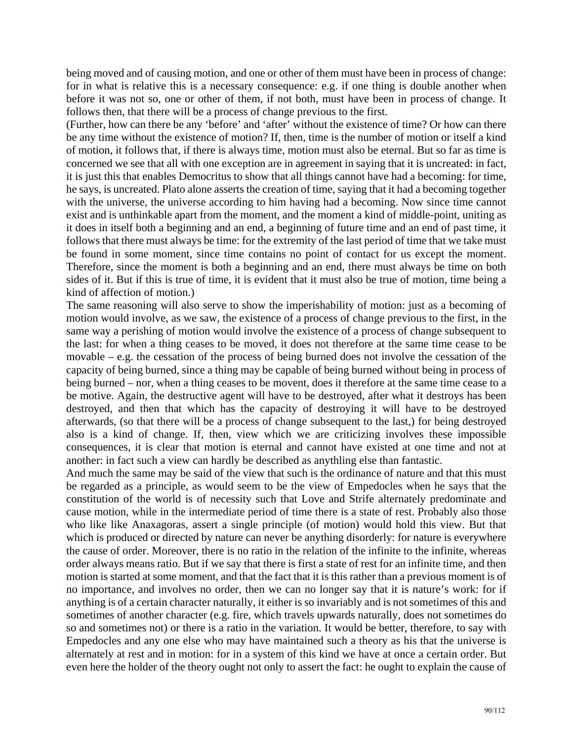being moved and of causing motion, and one or other of them must have been in process of change: for in what is relative this is a necessary consequence: e.g. if one thing is double another when before it was not so, one or other of them, if not both, must have been in process of change. It follows then, that there will be a process of change previous to the first.

exist and is unthinkable apart from the moment, and the moment a kind of middle-point, uniting as sides of it. But if this is true of time, it is evident that it must also be true of motion, time being a kind of affection of motion.) (Further, how can there be any 'before' and 'after' without the existence of time? Or how can there be any time without the existence of motion? If, then, time is the number of motion or itself a kind of motion, it follows that, if there is always time, motion must also be eternal. But so far as time is concerned we see that all with one exception are in agreement in saying that it is uncreated: in fact, it is just this that enables Democritus to show that all things cannot have had a becoming: for time, he says, is uncreated. Plato alone asserts the creation of time, saying that it had a becoming together with the universe, the universe according to him having had a becoming. Now since time cannot it does in itself both a beginning and an end, a beginning of future time and an end of past time, it follows that there must always be time: for the extremity of the last period of time that we take must be found in some moment, since time contains no point of contact for us except the moment. Therefore, since the moment is both a beginning and an end, there must always be time on both

The same reasoning will also serve to show the imperishability of motion: just as a becoming of motion would involve, as we saw, the existence of a process of change previous to the first, in the same way a perishing of motion would involve the existence of a process of change subsequent to the last: for when a thing ceases to be moved, it does not therefore at the same time cease to be movable  $-$  e.g. the cessation of the process of being burned does not involve the cessation of the capacity of being burned, since a thing may be capable of being burned without being in process of also is a kind of change. If, then, view which we are criticizing involves these impossible being burned – nor, when a thing ceases to be movent, does it therefore at the same time cease to a be motive. Again, the destructive agent will have to be destroyed, after what it destroys has been destroyed, and then that which has the capacity of destroying it will have to be destroyed afterwards, (so that there will be a process of change subsequent to the last,) for being destroyed consequences, it is clear that motion is eternal and cannot have existed at one time and not at another: in fact such a view can hardly be described as anythling else than fantastic.

sometimes of another character (e.g. fire, which travels upwards naturally, does not sometimes do so and sometimes not) or there is a ratio in the variation. It would be better, therefore, to say with Empedocles and any one else who may have maintained such a theory as his that the universe is alternately at rest and in motion: for in a system of this kind we have at once a certain order. But even here the holder of the theory ought not only to assert the fact: he ought to explain the cause of And much the same may be said of the view that such is the ordinance of nature and that this must be regarded as a principle, as would seem to be the view of Empedocles when he says that the constitution of the world is of necessity such that Love and Strife alternately predominate and cause motion, while in the intermediate period of time there is a state of rest. Probably also those who like like Anaxagoras, assert a single principle (of motion) would hold this view. But that which is produced or directed by nature can never be anything disorderly: for nature is everywhere the cause of order. Moreover, there is no ratio in the relation of the infinite to the infinite, whereas order always means ratio. But if we say that there is first a state of rest for an infinite time, and then motion is started at some moment, and that the fact that it is this rather than a previous moment is of no importance, and involves no order, then we can no longer say that it is nature's work: for if anything is of a certain character naturally, it either is so invariably and is not sometimes of this and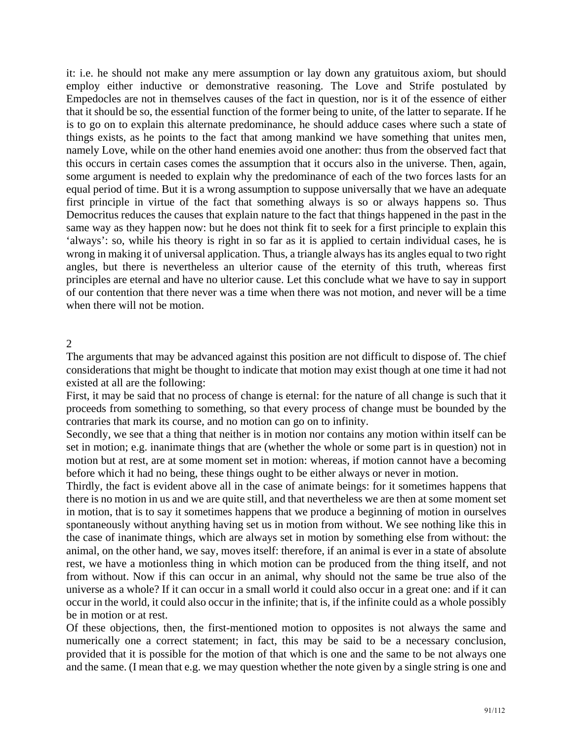it: i.e. he should not make any mere assumption or lay down any gratuitous axiom, but should that it should be so, the essential function of the former being to unite, of the latter to separate. If he employ either inductive or demonstrative reasoning. The Love and Strife postulated by Empedocles are not in themselves causes of the fact in question, nor is it of the essence of either is to go on to explain this alternate predominance, he should adduce cases where such a state of things exists, as he points to the fact that among mankind we have something that unites men, namely Love, while on the other hand enemies avoid one another: thus from the observed fact that this occurs in certain cases comes the assumption that it occurs also in the universe. Then, again, some argument is needed to explain why the predominance of each of the two forces lasts for an equal period of time. But it is a wrong assumption to suppose universally that we have an adequate first principle in virtue of the fact that something always is so or always happens so. Thus Democritus reduces the causes that explain nature to the fact that things happened in the past in the same way as they happen now: but he does not think fit to seek for a first principle to explain this 'always': so, while his theory is right in so far as it is applied to certain individual cases, he is wrong in making it of universal application. Thus, a triangle always has its angles equal to two right angles, but there is nevertheless an ulterior cause of the eternity of this truth, whereas first principles are eternal and have no ulterior cause. Let this conclude what we have to say in support of our contention that there never was a time when there was not motion, and never will be a time when there will not be motion.

 $\mathfrak{D}$ 

The arguments that may be advanced against this position are not difficult to dispose of. The chief considerations that might be thought to indicate that motion may exist though at one time it had not existed at all are the following:

First, it may be said that no process of change is eternal: for the nature of all change is such that it proceeds from something to something, so that every process of change must be bounded by the contraries that mark its course, and no motion can go on to infinity.

Secondly, we see that a thing that neither is in motion nor contains any motion within itself can be set in motion; e.g. inanimate things that are (whether the whole or some part is in question) not in motion but at rest, are at some moment set in motion: whereas, if motion cannot have a becoming before which it had no being, these things ought to be either always or never in motion.

rest, we have a motionless thing in which motion can be produced from the thing itself, and not Thirdly, the fact is evident above all in the case of animate beings: for it sometimes happens that there is no motion in us and we are quite still, and that nevertheless we are then at some moment set in motion, that is to say it sometimes happens that we produce a beginning of motion in ourselves spontaneously without anything having set us in motion from without. We see nothing like this in the case of inanimate things, which are always set in motion by something else from without: the animal, on the other hand, we say, moves itself: therefore, if an animal is ever in a state of absolute from without. Now if this can occur in an animal, why should not the same be true also of the universe as a whole? If it can occur in a small world it could also occur in a great one: and if it can occur in the world, it could also occur in the infinite; that is, if the infinite could as a whole possibly be in motion or at rest.

Of these objections, then, the first-mentioned motion to opposites is not always the same and numerically one a correct statement; in fact, this may be said to be a necessary conclusion, provided that it is possible for the motion of that which is one and the same to be not always one and the same. (I mean that e.g. we may question whether the note given by a single string is one and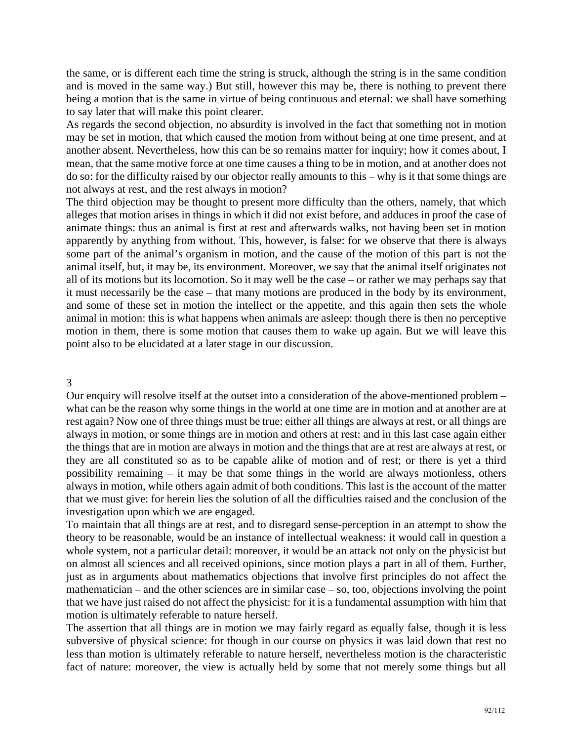the same, or is different each time the string is struck, although the string is in the same condition and is moved in the same way.) But still, however this may be, there is nothing to prevent there being a motion that is the same in virtue of being continuous and eternal: we shall have something to say later that will make this point clearer.

As regards the second objection, no absurdity is involved in the fact that something not in motion may be set in motion, that which caused the motion from without being at one time present, and at another absent. Nevertheless, how this can be so remains matter for inquiry; how it comes about, I mean, that the same motive force at one time causes a thing to be in motion, and at another does not do so: for the difficulty raised by our objector really amounts to this – why is it that some things are not always at rest, and the rest always in motion?

and some of these set in motion the intellect or the appetite, and this again then sets the whole The third objection may be thought to present more difficulty than the others, namely, that which alleges that motion arises in things in which it did not exist before, and adduces in proof the case of animate things: thus an animal is first at rest and afterwards walks, not having been set in motion apparently by anything from without. This, however, is false: for we observe that there is always some part of the animal's organism in motion, and the cause of the motion of this part is not the animal itself, but, it may be, its environment. Moreover, we say that the animal itself originates not all of its motions but its locomotion. So it may well be the case – or rather we may perhaps say that it must necessarily be the case – that many motions are produced in the body by its environment, animal in motion: this is what happens when animals are asleep: though there is then no perceptive motion in them, there is some motion that causes them to wake up again. But we will leave this point also to be elucidated at a later stage in our discussion.

### 3

Our enquiry will resolve itself at the outset into a consideration of the above-mentioned problem – what can be the reason why some things in the world at one time are in motion and at another are at rest again? Now one of three things must be true: either all things are always at rest, or all things are always in motion, or some things are in motion and others at rest: and in this last case again either the things that are in motion are always in motion and the things that are at rest are always at rest, or they are all constituted so as to be capable alike of motion and of rest; or there is yet a third possibility remaining – it may be that some things in the world are always motionless, others always in motion, while others again admit of both conditions. This last is the account of the matter that we must give: for herein lies the solution of all the difficulties raised and the conclusion of the investigation upon which we are engaged.

To maintain that all things are at rest, and to disregard sense-perception in an attempt to show the theory to be reasonable, would be an instance of intellectual weakness: it would call in question a whole system, not a particular detail: moreover, it would be an attack not only on the physicist but on almost all sciences and all received opinions, since motion plays a part in all of them. Further, just as in arguments about mathematics objections that involve first principles do not affect the mathematician – and the other sciences are in similar case – so, too, objections involving the point that we have just raised do not affect the physicist: for it is a fundamental assumption with him that motion is ultimately referable to nature herself.

The assertion that all things are in motion we may fairly regard as equally false, though it is less subversive of physical science: for though in our course on physics it was laid down that rest no less than motion is ultimately referable to nature herself, nevertheless motion is the characteristic fact of nature: moreover, the view is actually held by some that not merely some things but all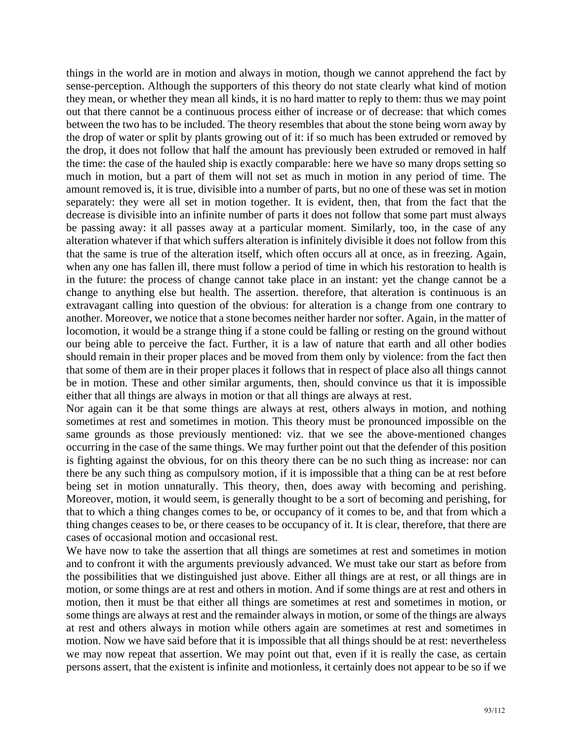things in the world are in motion and always in motion, though we cannot apprehend the fact by sense-perception. Although the supporters of this theory do not state clearly what kind of motion they mean, or whether they mean all kinds, it is no hard matter to reply to them: thus we may point out that there cannot be a continuous process either of increase or of decrease: that which comes between the two has to be included. The theory resembles that about the stone being worn away by the drop of water or split by plants growing out of it: if so much has been extruded or removed by the drop, it does not follow that half the amount has previously been extruded or removed in half the time: the case of the hauled ship is exactly comparable: here we have so many drops setting so much in motion, but a part of them will not set as much in motion in any period of time. The mount removed is, it is true, divisible into a number of parts, but no one of these was set in motion a separately: they were all set in motion together. It is evident, then, that from the fact that the alteration whatever if that which suffers alteration is infinitely divisible it does not follow from this decrease is divisible into an infinite number of parts it does not follow that some part must always be passing away: it all passes away at a particular moment. Similarly, too, in the case of any that the same is true of the alteration itself, which often occurs all at once, as in freezing. Again, when any one has fallen ill, there must follow a period of time in which his restoration to health is in the future: the process of change cannot take place in an instant: yet the change cannot be a change to anything else but health. The assertion. therefore, that alteration is continuous is an extravagant calling into question of the obvious: for alteration is a change from one contrary to another. Moreover, we notice that a stone becomes neither harder nor softer. Again, in the matter of locomotion, it would be a strange thing if a stone could be falling or resting on the ground without our being able to perceive the fact. Further, it is a law of nature that earth and all other bodies should remain in their proper places and be moved from them only by violence: from the fact then that some of them are in their proper places it follows that in respect of place also all things cannot be in motion. These and other similar arguments, then, should convince us that it is impossible either that all things are always in motion or that all things are always at rest.

there be any such thing as compulsory motion, if it is impossible that a thing can be at rest before Nor again can it be that some things are always at rest, others always in motion, and nothing sometimes at rest and sometimes in motion. This theory must be pronounced impossible on the same grounds as those previously mentioned: viz. that we see the above-mentioned changes occurring in the case of the same things. We may further point out that the defender of this position is fighting against the obvious, for on this theory there can be no such thing as increase: nor can being set in motion unnaturally. This theory, then, does away with becoming and perishing. Moreover, motion, it would seem, is generally thought to be a sort of becoming and perishing, for that to which a thing changes comes to be, or occupancy of it comes to be, and that from which a thing changes ceases to be, or there ceases to be occupancy of it. It is clear, therefore, that there are cases of occasional motion and occasional rest.

the possibilities that we distinguished just above. Either all things are at rest, or all things are in we may now repeat that assertion. We may point out that, even if it is really the case, as certain persons assert, that the existent is infinite and motionless, it certainly does not appear to be so if we We have now to take the assertion that all things are sometimes at rest and sometimes in motion and to confront it with the arguments previously advanced. We must take our start as before from motion, or some things are at rest and others in motion. And if some things are at rest and others in motion, then it must be that either all things are sometimes at rest and sometimes in motion, or some things are always at rest and the remainder always in motion, or some of the things are always at rest and others always in motion while others again are sometimes at rest and sometimes in motion. Now we have said before that it is impossible that all things should be at rest: nevertheless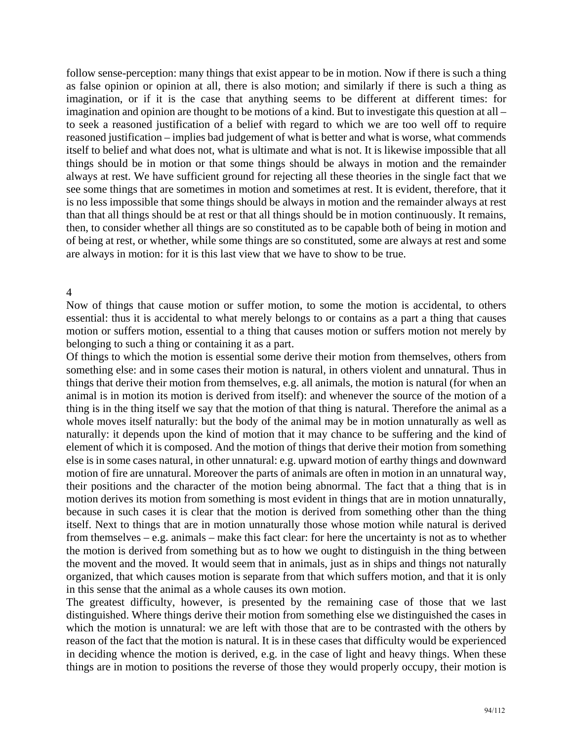follow sense-perception: many things that exist appear to be in motion. Now if there is such a thing as false opinion or opinion at all, there is also motion; and similarly if there is such a thing as imagination, or if it is the case that anything seems to be different at different times: for imagination and opinion are thought to be motions of a kind. But to investigate this question at all – to seek a reasoned justification of a belief with regard to which we are too well off to require reasoned justification – implies bad judgement of what is better and what is worse, what commends itself to belief and what does not, what is ultimate and what is not. It is likewise impossible that all things should be in motion or that some things should be always in motion and the remainder always at rest. We have sufficient ground for rejecting all these theories in the single fact that we see some things that are sometimes in motion and sometimes at rest. It is evident, therefore, that it is no less impossible that some things should be always in motion and the remainder always at rest than that all things should be at rest or that all things should be in motion continuously. It remains, then, to consider whether all things are so constituted as to be capable both of being in motion and of being at rest, or whether, while some things are so constituted, some are always at rest and some are always in motion: for it is this last view that we have to show to be true.

### 4

Now of things that cause motion or suffer motion, to some the motion is accidental, to others essential: thus it is accidental to what merely belongs to or contains as a part a thing that causes motion or suffers motion, essential to a thing that causes motion or suffers motion not merely by belonging to such a thing or containing it as a part.

things that derive their motion from themselves, e.g. all animals, the motion is natural (for when an their positions and the character of the motion being abnormal. The fact that a thing that is in Of things to which the motion is essential some derive their motion from themselves, others from something else: and in some cases their motion is natural, in others violent and unnatural. Thus in animal is in motion its motion is derived from itself): and whenever the source of the motion of a thing is in the thing itself we say that the motion of that thing is natural. Therefore the animal as a whole moves itself naturally: but the body of the animal may be in motion unnaturally as well as naturally: it depends upon the kind of motion that it may chance to be suffering and the kind of element of which it is composed. And the motion of things that derive their motion from something else is in some cases natural, in other unnatural: e.g. upward motion of earthy things and downward motion of fire are unnatural. Moreover the parts of animals are often in motion in an unnatural way, motion derives its motion from something is most evident in things that are in motion unnaturally, because in such cases it is clear that the motion is derived from something other than the thing itself. Next to things that are in motion unnaturally those whose motion while natural is derived from themselves – e.g. animals – make this fact clear: for here the uncertainty is not as to whether the motion is derived from something but as to how we ought to distinguish in the thing between the movent and the moved. It would seem that in animals, just as in ships and things not naturally organized, that which causes motion is separate from that which suffers motion, and that it is only in this sense that the animal as a whole causes its own motion.

The greatest difficulty, however, is presented by the remaining case of those that we last distinguished. Where things derive their motion from something else we distinguished the cases in which the motion is unnatural: we are left with those that are to be contrasted with the others by reason of the fact that the motion is natural. It is in these cases that difficulty would be experienced in deciding whence the motion is derived, e.g. in the case of light and heavy things. When these things are in motion to positions the reverse of those they would properly occupy, their motion is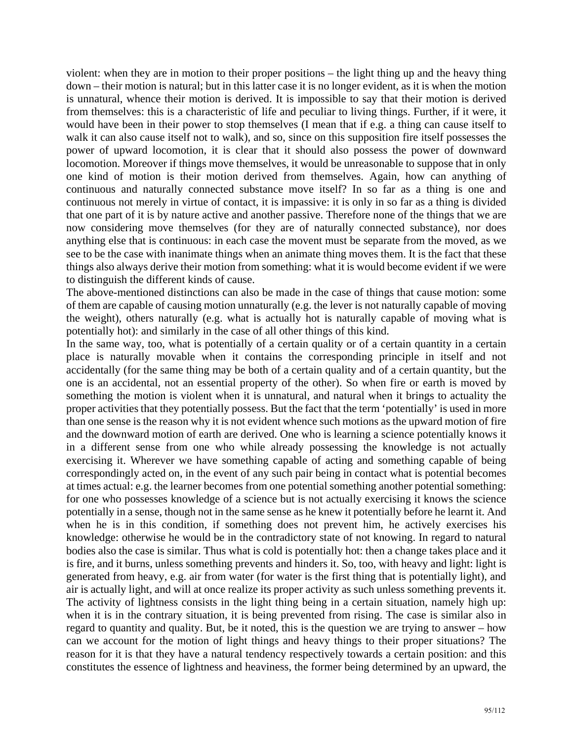violent: when they are in motion to their proper positions – the light thing up and the heavy thing down – their motion is natural; but in this latter case it is no longer evident, as it is when the motion is unnatural, whence their motion is derived. It is impossible to say that their motion is derived from themselves: this is a characteristic of life and peculiar to living things. Further, if it were, it would have been in their power to stop themselves (I mean that if e.g. a thing can cause itself to walk it can also cause itself not to walk), and so, since on this supposition fire itself possesses the power of upward locomotion, it is clear that it should also possess the power of downward locomotion. Moreover if things move themselves, it would be unreasonable to suppose that in only one kind of motion is their motion derived from themselves. Again, how can anything of continuous and naturally connected substance move itself? In so far as a thing is one and continuous not merely in virtue of contact, it is impassive: it is only in so far as a thing is divided that one part of it is by nature active and another passive. Therefore none of the things that we are now considering move themselves (for they are of naturally connected substance), nor does anything else that is continuous: in each case the movent must be separate from the moved, as we see to be the case with inanimate things when an animate thing moves them. It is the fact that these things also always derive their motion from something: what it is would become evident if we were to distinguish the different kinds of cause.

The above-mentioned distinctions can also be made in the case of things that cause motion: some of them are capable of causing motion unnaturally (e.g. the lever is not naturally capable of moving the weight), others naturally (e.g. what is actually hot is naturally capable of moving what is potentially hot): and similarly in the case of all other things of this kind.

than one sense is the reason why it is not evident whence such motions as the upward motion of fire In the same way, too, what is potentially of a certain quality or of a certain quantity in a certain place is naturally movable when it contains the corresponding principle in itself and not accidentally (for the same thing may be both of a certain quality and of a certain quantity, but the one is an accidental, not an essential property of the other). So when fire or earth is moved by something the motion is violent when it is unnatural, and natural when it brings to actuality the proper activities that they potentially possess. But the fact that the term 'potentially' is used in more and the downward motion of earth are derived. One who is learning a science potentially knows it in a different sense from one who while already possessing the knowledge is not actually exercising it. Wherever we have something capable of acting and something capable of being correspondingly acted on, in the event of any such pair being in contact what is potential becomes at times actual: e.g. the learner becomes from one potential something another potential something: for one who possesses knowledge of a science but is not actually exercising it knows the science potentially in a sense, though not in the same sense as he knew it potentially before he learnt it. And when he is in this condition, if something does not prevent him, he actively exercises his knowledge: otherwise he would be in the contradictory state of not knowing. In regard to natural bodies also the case is similar. Thus what is cold is potentially hot: then a change takes place and it is fire, and it burns, unless something prevents and hinders it. So, too, with heavy and light: light is generated from heavy, e.g. air from water (for water is the first thing that is potentially light), and air is actually light, and will at once realize its proper activity as such unless something prevents it. The activity of lightness consists in the light thing being in a certain situation, namely high up: when it is in the contrary situation, it is being prevented from rising. The case is similar also in regard to quantity and quality. But, be it noted, this is the question we are trying to answer – how can we account for the motion of light things and heavy things to their proper situations? The reason for it is that they have a natural tendency respectively towards a certain position: and this constitutes the essence of lightness and heaviness, the former being determined by an upward, the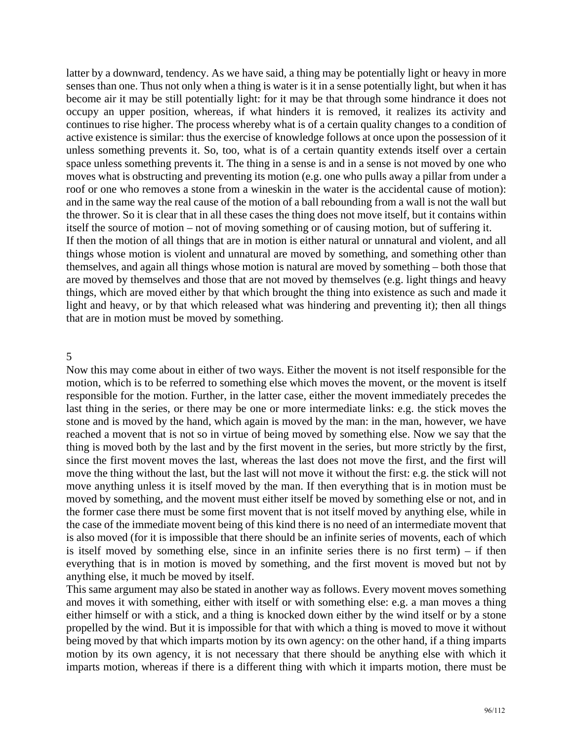latter by a downward, tendency. As we have said, a thing may be potentially light or heavy in more senses than one. Thus not only when a thing is water is it in a sense potentially light, but when it has become air it may be still potentially light: for it may be that through some hindrance it does not occupy an upper position, whereas, if what hinders it is removed, it realizes its activity and continues to rise higher. The process whereby what is of a certain quality changes to a condition of active existence is similar: thus the exercise of knowledge follows at once upon the possession of it unless something prevents it. So, too, what is of a certain quantity extends itself over a certain space unless something prevents it. The thing in a sense is and in a sense is not moved by one who moves what is obstructing and preventing its motion (e.g. one who pulls away a pillar from under a roof or one who removes a stone from a wineskin in the water is the accidental cause of motion): If then the motion of all things that are in motion is either natural or unnatural and violent, and all and in the same way the real cause of the motion of a ball rebounding from a wall is not the wall but the thrower. So it is clear that in all these cases the thing does not move itself, but it contains within itself the source of motion – not of moving something or of causing motion, but of suffering it. things whose motion is violent and unnatural are moved by something, and something other than themselves, and again all things whose motion is natural are moved by something – both those that are moved by themselves and those that are not moved by themselves (e.g. light things and heavy things, which are moved either by that which brought the thing into existence as such and made it light and heavy, or by that which released what was hindering and preventing it); then all things that are in motion must be moved by something.

### 5

move anything unless it is itself moved by the man. If then everything that is in motion must be Now this may come about in either of two ways. Either the movent is not itself responsible for the motion, which is to be referred to something else which moves the movent, or the movent is itself responsible for the motion. Further, in the latter case, either the movent immediately precedes the last thing in the series, or there may be one or more intermediate links: e.g. the stick moves the stone and is moved by the hand, which again is moved by the man: in the man, however, we have reached a movent that is not so in virtue of being moved by something else. Now we say that the thing is moved both by the last and by the first movent in the series, but more strictly by the first, since the first movent moves the last, whereas the last does not move the first, and the first will move the thing without the last, but the last will not move it without the first: e.g. the stick will not moved by something, and the movent must either itself be moved by something else or not, and in the former case there must be some first movent that is not itself moved by anything else, while in the case of the immediate movent being of this kind there is no need of an intermediate movent that is also moved (for it is impossible that there should be an infinite series of movents, each of which is itself moved by something else, since in an infinite series there is no first term) – if then everything that is in motion is moved by something, and the first movent is moved but not by anything else, it much be moved by itself.

This same argument may also be stated in another way as follows. Every movent moves something and moves it with something, either with itself or with something else: e.g. a man moves a thing either himself or with a stick, and a thing is knocked down either by the wind itself or by a stone propelled by the wind. But it is impossible for that with which a thing is moved to move it without being moved by that which imparts motion by its own agency: on the other hand, if a thing imparts motion by its own agency, it is not necessary that there should be anything else with which it imparts motion, whereas if there is a different thing with which it imparts motion, there must be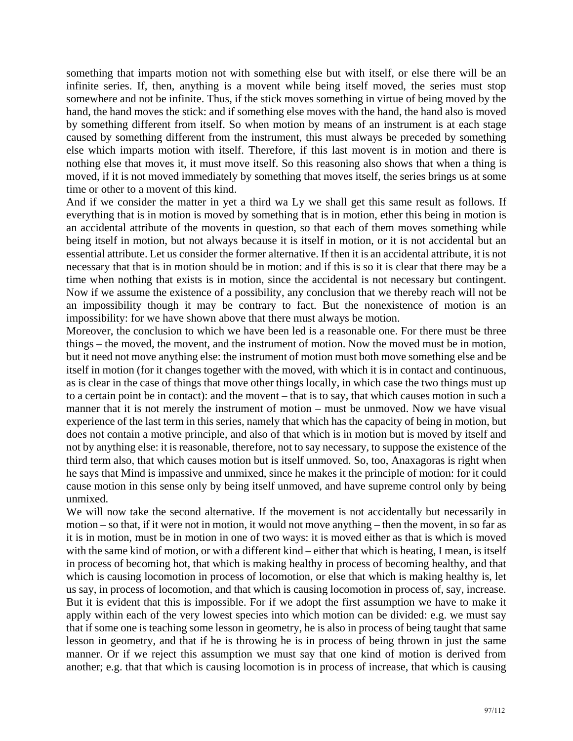something that imparts motion not with something else but with itself, or else there will be an infinite series. If, then, anything is a movent while being itself moved, the series must stop somewhere and not be infinite. Thus, if the stick moves something in virtue of being moved by the hand, the hand moves the stick: and if something else moves with the hand, the hand also is moved by something different from itself. So when motion by means of an instrument is at each stage caused by something different from the instrument, this must always be preceded by something else which imparts motion with itself. Therefore, if this last movent is in motion and there is nothing else that moves it, it must move itself. So this reasoning also shows that when a thing is moved, if it is not moved immediately by something that moves itself, the series brings us at some time or other to a movent of this kind.

an accidental attribute of the movents in question, so that each of them moves something while And if we consider the matter in yet a third wa Ly we shall get this same result as follows. If everything that is in motion is moved by something that is in motion, ether this being in motion is being itself in motion, but not always because it is itself in motion, or it is not accidental but an essential attribute. Let us consider the former alternative. If then it is an accidental attribute, it is not necessary that that is in motion should be in motion: and if this is so it is clear that there may be a time when nothing that exists is in motion, since the accidental is not necessary but contingent. Now if we assume the existence of a possibility, any conclusion that we thereby reach will not be an impossibility though it may be contrary to fact. But the nonexistence of motion is an impossibility: for we have shown above that there must always be motion.

Moreover, the conclusion to which we have been led is a reasonable one. For there must be three things – the moved, the movent, and the instrument of motion. Now the moved must be in motion, but it need not move anything else: the instrument of motion must both move something else and be itself in motion (for it changes together with the moved, with which it is in contact and continuous, as is clear in the case of things that move other things locally, in which case the two things must up to a certain point be in contact): and the movent – that is to say, that which causes motion in such a manner that it is not merely the instrument of motion – must be unmoved. Now we have visual experience of the last term in this series, namely that which has the capacity of being in motion, but does not contain a motive principle, and also of that which is in motion but is moved by itself and not by anything else: it is reasonable, therefore, not to say necessary, to suppose the existence of the third term also, that which causes motion but is itself unmoved. So, too, Anaxagoras is right when he says that Mind is impassive and unmixed, since he makes it the principle of motion: for it could cause motion in this sense only by being itself unmoved, and have supreme control only by being unmixed.

We will now take the second alternative. If the movement is not accidentally but necessarily in motion – so that, if it were not in motion, it would not move anything – then the movent, in so far as it is in motion, must be in motion in one of two ways: it is moved either as that is which is moved with the same kind of motion, or with a different kind – either that which is heating, I mean, is itself in process of becoming hot, that which is making healthy in process of becoming healthy, and that which is causing locomotion in process of locomotion, or else that which is making healthy is, let us say, in process of locomotion, and that which is causing locomotion in process of, say, increase. But it is evident that this is impossible. For if we adopt the first assumption we have to make it apply within each of the very lowest species into which motion can be divided: e.g. we must say that if some one is teaching some lesson in geometry, he is also in process of being taught that same lesson in geometry, and that if he is throwing he is in process of being thrown in just the same manner. Or if we reject this assumption we must say that one kind of motion is derived from another; e.g. that that which is causing locomotion is in process of increase, that which is causing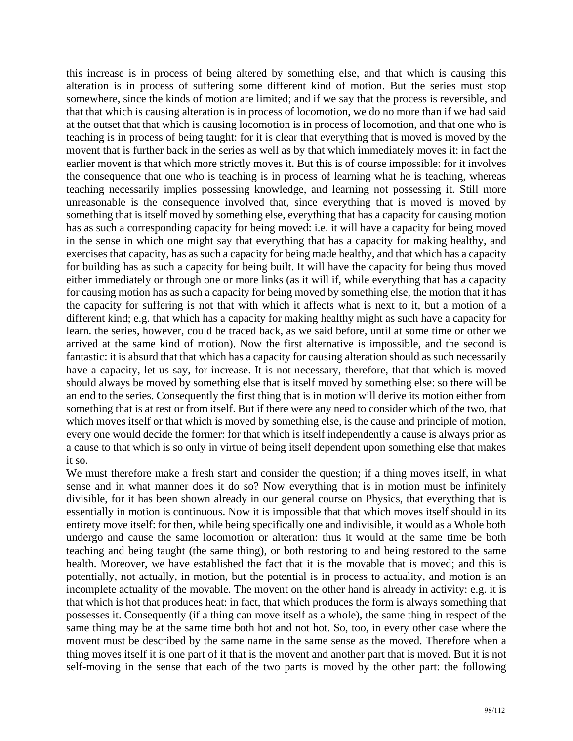this increase is in process of being altered by something else, and that which is causing this alteration is in process of suffering some different kind of motion. But the series must stop somewhere, since the kinds of motion are limited; and if we say that the process is reversible, and that that which is causing alteration is in process of locomotion, we do no more than if we had said at the outset that that which is causing locomotion is in process of locomotion, and that one who is teaching is in process of being taught: for it is clear that everything that is moved is moved by the movent that is further back in the series as well as by that which immediately moves it: in fact the in the sense in which one might say that everything that has a capacity for making healthy, and exercises that capacity, has as such a capacity for being made healthy, and that which has a capacity for building has as such a capacity for being built. It will have the capacity for being thus moved either immediately or through one or more links (as it will if, while everything that has a capacity earlier movent is that which more strictly moves it. But this is of course impossible: for it involves the consequence that one who is teaching is in process of learning what he is teaching, whereas teaching necessarily implies possessing knowledge, and learning not possessing it. Still more unreasonable is the consequence involved that, since everything that is moved is moved by something that is itself moved by something else, everything that has a capacity for causing motion has as such a corresponding capacity for being moved: i.e. it will have a capacity for being moved for causing motion has as such a capacity for being moved by something else, the motion that it has the capacity for suffering is not that with which it affects what is next to it, but a motion of a different kind; e.g. that which has a capacity for making healthy might as such have a capacity for learn. the series, however, could be traced back, as we said before, until at some time or other we arrived at the same kind of motion). Now the first alternative is impossible, and the second is fantastic: it is absurd that that which has a capacity for causing alteration should as such necessarily have a capacity, let us say, for increase. It is not necessary, therefore, that that which is moved should always be moved by something else that is itself moved by something else: so there will be an end to the series. Consequently the first thing that is in motion will derive its motion either from something that is at rest or from itself. But if there were any need to consider which of the two, that which moves itself or that which is moved by something else, is the cause and principle of motion, every one would decide the former: for that which is itself independently a cause is always prior as a cause to that which is so only in virtue of being itself dependent upon something else that makes it so.

divisible, for it has been shown already in our general course on Physics, that everything that is We must therefore make a fresh start and consider the question; if a thing moves itself, in what sense and in what manner does it do so? Now everything that is in motion must be infinitely essentially in motion is continuous. Now it is impossible that that which moves itself should in its entirety move itself: for then, while being specifically one and indivisible, it would as a Whole both undergo and cause the same locomotion or alteration: thus it would at the same time be both teaching and being taught (the same thing), or both restoring to and being restored to the same health. Moreover, we have established the fact that it is the movable that is moved; and this is potentially, not actually, in motion, but the potential is in process to actuality, and motion is an incomplete actuality of the movable. The movent on the other hand is already in activity: e.g. it is that which is hot that produces heat: in fact, that which produces the form is always something that possesses it. Consequently (if a thing can move itself as a whole), the same thing in respect of the same thing may be at the same time both hot and not hot. So, too, in every other case where the movent must be described by the same name in the same sense as the moved. Therefore when a thing moves itself it is one part of it that is the movent and another part that is moved. But it is not self-moving in the sense that each of the two parts is moved by the other part: the following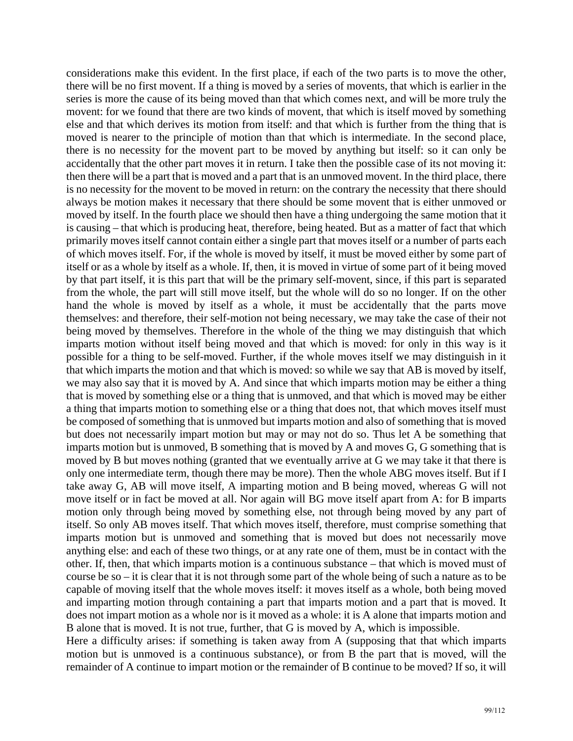considerations make this evident. In the first place, if each of the two parts is to move the other, there will be no first movent. If a thing is moved by a series of movents, that which is earlier in the series is more the cause of its being moved than that which comes next, and will be more truly the movent: for we found that there are two kinds of movent, that which is itself moved by something primarily moves itself cannot contain either a single part that moves itself or a number of parts each be composed of something that is unmoved but imparts motion and also of something that is moved else and that which derives its motion from itself: and that which is further from the thing that is moved is nearer to the principle of motion than that which is intermediate. In the second place, there is no necessity for the movent part to be moved by anything but itself: so it can only be accidentally that the other part moves it in return. I take then the possible case of its not moving it: then there will be a part that is moved and a part that is an unmoved movent. In the third place, there is no necessity for the movent to be moved in return: on the contrary the necessity that there should always be motion makes it necessary that there should be some movent that is either unmoved or moved by itself. In the fourth place we should then have a thing undergoing the same motion that it is causing – that which is producing heat, therefore, being heated. But as a matter of fact that which of which moves itself. For, if the whole is moved by itself, it must be moved either by some part of itself or as a whole by itself as a whole. If, then, it is moved in virtue of some part of it being moved by that part itself, it is this part that will be the primary self-movent, since, if this part is separated from the whole, the part will still move itself, but the whole will do so no longer. If on the other hand the whole is moved by itself as a whole, it must be accidentally that the parts move themselves: and therefore, their self-motion not being necessary, we may take the case of their not being moved by themselves. Therefore in the whole of the thing we may distinguish that which imparts motion without itself being moved and that which is moved: for only in this way is it possible for a thing to be self-moved. Further, if the whole moves itself we may distinguish in it that which imparts the motion and that which is moved: so while we say that AB is moved by itself, we may also say that it is moved by A. And since that which imparts motion may be either a thing that is moved by something else or a thing that is unmoved, and that which is moved may be either a thing that imparts motion to something else or a thing that does not, that which moves itself must but does not necessarily impart motion but may or may not do so. Thus let A be something that imparts motion but is unmoved, B something that is moved by A and moves G, G something that is moved by B but moves nothing (granted that we eventually arrive at G we may take it that there is only one intermediate term, though there may be more). Then the whole ABG moves itself. But if I take away G, AB will move itself, A imparting motion and B being moved, whereas G will not move itself or in fact be moved at all. Nor again will BG move itself apart from A: for B imparts motion only through being moved by something else, not through being moved by any part of itself. So only AB moves itself. That which moves itself, therefore, must comprise something that imparts motion but is unmoved and something that is moved but does not necessarily move anything else: and each of these two things, or at any rate one of them, must be in contact with the other. If, then, that which imparts motion is a continuous substance – that which is moved must of course be so – it is clear that it is not through some part of the whole being of such a nature as to be capable of moving itself that the whole moves itself: it moves itself as a whole, both being moved and imparting motion through containing a part that imparts motion and a part that is moved. It does not impart motion as a whole nor is it moved as a whole: it is A alone that imparts motion and B alone that is moved. It is not true, further, that G is moved by A, which is impossible.

Here a difficulty arises: if something is taken away from A (supposing that that which imparts motion but is unmoved is a continuous substance), or from B the part that is moved, will the remainder of A continue to impart motion or the remainder of B continue to be moved? If so, it will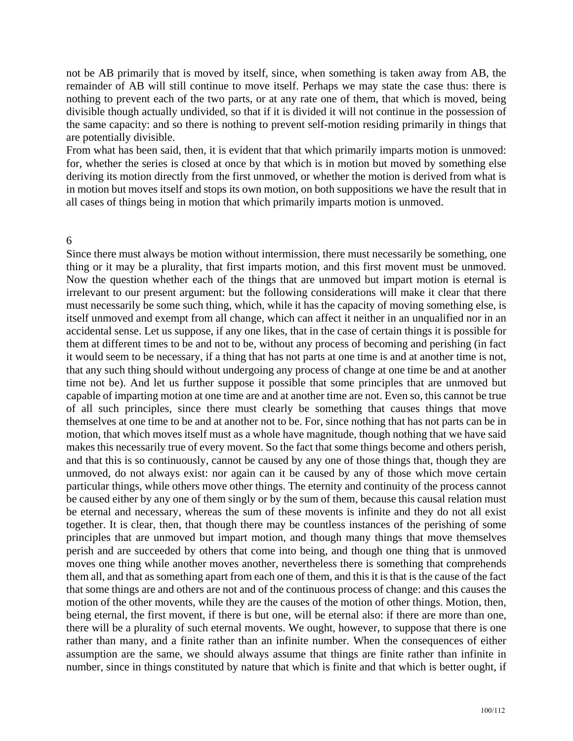not be AB primarily that is moved by itself, since, when something is taken away from AB, the remainder of AB will still continue to move itself. Perhaps we may state the case thus: there is nothing to prevent each of the two parts, or at any rate one of them, that which is moved, being divisible though actually undivided, so that if it is divided it will not continue in the possession of the same capacity: and so there is nothing to prevent self-motion residing primarily in things that are potentially divisible.

From what has been said, then, it is evident that that which primarily imparts motion is unmoved: for, whether the series is closed at once by that which is in motion but moved by something else deriving its motion directly from the first unmoved, or whether the motion is derived from what is in motion but moves itself and stops its own motion, on both suppositions we have the result that in all cases of things being in motion that which primarily imparts motion is unmoved.

### 6

Since there must always be motion without intermission, there must necessarily be something, one thing or it may be a plurality, that first imparts motion, and this first movent must be unmoved. Now the question whether each of the things that are unmoved but impart motion is eternal is irrelevant to our present argument: but the following considerations will make it clear that there must necessarily be some such thing, which, while it has the capacity of moving something else, is itself unmoved and exempt from all change, which can affect it neither in an unqualified nor in an accidental sense. Let us suppose, if any one likes, that in the case of certain things it is possible for them at different times to be and not to be, without any process of becoming and perishing (in fact it would seem to be necessary, if a thing that has not parts at one time is and at another time is not, that any such thing should without undergoing any process of change at one time be and at another time not be). And let us further suppose it possible that some principles that are unmoved but capable of imparting motion at one time are and at another time are not. Even so, this cannot be true of all such principles, since there must clearly be something that causes things that move themselves at one time to be and at another not to be. For, since nothing that has not parts can be in motion, that which moves itself must as a whole have magnitude, though nothing that we have said makes this necessarily true of every movent. So the fact that some things become and others perish, and that this is so continuously, cannot be caused by any one of those things that, though they are unmoved, do not always exist: nor again can it be caused by any of those which move certain particular things, while others move other things. The eternity and continuity of the process cannot be caused either by any one of them singly or by the sum of them, because this causal relation must be eternal and necessary, whereas the sum of these movents is infinite and they do not all exist together. It is clear, then, that though there may be countless instances of the perishing of some principles that are unmoved but impart motion, and though many things that move themselves perish and are succeeded by others that come into being, and though one thing that is unmoved moves one thing while another moves another, nevertheless there is something that comprehends them all, and that as something apart from each one of them, and this it is that is the cause of the fact that some things are and others are not and of the continuous process of change: and this causes the motion of the other movents, while they are the causes of the motion of other things. Motion, then, being eternal, the first movent, if there is but one, will be eternal also: if there are more than one, there will be a plurality of such eternal movents. We ought, however, to suppose that there is one rather than many, and a finite rather than an infinite number. When the consequences of either assumption are the same, we should always assume that things are finite rather than infinite in number, since in things constituted by nature that which is finite and that which is better ought, if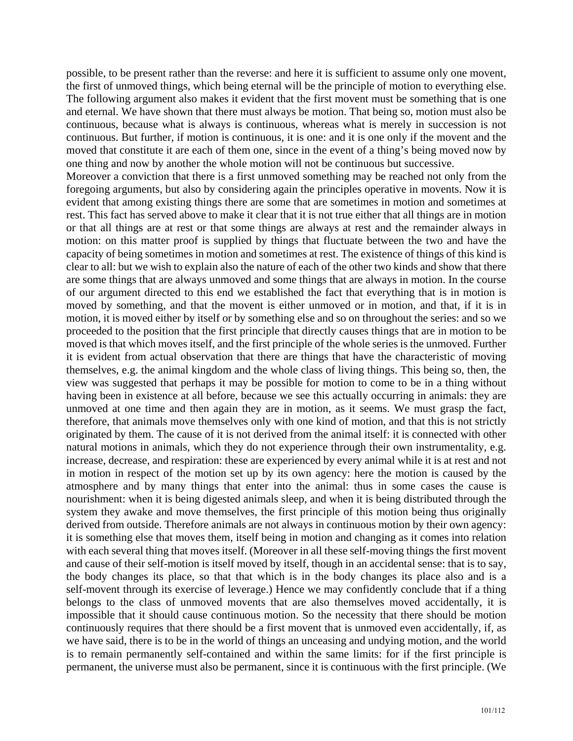possible, to be present rather than the reverse: and here it is sufficient to assume only one movent, the first of unmoved things, which being eternal will be the principle of motion to everything else. The following argument also makes it evident that the first movent must be something that is one and eternal. We have shown that there must always be motion. That being so, motion must also be continuous, because what is always is continuous, whereas what is merely in succession is not continuous. But further, if motion is continuous, it is one: and it is one only if the movent and the moved that constitute it are each of them one, since in the event of a thing's being moved now by one thing and now by another the whole motion will not be continuous but successive.

Moreover a conviction that there is a first unmoved something may be reached not only from the foregoing arguments, but also by considering again the principles operative in movents. Now it is evident that among existing things there are some that are sometimes in motion and sometimes at rest. This fact has served above to make it clear that it is not true either that all things are in motion or that all things are at rest or that some things are always at rest and the remainder always in motion: on this matter proof is supplied by things that fluctuate between the two and have the capacity of being sometimes in motion and sometimes at rest. The existence of things of this kind is clear to all: but we wish to explain also the nature of each of the other two kinds and show that there are some things that are always unmoved and some things that are always in motion. In the course of our argument directed to this end we established the fact that everything that is in motion is moved by something, and that the movent is either unmoved or in motion, and that, if it is in motion, it is moved either by itself or by something else and so on throughout the series: and so we proceeded to the position that the first principle that directly causes things that are in motion to be moved is that which moves itself, and the first principle of the whole series is the unmoved. Further it is evident from actual observation that there are things that have the characteristic of moving themselves, e.g. the animal kingdom and the whole class of living things. This being so, then, the view was suggested that perhaps it may be possible for motion to come to be in a thing without having been in existence at all before, because we see this actually occurring in animals: they are unmoved at one time and then again they are in motion, as it seems. We must grasp the fact, therefore, that animals move themselves only with one kind of motion, and that this is not strictly originated by them. The cause of it is not derived from the animal itself: it is connected with other natural motions in animals, which they do not experience through their own instrumentality, e.g. increase, decrease, and respiration: these are experienced by every animal while it is at rest and not in motion in respect of the motion set up by its own agency: here the motion is caused by the atmosphere and by many things that enter into the animal: thus in some cases the cause is nourishment: when it is being digested animals sleep, and when it is being distributed through the system they awake and move themselves, the first principle of this motion being thus originally derived from outside. Therefore animals are not always in continuous motion by their own agency: it is something else that moves them, itself being in motion and changing as it comes into relation with each several thing that moves itself. (Moreover in all these self-moving things the first movent and cause of their self-motion is itself moved by itself, though in an accidental sense: that is to say, the body changes its place, so that that which is in the body changes its place also and is a self-movent through its exercise of leverage.) Hence we may confidently conclude that if a thing belongs to the class of unmoved movents that are also themselves moved accidentally, it is impossible that it should cause continuous motion. So the necessity that there should be motion continuously requires that there should be a first movent that is unmoved even accidentally, if, as we have said, there is to be in the world of things an unceasing and undying motion, and the world is to remain permanently self-contained and within the same limits: for if the first principle is permanent, the universe must also be permanent, since it is continuous with the first principle. (We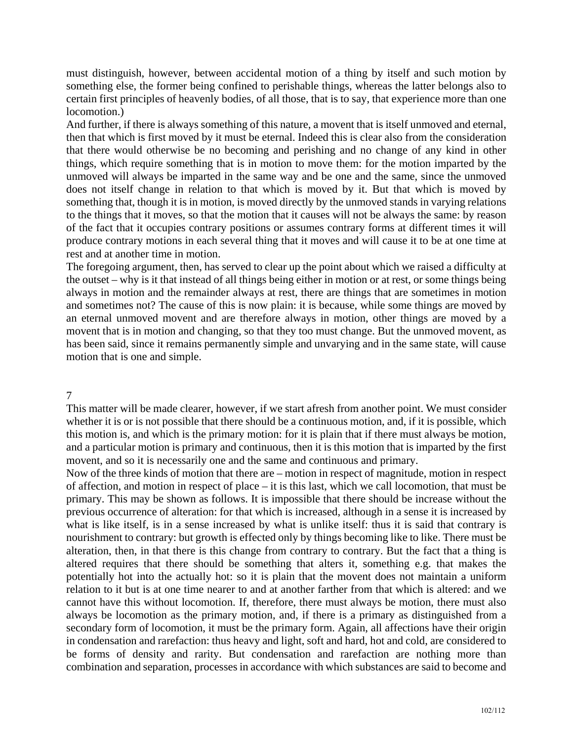must distinguish, however, between accidental motion of a thing by itself and such motion by something else, the former being confined to perishable things, whereas the latter belongs also to certain first principles of heavenly bodies, of all those, that is to say, that experience more than one locomotion.)

that there would otherwise be no becoming and perishing and no change of any kind in other things, which require something that is in motion to move them: for the motion imparted by the nmoved will always be imparted in the same way and be one and the same, since the unmoved u does not itself change in relation to that which is moved by it. But that which is moved by And further, if there is always something of this nature, a movent that is itself unmoved and eternal, then that which is first moved by it must be eternal. Indeed this is clear also from the consideration something that, though it is in motion, is moved directly by the unmoved stands in varying relations to the things that it moves, so that the motion that it causes will not be always the same: by reason of the fact that it occupies contrary positions or assumes contrary forms at different times it will produce contrary motions in each several thing that it moves and will cause it to be at one time at rest and at another time in motion.

The foregoing argument, then, has served to clear up the point about which we raised a difficulty at the outset – why is it that instead of all things being either in motion or at rest, or some things being always in motion and the remainder always at rest, there are things that are sometimes in motion and sometimes not? The cause of this is now plain: it is because, while some things are moved by an eternal unmoved movent and are therefore always in motion, other things are moved by a movent that is in motion and changing, so that they too must change. But the unmoved movent, as has been said, since it remains permanently simple and unvarying and in the same state, will cause motion that is one and simple.

# 7

This matter will be made clearer, however, if we start afresh from another point. We must consider whether it is or is not possible that there should be a continuous motion, and, if it is possible, which this motion is, and which is the primary motion: for it is plain that if there must always be motion, and a particular motion is primary and continuous, then it is this motion that is imparted by the first movent, and so it is necessarily one and the same and continuous and primary.

be forms of density and rarity. But condensation and rarefaction are nothing more than combination and separation, processes in accordance with which substances are said to become and Now of the three kinds of motion that there are – motion in respect of magnitude, motion in respect of affection, and motion in respect of place – it is this last, which we call locomotion, that must be primary. This may be shown as follows. It is impossible that there should be increase without the previous occurrence of alteration: for that which is increased, although in a sense it is increased by what is like itself, is in a sense increased by what is unlike itself: thus it is said that contrary is nourishment to contrary: but growth is effected only by things becoming like to like. There must be alteration, then, in that there is this change from contrary to contrary. But the fact that a thing is altered requires that there should be something that alters it, something e.g. that makes the potentially hot into the actually hot: so it is plain that the movent does not maintain a uniform relation to it but is at one time nearer to and at another farther from that which is altered: and we cannot have this without locomotion. If, therefore, there must always be motion, there must also always be locomotion as the primary motion, and, if there is a primary as distinguished from a secondary form of locomotion, it must be the primary form. Again, all affections have their origin in condensation and rarefaction: thus heavy and light, soft and hard, hot and cold, are considered to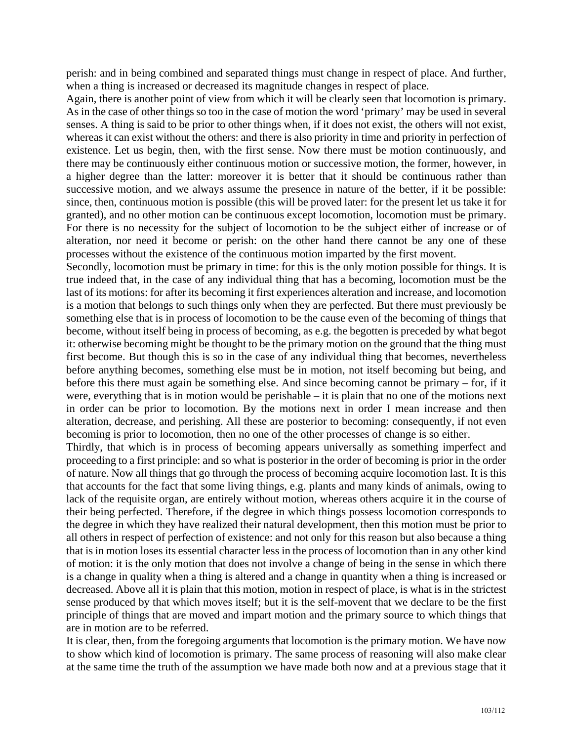perish: and in being combined and separated things must change in respect of place. And further, when a thing is increased or decreased its magnitude changes in respect of place.

Again, there is another point of view from which it will be clearly seen that locomotion is primary. As in the case of other things so too in the case of motion the word 'primary' may be used in several senses. A thing is said to be prior to other things when, if it does not exist, the others will not exist, whereas it can exist without the others: and there is also priority in time and priority in perfection of existence. Let us begin, then, with the first sense. Now there must be motion continuously, and there may be continuously either continuous motion or successive motion, the former, however, in a higher degree than the latter: moreover it is better that it should be continuous rather than successive motion, and we always assume the presence in nature of the better, if it be possible: since, then, continuous motion is possible (this will be proved later: for the present let us take it for granted), and no other motion can be continuous except locomotion, locomotion must be primary. For there is no necessity for the subject of locomotion to be the subject either of increase or of alteration, nor need it become or perish: on the other hand there cannot be any one of these processes without the existence of the continuous motion imparted by the first movent.

Secondly, locomotion must be primary in time: for this is the only motion possible for things. It is true indeed that, in the case of any individual thing that has a becoming, locomotion must be the last of its motions: for after its becoming it first experiences alteration and increase, and locomotion is a motion that belongs to such things only when they are perfected. But there must previously be something else that is in process of locomotion to be the cause even of the becoming of things that become, without itself being in process of becoming, as e.g. the begotten is preceded by what begot it: otherwise becoming might be thought to be the primary motion on the ground that the thing must first become. But though this is so in the case of any individual thing that becomes, nevertheless before anything becomes, something else must be in motion, not itself becoming but being, and before this there must again be something else. And since becoming cannot be primary – for, if it were, everything that is in motion would be perishable – it is plain that no one of the motions next in order can be prior to locomotion. By the motions next in order I mean increase and then alteration, decrease, and perishing. All these are posterior to becoming: consequently, if not even becoming is prior to locomotion, then no one of the other processes of change is so either.

Thirdly, that which is in process of becoming appears universally as something imperfect and proceeding to a first principle: and so what is posterior in the order of becoming is prior in the order of nature. Now all things that go through the process of becoming acquire locomotion last. It is this that accounts for the fact that some living things, e.g. plants and many kinds of animals, owing to lack of the requisite organ, are entirely without motion, whereas others acquire it in the course of their being perfected. Therefore, if the degree in which things possess locomotion corresponds to the degree in which they have realized their natural development, then this motion must be prior to all others in respect of perfection of existence: and not only for this reason but also because a thing that is in motion loses its essential character less in the process of locomotion than in any other kind of motion: it is the only motion that does not involve a change of being in the sense in which there is a change in quality when a thing is altered and a change in quantity when a thing is increased or decreased. Above all it is plain that this motion, motion in respect of place, is what is in the strictest sense produced by that which moves itself; but it is the self-movent that we declare to be the first principle of things that are moved and impart motion and the primary source to which things that are in motion are to be referred.

It is clear, then, from the foregoing arguments that locomotion is the primary motion. We have now to show which kind of locomotion is primary. The same process of reasoning will also make clear at the same time the truth of the assumption we have made both now and at a previous stage that it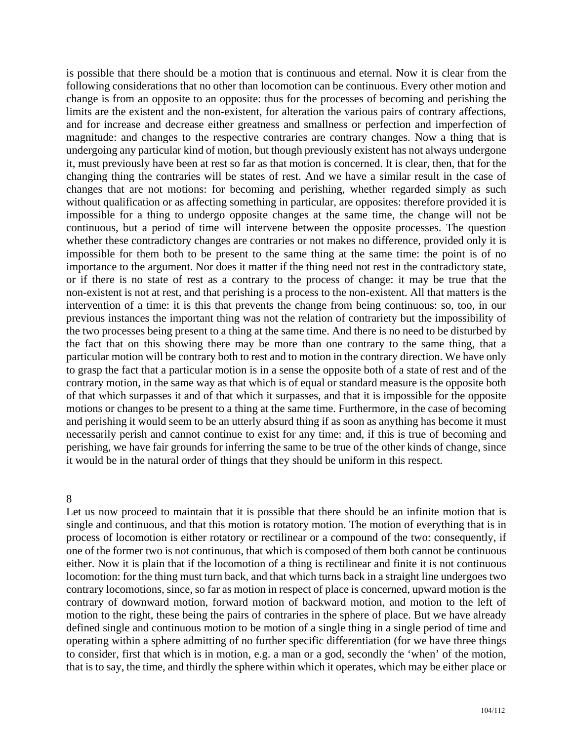is possible that there should be a motion that is continuous and eternal. Now it is clear from the following considerations that no other than locomotion can be continuous. Every other motion and continuous, but a period of time will intervene between the opposite processes. The question the two processes being present to a thing at the same time. And there is no need to be disturbed by the fact that on this showing there may be more than one contrary to the same thing, that a particular motion will be contrary both to rest and to motion in the contrary direction. We have only to grasp the fact that a particular motion is in a sense the opposite both of a state of rest and of the perishing, we have fair grounds for inferring the same to be true of the other kinds of change, since change is from an opposite to an opposite: thus for the processes of becoming and perishing the limits are the existent and the non-existent, for alteration the various pairs of contrary affections, and for increase and decrease either greatness and smallness or perfection and imperfection of magnitude: and changes to the respective contraries are contrary changes. Now a thing that is undergoing any particular kind of motion, but though previously existent has not always undergone it, must previously have been at rest so far as that motion is concerned. It is clear, then, that for the changing thing the contraries will be states of rest. And we have a similar result in the case of changes that are not motions: for becoming and perishing, whether regarded simply as such without qualification or as affecting something in particular, are opposites: therefore provided it is impossible for a thing to undergo opposite changes at the same time, the change will not be whether these contradictory changes are contraries or not makes no difference, provided only it is impossible for them both to be present to the same thing at the same time: the point is of no importance to the argument. Nor does it matter if the thing need not rest in the contradictory state, or if there is no state of rest as a contrary to the process of change: it may be true that the non-existent is not at rest, and that perishing is a process to the non-existent. All that matters is the intervention of a time: it is this that prevents the change from being continuous: so, too, in our previous instances the important thing was not the relation of contrariety but the impossibility of contrary motion, in the same way as that which is of equal or standard measure is the opposite both of that which surpasses it and of that which it surpasses, and that it is impossible for the opposite motions or changes to be present to a thing at the same time. Furthermore, in the case of becoming and perishing it would seem to be an utterly absurd thing if as soon as anything has become it must necessarily perish and cannot continue to exist for any time: and, if this is true of becoming and it would be in the natural order of things that they should be uniform in this respect.

## 8

that is to say, the time, and thirdly the sphere within which it operates, which may be either place or Let us now proceed to maintain that it is possible that there should be an infinite motion that is single and continuous, and that this motion is rotatory motion. The motion of everything that is in process of locomotion is either rotatory or rectilinear or a compound of the two: consequently, if one of the former two is not continuous, that which is composed of them both cannot be continuous either. Now it is plain that if the locomotion of a thing is rectilinear and finite it is not continuous locomotion: for the thing must turn back, and that which turns back in a straight line undergoes two contrary locomotions, since, so far as motion in respect of place is concerned, upward motion is the contrary of downward motion, forward motion of backward motion, and motion to the left of motion to the right, these being the pairs of contraries in the sphere of place. But we have already defined single and continuous motion to be motion of a single thing in a single period of time and operating within a sphere admitting of no further specific differentiation (for we have three things to consider, first that which is in motion, e.g. a man or a god, secondly the 'when' of the motion,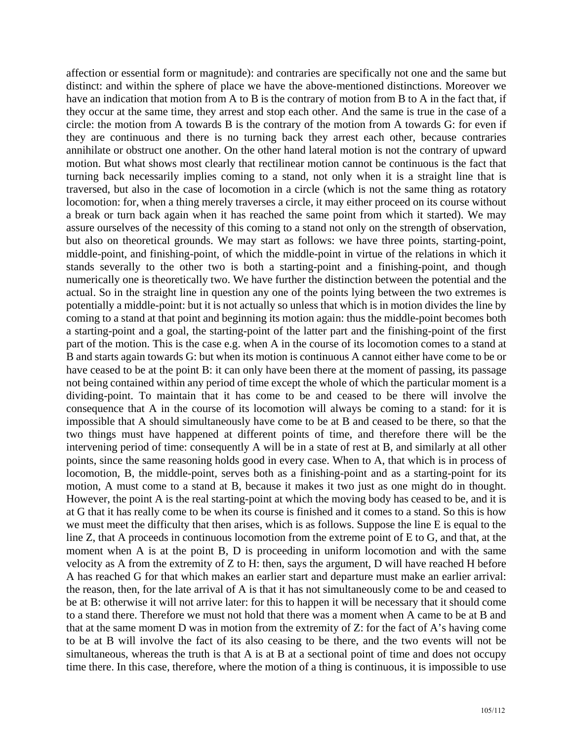affection or essential form or magnitude): and contraries are specifically not one and the same but distinct: and within the sphere of place we have the above-mentioned distinctions. Moreover we stands severally to the other two is both a starting-point and a finishing-point, and though points, since the same reasoning holds good in every case. When to A, that which is in process of simultaneous, whereas the truth is that  $A$  is at  $B$  at a sectional point of time and does not occupy time there. In this case, therefore, where the motion of a thing is continuous, it is impossible to use have an indication that motion from A to B is the contrary of motion from B to A in the fact that, if they occur at the same time, they arrest and stop each other. And the same is true in the case of a circle: the motion from A towards B is the contrary of the motion from A towards G: for even if they are continuous and there is no turning back they arrest each other, because contraries annihilate or obstruct one another. On the other hand lateral motion is not the contrary of upward motion. But what shows most clearly that rectilinear motion cannot be continuous is the fact that turning back necessarily implies coming to a stand, not only when it is a straight line that is traversed, but also in the case of locomotion in a circle (which is not the same thing as rotatory locomotion: for, when a thing merely traverses a circle, it may either proceed on its course without a break or turn back again when it has reached the same point from which it started). We may assure ourselves of the necessity of this coming to a stand not only on the strength of observation, but also on theoretical grounds. We may start as follows: we have three points, starting-point, middle-point, and finishing-point, of which the middle-point in virtue of the relations in which it numerically one is theoretically two. We have further the distinction between the potential and the actual. So in the straight line in question any one of the points lying between the two extremes is potentially a middle-point: but it is not actually so unless that which is in motion divides the line by coming to a stand at that point and beginning its motion again: thus the middle-point becomes both a starting-point and a goal, the starting-point of the latter part and the finishing-point of the first part of the motion. This is the case e.g. when A in the course of its locomotion comes to a stand at B and starts again towards G: but when its motion is continuous A cannot either have come to be or have ceased to be at the point B: it can only have been there at the moment of passing, its passage not being contained within any period of time except the whole of which the particular moment is a dividing-point. To maintain that it has come to be and ceased to be there will involve the consequence that A in the course of its locomotion will always be coming to a stand: for it is impossible that A should simultaneously have come to be at B and ceased to be there, so that the two things must have happened at different points of time, and therefore there will be the intervening period of time: consequently A will be in a state of rest at B, and similarly at all other locomotion, B, the middle-point, serves both as a finishing-point and as a starting-point for its motion, A must come to a stand at B, because it makes it two just as one might do in thought. However, the point A is the real starting-point at which the moving body has ceased to be, and it is at G that it has really come to be when its course is finished and it comes to a stand. So this is how we must meet the difficulty that then arises, which is as follows. Suppose the line E is equal to the line Z, that A proceeds in continuous locomotion from the extreme point of E to G, and that, at the moment when A is at the point B, D is proceeding in uniform locomotion and with the same velocity as A from the extremity of Z to H: then, says the argument, D will have reached H before A has reached G for that which makes an earlier start and departure must make an earlier arrival: the reason, then, for the late arrival of A is that it has not simultaneously come to be and ceased to be at B: otherwise it will not arrive later: for this to happen it will be necessary that it should come to a stand there. Therefore we must not hold that there was a moment when A came to be at B and that at the same moment D was in motion from the extremity of Z: for the fact of A's having come to be at B will involve the fact of its also ceasing to be there, and the two events will not be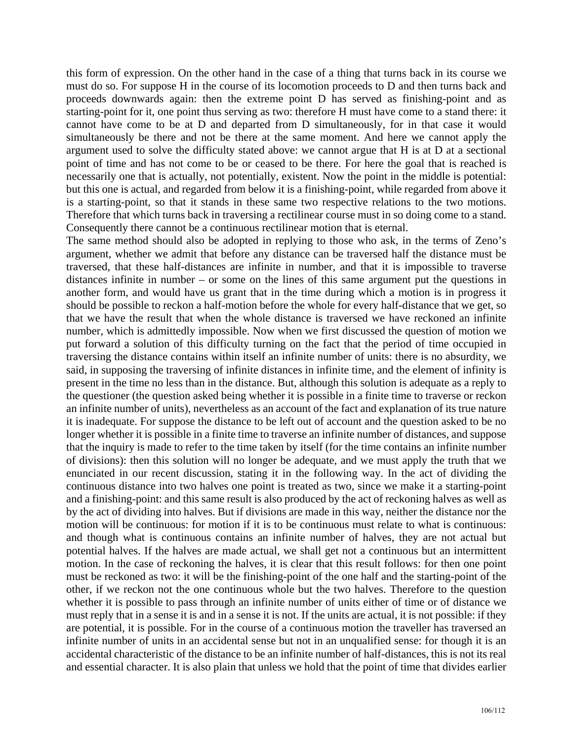this form of expression. On the other hand in the case of a thing that turns back in its course we must do so. For suppose H in the course of its locomotion proceeds to D and then turns back and proceeds downwards again: then the extreme point D has served as finishing-point and as starting-point for it, one point thus serving as two: therefore H must have come to a stand there: it cannot have come to be at D and departed from D simultaneously, for in that case it would simultaneously be there and not be there at the same moment. And here we cannot apply the argument used to solve the difficulty stated above: we cannot argue that H is at D at a sectional point of time and has not come to be or ceased to be there. For here the goal that is reached is necessarily one that is actually, not potentially, existent. Now the point in the middle is potential: but this one is actual, and regarded from below it is a finishing-point, while regarded from above it is a starting-point, so that it stands in these same two respective relations to the two motions. Therefore that which turns back in traversing a rectilinear course must in so doing come to a stand. Consequently there cannot be a continuous rectilinear motion that is eternal.

The same method should also be adopted in replying to those who ask, in the terms of Zeno's argument, whether we admit that before any distance can be traversed half the distance must be traversed, that these half-distances are infinite in number, and that it is impossible to traverse distances infinite in number – or some on the lines of this same argument put the questions in another form, and would have us grant that in the time during which a motion is in progress it should be possible to reckon a half-motion before the whole for every half-distance that we get, so that we have the result that when the whole distance is traversed we have reckoned an infinite number, which is admittedly impossible. Now when we first discussed the question of motion we put forward a solution of this difficulty turning on the fact that the period of time occupied in traversing the distance contains within itself an infinite number of units: there is no absurdity, we said, in supposing the traversing of infinite distances in infinite time, and the element of infinity is present in the time no less than in the distance. But, although this solution is adequate as a reply to the questioner (the question asked being whether it is possible in a finite time to traverse or reckon an infinite number of units), nevertheless as an account of the fact and explanation of its true nature it is inadequate. For suppose the distance to be left out of account and the question asked to be no longer whether it is possible in a finite time to traverse an infinite number of distances, and suppose that the inquiry is made to refer to the time taken by itself (for the time contains an infinite number of divisions): then this solution will no longer be adequate, and we must apply the truth that we enunciated in our recent discussion, stating it in the following way. In the act of dividing the continuous distance into two halves one point is treated as two, since we make it a starting-point and a finishing-point: and this same result is also produced by the act of reckoning halves as well as by the act of dividing into halves. But if divisions are made in this way, neither the distance nor the motion will be continuous: for motion if it is to be continuous must relate to what is continuous: and though what is continuous contains an infinite number of halves, they are not actual but potential halves. If the halves are made actual, we shall get not a continuous but an intermittent motion. In the case of reckoning the halves, it is clear that this result follows: for then one point must be reckoned as two: it will be the finishing-point of the one half and the starting-point of the other, if we reckon not the one continuous whole but the two halves. Therefore to the question whether it is possible to pass through an infinite number of units either of time or of distance we must reply that in a sense it is and in a sense it is not. If the units are actual, it is not possible: if they are potential, it is possible. For in the course of a continuous motion the traveller has traversed an infinite number of units in an accidental sense but not in an unqualified sense: for though it is an accidental characteristic of the distance to be an infinite number of half-distances, this is not its real and essential character. It is also plain that unless we hold that the point of time that divides earlier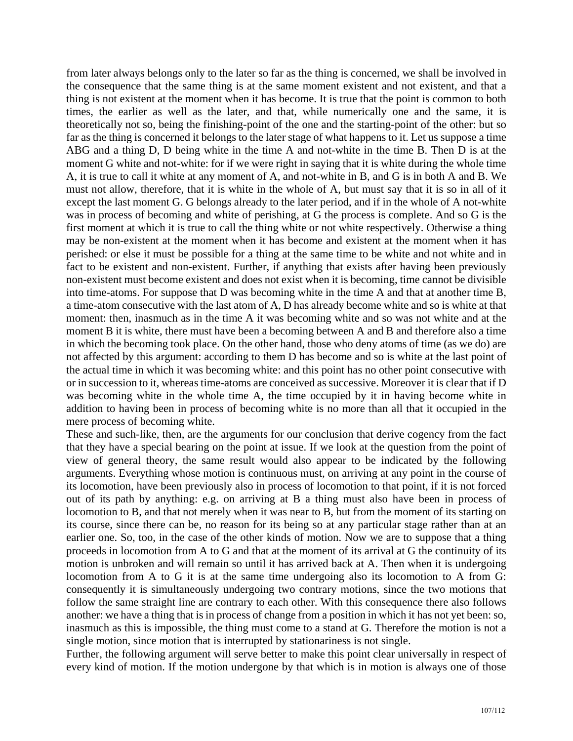from later always belongs only to the later so far as the thing is concerned, we shall be involved in the consequence that the same thing is at the same moment existent and not existent, and that a thing is not existent at the moment when it has become. It is true that the point is common to both times, the earlier as well as the later, and that, while numerically one and the same, it is theoretically not so, being the finishing-point of the one and the starting-point of the other: but so far as the thing is concerned it belongs to the later stage of what happens to it. Let us suppose a time ABG and a thing D, D being white in the time A and not-white in the time B. Then D is at the moment G white and not-white: for if we were right in saying that it is white during the whole time A, it is true to call it white at any moment of A, and not-white in B, and G is in both A and B. We must not allow, therefore, that it is white in the whole of A, but must say that it is so in all of it except the last moment G. G belongs already to the later period, and if in the whole of A not-white was in process of becoming and white of perishing, at G the process is complete. And so G is the first moment at which it is true to call the thing white or not white respectively. Otherwise a thing may be non-existent at the moment when it has become and existent at the moment when it has perished: or else it must be possible for a thing at the same time to be white and not white and in fact to be existent and non-existent. Further, if anything that exists after having been previously non-existent must become existent and does not exist when it is becoming, time cannot be divisible into time-atoms. For suppose that D was becoming white in the time A and that at another time B, a time-atom consecutive with the last atom of A, D has already become white and so is white at that moment: then, inasmuch as in the time A it was becoming white and so was not white and at the moment B it is white, there must have been a becoming between A and B and therefore also a time in which the becoming took place. On the other hand, those who deny atoms of time (as we do) are not affected by this argument: according to them D has become and so is white at the last point of the actual time in which it was becoming white: and this point has no other point consecutive with or in succession to it, whereas time-atoms are conceived as successive. Moreover it is clear that if D was becoming white in the whole time A, the time occupied by it in having become white in addition to having been in process of becoming white is no more than all that it occupied in the mere process of becoming white.

These and such-like, then, are the arguments for our conclusion that derive cogency from the fact that they have a special bearing on the point at issue. If we look at the question from the point of view of general theory, the same result would also appear to be indicated by the following arguments. Everything whose motion is continuous must, on arriving at any point in the course of its locomotion, have been previously also in process of locomotion to that point, if it is not forced out of its path by anything: e.g. on arriving at B a thing must also have been in process of locomotion to B, and that not merely when it was near to B, but from the moment of its starting on its course, since there can be, no reason for its being so at any particular stage rather than at an earlier one. So, too, in the case of the other kinds of motion. Now we are to suppose that a thing proceeds in locomotion from A to G and that at the moment of its arrival at G the continuity of its motion is unbroken and will remain so until it has arrived back at A. Then when it is undergoing locomotion from A to G it is at the same time undergoing also its locomotion to A from G: consequently it is simultaneously undergoing two contrary motions, since the two motions that follow the same straight line are contrary to each other. With this consequence there also follows another: we have a thing that is in process of change from a position in which it has not yet been: so, inasmuch as this is impossible, the thing must come to a stand at G. Therefore the motion is not a single motion, since motion that is interrupted by stationariness is not single.

Further, the following argument will serve better to make this point clear universally in respect of every kind of motion. If the motion undergone by that which is in motion is always one of those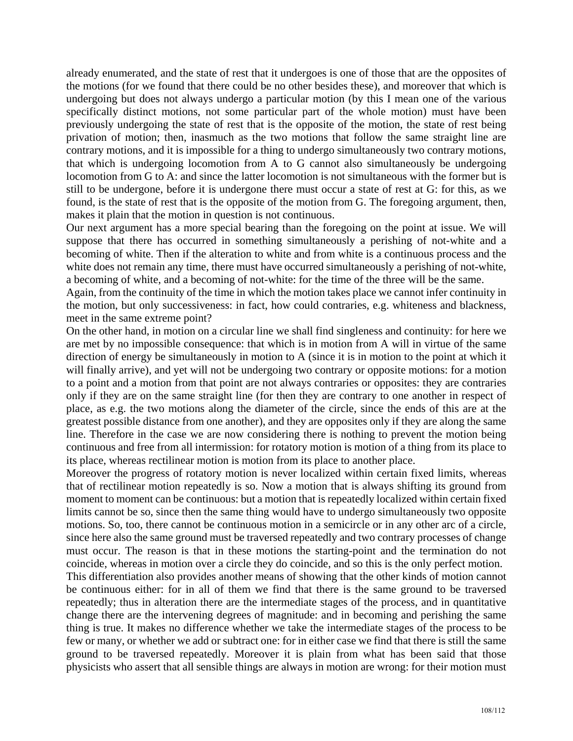already enumerated, and the state of rest that it undergoes is one of those that are the opposites of the motions (for we found that there could be no other besides these), and moreover that which is undergoing but does not always undergo a particular motion (by this I mean one of the various specifically distinct motions, not some particular part of the whole motion) must have been previously undergoing the state of rest that is the opposite of the motion, the state of rest being privation of motion; then, inasmuch as the two motions that follow the same straight line are contrary motions, and it is impossible for a thing to undergo simultaneously two contrary motions, that which is undergoing locomotion from A to G cannot also simultaneously be undergoing locomotion from G to A: and since the latter locomotion is not simultaneous with the former but is still to be undergone, before it is undergone there must occur a state of rest at G: for this, as we found, is the state of rest that is the opposite of the motion from G. The foregoing argument, then, makes it plain that the motion in question is not continuous.

Our next argument has a more special bearing than the foregoing on the point at issue. We will suppose that there has occurred in something simultaneously a perishing of not-white and a becoming of white. Then if the alteration to white and from white is a continuous process and the white does not remain any time, there must have occurred simultaneously a perishing of not-white, a becoming of white, and a becoming of not-white: for the time of the three will be the same.

Again, from the continuity of the time in which the motion takes place we cannot infer continuity in the motion, but only successiveness: in fact, how could contraries, e.g. whiteness and blackness, meet in the same extreme point?

On the other hand, in motion on a circular line we shall find singleness and continuity: for here we are met by no impossible consequence: that which is in motion from A will in virtue of the same direction of energy be simultaneously in motion to A (since it is in motion to the point at which it will finally arrive), and yet will not be undergoing two contrary or opposite motions: for a motion to a point and a motion from that point are not always contraries or opposites: they are contraries only if they are on the same straight line (for then they are contrary to one another in respect of place, as e.g. the two motions along the diameter of the circle, since the ends of this are at the greatest possible distance from one another), and they are opposites only if they are along the same line. Therefore in the case we are now considering there is nothing to prevent the motion being continuous and free from all intermission: for rotatory motion is motion of a thing from its place to its place, whereas rectilinear motion is motion from its place to another place.

Moreover the progress of rotatory motion is never localized within certain fixed limits, whereas that of rectilinear motion repeatedly is so. Now a motion that is always shifting its ground from moment to moment can be continuous: but a motion that is repeatedly localized within certain fixed limits cannot be so, since then the same thing would have to undergo simultaneously two opposite motions. So, too, there cannot be continuous motion in a semicircle or in any other arc of a circle, since here also the same ground must be traversed repeatedly and two contrary processes of change must occur. The reason is that in these motions the starting-point and the termination do not coincide, whereas in motion over a circle they do coincide, and so this is the only perfect motion.

This differentiation also provides another means of showing that the other kinds of motion cannot be continuous either: for in all of them we find that there is the same ground to be traversed repeatedly; thus in alteration there are the intermediate stages of the process, and in quantitative change there are the intervening degrees of magnitude: and in becoming and perishing the same thing is true. It makes no difference whether we take the intermediate stages of the process to be few or many, or whether we add or subtract one: for in either case we find that there is still the same ground to be traversed repeatedly. Moreover it is plain from what has been said that those physicists who assert that all sensible things are always in motion are wrong: for their motion must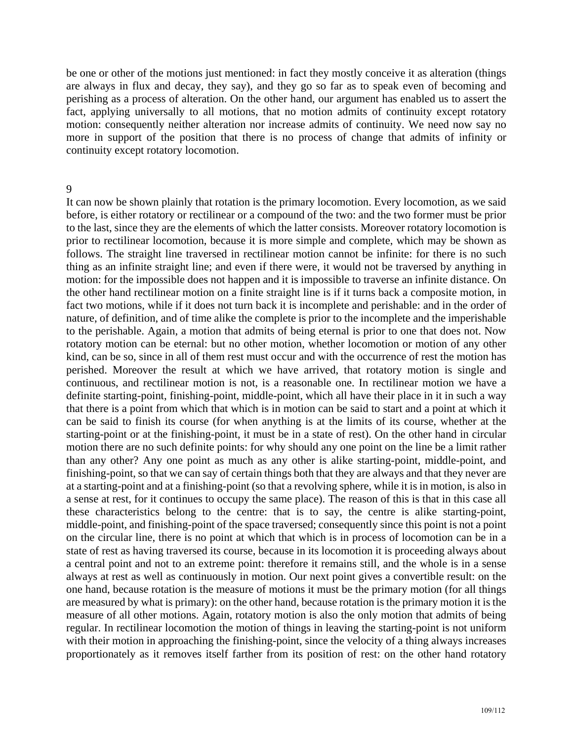be one or other of the motions just mentioned: in fact they mostly conceive it as alteration (things are always in flux and decay, they say), and they go so far as to speak even of becoming and perishing as a process of alteration. On the other hand, our argument has enabled us to assert the fact, applying universally to all motions, that no motion admits of continuity except rotatory motion: consequently neither alteration nor increase admits of continuity. We need now say no more in support of the position that there is no process of change that admits of infinity or continuity except rotatory locomotion.

## 9

It can now be shown plainly that rotation is the primary locomotion. Every locomotion, as we said before, is either rotatory or rectilinear or a compound of the two: and the two former must be prior to the last, since they are the elements of which the latter consists. Moreover rotatory locomotion is prior to rectilinear locomotion, because it is more simple and complete, which may be shown as follows. The straight line traversed in rectilinear motion cannot be infinite: for there is no such thing as an infinite straight line; and even if there were, it would not be traversed by anything in motion: for the impossible does not happen and it is impossible to traverse an infinite distance. On the other hand rectilinear motion on a finite straight line is if it turns back a composite motion, in fact two motions, while if it does not turn back it is incomplete and perishable: and in the order of nature, of definition, and of time alike the complete is prior to the incomplete and the imperishable to the perishable. Again, a motion that admits of being eternal is prior to one that does not. Now rotatory motion can be eternal: but no other motion, whether locomotion or motion of any other kind, can be so, since in all of them rest must occur and with the occurrence of rest the motion has perished. Moreover the result at which we have arrived, that rotatory motion is single and continuous, and rectilinear motion is not, is a reasonable one. In rectilinear motion we have a definite starting-point, finishing-point, middle-point, which all have their place in it in such a way that there is a point from which that which is in motion can be said to start and a point at which it can be said to finish its course (for when anything is at the limits of its course, whether at the starting-point or at the finishing-point, it must be in a state of rest). On the other hand in circular motion there are no such definite points: for why should any one point on the line be a limit rather than any other? Any one point as much as any other is alike starting-point, middle-point, and finishing-point, so that we can say of certain things both that they are always and that they never are at a starting-point and at a finishing-point (so that a revolving sphere, while it is in motion, is also in a sense at rest, for it continues to occupy the same place). The reason of this is that in this case all these characteristics belong to the centre: that is to say, the centre is alike starting-point, middle-point, and finishing-point of the space traversed; consequently since this point is not a point on the circular line, there is no point at which that which is in process of locomotion can be in a state of rest as having traversed its course, because in its locomotion it is proceeding always about a central point and not to an extreme point: therefore it remains still, and the whole is in a sense always at rest as well as continuously in motion. Our next point gives a convertible result: on the one hand, because rotation is the measure of motions it must be the primary motion (for all things are measured by what is primary): on the other hand, because rotation is the primary motion it is the measure of all other motions. Again, rotatory motion is also the only motion that admits of being regular. In rectilinear locomotion the motion of things in leaving the starting-point is not uniform with their motion in approaching the finishing-point, since the velocity of a thing always increases proportionately as it removes itself farther from its position of rest: on the other hand rotatory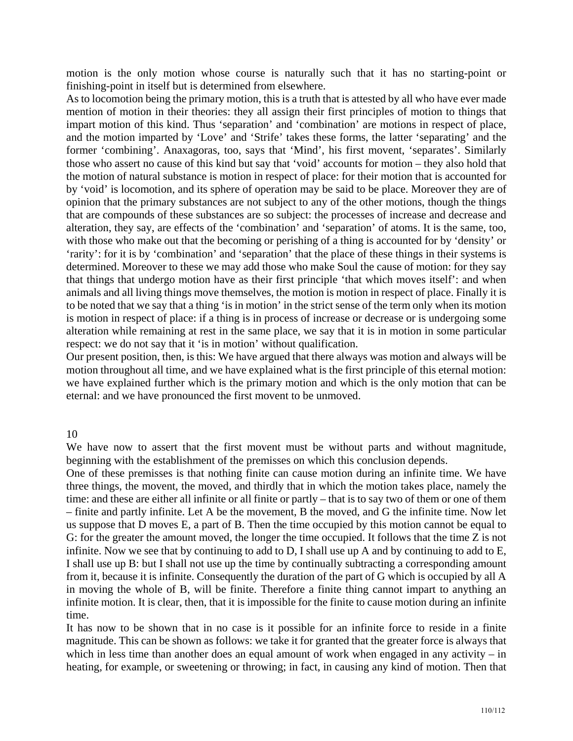motion is the only motion whose course is naturally such that it has no starting-point or finishing-point in itself but is determined from elsewhere.

As to locomotion being the primary motion, this is a truth that is attested by all who have ever made mention of motion in their theories: they all assign their first principles of motion to things that animals and all living things move themselves, the motion is motion in respect of place. Finally it is impart motion of this kind. Thus 'separation' and 'combination' are motions in respect of place, and the motion imparted by 'Love' and 'Strife' takes these forms, the latter 'separating' and the former 'combining'. Anaxagoras, too, says that 'Mind', his first movent, 'separates'. Similarly those who assert no cause of this kind but say that 'void' accounts for motion – they also hold that the motion of natural substance is motion in respect of place: for their motion that is accounted for by 'void' is locomotion, and its sphere of operation may be said to be place. Moreover they are of opinion that the primary substances are not subject to any of the other motions, though the things that are compounds of these substances are so subject: the processes of increase and decrease and alteration, they say, are effects of the 'combination' and 'separation' of atoms. It is the same, too, with those who make out that the becoming or perishing of a thing is accounted for by 'density' or 'rarity': for it is by 'combination' and 'separation' that the place of these things in their systems is determined. Moreover to these we may add those who make Soul the cause of motion: for they say that things that undergo motion have as their first principle 'that which moves itself': and when to be noted that we say that a thing 'is in motion' in the strict sense of the term only when its motion is motion in respect of place: if a thing is in process of increase or decrease or is undergoing some alteration while remaining at rest in the same place, we say that it is in motion in some particular respect: we do not say that it 'is in motion' without qualification.

motion throughout all time, and we have explained what is the first principle of this eternal motion: Our present position, then, is this: We have argued that there always was motion and always will be we have explained further which is the primary motion and which is the only motion that can be eternal: and we have pronounced the first movent to be unmoved.

10

We have now to assert that the first movent must be without parts and without magnitude, beginning with the establishment of the premisses on which this conclusion depends.

infinite. Now we see that by continuing to add to  $D$ , I shall use up A and by continuing to add to  $E$ , One of these premisses is that nothing finite can cause motion during an infinite time. We have three things, the movent, the moved, and thirdly that in which the motion takes place, namely the time: and these are either all infinite or all finite or partly – that is to say two of them or one of them – finite and partly infinite. Let A be the movement, B the moved, and G the infinite time. Now let us suppose that D moves E, a part of B. Then the time occupied by this motion cannot be equal to G: for the greater the amount moved, the longer the time occupied. It follows that the time Z is not I shall use up B: but I shall not use up the time by continually subtracting a corresponding amount from it, because it is infinite. Consequently the duration of the part of G which is occupied by all A in moving the whole of B, will be finite. Therefore a finite thing cannot impart to anything an infinite motion. It is clear, then, that it is impossible for the finite to cause motion during an infinite time.

heating, for example, or sweetening or throwing; in fact, in causing any kind of motion. Then that It has now to be shown that in no case is it possible for an infinite force to reside in a finite magnitude. This can be shown as follows: we take it for granted that the greater force is always that which in less time than another does an equal amount of work when engaged in any activity – in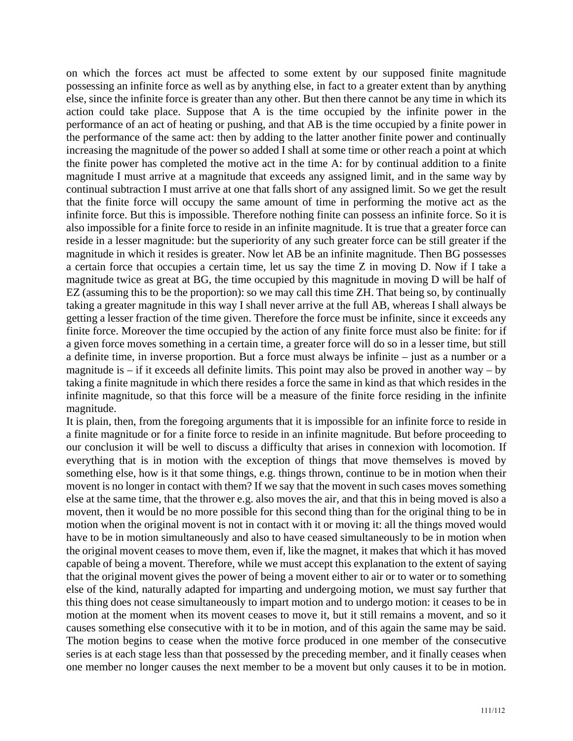on which the forces act must be affected to some extent by our supposed finite magnitude possessing an infinite force as well as by anything else, in fact to a greater extent than by anything else, since the infinite force is greater than any other. But then there cannot be any time in which its action could take place. Suppose that A is the time occupied by the infinite power in the performance of an act of heating or pushing, and that AB is the time occupied by a finite power in the performance of the same act: then by adding to the latter another finite power and continually increasing the magnitude of the power so added I shall at some time or other reach a point at which the finite power has completed the motive act in the time A: for by continual addition to a finite magnitude I must arrive at a magnitude that exceeds any assigned limit, and in the same way by continual subtraction I must arrive at one that falls short of any assigned limit. So we get the result that the finite force will occupy the same amount of time in performing the motive act as the infinite force. But this is impossible. Therefore nothing finite can possess an infinite force. So it is also impossible for a finite force to reside in an infinite magnitude. It is true that a greater force can reside in a lesser magnitude: but the superiority of any such greater force can be still greater if the magnitude in which it resides is greater. Now let AB be an infinite magnitude. Then BG possesses a certain force that occupies a certain time, let us say the time Z in moving D. Now if I take a magnitude twice as great at BG, the time occupied by this magnitude in moving D will be half of EZ (assuming this to be the proportion): so we may call this time ZH. That being so, by continually taking a greater magnitude in this way I shall never arrive at the full AB, whereas I shall always be getting a lesser fraction of the time given. Therefore the force must be infinite, since it exceeds any finite force. Moreover the time occupied by the action of any finite force must also be finite: for if a given force moves something in a certain time, a greater force will do so in a lesser time, but still a definite time, in inverse proportion. But a force must always be infinite – just as a number or a magnitude is – if it exceeds all definite limits. This point may also be proved in another way – by taking a finite magnitude in which there resides a force the same in kind as that which resides in the infinite magnitude, so that this force will be a measure of the finite force residing in the infinite magnitude.

It is plain, then, from the foregoing arguments that it is impossible for an infinite force to reside in a finite magnitude or for a finite force to reside in an infinite magnitude. But before proceeding to our conclusion it will be well to discuss a difficulty that arises in connexion with locomotion. If everything that is in motion with the exception of things that move themselves is moved by something else, how is it that some things, e.g. things thrown, continue to be in motion when their movent is no longer in contact with them? If we say that the movent in such cases moves something else at the same time, that the thrower e.g. also moves the air, and that this in being moved is also a movent, then it would be no more possible for this second thing than for the original thing to be in motion when the original movent is not in contact with it or moving it: all the things moved would have to be in motion simultaneously and also to have ceased simultaneously to be in motion when the original movent ceases to move them, even if, like the magnet, it makes that which it has moved capable of being a movent. Therefore, while we must accept this explanation to the extent of saying that the original movent gives the power of being a movent either to air or to water or to something else of the kind, naturally adapted for imparting and undergoing motion, we must say further that this thing does not cease simultaneously to impart motion and to undergo motion: it ceases to be in motion at the moment when its movent ceases to move it, but it still remains a movent, and so it causes something else consecutive with it to be in motion, and of this again the same may be said. The motion begins to cease when the motive force produced in one member of the consecutive series is at each stage less than that possessed by the preceding member, and it finally ceases when one member no longer causes the next member to be a movent but only causes it to be in motion.